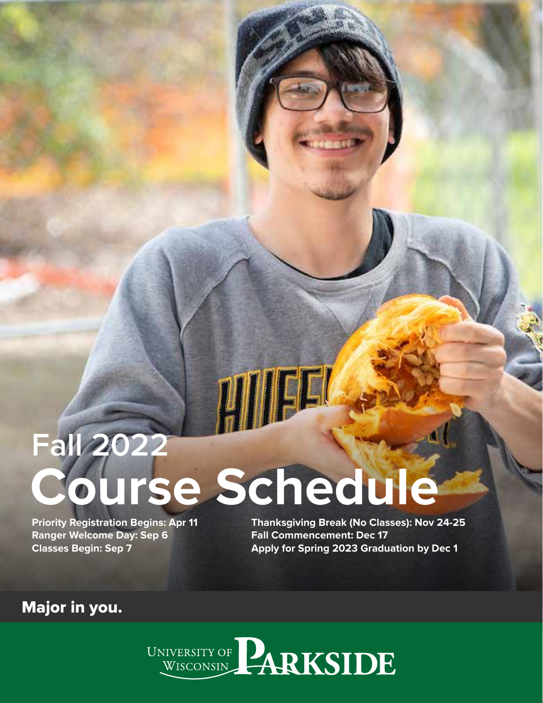# **Fall 2022 Course Schedule**

**LITTLE 1** 

**Priority Registration Begins: Apr 11 Ranger Welcome Day: Sep 6 Classes Begin: Sep 7**

**Thanksgiving Break (No Classes): Nov 24-25 Fall Commencement: Dec 17 Apply for Spring 2023 Graduation by Dec 1**

Major in you.

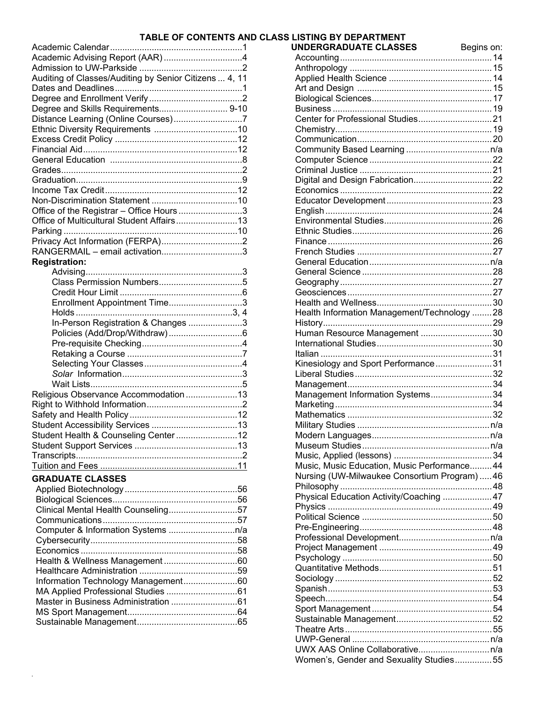#### **TABLE OF CONTENTS AND CLASS LISTING BY DEPARTMENT**

| Auditing of Classes/Auditing by Senior Citizens  4, 11 |  |
|--------------------------------------------------------|--|
|                                                        |  |
|                                                        |  |
| Degree and Skills Requirements 9-10                    |  |
| Distance Learning (Online Courses)7                    |  |
|                                                        |  |
|                                                        |  |
|                                                        |  |
|                                                        |  |
|                                                        |  |
|                                                        |  |
|                                                        |  |
|                                                        |  |
|                                                        |  |
| Office of the Registrar - Office Hours3                |  |
| Office of Multicultural Student Affairs 13             |  |
|                                                        |  |
|                                                        |  |
| RANGERMAIL - email activation3                         |  |
| <b>Registration:</b>                                   |  |
|                                                        |  |
|                                                        |  |
|                                                        |  |
| Enrollment Appointment Time3                           |  |
|                                                        |  |
| In-Person Registration & Changes 3                     |  |
|                                                        |  |
|                                                        |  |
|                                                        |  |
|                                                        |  |
|                                                        |  |
|                                                        |  |
| Religious Observance Accommodation 13                  |  |
|                                                        |  |
|                                                        |  |
|                                                        |  |
| Student Health & Counseling Center12                   |  |
|                                                        |  |
|                                                        |  |
|                                                        |  |
| <b>GRADUATE CLASSES</b>                                |  |
|                                                        |  |
|                                                        |  |
|                                                        |  |
| Clinical Mental Health Counseling57                    |  |
|                                                        |  |
|                                                        |  |
|                                                        |  |
|                                                        |  |

Health & Wellness Management .............................. 60 Healthcare Administration ........................................ 59 Information Technology Management ...................... 60 MA Applied Professional Studies ............................. 61 Master in Business Administration ........................... 61 MS Sport Management ............................................. 64 Sustainable Management ......................................... 65

| Health Information Management/Technology 28  |  |
|----------------------------------------------|--|
|                                              |  |
| Human Resource Management 30                 |  |
|                                              |  |
|                                              |  |
| Kinesiology and Sport Performance31          |  |
|                                              |  |
|                                              |  |
| Management Information Systems34             |  |
|                                              |  |
|                                              |  |
|                                              |  |
|                                              |  |
|                                              |  |
|                                              |  |
| Music, Music Education, Music Performance 44 |  |
| Nursing (UW-Milwaukee Consortium Program) 46 |  |
|                                              |  |
| Physical Education Activity/Coaching  47     |  |
|                                              |  |
|                                              |  |
|                                              |  |
|                                              |  |
|                                              |  |
|                                              |  |
|                                              |  |
|                                              |  |
|                                              |  |
|                                              |  |
|                                              |  |
|                                              |  |
|                                              |  |
|                                              |  |
|                                              |  |
| Women's, Gender and Sexuality Studies55      |  |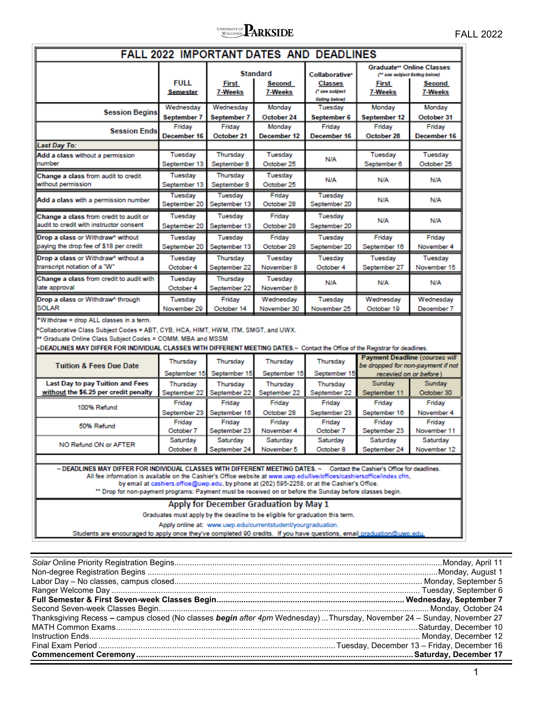# **PARKSIDE**

**FAIL 2022 IMPORTANT DATES AND DEADLINES** 

|                                                                                                                                                                                                                                                                                                                                                                                                                                                                                         | <b>FULL</b><br><b>Semester</b> | <b>First</b><br>7-Weeks  | <b>Standard</b><br><b>Second</b><br>7-Weeks                                                                                                                                            | Collaborative*<br>Classes<br>(* see subject<br>listing below)                                | <b>Graduate<sup>**</sup> Online Classes</b><br>(** see subject listing below)<br><b>First</b><br>7-Weeks | <b>Second</b><br>7-Weeks |
|-----------------------------------------------------------------------------------------------------------------------------------------------------------------------------------------------------------------------------------------------------------------------------------------------------------------------------------------------------------------------------------------------------------------------------------------------------------------------------------------|--------------------------------|--------------------------|----------------------------------------------------------------------------------------------------------------------------------------------------------------------------------------|----------------------------------------------------------------------------------------------|----------------------------------------------------------------------------------------------------------|--------------------------|
| <b>Session Begins</b>                                                                                                                                                                                                                                                                                                                                                                                                                                                                   | Wednesday<br>September 7       | Wednesday<br>September 7 | Monday<br>October 24                                                                                                                                                                   | Tuesday<br>September 6                                                                       | Monday<br>September 12                                                                                   | Monday<br>October 31     |
| <b>Session Ends</b>                                                                                                                                                                                                                                                                                                                                                                                                                                                                     | Friday<br>December 16          | Friday<br>October 21     | Monday<br><b>December 12</b>                                                                                                                                                           | Friday<br>December 16                                                                        | Friday<br>October 28                                                                                     | Friday<br>December 16    |
| <b>Last Day To:</b>                                                                                                                                                                                                                                                                                                                                                                                                                                                                     |                                |                          |                                                                                                                                                                                        |                                                                                              |                                                                                                          |                          |
| Add a class without a permission<br>number                                                                                                                                                                                                                                                                                                                                                                                                                                              | Tuesday<br>September 13        | Thursday<br>September 8  | Tuesday<br>October 25                                                                                                                                                                  | N/A                                                                                          | Tuesday<br>September 6                                                                                   | Tuesday<br>October 25    |
| Change a class from audit to credit<br>without permission                                                                                                                                                                                                                                                                                                                                                                                                                               | Tuesday<br>September 13        | Thursday<br>September 8  | Tuesday<br>October 25                                                                                                                                                                  | N/A                                                                                          | N/A                                                                                                      | N/A                      |
| Add a class with a permission number                                                                                                                                                                                                                                                                                                                                                                                                                                                    | Tuesday<br>September 20        | Tuesday<br>September 13  | Friday<br>October 28                                                                                                                                                                   | Tuesday<br>September 20                                                                      | N/A                                                                                                      | N/A                      |
| Change a class from credit to audit or<br>audit to credit with instructor consent                                                                                                                                                                                                                                                                                                                                                                                                       | Tuesday<br>September 20        | Tuesday<br>September 13  | Friday<br>October 28                                                                                                                                                                   | Tuesday<br>September 20                                                                      | N/A                                                                                                      | N/A                      |
| Drop a class or Withdraw^ without                                                                                                                                                                                                                                                                                                                                                                                                                                                       | Tuesday                        | Tuesday                  | Friday                                                                                                                                                                                 | Tuesday                                                                                      | Friday                                                                                                   | Friday                   |
| paying the drop fee of \$18 per credit                                                                                                                                                                                                                                                                                                                                                                                                                                                  | September 20                   | September 13             | October 28                                                                                                                                                                             | September 20                                                                                 | September 16                                                                                             | November 4               |
|                                                                                                                                                                                                                                                                                                                                                                                                                                                                                         |                                |                          |                                                                                                                                                                                        |                                                                                              |                                                                                                          |                          |
| Drop a class or Withdraw <sup>^</sup> without a<br>transcript notation of a "W"                                                                                                                                                                                                                                                                                                                                                                                                         | Tuesday                        | Thursday                 | Tuesday<br>November 8                                                                                                                                                                  | Tuesday<br>October 4                                                                         | Tuesday                                                                                                  | Tuesdav                  |
|                                                                                                                                                                                                                                                                                                                                                                                                                                                                                         | October 4                      | September 22             |                                                                                                                                                                                        |                                                                                              | September 27                                                                                             | November 15              |
| Change a class from credit to audit with                                                                                                                                                                                                                                                                                                                                                                                                                                                | Tuesday                        | Thursday                 | Tuesdav                                                                                                                                                                                | N/A                                                                                          | <b>N/A</b>                                                                                               | <b>N/A</b>               |
| late approval                                                                                                                                                                                                                                                                                                                                                                                                                                                                           | October 4                      | September 22             | November 8                                                                                                                                                                             |                                                                                              |                                                                                                          |                          |
|                                                                                                                                                                                                                                                                                                                                                                                                                                                                                         |                                |                          |                                                                                                                                                                                        |                                                                                              |                                                                                                          |                          |
|                                                                                                                                                                                                                                                                                                                                                                                                                                                                                         | Tuesday                        | Friday                   | Wednesday                                                                                                                                                                              | Tuesday                                                                                      | Wednesday                                                                                                | Wednesday                |
|                                                                                                                                                                                                                                                                                                                                                                                                                                                                                         | November 29                    | October 14               | November 30                                                                                                                                                                            | November 25                                                                                  | October 19                                                                                               | December 7               |
| Drop a class or Withdraw^ through<br>SOLAR<br>"Withdraw = drop ALL classes in a term.<br>*Collaborative Class Subject Codes = ABT, CYB, HCA, HIMT, HWM, ITM, SMGT, and UWX.<br>** Graduate Online Class Subject Codes = COMM, MBA and MSSM<br>-DEADLINES MAY DIFFER FOR INDIVIDUAL CLASSES WITH DIFFERENT MEETING DATES.~ Contact the Office of the Registrar for deadlines.                                                                                                            | Thursday                       | Thursday                 | Thursday                                                                                                                                                                               | Thursday                                                                                     | <b>Payment Deadline (courses will</b>                                                                    |                          |
| <b>Tuition &amp; Fees Due Date</b>                                                                                                                                                                                                                                                                                                                                                                                                                                                      | September 15                   | September 15             | September 15                                                                                                                                                                           | September 15                                                                                 | be dropped for non-payment if not<br>recevied on or before)                                              |                          |
| Last Day to pay Tuition and Fees                                                                                                                                                                                                                                                                                                                                                                                                                                                        | Thursday                       | Thursday                 | Thursday                                                                                                                                                                               | Thursday                                                                                     | Sunday                                                                                                   | Sunday                   |
| without the \$6.25 per credit penalty                                                                                                                                                                                                                                                                                                                                                                                                                                                   | September 22                   | September 22             | September 22                                                                                                                                                                           | September 22                                                                                 | September 11                                                                                             | October 30               |
|                                                                                                                                                                                                                                                                                                                                                                                                                                                                                         | Friday                         | Friday                   | Friday                                                                                                                                                                                 | Friday                                                                                       | Friday                                                                                                   | Friday                   |
| 100% Refund                                                                                                                                                                                                                                                                                                                                                                                                                                                                             | September 23                   | September 16             | October 28                                                                                                                                                                             | September 23                                                                                 | September 16                                                                                             | November 4               |
| 50% Refund                                                                                                                                                                                                                                                                                                                                                                                                                                                                              | Friday                         | Friday                   | Friday                                                                                                                                                                                 | Friday                                                                                       | Friday                                                                                                   | Friday                   |
|                                                                                                                                                                                                                                                                                                                                                                                                                                                                                         | October 7                      | September 23             | November 4                                                                                                                                                                             | October 7                                                                                    | September 23                                                                                             | November 11              |
| NO Refund ON or AFTER                                                                                                                                                                                                                                                                                                                                                                                                                                                                   | Saturday<br>October 8          | Saturday<br>September 24 | Saturday<br>November 5                                                                                                                                                                 | Saturday<br>October 8                                                                        | Saturday<br>September 24                                                                                 | Saturday                 |
| ~ DEADLINES MAY DIFFER FOR INDIVIDUAL CLASSES WITH DIFFERENT MEETING DATES. ~ Contact the Cashier's Office for deadlines.<br>All fee information is available on the Cashier's Office website at www.uwp.edu/live/offices/cashiersoffice/index.cfm,<br>** Drop for non-payment programs: Payment must be received on or before the Sunday before classes begin.<br>Students are encouraged to apply once they've completed 90 credits. If you have questions, email graduation@uwp.edu. |                                |                          | Apply for December Graduation by May 1<br>Graduates must apply by the deadline to be eligible for graduation this term.<br>Apply online at: www.uwp.edu/currentstudent/yourgraduation. | by email at cashiers office@uwp.edu, by phone at (262) 595-2258, or at the Cashier's Office. |                                                                                                          | November 12              |

April 11 **August 1** ember 5 Thanksgiving Recess - campus closed (No classes begin after 4pm Wednesday) ...Thursday, November 24 - Sunday, November 27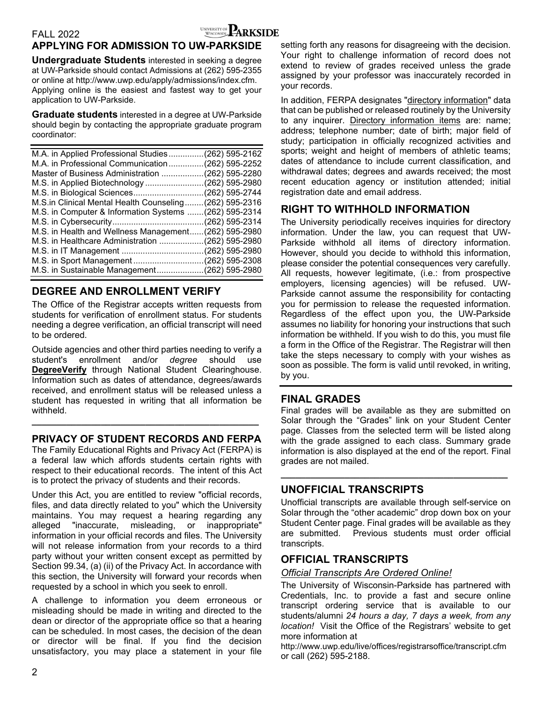### FALL 2022 **EXAMPLE ARKSIDE**

### **APPLYING FOR ADMISSION TO UW-PARKSIDE**

**Undergraduate Students** interested in seeking a degree at UW-Parkside should contact Admissions at (262) 595-2355 or online at http://www.uwp.edu/apply/admissions/index.cfm. Applying online is the easiest and fastest way to get your application to UW-Parkside.

**Graduate students** interested in a degree at UW-Parkside should begin by contacting the appropriate graduate program coordinator:

| M.A. in Applied Professional Studies(262) 595-2162     |
|--------------------------------------------------------|
| M.A. in Professional Communication(262) 595-2252       |
| Master of Business Administration (262) 595-2280       |
| M.S. in Applied Biotechnology(262) 595-2980            |
| M.S. in Biological Sciences(262) 595-2744              |
| M.S.in Clinical Mental Health Counseling(262) 595-2316 |
| M.S. in Computer & Information Systems  (262) 595-2314 |
|                                                        |
| M.S. in Health and Wellness Management(262) 595-2980   |
| M.S. in Healthcare Administration (262) 595-2980       |
|                                                        |
|                                                        |
| M.S. in Sustainable Management(262) 595-2980           |

### **DEGREE AND ENROLLMENT VERIFY**

The Office of the Registrar accepts written requests from students for verification of enrollment status. For students needing a degree verification, an official transcript will need to be ordered.

Outside agencies and other third parties needing to verify a student's enrollment and/or *degree* should use **DegreeVerify** through National Student Clearinghouse. Information such as dates of attendance, degrees/awards received, and enrollment status will be released unless a student has requested in writing that all information be withheld.

### **PRIVACY OF STUDENT RECORDS AND FERPA**

**\_\_\_\_\_\_\_\_\_\_\_\_\_\_\_\_\_\_\_\_\_\_\_\_\_\_\_\_\_\_\_\_\_\_\_\_\_\_\_\_\_\_\_\_\_\_**

The Family Educational Rights and Privacy Act (FERPA) is a federal law which affords students certain rights with respect to their educational records. The intent of this Act is to protect the privacy of students and their records.

Under this Act, you are entitled to review "official records, files, and data directly related to you" which the University maintains. You may request a hearing regarding any alleged "inaccurate, misleading, or inappropriate" information in your official records and files. The University will not release information from your records to a third party without your written consent except as permitted by Section 99.34, (a) (ii) of the Privacy Act. In accordance with this section, the University will forward your records when requested by a school in which you seek to enroll.

A challenge to information you deem erroneous or misleading should be made in writing and directed to the dean or director of the appropriate office so that a hearing can be scheduled. In most cases, the decision of the dean or director will be final. If you find the decision unsatisfactory, you may place a statement in your file

setting forth any reasons for disagreeing with the decision. Your right to challenge information of record does not extend to review of grades received unless the grade assigned by your professor was inaccurately recorded in your records.

In addition, FERPA designates "directory information" data that can be published or released routinely by the University to any inquirer. Directory information items are: name; address; telephone number; date of birth; major field of study; participation in officially recognized activities and sports; weight and height of members of athletic teams; dates of attendance to include current classification, and withdrawal dates; degrees and awards received; the most recent education agency or institution attended; initial registration date and email address.

### **RIGHT TO WITHHOLD INFORMATION**

The University periodically receives inquiries for directory information. Under the law, you can request that UW-Parkside withhold all items of directory information. However, should you decide to withhold this information, please consider the potential consequences very carefully. All requests, however legitimate, (i.e.: from prospective employers, licensing agencies) will be refused. UW-Parkside cannot assume the responsibility for contacting you for permission to release the requested information. Regardless of the effect upon you, the UW-Parkside assumes no liability for honoring your instructions that such information be withheld. If you wish to do this, you must file a form in the Office of the Registrar. The Registrar will then take the steps necessary to comply with your wishes as soon as possible. The form is valid until revoked, in writing, by you.

### **FINAL GRADES**

Final grades will be available as they are submitted on Solar through the "Grades" link on your Student Center page. Classes from the selected term will be listed along with the grade assigned to each class. Summary grade information is also displayed at the end of the report. Final grades are not mailed.

**\_\_\_\_\_\_\_\_\_\_\_\_\_\_\_\_\_\_\_\_\_\_\_\_\_\_\_\_\_\_\_\_\_\_\_\_\_\_\_\_\_\_\_\_\_\_**

### **UNOFFICIAL TRANSCRIPTS**

Unofficial transcripts are available through self-service on Solar through the "other academic" drop down box on your Student Center page. Final grades will be available as they are submitted. Previous students must order official transcripts.

### **OFFICIAL TRANSCRIPTS**

### *Official Transcripts Are Ordered Online!*

The University of Wisconsin-Parkside has partnered with Credentials, Inc. to provide a fast and secure online transcript ordering service that is available to our students/alumni *24 hours a day, 7 days a week, from any location!* Visit the Office of the Registrars' website to get more information at

http://www.uwp.edu/live/offices/registrarsoffice/transcript.cfm or call (262) 595-2188.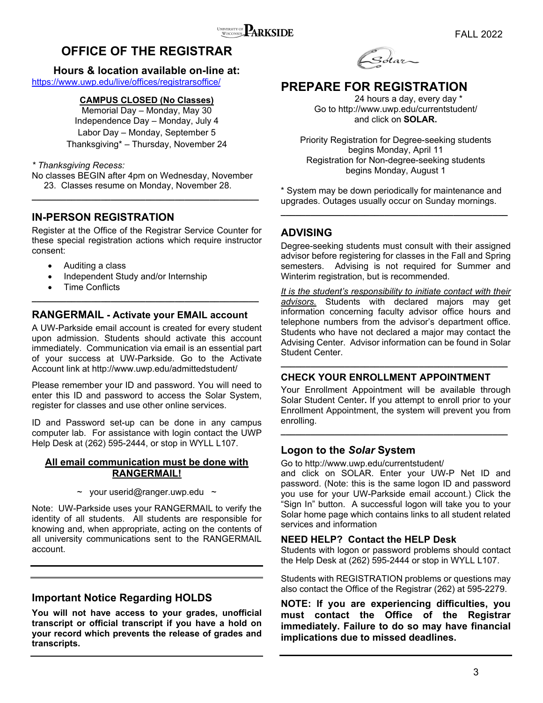### **OFFICE OF THE REGISTRAR**

#### **Hours & location available on-line at:**  https://www.uwp.edu/live/offices/registrarsoffice/

**CAMPUS CLOSED (No Classes)** 

Memorial Day – Monday, May 30 Independence Day – Monday, July 4 Labor Day – Monday, September 5 Thanksgiving\* – Thursday, November 24

### *\* Thanksgiving Recess:*

No classes BEGIN after 4pm on Wednesday, November 23. Classes resume on Monday, November 28. **\_\_\_\_\_\_\_\_\_\_\_\_\_\_\_\_\_\_\_\_\_\_\_\_\_\_\_\_\_\_\_\_\_\_\_\_\_\_\_\_\_\_\_\_\_\_** 

### **IN-PERSON REGISTRATION**

Register at the Office of the Registrar Service Counter for these special registration actions which require instructor consent:

- Auditing a class
- Independent Study and/or Internship
- Time Conflicts

### **RANGERMAIL - Activate your EMAIL account**

**\_\_\_\_\_\_\_\_\_\_\_\_\_\_\_\_\_\_\_\_\_\_\_\_\_\_\_\_\_\_\_\_\_\_\_\_\_\_\_\_\_\_\_\_\_\_** 

A UW-Parkside email account is created for every student upon admission. Students should activate this account immediately. Communication via email is an essential part of your success at UW-Parkside. Go to the Activate Account link at http://www.uwp.edu/admittedstudent/

Please remember your ID and password. You will need to enter this ID and password to access the Solar System, register for classes and use other online services.

ID and Password set-up can be done in any campus computer lab. For assistance with login contact the UWP Help Desk at (262) 595-2444, or stop in WYLL L107.

### **All email communication must be done with RANGERMAIL!**

 $\sim$  your userid@ranger.uwp.edu  $\sim$ 

Note: UW-Parkside uses your RANGERMAIL to verify the identity of all students. All students are responsible for knowing and, when appropriate, acting on the contents of all university communications sent to the RANGERMAIL account.

### **Important Notice Regarding HOLDS**

**You will not have access to your grades, unofficial transcript or official transcript if you have a hold on your record which prevents the release of grades and transcripts.** 



### **PREPARE FOR REGISTRATION**

 24 hours a day, every day \* Go to http://www.uwp.edu/currentstudent/ and click on **SOLAR.** 

Priority Registration for Degree-seeking students begins Monday, April 11 Registration for Non-degree-seeking students begins Monday, August 1

\* System may be down periodically for maintenance and upgrades. Outages usually occur on Sunday mornings. **\_\_\_\_\_\_\_\_\_\_\_\_\_\_\_\_\_\_\_\_\_\_\_\_\_\_\_\_\_\_\_\_\_\_\_\_\_\_\_\_\_\_\_\_\_\_** 

### **ADVISING**

Degree-seeking students must consult with their assigned advisor before registering for classes in the Fall and Spring semesters. Advising is not required for Summer and Winterim registration, but is recommended.

*It is the student's responsibility to initiate contact with their advisors.* Students with declared majors may get information concerning faculty advisor office hours and telephone numbers from the advisor's department office. Students who have not declared a major may contact the Advising Center. Advisor information can be found in Solar Student Center.

### **CHECK YOUR ENROLLMENT APPOINTMENT**

Your Enrollment Appointment will be available through Solar Student Center**.** If you attempt to enroll prior to your Enrollment Appointment, the system will prevent you from enrolling.

**\_\_\_\_\_\_\_\_\_\_\_\_\_\_\_\_\_\_\_\_\_\_\_\_\_\_\_\_\_\_\_\_\_\_\_\_\_\_\_\_\_\_\_\_\_\_** 

**\_\_\_\_\_\_\_\_\_\_\_\_\_\_\_\_\_\_\_\_\_\_\_\_\_\_\_\_\_\_\_\_\_\_\_\_\_\_\_\_\_\_\_\_\_\_** 

### **Logon to the** *Solar* **System**

Go to http://www.uwp.edu/currentstudent/

and click on SOLAR. Enter your UW-P Net ID and password. (Note: this is the same logon ID and password you use for your UW-Parkside email account.) Click the "Sign In" button. A successful logon will take you to your Solar home page which contains links to all student related services and information

### **NEED HELP? Contact the HELP Desk**

Students with logon or password problems should contact the Help Desk at (262) 595-2444 or stop in WYLL L107.

Students with REGISTRATION problems or questions may also contact the Office of the Registrar (262) at 595-2279.

**NOTE: If you are experiencing difficulties, you must contact the Office of the Registrar immediately. Failure to do so may have financial implications due to missed deadlines.**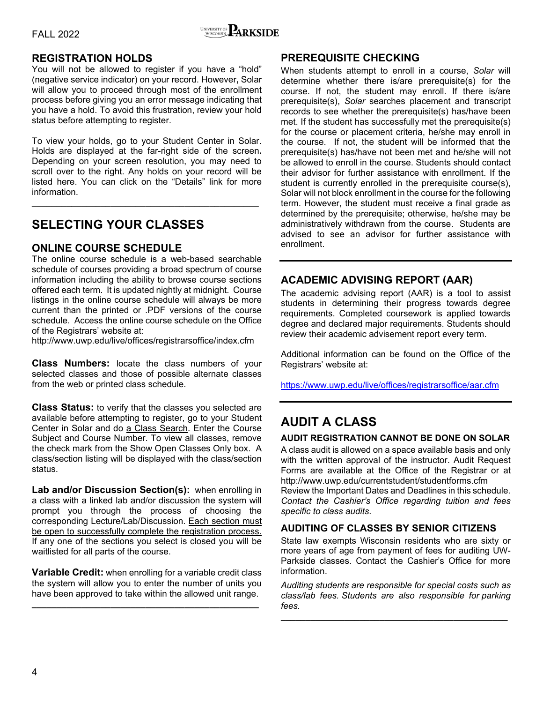

### **REGISTRATION HOLDS**

You will not be allowed to register if you have a "hold" (negative service indicator) on your record. However**,** Solar will allow you to proceed through most of the enrollment process before giving you an error message indicating that you have a hold. To avoid this frustration, review your hold status before attempting to register.

To view your holds, go to your Student Center in Solar. Holds are displayed at the far-right side of the screen**.**  Depending on your screen resolution, you may need to scroll over to the right. Any holds on your record will be listed here. You can click on the "Details" link for more information.

**\_\_\_\_\_\_\_\_\_\_\_\_\_\_\_\_\_\_\_\_\_\_\_\_\_\_\_\_\_\_\_\_\_\_\_\_\_\_\_\_\_\_\_\_\_\_**

### **SELECTING YOUR CLASSES**

### **ONLINE COURSE SCHEDULE**

The online course schedule is a web-based searchable schedule of courses providing a broad spectrum of course information including the ability to browse course sections offered each term. It is updated nightly at midnight. Course listings in the online course schedule will always be more current than the printed or .PDF versions of the course schedule. Access the online course schedule on the Office of the Registrars' website at:

http://www.uwp.edu/live/offices/registrarsoffice/index.cfm

**Class Numbers:** locate the class numbers of your selected classes and those of possible alternate classes from the web or printed class schedule.

**Class Status:** to verify that the classes you selected are available before attempting to register, go to your Student Center in Solar and do a Class Search. Enter the Course Subject and Course Number. To view all classes, remove the check mark from the Show Open Classes Only box. A class/section listing will be displayed with the class/section status.

**Lab and/or Discussion Section(s):** when enrolling in a class with a linked lab and/or discussion the system will prompt you through the process of choosing the corresponding Lecture/Lab/Discussion. Each section must be open to successfully complete the registration process. If any one of the sections you select is closed you will be waitlisted for all parts of the course.

**Variable Credit:** when enrolling for a variable credit class the system will allow you to enter the number of units you have been approved to take within the allowed unit range.

**\_\_\_\_\_\_\_\_\_\_\_\_\_\_\_\_\_\_\_\_\_\_\_\_\_\_\_\_\_\_\_\_\_\_\_\_\_\_\_\_\_\_\_\_\_\_**

### **PREREQUISITE CHECKING**

When students attempt to enroll in a course, *Solar* will determine whether there is/are prerequisite(s) for the course. If not, the student may enroll. If there is/are prerequisite(s), *Solar* searches placement and transcript records to see whether the prerequisite(s) has/have been met. If the student has successfully met the prerequisite(s) for the course or placement criteria, he/she may enroll in the course. If not, the student will be informed that the prerequisite(s) has/have not been met and he/she will not be allowed to enroll in the course. Students should contact their advisor for further assistance with enrollment. If the student is currently enrolled in the prerequisite course(s), Solar will not block enrollment in the course for the following term. However, the student must receive a final grade as determined by the prerequisite; otherwise, he/she may be administratively withdrawn from the course. Students are advised to see an advisor for further assistance with enrollment.

### **ACADEMIC ADVISING REPORT (AAR)**

The academic advising report (AAR) is a tool to assist students in determining their progress towards degree requirements. Completed coursework is applied towards degree and declared major requirements. Students should review their academic advisement report every term.

Additional information can be found on the Office of the Registrars' website at:

https://www.uwp.edu/live/offices/registrarsoffice/aar.cfm

### **AUDIT A CLASS**

#### **AUDIT REGISTRATION CANNOT BE DONE ON SOLAR**

A class audit is allowed on a space available basis and only with the written approval of the instructor. Audit Request Forms are available at the Office of the Registrar or at http://www.uwp.edu/currentstudent/studentforms.cfm

Review the Important Dates and Deadlines in this schedule*. Contact the Cashier's Office regarding tuition and fees specific to class audits.* 

### **AUDITING OF CLASSES BY SENIOR CITIZENS**

State law exempts Wisconsin residents who are sixty or more years of age from payment of fees for auditing UW-Parkside classes. Contact the Cashier's Office for more information.

*Auditing students are responsible for special costs such as class/lab fees. Students are also responsible for parking fees.*

**\_\_\_\_\_\_\_\_\_\_\_\_\_\_\_\_\_\_\_\_\_\_\_\_\_\_\_\_\_\_\_\_\_\_\_\_\_\_\_\_\_\_\_\_\_\_**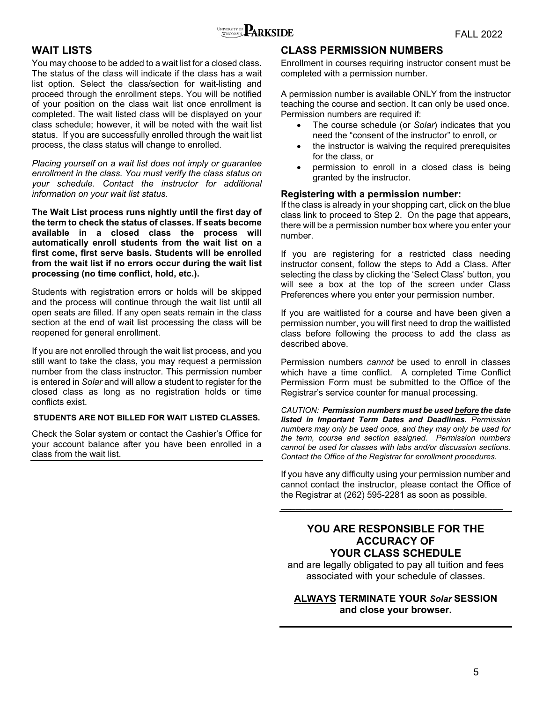

### **WAIT LISTS**

You may choose to be added to a wait list for a closed class. The status of the class will indicate if the class has a wait list option. Select the class/section for wait-listing and proceed through the enrollment steps. You will be notified of your position on the class wait list once enrollment is completed. The wait listed class will be displayed on your class schedule; however, it will be noted with the wait list status. If you are successfully enrolled through the wait list process, the class status will change to enrolled.

*Placing yourself on a wait list does not imply or guarantee enrollment in the class. You must verify the class status on your schedule. Contact the instructor for additional information on your wait list status.* 

**The Wait List process runs nightly until the first day of the term to check the status of classes. If seats become available in a closed class the process will automatically enroll students from the wait list on a first come, first serve basis. Students will be enrolled from the wait list if no errors occur during the wait list processing (no time conflict, hold, etc.).**

Students with registration errors or holds will be skipped and the process will continue through the wait list until all open seats are filled. If any open seats remain in the class section at the end of wait list processing the class will be reopened for general enrollment.

If you are not enrolled through the wait list process, and you still want to take the class, you may request a permission number from the class instructor. This permission number is entered in *Solar* and will allow a student to register for the closed class as long as no registration holds or time conflicts exist.

#### **STUDENTS ARE NOT BILLED FOR WAIT LISTED CLASSES.**

Check the Solar system or contact the Cashier's Office for your account balance after you have been enrolled in a class from the wait list.

### **CLASS PERMISSION NUMBERS**

Enrollment in courses requiring instructor consent must be completed with a permission number.

A permission number is available ONLY from the instructor teaching the course and section. It can only be used once. Permission numbers are required if:

- The course schedule (or *Solar*) indicates that you need the "consent of the instructor" to enroll, or
- the instructor is waiving the required prerequisites for the class, or
- permission to enroll in a closed class is being granted by the instructor.

### **Registering with a permission number:**

If the class is already in your shopping cart, click on the blue class link to proceed to Step 2. On the page that appears, there will be a permission number box where you enter your number.

If you are registering for a restricted class needing instructor consent, follow the steps to Add a Class. After selecting the class by clicking the 'Select Class' button, you will see a box at the top of the screen under Class Preferences where you enter your permission number.

If you are waitlisted for a course and have been given a permission number, you will first need to drop the waitlisted class before following the process to add the class as described above.

Permission numbers *cannot* be used to enroll in classes which have a time conflict. A completed Time Conflict Permission Form must be submitted to the Office of the Registrar's service counter for manual processing.

*CAUTION: Permission numbers must be used before the date listed in Important Term Dates and Deadlines. Permission numbers may only be used once, and they may only be used for the term, course and section assigned. Permission numbers cannot be used for classes with labs and/or discussion sections. Contact the Office of the Registrar for enrollment procedures.* 

If you have any difficulty using your permission number and cannot contact the instructor, please contact the Office of the Registrar at (262) 595-2281 as soon as possible.

**\_\_\_\_\_\_\_\_\_\_\_\_\_\_\_\_\_\_\_\_\_\_\_\_\_\_\_\_\_\_\_\_\_\_\_\_\_\_\_\_\_\_\_\_\_**

### **YOU ARE RESPONSIBLE FOR THE ACCURACY OF YOUR CLASS SCHEDULE**

and are legally obligated to pay all tuition and fees associated with your schedule of classes.

### **ALWAYS TERMINATE YOUR** *Solar* **SESSION and close your browser.**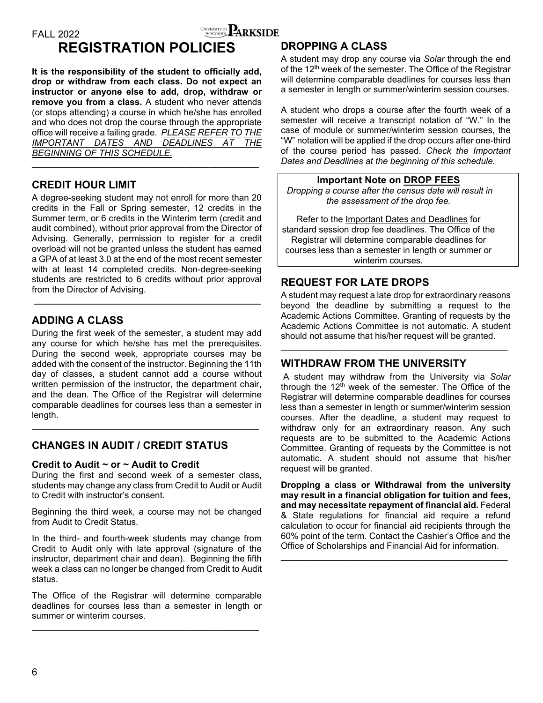

### **REGISTRATION POLICIES**

**It is the responsibility of the student to officially add, drop or withdraw from each class. Do not expect an instructor or anyone else to add, drop, withdraw or remove you from a class.** A student who never attends (or stops attending) a course in which he/she has enrolled and who does not drop the course through the appropriate office will receive a failing grade. *PLEASE REFER TO THE IMPORTANT DATES AND DEADLINES AT THE BEGINNING OF THIS SCHEDULE.*

**\_\_\_\_\_\_\_\_\_\_\_\_\_\_\_\_\_\_\_\_\_\_\_\_\_\_\_\_\_\_\_\_\_\_\_\_\_\_\_\_\_\_\_\_\_\_** 

### **CREDIT HOUR LIMIT**

A degree-seeking student may not enroll for more than 20 credits in the Fall or Spring semester, 12 credits in the Summer term, or 6 credits in the Winterim term (credit and audit combined), without prior approval from the Director of Advising. Generally, permission to register for a credit overload will not be granted unless the student has earned a GPA of at least 3.0 at the end of the most recent semester with at least 14 completed credits. Non-degree-seeking students are restricted to 6 credits without prior approval from the Director of Advising.

 **\_\_\_\_\_\_\_\_\_\_\_\_\_\_\_\_\_\_\_\_\_\_\_\_\_\_\_\_\_\_\_\_\_\_\_\_\_\_\_\_\_\_\_\_\_\_** 

### **ADDING A CLASS**

During the first week of the semester, a student may add any course for which he/she has met the prerequisites. During the second week, appropriate courses may be added with the consent of the instructor. Beginning the 11th day of classes, a student cannot add a course without written permission of the instructor, the department chair, and the dean. The Office of the Registrar will determine comparable deadlines for courses less than a semester in length.

**\_\_\_\_\_\_\_\_\_\_\_\_\_\_\_\_\_\_\_\_\_\_\_\_\_\_\_\_\_\_\_\_\_\_\_\_\_\_\_\_\_\_\_\_\_\_** 

### **CHANGES IN AUDIT / CREDIT STATUS**

### **Credit to Audit ~ or ~ Audit to Credit**

During the first and second week of a semester class, students may change any class from Credit to Audit or Audit to Credit with instructor's consent.

Beginning the third week, a course may not be changed from Audit to Credit Status.

In the third- and fourth-week students may change from Credit to Audit only with late approval (signature of the instructor, department chair and dean). Beginning the fifth week a class can no longer be changed from Credit to Audit status.

The Office of the Registrar will determine comparable deadlines for courses less than a semester in length or summer or winterim courses.

**\_\_\_\_\_\_\_\_\_\_\_\_\_\_\_\_\_\_\_\_\_\_\_\_\_\_\_\_\_\_\_\_\_\_\_\_\_\_\_\_\_\_\_\_\_\_** 

### **DROPPING A CLASS**

A student may drop any course via *Solar* through the end of the 12<sup>th</sup> week of the semester. The Office of the Registrar will determine comparable deadlines for courses less than a semester in length or summer/winterim session courses.

A student who drops a course after the fourth week of a semester will receive a transcript notation of "W." In the case of module or summer/winterim session courses, the "W" notation will be applied if the drop occurs after one-third of the course period has passed. *Check the Important Dates and Deadlines at the beginning of this schedule.*

**Important Note on DROP FEES**  *Dropping a course after the census date will result in the assessment of the drop fee.* 

Refer to the Important Dates and Deadlines for standard session drop fee deadlines. The Office of the Registrar will determine comparable deadlines for courses less than a semester in length or summer or winterim courses.

### **REQUEST FOR LATE DROPS**

A student may request a late drop for extraordinary reasons beyond the deadline by submitting a request to the Academic Actions Committee. Granting of requests by the Academic Actions Committee is not automatic. A student should not assume that his/her request will be granted.

### **WITHDRAW FROM THE UNIVERSITY**

 A student may withdraw from the University via *Solar* through the  $12<sup>th</sup>$  week of the semester. The Office of the Registrar will determine comparable deadlines for courses less than a semester in length or summer/winterim session courses. After the deadline, a student may request to withdraw only for an extraordinary reason. Any such requests are to be submitted to the Academic Actions Committee. Granting of requests by the Committee is not automatic. A student should not assume that his/her request will be granted.

**Dropping a class or Withdrawal from the university may result in a financial obligation for tuition and fees, and may necessitate repayment of financial aid.** Federal & State regulations for financial aid require a refund calculation to occur for financial aid recipients through the 60% point of the term. Contact the Cashier's Office and the Office of Scholarships and Financial Aid for information.

**\_\_\_\_\_\_\_\_\_\_\_\_\_\_\_\_\_\_\_\_\_\_\_\_\_\_\_\_\_\_\_\_\_\_\_\_\_\_\_\_\_\_\_\_\_\_**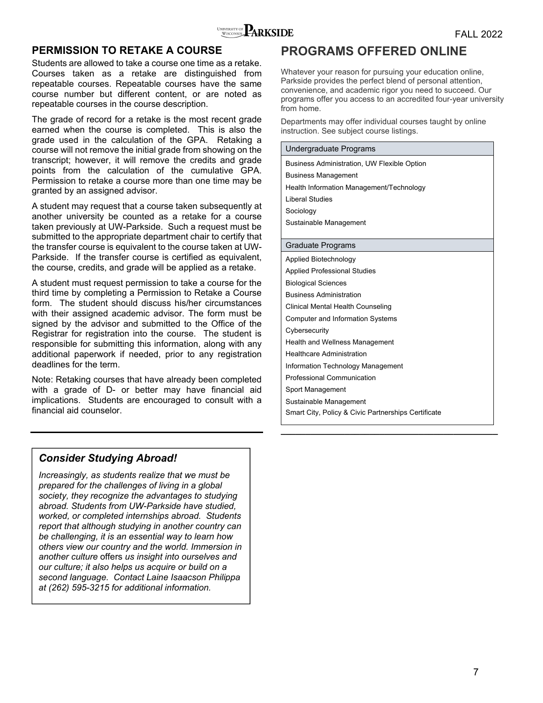

### **PERMISSION TO RETAKE A COURSE**

Students are allowed to take a course one time as a retake. Courses taken as a retake are distinguished from repeatable courses. Repeatable courses have the same course number but different content, or are noted as repeatable courses in the course description.

The grade of record for a retake is the most recent grade earned when the course is completed. This is also the grade used in the calculation of the GPA. Retaking a course will not remove the initial grade from showing on the transcript; however, it will remove the credits and grade points from the calculation of the cumulative GPA. Permission to retake a course more than one time may be granted by an assigned advisor.

A student may request that a course taken subsequently at another university be counted as a retake for a course taken previously at UW-Parkside. Such a request must be submitted to the appropriate department chair to certify that the transfer course is equivalent to the course taken at UW-Parkside. If the transfer course is certified as equivalent, the course, credits, and grade will be applied as a retake.

A student must request permission to take a course for the third time by completing a Permission to Retake a Course form. The student should discuss his/her circumstances with their assigned academic advisor. The form must be signed by the advisor and submitted to the Office of the Registrar for registration into the course. The student is responsible for submitting this information, along with any additional paperwork if needed, prior to any registration deadlines for the term.

Note: Retaking courses that have already been completed with a grade of D- or better may have financial aid implications. Students are encouraged to consult with a financial aid counselor.

### **PROGRAMS OFFERED ONLINE**

Whatever your reason for pursuing your education online, Parkside provides the perfect blend of personal attention, convenience, and academic rigor you need to succeed. Our programs offer you access to an accredited four-year university from home.

Departments may offer individual courses taught by online instruction. See subject course listings.

#### Undergraduate Programs

Business Administration, UW Flexible Option Business Management Health Information Management/Technology Liberal Studies Sociology Sustainable Management

#### Graduate Programs

Applied Biotechnology Applied Professional Studies Biological Sciences Business Administration Clinical Mental Health Counseling Computer and Information Systems **Cybersecurity** Health and Wellness Management Healthcare Administration Information Technology Management Professional Communication Sport Management Sustainable Management Smart City, Policy & Civic Partnerships Certificate

**\_\_\_\_\_\_\_\_\_\_\_\_\_\_\_\_\_\_\_\_\_\_\_\_\_\_\_\_\_\_\_\_\_\_\_\_\_\_\_\_\_\_\_\_** 

### *Consider Studying Abroad!*

*Increasingly, as students realize that we must be prepared for the challenges of living in a global society, they recognize the advantages to studying abroad. Students from UW-Parkside have studied, worked, or completed internships abroad. Students report that although studying in another country can be challenging, it is an essential way to learn how others view our country and the world. Immersion in another culture* offers *us insight into ourselves and our culture; it also helps us acquire or build on a second language. Contact Laine Isaacson Philippa at (262) 595-3215 for additional information.*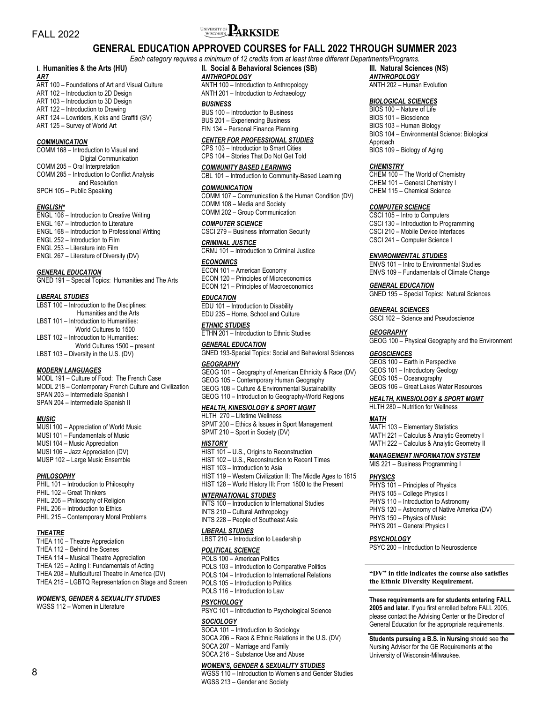# FALL 2022 **FALL 2022**

### **GENERAL EDUCATION APPROVED COURSES for FALL 2022 THROUGH SUMMER 2023**

#### *Each category requires a minimum of 12 credits from at least three different Departments/Programs.*

### **I. Humanities & the Arts (HU)**

*ART*  ART 100 – Foundations of Art and Visual Culture ART 102 – Introduction to 2D Design ART 103 – Introduction to 3D Design ART 122 – Introduction to Drawing ART 124 – Lowriders, Kicks and Graffiti (SV) ART 125 – Survey of World Art

#### *COMMUNICATION*

COMM 168 – Introduction to Visual and Digital Communication COMM 205 – Oral Interpretation COMM 285 – Introduction to Conflict Analysis and Resolution SPCH 105 – Public Speaking

#### *ENGLISH\**

ENGL 106 – Introduction to Creative Writing ENGL 167 – Introduction to Literature ENGL 168 – Introduction to Professional Writing ENGL 252 – Introduction to Film ENGL 253 – Literature into Film ENGL 267 – Literature of Diversity (DV)

#### *GENERAL EDUCATION*

GNED 191 – Special Topics: Humanities and The Arts

#### *LIBERAL STUDIES*

| LBST 100 - Introduction to the Disciplines: |
|---------------------------------------------|
| Humanities and the Arts                     |
| LBST 101 - Introduction to Humanities:      |
| World Cultures to 1500                      |
| LBST 102 - Introduction to Humanities:      |
| World Cultures 1500 - present               |
| LBST 103 - Diversity in the U.S. (DV)       |

#### *MODERN LANGUAGES*

MODL 191 – Culture of Food: The French Case MODL 218 – Contemporary French Culture and Civilization SPAN 203 – Intermediate Spanish I SPAN 204 – Intermediate Spanish II

#### *MUSIC*

MUSI 100 – Appreciation of World Music MUSI 101 – Fundamentals of Music MUSI 104 – Music Appreciation MUSI 106 – Jazz Appreciation (DV) MUSP 102 – Large Music Ensemble

#### *PHILOSOPHY*

PHIL 101 – Introduction to Philosophy PHIL 102 – Great Thinkers PHIL 205 – Philosophy of Religion PHIL 206 – Introduction to Ethics PHIL 215 – Contemporary Moral Problems

#### *THEATRE*

THEA 110 – Theatre Appreciation THEA 112 – Behind the Scenes THEA 114 – Musical Theatre Appreciation THEA 125 – Acting I: Fundamentals of Acting THEA 208 – Multicultural Theatre in America (DV) THEA 215 – LGBTQ Representation on Stage and Screen

#### *WOMEN'S, GENDER & SEXUALITY STUDIES*

WGSS 112 – Women in Literature

ANTH 100 – Introduction to Anthropology ANTH 201 – Introduction to Archaeology

#### *BUSINESS*

BUS 100 – Introduction to Business BUS 201 – Experiencing Business FIN 134 – Personal Finance Planning

#### *CENTER FOR PROFESSIONAL STUDIES*

CPS 103 – Introduction to Smart Cities CPS 104 – Stories That Do Not Get Told

#### *COMMUNITY BASED LEARNING*

#### CBL 101 – Introduction to Community-Based Learning

#### *COMMUNICATION*

COMM 107 – Communication & the Human Condition (DV) COMM 108 – Media and Society COMM 202 – Group Communication

#### *COMPUTER SCIENCE*

CSCI 279 – Business Information Security

#### *CRIMINAL JUSTICE*

CRMJ 101 – Introduction to Criminal Justice *ECONOMICS* 

ECON 101 – American Economy ECON 120 – Principles of Microeconomics ECON 121 – Principles of Macroeconomics

#### *EDUCATION*

EDU 101 – Introduction to Disability EDU 235 – Home, School and Culture

#### *ETHNIC STUDIES*  ETHN 201 – Introduction to Ethnic Studies

*GENERAL EDUCATION*  GNED 193-Special Topics: Social and Behavioral Sciences

#### *GEOGRAPHY*

GEOG 101 – Geography of American Ethnicity & Race (DV)

- GEOG 105 Contemporary Human Geography
- GEOG 108 Culture & Environmental Sustainability GEOG 110 – Introduction to Geography-World Regions

#### *HEALTH, KINESIOLOGY & SPORT MGMT*

HLTH 270 – Lifetime Wellness SPMT 200 – Ethics & Issues in Sport Management SPMT 210 – Sport in Society (DV)

#### *HISTORY*

HIST 101 – U.S., Origins to Reconstruction HIST 102 – U.S., Reconstruction to Recent Times HIST 103 – Introduction to Asia HIST 119 – Western Civilization II: The Middle Ages to 1815 HIST 128 – World History III: From 1800 to the Present *INTERNATIONAL STUDIES* 

#### INTS 100 – Introduction to International Studies INTS 210 – Cultural Anthropology INTS 228 – People of Southeast Asia

### *LIBERAL STUDIES*

LBST 210 – Introduction to Leadership

#### *POLITICAL SCIENCE*

- POLS 100 American Politics POLS 103 – Introduction to Comparative Politics POLS 104 – Introduction to International Relations POLS 105 – Introduction to Politics
- POLS 116 Introduction to Law

#### *PSYCHOLOGY*

PSYC 101 – Introduction to Psychological Science

#### *SOCIOLOGY*

SOCA 101 – Introduction to Sociology SOCA 206 – Race & Ethnic Relations in the U.S. (DV) SOCA 207 – Marriage and Family SOCA 216 – Substance Use and Abuse

### *WOMEN'S, GENDER & SEXUALITY STUDIES*

WGSS 110 – Introduction to Women's and Gender Studies WGSS 213 – Gender and Society

**III. Natural Sciences (NS)**  *ANTHROPOLOGY*  ANTH 202 – Human Evolution

#### *BIOLOGICAL SCIENCES*

BIOS 100 – Nature of Life BIOS 101 – Bioscience BIOS 103 – Human Biology BIOS 104 – Environmental Science: Biological Approach BIOS 109 – Biology of Aging

#### *CHEMISTRY*

CHEM 100 – The World of Chemistry CHEM 101 – General Chemistry I CHEM 115 – Chemical Science

#### *COMPUTER SCIENCE*

CSCI 105 – Intro to Computers CSCI 130 – Introduction to Programming CSCI 210 – Mobile Device Interfaces CSCI 241 – Computer Science I

#### *ENVIRONMENTAL STUDIES*

ENVS 101 – Intro to Environmental Studies ENVS 109 – Fundamentals of Climate Change

#### *GENERAL EDUCATION*

GNED 195 – Special Topics: Natural Sciences

#### *GENERAL SCIENCES*

GSCI 102 – Science and Pseudoscience

#### *GEOGRAPHY*

GEOG 100 – Physical Geography and the Environment

#### *GEOSCIENCES*

GEOS 100 – Earth in Perspective GEOS 101 – Introductory Geology GEOS 105 – Oceanography GEOS 106 – Great Lakes Water Resources

#### *HEALTH, KINESIOLOGY & SPORT MGMT*

HLTH 280 – Nutrition for Wellness

#### *MATH*

MATH 103 – Elementary Statistics MATH 221 – Calculus & Analytic Geometry I MATH 222 – Calculus & Analytic Geometry II

#### *MANAGEMENT INFORMATION SYSTEM*

MIS 221 – Business Programming I

#### *PHYSICS*

- PHYS 101 Principles of Physics PHYS 105 - College Physics I PHYS 110 – Introduction to Astronomy PHYS 120 – Astronomy of Native America (DV) PHYS 150 – Physics of Music
- PHYS 201 General Physics I

### *PSYCHOLOGY*

PSYC 200 – Introduction to Neuroscience

**"DV" in title indicates the course also satisfies the Ethnic Diversity Requirement.** 

**These requirements are for students entering FALL 2005 and later.** If you first enrolled before FALL 2005, please contact the Advising Center or the Director of General Education for the appropriate requirements.

**Students pursuing a B.S. in Nursing** should see the Nursing Advisor for the GE Requirements at the University of Wisconsin-Milwaukee.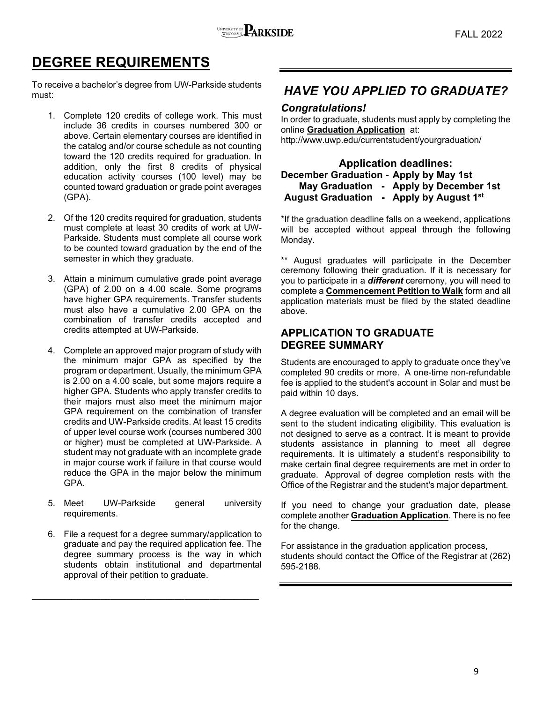

# **DEGREE REQUIREMENTS**

To receive a bachelor's degree from UW-Parkside students must:

- 1. Complete 120 credits of college work. This must include 36 credits in courses numbered 300 or above. Certain elementary courses are identified in the catalog and/or course schedule as not counting toward the 120 credits required for graduation. In addition, only the first 8 credits of physical education activity courses (100 level) may be counted toward graduation or grade point averages (GPA).
- 2. Of the 120 credits required for graduation, students must complete at least 30 credits of work at UW-Parkside. Students must complete all course work to be counted toward graduation by the end of the semester in which they graduate.
- 3. Attain a minimum cumulative grade point average (GPA) of 2.00 on a 4.00 scale. Some programs have higher GPA requirements. Transfer students must also have a cumulative 2.00 GPA on the combination of transfer credits accepted and credits attempted at UW-Parkside.
- 4. Complete an approved major program of study with the minimum major GPA as specified by the program or department. Usually, the minimum GPA is 2.00 on a 4.00 scale, but some majors require a higher GPA. Students who apply transfer credits to their majors must also meet the minimum major GPA requirement on the combination of transfer credits and UW-Parkside credits. At least 15 credits of upper level course work (courses numbered 300 or higher) must be completed at UW-Parkside. A student may not graduate with an incomplete grade in major course work if failure in that course would reduce the GPA in the major below the minimum GPA.
- 5. Meet UW-Parkside general university requirements.
- 6. File a request for a degree summary/application to graduate and pay the required application fee. The degree summary process is the way in which students obtain institutional and departmental approval of their petition to graduate.

**\_\_\_\_\_\_\_\_\_\_\_\_\_\_\_\_\_\_\_\_\_\_\_\_\_\_\_\_\_\_\_\_\_\_\_\_\_\_\_\_\_\_\_\_\_\_** 

### *HAVE YOU APPLIED TO GRADUATE?*

**Congratulations!**<br>In order to graduate, students must apply by completing the online **Graduation Application** at: http://www.uwp.edu/currentstudent/yourgraduation/

### **Application deadlines: December Graduation - Apply by May 1st May Graduation - Apply by December 1st August Graduation - Apply by August 1st**

\*If the graduation deadline falls on a weekend, applications will be accepted without appeal through the following Monday.

\*\* August graduates will participate in the December ceremony following their graduation. If it is necessary for you to participate in a *different* ceremony, you will need to complete a **Commencement Petition to Walk** form and all application materials must be filed by the stated deadline above.

### **APPLICATION TO GRADUATE DEGREE SUMMARY**

Students are encouraged to apply to graduate once they've completed 90 credits or more. A one-time non-refundable fee is applied to the student's account in Solar and must be paid within 10 days.

A degree evaluation will be completed and an email will be sent to the student indicating eligibility. This evaluation is not designed to serve as a contract. It is meant to provide students assistance in planning to meet all degree requirements. It is ultimately a student's responsibility to make certain final degree requirements are met in order to graduate. Approval of degree completion rests with the Office of the Registrar and the student's major department.

If you need to change your graduation date, please complete another **Graduation Application**. There is no fee for the change.

For assistance in the graduation application process, students should contact the Office of the Registrar at (262) 595-2188.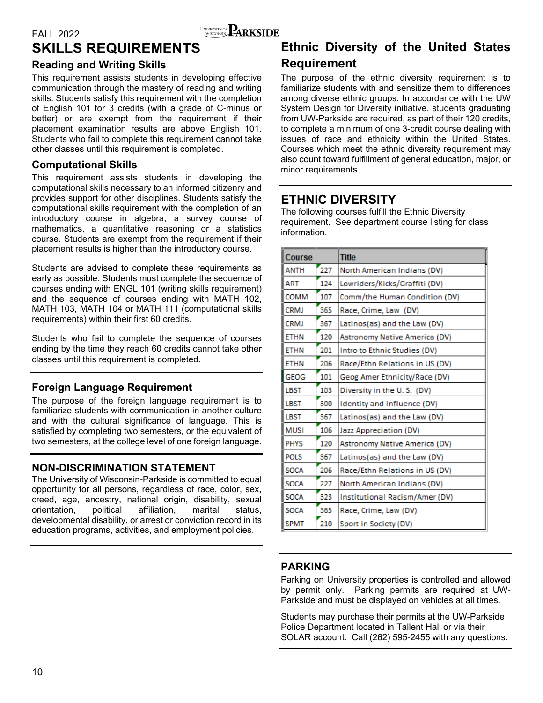### FALL 2022 WINVERSITY OF **ARKSIDE SKILLS REQUIREMENTS**

### **Reading and Writing Skills**

This requirement assists students in developing effective communication through the mastery of reading and writing skills. Students satisfy this requirement with the completion of English 101 for 3 credits (with a grade of C-minus or better) or are exempt from the requirement if their placement examination results are above English 101. Students who fail to complete this requirement cannot take other classes until this requirement is completed.

### **Computational Skills**

This requirement assists students in developing the computational skills necessary to an informed citizenry and provides support for other disciplines. Students satisfy the computational skills requirement with the completion of an introductory course in algebra, a survey course of mathematics, a quantitative reasoning or a statistics course. Students are exempt from the requirement if their placement results is higher than the introductory course.

Students are advised to complete these requirements as early as possible. Students must complete the sequence of courses ending with ENGL 101 (writing skills requirement) and the sequence of courses ending with MATH 102, MATH 103, MATH 104 or MATH 111 (computational skills requirements) within their first 60 credits.

Students who fail to complete the sequence of courses ending by the time they reach 60 credits cannot take other classes until this requirement is completed.

### **Foreign Language Requirement**

The purpose of the foreign language requirement is to familiarize students with communication in another culture and with the cultural significance of language. This is satisfied by completing two semesters, or the equivalent of two semesters, at the college level of one foreign language.

### **NON-DISCRIMINATION STATEMENT**

The University of Wisconsin-Parkside is committed to equal opportunity for all persons, regardless of race, color, sex, creed, age, ancestry, national origin, disability, sexual orientation, political affiliation, marital status, developmental disability, or arrest or conviction record in its education programs, activities, and employment policies.

## **Ethnic Diversity of the United States Requirement**

The purpose of the ethnic diversity requirement is to familiarize students with and sensitize them to differences among diverse ethnic groups. In accordance with the UW System Design for Diversity initiative, students graduating from UW-Parkside are required, as part of their 120 credits, to complete a minimum of one 3-credit course dealing with issues of race and ethnicity within the United States. Courses which meet the ethnic diversity requirement may also count toward fulfillment of general education, major, or minor requirements.

### **ETHNIC DIVERSITY**

The following courses fulfill the Ethnic Diversity requirement. See department course listing for class information.

| Course      |     | <b>Title</b>                   |
|-------------|-----|--------------------------------|
| <b>ANTH</b> | 227 | North American Indians (DV)    |
| ART         | 124 | Lowriders/Kicks/Graffiti (DV)  |
| COMM        | 107 | Comm/the Human Condition (DV)  |
| CRMJ        | 365 | Race, Crime, Law (DV)          |
| <b>CRMJ</b> | 367 | Latinos(as) and the Law (DV)   |
| <b>ETHN</b> | 120 | Astronomy Native America (DV)  |
| <b>ETHN</b> | 201 | Intro to Ethnic Studies (DV)   |
| <b>ETHN</b> | 206 | Race/Ethn Relations in US (DV) |
| GEOG        | 101 | Geog Amer Ethnicity/Race (DV)  |
| <b>LBST</b> | 103 | Diversity in the U.S. (DV)     |
| LBST        | 300 | Identity and Influence (DV)    |
| LBST        | 367 | Latinos(as) and the Law (DV)   |
| <b>MUSI</b> | 106 | Jazz Appreciation (DV)         |
| <b>PHYS</b> | 120 | Astronomy Native America (DV)  |
| <b>POLS</b> | 367 | Latinos(as) and the Law (DV)   |
| <b>SOCA</b> | 206 | Race/Ethn Relations in US (DV) |
| <b>SOCA</b> | 227 | North American Indians (DV)    |
| <b>SOCA</b> | 323 | Institutional Racism/Amer (DV) |
| <b>SOCA</b> | 365 | Race, Crime, Law (DV)          |
| <b>SPMT</b> | 210 | Sport in Society (DV)          |

### **PARKING**

Parking on University properties is controlled and allowed by permit only. Parking permits are required at UW-Parkside and must be displayed on vehicles at all times.

Students may purchase their permits at the UW-Parkside Police Department located in Tallent Hall or via their SOLAR account. Call (262) 595-2455 with any questions.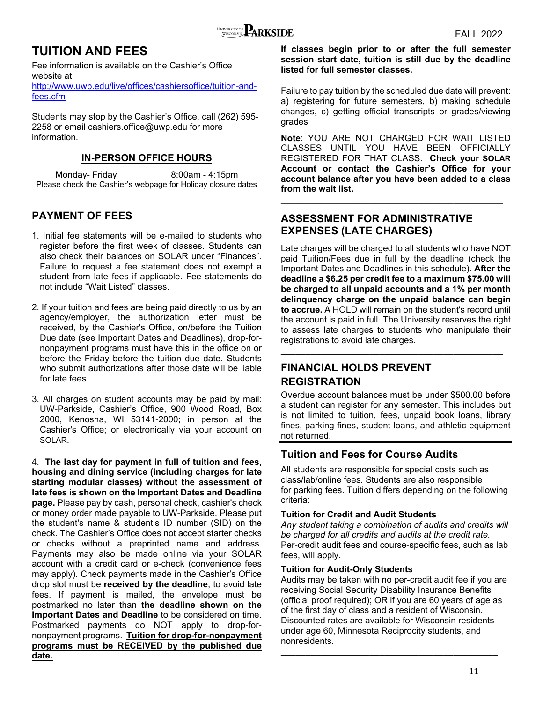### **TUITION AND FEES**

Fee information is available on the Cashier's Office website at

http://www.uwp.edu/live/offices/cashiersoffice/tuition-andfees.cfm

Students may stop by the Cashier's Office, call (262) 595- 2258 or email cashiers.office@uwp.edu for more information.

### **IN-PERSON OFFICE HOURS**

Monday- Friday 8:00am - 4:15pm Please check the Cashier's webpage for Holiday closure dates

### **PAYMENT OF FEES**

- 1. Initial fee statements will be e-mailed to students who register before the first week of classes. Students can also check their balances on SOLAR under "Finances". Failure to request a fee statement does not exempt a student from late fees if applicable. Fee statements do not include "Wait Listed" classes.
- 2. If your tuition and fees are being paid directly to us by an agency/employer, the authorization letter must be received, by the Cashier's Office, on/before the Tuition Due date (see Important Dates and Deadlines), drop-fornonpayment programs must have this in the office on or before the Friday before the tuition due date. Students who submit authorizations after those date will be liable for late fees.
- 3. All charges on student accounts may be paid by mail: UW-Parkside, Cashier's Office, 900 Wood Road, Box 2000, Kenosha, WI 53141-2000; in person at the Cashier's Office; or electronically via your account on SOLAR.

4. **The last day for payment in full of tuition and fees, housing and dining service (including charges for late starting modular classes) without the assessment of late fees is shown on the Important Dates and Deadline page.** Please pay by cash, personal check, cashier's check or money order made payable to UW-Parkside. Please put the student's name & student's ID number (SID) on the check. The Cashier's Office does not accept starter checks or checks without a preprinted name and address. Payments may also be made online via your SOLAR account with a credit card or e-check (convenience fees may apply). Check payments made in the Cashier's Office drop slot must be **received by the deadline**, to avoid late fees. If payment is mailed, the envelope must be postmarked no later than **the deadline shown on the Important Dates and Deadline** to be considered on time. Postmarked payments do NOT apply to drop-fornonpayment programs. **Tuition for drop-for-nonpayment programs must be RECEIVED by the published due date.** 

**If classes begin prior to or after the full semester session start date, tuition is still due by the deadline listed for full semester classes.**

Failure to pay tuition by the scheduled due date will prevent: a) registering for future semesters, b) making schedule changes, c) getting official transcripts or grades/viewing grades

**Note**: YOU ARE NOT CHARGED FOR WAIT LISTED CLASSES UNTIL YOU HAVE BEEN OFFICIALLY REGISTERED FOR THAT CLASS. **Check your SOLAR Account or contact the Cashier's Office for your account balance after you have been added to a class from the wait list.** 

**\_\_\_\_\_\_\_\_\_\_\_\_\_\_\_\_\_\_\_\_\_\_\_\_\_\_\_\_\_\_\_\_\_\_\_\_\_\_\_\_\_\_\_\_\_**

### **ASSESSMENT FOR ADMINISTRATIVE EXPENSES (LATE CHARGES)**

Late charges will be charged to all students who have NOT paid Tuition/Fees due in full by the deadline (check the Important Dates and Deadlines in this schedule). **After the deadline a \$6.25 per credit fee to a maximum \$75.00 will be charged to all unpaid accounts and a 1% per month delinquency charge on the unpaid balance can begin to accrue.** A HOLD will remain on the student's record until the account is paid in full. The University reserves the right to assess late charges to students who manipulate their registrations to avoid late charges.

**\_\_\_\_\_\_\_\_\_\_\_\_\_\_\_\_\_\_\_\_\_\_\_\_\_\_\_\_\_\_\_\_\_\_\_\_\_\_\_\_\_\_\_\_\_**

### **FINANCIAL HOLDS PREVENT REGISTRATION**

Overdue account balances must be under \$500.00 before a student can register for any semester. This includes but is not limited to tuition, fees, unpaid book loans, library fines, parking fines, student loans, and athletic equipment not returned.

### **Tuition and Fees for Course Audits**

All students are responsible for special costs such as class/lab/online fees. Students are also responsible for parking fees. Tuition differs depending on the following criteria:

### **Tuition for Credit and Audit Students**

*Any student taking a combination of audits and credits will be charged for all credits and audits at the credit rate.* Per-credit audit fees and course-specific fees, such as lab fees, will apply.

### **Tuition for Audit-Only Students**

Audits may be taken with no per-credit audit fee if you are receiving Social Security Disability Insurance Benefits (official proof required); OR if you are 60 years of age as of the first day of class and a resident of Wisconsin. Discounted rates are available for Wisconsin residents under age 60, Minnesota Reciprocity students, and nonresidents.

**\_\_\_\_\_\_\_\_\_\_\_\_\_\_\_\_\_\_\_\_\_\_\_\_\_\_\_\_\_\_\_\_\_\_\_\_\_\_\_\_\_\_\_\_**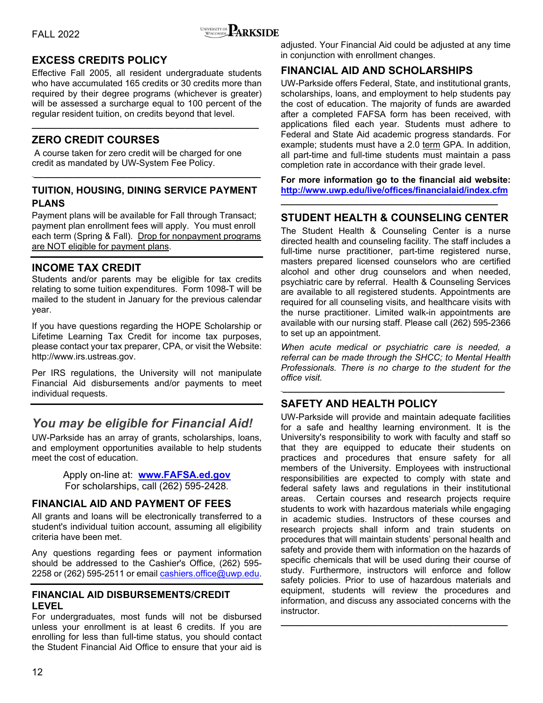

### **EXCESS CREDITS POLICY**

Effective Fall 2005, all resident undergraduate students who have accumulated 165 credits or 30 credits more than required by their degree programs (whichever is greater) will be assessed a surcharge equal to 100 percent of the regular resident tuition, on credits beyond that level.

**\_\_\_\_\_\_\_\_\_\_\_\_\_\_\_\_\_\_\_\_\_\_\_\_\_\_\_\_\_\_\_\_\_\_\_\_\_\_\_\_\_\_\_\_\_\_** 

### **ZERO CREDIT COURSES**

 A course taken for zero credit will be charged for one credit as mandated by UW-System Fee Policy.

### **TUITION, HOUSING, DINING SERVICE PAYMENT PLANS**

**\_\_\_\_\_\_\_\_\_\_\_\_\_\_\_\_\_\_\_\_\_\_\_\_\_\_\_\_\_\_\_\_\_\_\_\_\_\_\_\_\_\_\_\_\_\_\_**

Payment plans will be available for Fall through Transact; payment plan enrollment fees will apply. You must enroll each term (Spring & Fall). Drop for nonpayment programs are NOT eligible for payment plans.

### **INCOME TAX CREDIT**

Students and/or parents may be eligible for tax credits relating to some tuition expenditures. Form 1098-T will be mailed to the student in January for the previous calendar year.

If you have questions regarding the HOPE Scholarship or Lifetime Learning Tax Credit for income tax purposes, please contact your tax preparer, CPA, or visit the Website: http://www.irs.ustreas.gov.

Per IRS regulations, the University will not manipulate Financial Aid disbursements and/or payments to meet individual requests.

### *You may be eligible for Financial Aid!*

UW-Parkside has an array of grants, scholarships, loans, and employment opportunities available to help students meet the cost of education.

> Apply on-line at: **www.FAFSA.ed.gov** For scholarships, call (262) 595-2428.

### **FINANCIAL AID AND PAYMENT OF FEES**

All grants and loans will be electronically transferred to a student's individual tuition account, assuming all eligibility criteria have been met.

Any questions regarding fees or payment information should be addressed to the Cashier's Office, (262) 595- 2258 or (262) 595-2511 or email cashiers.office@uwp.edu.

### **FINANCIAL AID DISBURSEMENTS/CREDIT LEVEL**

For undergraduates, most funds will not be disbursed unless your enrollment is at least 6 credits. If you are enrolling for less than full-time status, you should contact the Student Financial Aid Office to ensure that your aid is adjusted. Your Financial Aid could be adjusted at any time in conjunction with enrollment changes.

### **FINANCIAL AID AND SCHOLARSHIPS**

UW-Parkside offers Federal, State, and institutional grants, scholarships, loans, and employment to help students pay the cost of education. The majority of funds are awarded after a completed FAFSA form has been received, with applications filed each year. Students must adhere to Federal and State Aid academic progress standards. For example; students must have a 2.0 term GPA. In addition, all part-time and full-time students must maintain a pass completion rate in accordance with their grade level.

**For more information go to the financial aid website: http://www.uwp.edu/live/offices/financialaid/index.cfm**

### **STUDENT HEALTH & COUNSELING CENTER**

**\_\_\_\_\_\_\_\_\_\_\_\_\_\_\_\_\_\_\_\_\_\_\_\_\_\_\_\_\_\_\_\_\_\_\_\_\_\_\_\_\_\_\_\_** 

The Student Health & Counseling Center is a nurse directed health and counseling facility. The staff includes a full-time nurse practitioner, part-time registered nurse, masters prepared licensed counselors who are certified alcohol and other drug counselors and when needed, psychiatric care by referral. Health & Counseling Services are available to all registered students. Appointments are required for all counseling visits, and healthcare visits with the nurse practitioner. Limited walk-in appointments are available with our nursing staff. Please call (262) 595-2366 to set up an appointment.

*When acute medical or psychiatric care is needed, a referral can be made through the SHCC; to Mental Health Professionals. There is no charge to the student for the office visit.* 

**\_\_\_\_\_\_\_\_\_\_\_\_\_\_\_\_\_\_\_\_\_\_\_\_\_\_\_\_\_\_\_\_\_\_\_\_\_\_\_\_\_\_\_\_\_\_** 

### **SAFETY AND HEALTH POLICY**

UW-Parkside will provide and maintain adequate facilities for a safe and healthy learning environment. It is the University's responsibility to work with faculty and staff so that they are equipped to educate their students on practices and procedures that ensure safety for all members of the University. Employees with instructional responsibilities are expected to comply with state and federal safety laws and regulations in their institutional areas. Certain courses and research projects require students to work with hazardous materials while engaging in academic studies. Instructors of these courses and research projects shall inform and train students on procedures that will maintain students' personal health and safety and provide them with information on the hazards of specific chemicals that will be used during their course of study. Furthermore, instructors will enforce and follow safety policies. Prior to use of hazardous materials and equipment, students will review the procedures and information, and discuss any associated concerns with the instructor.

**\_\_\_\_\_\_\_\_\_\_\_\_\_\_\_\_\_\_\_\_\_\_\_\_\_\_\_\_\_\_\_\_\_\_\_\_\_\_\_\_\_\_\_\_\_\_**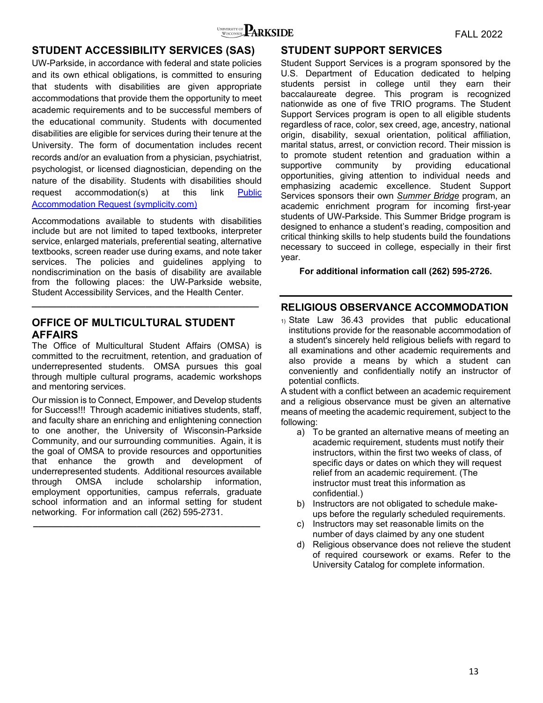

### **STUDENT ACCESSIBILITY SERVICES (SAS)**

UW-Parkside, in accordance with federal and state policies and its own ethical obligations, is committed to ensuring that students with disabilities are given appropriate accommodations that provide them the opportunity to meet academic requirements and to be successful members of the educational community. Students with documented disabilities are eligible for services during their tenure at the University. The form of documentation includes recent records and/or an evaluation from a physician, psychiatrist, psychologist, or licensed diagnostician, depending on the nature of the disability. Students with disabilities should request accommodation(s) at this link Public Accommodation Request (symplicity.com)

Accommodations available to students with disabilities include but are not limited to taped textbooks, interpreter service, enlarged materials, preferential seating, alternative textbooks, screen reader use during exams, and note taker services. The policies and guidelines applying to nondiscrimination on the basis of disability are available from the following places: the UW-Parkside website, Student Accessibility Services, and the Health Center.

**\_\_\_\_\_\_\_\_\_\_\_\_\_\_\_\_\_\_\_\_\_\_\_\_\_\_\_\_\_\_\_\_\_\_\_\_\_\_\_\_\_\_\_\_\_\_**

### **OFFICE OF MULTICULTURAL STUDENT AFFAIRS**

The Office of Multicultural Student Affairs (OMSA) is committed to the recruitment, retention, and graduation of underrepresented students. OMSA pursues this goal through multiple cultural programs, academic workshops and mentoring services.

Our mission is to Connect, Empower, and Develop students for Success!!! Through academic initiatives students, staff, and faculty share an enriching and enlightening connection to one another, the University of Wisconsin-Parkside Community, and our surrounding communities. Again, it is the goal of OMSA to provide resources and opportunities that enhance the growth and development of underrepresented students. Additional resources available through OMSA include scholarship information, employment opportunities, campus referrals, graduate school information and an informal setting for student networking. For information call (262) 595-2731.

**\_\_\_\_\_\_\_\_\_\_\_\_\_\_\_\_\_\_\_\_\_\_\_\_\_\_\_\_\_\_\_\_\_\_\_\_\_\_\_\_\_\_\_\_\_\_** 

### **STUDENT SUPPORT SERVICES**

Student Support Services is a program sponsored by the U.S. Department of Education dedicated to helping students persist in college until they earn their baccalaureate degree. This program is recognized nationwide as one of five TRIO programs. The Student Support Services program is open to all eligible students regardless of race, color, sex creed, age, ancestry, national origin, disability, sexual orientation, political affiliation, marital status, arrest, or conviction record. Their mission is to promote student retention and graduation within a supportive community by providing educational opportunities, giving attention to individual needs and emphasizing academic excellence. Student Support Services sponsors their own *Summer Bridge* program, an academic enrichment program for incoming first-year students of UW-Parkside. This Summer Bridge program is designed to enhance a student's reading, composition and critical thinking skills to help students build the foundations necessary to succeed in college, especially in their first year.

**For additional information call (262) 595-2726.** 

### **RELIGIOUS OBSERVANCE ACCOMMODATION**

1) State Law 36.43 provides that public educational institutions provide for the reasonable accommodation of a student's sincerely held religious beliefs with regard to all examinations and other academic requirements and also provide a means by which a student can conveniently and confidentially notify an instructor of potential conflicts.

A student with a conflict between an academic requirement and a religious observance must be given an alternative means of meeting the academic requirement, subject to the following:

- a) To be granted an alternative means of meeting an academic requirement, students must notify their instructors, within the first two weeks of class, of specific days or dates on which they will request relief from an academic requirement. (The instructor must treat this information as confidential.)
- b) Instructors are not obligated to schedule makeups before the regularly scheduled requirements.
- c) Instructors may set reasonable limits on the number of days claimed by any one student
- d) Religious observance does not relieve the student of required coursework or exams. Refer to the University Catalog for complete information.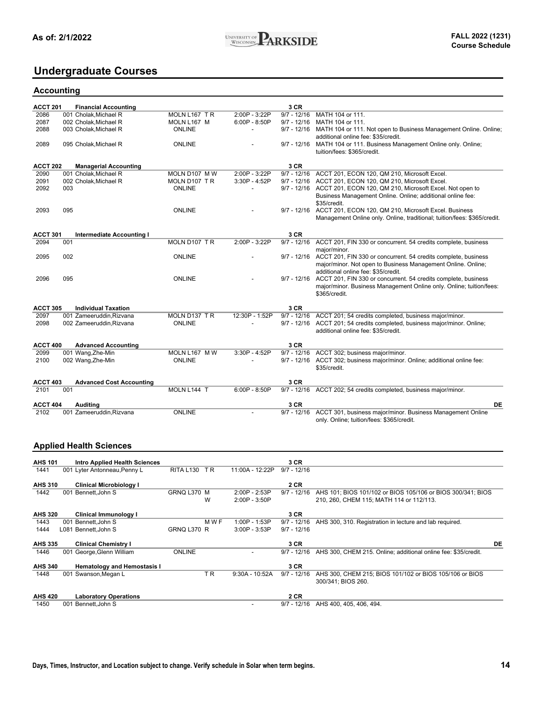### **Undergraduate Courses**

#### **Accounting**

| <b>ACCT 201</b>  |     | <b>Financial Accounting</b>          |               |                          | 3 CR                  |                                                                                                                                                               |
|------------------|-----|--------------------------------------|---------------|--------------------------|-----------------------|---------------------------------------------------------------------------------------------------------------------------------------------------------------|
| 2086             |     | 001 Cholak, Michael R                | MOLN L167 TR  | 2:00P - 3:22P            | $9/7 - 12/16$         | MATH 104 or 111.                                                                                                                                              |
| 2087             |     | 002 Cholak, Michael R                | MOLN L167 M   | $6:00P - 8:50P$          | $9/7 - 12/16$         | MATH 104 or 111.                                                                                                                                              |
| 2088             |     | 003 Cholak, Michael R                | <b>ONLINE</b> |                          |                       | 9/7 - 12/16 MATH 104 or 111. Not open to Business Management Online. Online;<br>additional online fee: \$35/credit.                                           |
| 2089             |     | 095 Cholak, Michael R                | <b>ONLINE</b> |                          | $9/7 - 12/16$         | MATH 104 or 111. Business Management Online only. Online;<br>tuition/fees: \$365/credit.                                                                      |
| ACCT 202         |     | <b>Managerial Accounting</b>         |               |                          | 3 CR                  |                                                                                                                                                               |
| 2090             |     | 001 Cholak, Michael R                | MOLN D107 M W | 2:00P - 3:22P            |                       | 9/7 - 12/16 ACCT 201, ECON 120, QM 210, Microsoft Excel.                                                                                                      |
| 2091             |     | 002 Cholak, Michael R                | MOLN D107 TR  | 3:30P - 4:52P            | $9/7 - 12/16$         | ACCT 201, ECON 120, QM 210, Microsoft Excel.                                                                                                                  |
| 2092             | 003 |                                      | <b>ONLINE</b> | $\overline{\phantom{0}}$ |                       | 9/7 - 12/16 ACCT 201, ECON 120, QM 210, Microsoft Excel. Not open to<br>Business Management Online. Online; additional online fee:                            |
| 2093             | 095 |                                      | <b>ONLINE</b> |                          |                       | \$35/credit.<br>9/7 - 12/16 ACCT 201, ECON 120, QM 210, Microsoft Excel. Business<br>Management Online only. Online, traditional; tuition/fees: \$365/credit. |
|                  |     |                                      |               |                          |                       |                                                                                                                                                               |
| ACCT 301<br>2094 | 001 | <b>Intermediate Accounting I</b>     | MOLN D107 TR  | 2:00P - 3:22P            | 3 CR<br>$9/7 - 12/16$ | ACCT 201, FIN 330 or concurrent. 54 credits complete, business                                                                                                |
|                  |     |                                      |               |                          |                       | major/minor.                                                                                                                                                  |
| 2095             | 002 |                                      | <b>ONLINE</b> |                          | $9/7 - 12/16$         | ACCT 201, FIN 330 or concurrent. 54 credits complete, business                                                                                                |
|                  |     |                                      |               |                          |                       | major/minor. Not open to Business Management Online. Online;                                                                                                  |
|                  |     |                                      |               |                          |                       | additional online fee: \$35/credit.                                                                                                                           |
| 2096             | 095 |                                      | <b>ONLINE</b> |                          | $9/7 - 12/16$         | ACCT 201, FIN 330 or concurrent. 54 credits complete, business                                                                                                |
|                  |     |                                      |               |                          |                       | major/minor. Business Management Online only. Online; tuition/fees:                                                                                           |
|                  |     |                                      |               |                          |                       | \$365/credit.                                                                                                                                                 |
| <b>ACCT 305</b>  |     | <b>Individual Taxation</b>           |               |                          | 3 CR                  |                                                                                                                                                               |
| 2097             |     | 001 Zameeruddin, Rizvana             | MOLN D137 TR  | 12:30P - 1:52P           | $9/7 - 12/16$         | ACCT 201; 54 credits completed, business major/minor.                                                                                                         |
| 2098             |     | 002 Zameeruddin, Rizvana             | <b>ONLINE</b> | $\overline{a}$           | $9/7 - 12/16$         | ACCT 201; 54 credits completed, business major/minor. Online;<br>additional online fee: \$35/credit.                                                          |
| ACCT 400         |     | <b>Advanced Accounting</b>           |               |                          | 3 CR                  |                                                                                                                                                               |
| 2099             |     | 001 Wang, Zhe-Min                    | MOLN L167 M W | 3:30P - 4:52P            |                       | 9/7 - 12/16 ACCT 302; business major/minor.                                                                                                                   |
| 2100             |     | 002 Wang, Zhe-Min                    | <b>ONLINE</b> |                          |                       | 9/7 - 12/16 ACCT 302; business major/minor. Online; additional online fee:<br>\$35/credit.                                                                    |
| <b>ACCT 403</b>  |     | <b>Advanced Cost Accounting</b>      |               |                          | 3 CR                  |                                                                                                                                                               |
| 2101             | 001 |                                      | MOLN L144 T   | $6:00P - 8:50P$          |                       | 9/7 - 12/16 ACCT 202; 54 credits completed, business major/minor.                                                                                             |
| <b>ACCT 404</b>  |     | Auditing                             |               |                          | 3 CR                  | DE                                                                                                                                                            |
| 2102             |     | 001 Zameeruddin, Rizvana             | <b>ONLINE</b> |                          | $9/7 - 12/16$         | ACCT 301, business major/minor. Business Management Online                                                                                                    |
|                  |     |                                      |               |                          |                       | only. Online; tuition/fees: \$365/credit.                                                                                                                     |
|                  |     | <b>Applied Health Sciences</b>       |               |                          |                       |                                                                                                                                                               |
| <b>AHS 101</b>   |     | <b>Intro Applied Health Sciences</b> |               |                          | 3 CR                  |                                                                                                                                                               |
| 1441             |     | 001 Lyter Antonneau, Penny L         | RITA L130 TR  | 11:00A - 12:22P          | $9/7 - 12/16$         |                                                                                                                                                               |
| AHS 310          |     | <b>Clinical Microbiology I</b>       |               |                          | 2 CR                  |                                                                                                                                                               |
| 1442             |     | 001 Bennett, John S                  | GRNQ L370 M   | 2:00P - 2:53P            |                       | 9/7 - 12/16 AHS 101; BIOS 101/102 or BIOS 105/106 or BIOS 300/341; BIOS                                                                                       |
|                  |     |                                      | W             | 2:00P - 3:50P            |                       | 210, 260, CHEM 115; MATH 114 or 112/113.                                                                                                                      |
| <b>AHS 320</b>   |     | Clinical Immunology I                |               |                          | 3 CR                  |                                                                                                                                                               |
| 1443             |     | 001 Bennett.John S                   | M W F         | 1:00P - 1:53P            | $9/7 - 12/16$         | AHS 300, 310. Registration in lecture and lab required.                                                                                                       |
| 1444             |     | L081 Bennett, John S                 | GRNQ L370 R   | 3:00P - 3:53P            | $9/7 - 12/16$         |                                                                                                                                                               |
| AHS 335          |     | <b>Clinical Chemistry I</b>          |               |                          | 3 CR                  | DE                                                                                                                                                            |
| 1446             |     | 001 George, Glenn William            | <b>ONLINE</b> |                          |                       | 9/7 - 12/16 AHS 300, CHEM 215. Online; additional online fee: \$35/credit.                                                                                    |
| <b>AHS 340</b>   |     | <b>Hematology and Hemostasis I</b>   |               |                          | 3 CR                  |                                                                                                                                                               |

1448 001 Swanson,Megan L T R 9:30A - 10:52A 9/7 - 12/16 AHS 300, CHEM 215; BIOS 101/102 or BIOS 105/106 or BIOS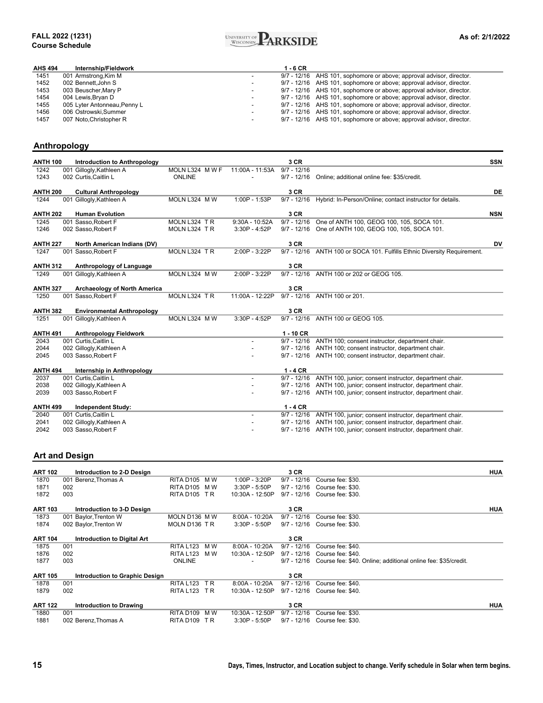#### **FALL 2022 (1231) Course Schedule**



| <b>AHS 494</b> | Internship/Fieldwork         | 1 - 6 CR                 |                                                                      |
|----------------|------------------------------|--------------------------|----------------------------------------------------------------------|
| 1451           | 001 Armstrong, Kim M         |                          | 9/7 - 12/16 AHS 101, sophomore or above; approval advisor, director. |
| 1452           | 002 Bennett.John S           | $\overline{\phantom{0}}$ | 9/7 - 12/16 AHS 101, sophomore or above; approval advisor, director. |
| 1453           | 003 Beuscher, Mary P         | $\overline{\phantom{0}}$ | 9/7 - 12/16 AHS 101, sophomore or above; approval advisor, director. |
| 1454           | 004 Lewis, Bryan D           | $\overline{\phantom{a}}$ | 9/7 - 12/16 AHS 101, sophomore or above; approval advisor, director. |
| 1455           | 005 Lyter Antonneau, Penny L | $\overline{\phantom{0}}$ | 9/7 - 12/16 AHS 101, sophomore or above; approval advisor, director. |
| 1456           | 006 Ostrowski.Summer         | $\overline{\phantom{0}}$ | 9/7 - 12/16 AHS 101, sophomore or above; approval advisor, director. |
| 1457           | 007 Noto, Christopher R      | $\overline{\phantom{0}}$ | 9/7 - 12/16 AHS 101, sophomore or above; approval advisor, director. |

### **Anthropology**

| <b>ANTH 100</b> | <b>Introduction to Anthropology</b> |               |                  | 3 CR          |                                                                     | <b>SSN</b> |
|-----------------|-------------------------------------|---------------|------------------|---------------|---------------------------------------------------------------------|------------|
| 1242            | 001 Gillogly, Kathleen A            | MOLN L324 MWF | 11:00A - 11:53A  | $9/7 - 12/16$ |                                                                     |            |
| 1243            | 002 Curtis, Caitlin L               | <b>ONLINE</b> |                  | $9/7 - 12/16$ | Online; additional online fee: \$35/credit.                         |            |
| <b>ANTH 200</b> | <b>Cultural Anthropology</b>        |               |                  | 3 CR          |                                                                     | DE         |
| 1244            | 001 Gillogly, Kathleen A            | MOLN L324 MW  | 1:00P - 1:53P    | $9/7 - 12/16$ | Hybrid: In-Person/Online; contact instructor for details.           |            |
| <b>ANTH 202</b> | <b>Human Evolution</b>              |               |                  | 3 CR          |                                                                     | <b>NSN</b> |
| 1245            | 001 Sasso, Robert F                 | MOLN L324 TR  | $9:30A - 10:52A$ | $9/7 - 12/16$ | One of ANTH 100, GEOG 100, 105, SOCA 101.                           |            |
| 1246            | 002 Sasso, Robert F                 | MOLN L324 TR  | 3:30P - 4:52P    | $9/7 - 12/16$ | One of ANTH 100, GEOG 100, 105, SOCA 101.                           |            |
| <b>ANTH 227</b> | North American Indians (DV)         |               |                  | 3 CR          |                                                                     | DV         |
| 1247            | 001 Sasso, Robert F                 | MOLN L324 TR  | 2:00P - 3:22P    | $9/7 - 12/16$ | ANTH 100 or SOCA 101. Fulfills Ethnic Diversity Requirement.        |            |
| <b>ANTH 312</b> | Anthropology of Language            |               |                  | 3 CR          |                                                                     |            |
| 1249            | 001 Gillogly, Kathleen A            | MOLN L324 MW  | 2:00P - 3:22P    | $9/7 - 12/16$ | ANTH 100 or 202 or GEOG 105.                                        |            |
|                 |                                     |               |                  |               |                                                                     |            |
| <b>ANTH 327</b> | <b>Archaeology of North America</b> |               |                  | 3 CR          |                                                                     |            |
| 1250            | 001 Sasso, Robert F                 | MOLN L324 TR  | 11:00A - 12:22P  | $9/7 - 12/16$ | ANTH 100 or 201.                                                    |            |
| <b>ANTH 382</b> | <b>Environmental Anthropology</b>   |               |                  | 3 CR          |                                                                     |            |
| 1251            | 001 Gillogly, Kathleen A            | MOLN L324 MW  | 3:30P - 4:52P    |               | 9/7 - 12/16 ANTH 100 or GEOG 105.                                   |            |
| <b>ANTH 491</b> | <b>Anthropology Fieldwork</b>       |               |                  | $1 - 10$ CR   |                                                                     |            |
| 2043            | 001 Curtis, Caitlin L               |               | $\overline{a}$   | $9/7 - 12/16$ | ANTH 100; consent instructor, department chair.                     |            |
| 2044            | 002 Gillogly, Kathleen A            |               |                  |               | 9/7 - 12/16 ANTH 100; consent instructor, department chair.         |            |
| 2045            | 003 Sasso, Robert F                 |               |                  |               | 9/7 - 12/16 ANTH 100; consent instructor, department chair.         |            |
| <b>ANTH 494</b> | Internship in Anthropology          |               |                  | $1 - 4$ CR    |                                                                     |            |
| 2037            | 001 Curtis, Caitlin L               |               |                  | $9/7 - 12/16$ | ANTH 100, junior; consent instructor, department chair.             |            |
| 2038            | 002 Gillogly, Kathleen A            |               |                  |               | 9/7 - 12/16 ANTH 100, junior; consent instructor, department chair. |            |
| 2039            | 003 Sasso, Robert F                 |               |                  |               | 9/7 - 12/16 ANTH 100, junior; consent instructor, department chair. |            |
| <b>ANTH 499</b> | <b>Independent Study:</b>           |               |                  | $1 - 4$ CR    |                                                                     |            |
| 2040            | 001 Curtis, Caitlin L               |               |                  | $9/7 - 12/16$ | ANTH 100, junior; consent instructor, department chair.             |            |
| 2041            | 002 Gillogly, Kathleen A            |               |                  | $9/7 - 12/16$ | ANTH 100, junior; consent instructor, department chair.             |            |
| 2042            | 003 Sasso, Robert F                 |               |                  |               | 9/7 - 12/16 ANTH 100, junior; consent instructor, department chair. |            |
|                 |                                     |               |                  |               |                                                                     |            |

### **Art and Design**

| <b>ART 102</b> | Introduction to 2-D Design            |                       |     |                  | 3 CR          |                                                               | <b>HUA</b> |
|----------------|---------------------------------------|-----------------------|-----|------------------|---------------|---------------------------------------------------------------|------------|
| 1870           | 001 Berenz, Thomas A                  | RITA D <sub>105</sub> | M W | 1:00P - 3:20P    | $9/7 - 12/16$ | Course fee: \$30.                                             |            |
| 1871           | 002                                   | RITA D <sub>105</sub> | M W | $3:30P - 5:50P$  | $9/7 - 12/16$ | Course fee: \$30.                                             |            |
| 1872           | 003                                   | RITA D <sub>105</sub> | T R | 10:30A - 12:50P  | $9/7 - 12/16$ | Course fee: \$30.                                             |            |
| <b>ART 103</b> | Introduction to 3-D Design            |                       |     |                  | 3 CR          |                                                               | <b>HUA</b> |
| 1873           | 001 Baylor, Trenton W                 | MOLN D136 M W         |     | 8:00A - 10:20A   | $9/7 - 12/16$ | Course fee: \$30.                                             |            |
| 1874           | 002 Baylor, Trenton W                 | MOLN D136 TR          |     | $3:30P - 5:50P$  | $9/7 - 12/16$ | Course fee: \$30.                                             |            |
| <b>ART 104</b> | <b>Introduction to Digital Art</b>    |                       |     |                  | 3 CR          |                                                               |            |
| 1875           | 001                                   | <b>RITA L123</b>      | M W | 8:00A - 10:20A   | $9/7 - 12/16$ | Course fee: \$40.                                             |            |
| 1876           | 002                                   | <b>RITA L123</b>      | M W | 10:30A - 12:50P  | $9/7 - 12/16$ | Course fee: \$40.                                             |            |
| 1877           | 003                                   | <b>ONLINE</b>         |     |                  | $9/7 - 12/16$ | Course fee: \$40. Online; additional online fee: \$35/credit. |            |
| <b>ART 105</b> | <b>Introduction to Graphic Design</b> |                       |     |                  | 3 CR          |                                                               |            |
| 1878           | 001                                   | <b>RITA L123</b>      | T R | $8:00A - 10:20A$ | $9/7 - 12/16$ | Course fee: \$40.                                             |            |
| 1879           | 002                                   | <b>RITA L123</b>      | T R | 10:30A - 12:50P  | $9/7 - 12/16$ | Course fee: \$40.                                             |            |
| <b>ART 122</b> | <b>Introduction to Drawing</b>        |                       |     |                  | 3 CR          |                                                               | <b>HUA</b> |
| 1880           | 001                                   | <b>RITA D109</b>      | M W | 10:30A - 12:50P  | $9/7 - 12/16$ | Course fee: \$30.                                             |            |
| 1881           | 002 Berenz, Thomas A                  | RITA D <sub>109</sub> | T R | $3:30P - 5:50P$  | $9/7 - 12/16$ | Course fee: \$30.                                             |            |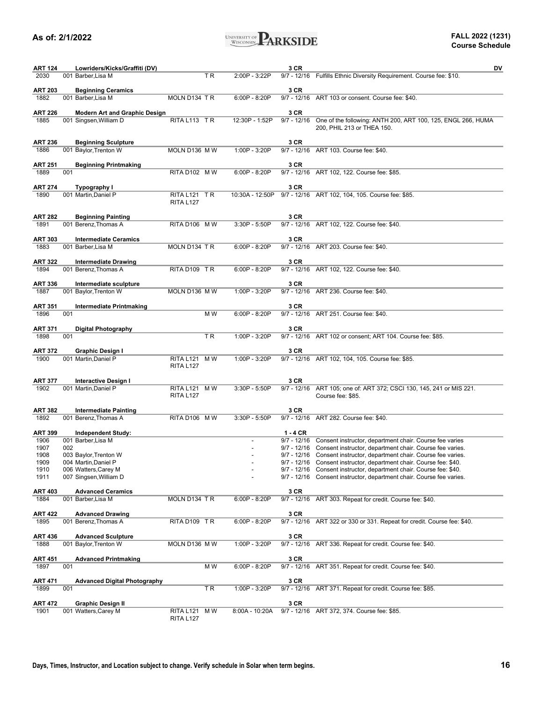

| <b>ART 124</b>  |     | Lowriders/Kicks/Graffiti (DV)        |                  |     |                 | 3 CR          | DV                                                                                                                                          |
|-----------------|-----|--------------------------------------|------------------|-----|-----------------|---------------|---------------------------------------------------------------------------------------------------------------------------------------------|
| 2030            |     | 001 Barber, Lisa M                   |                  | TR  | 2:00P - 3:22P   |               | 9/7 - 12/16 Fulfills Ethnic Diversity Requirement. Course fee: \$10.                                                                        |
|                 |     |                                      |                  |     |                 |               |                                                                                                                                             |
| <b>ART 203</b>  |     | <b>Beginning Ceramics</b>            |                  |     |                 | 3 CR          |                                                                                                                                             |
| 1882            |     | 001 Barber, Lisa M                   | MOLN D134 TR     |     | $6:00P - 8:20P$ |               | 9/7 - 12/16 ART 103 or consent. Course fee: \$40.                                                                                           |
|                 |     |                                      |                  |     |                 |               |                                                                                                                                             |
| <b>ART 226</b>  |     | <b>Modern Art and Graphic Design</b> |                  |     |                 | 3 CR          |                                                                                                                                             |
| 1885            |     | 001 Singsen, William D               | RITA L113 TR     |     | 12:30P - 1:52P  | $9/7 - 12/16$ | One of the following: ANTH 200, ART 100, 125, ENGL 266, HUMA                                                                                |
|                 |     |                                      |                  |     |                 |               | 200, PHIL 213 or THEA 150.                                                                                                                  |
| ART 236         |     | <b>Beginning Sculpture</b>           |                  |     |                 | 3 CR          |                                                                                                                                             |
| 1886            |     | 001 Baylor, Trenton W                | MOLN D136 MW     |     | 1:00P - 3:20P   |               | 9/7 - 12/16 ART 103. Course fee: \$40.                                                                                                      |
|                 |     |                                      |                  |     |                 |               |                                                                                                                                             |
| ART 251         |     | <b>Beginning Printmaking</b>         |                  |     |                 | 3 CR          |                                                                                                                                             |
| 1889            | 001 |                                      | RITA D102 MW     |     | $6:00P - 8:20P$ |               | 9/7 - 12/16 ART 102, 122. Course fee: \$85.                                                                                                 |
|                 |     |                                      |                  |     |                 |               |                                                                                                                                             |
| ART 274         |     | Typography I                         |                  |     |                 | 3 CR          |                                                                                                                                             |
| 1890            |     | 001 Martin, Daniel P                 | RITA L121 TR     |     | 10:30A - 12:50P |               | 9/7 - 12/16 ART 102, 104, 105. Course fee: \$85.                                                                                            |
|                 |     |                                      | RITA L127        |     |                 |               |                                                                                                                                             |
|                 |     |                                      |                  |     |                 |               |                                                                                                                                             |
| <b>ART 282</b>  |     | <b>Beginning Painting</b>            |                  |     |                 | 3 CR          |                                                                                                                                             |
| 1891            |     | 001 Berenz, Thomas A                 | RITA D106 MW     |     | 3:30P - 5:50P   |               | 9/7 - 12/16 ART 102, 122. Course fee: \$40.                                                                                                 |
| <b>ART 303</b>  |     | <b>Intermediate Ceramics</b>         |                  |     |                 | 3 CR          |                                                                                                                                             |
| 1883            |     | 001 Barber, Lisa M                   | MOLN D134 TR     |     | $6:00P - 8:20P$ |               | 9/7 - 12/16 ART 203. Course fee: \$40.                                                                                                      |
|                 |     |                                      |                  |     |                 |               |                                                                                                                                             |
| ART 322         |     | <b>Intermediate Drawing</b>          |                  |     |                 | 3 CR          |                                                                                                                                             |
| 1894            |     | 001 Berenz, Thomas A                 | RITA D109 TR     |     | 6:00P - 8:20P   |               | 9/7 - 12/16 ART 102, 122. Course fee: \$40.                                                                                                 |
|                 |     |                                      |                  |     |                 |               |                                                                                                                                             |
| <b>ART 336</b>  |     | Intermediate sculpture               |                  |     |                 | 3 CR          |                                                                                                                                             |
| 1887            |     | 001 Baylor, Trenton W                | MOLN D136 MW     |     | 1:00P - 3:20P   |               | 9/7 - 12/16 ART 236. Course fee: \$40.                                                                                                      |
|                 |     |                                      |                  |     |                 |               |                                                                                                                                             |
| ART 351         |     | <b>Intermediate Printmaking</b>      |                  |     |                 | 3 CR          |                                                                                                                                             |
| 1896            | 001 |                                      |                  | M W | $6:00P - 8:20P$ |               | 9/7 - 12/16 ART 251. Course fee: \$40.                                                                                                      |
|                 |     |                                      |                  |     |                 |               |                                                                                                                                             |
| ART 371<br>1898 | 001 | <b>Digital Photography</b>           |                  | ΤR  | 1:00P - 3:20P   | 3 CR          | 9/7 - 12/16 ART 102 or consent; ART 104. Course fee: \$85.                                                                                  |
|                 |     |                                      |                  |     |                 |               |                                                                                                                                             |
| <b>ART 372</b>  |     | Graphic Design I                     |                  |     |                 | 3 CR          |                                                                                                                                             |
| 1900            |     | 001 Martin, Daniel P                 | RITA L121 MW     |     | 1:00P - 3:20P   |               | 9/7 - 12/16 ART 102, 104, 105. Course fee: \$85.                                                                                            |
|                 |     |                                      | <b>RITA L127</b> |     |                 |               |                                                                                                                                             |
|                 |     |                                      |                  |     |                 |               |                                                                                                                                             |
| ART 377         |     | <b>Interactive Design I</b>          |                  |     |                 | 3 CR          |                                                                                                                                             |
| 1902            |     | 001 Martin, Daniel P                 | RITA L121 MW     |     | 3:30P - 5:50P   | $9/7 - 12/16$ | ART 105; one of: ART 372; CSCI 130, 145, 241 or MIS 221.                                                                                    |
|                 |     |                                      | RITA L127        |     |                 |               | Course fee: \$85.                                                                                                                           |
|                 |     |                                      |                  |     |                 |               |                                                                                                                                             |
| <b>ART 382</b>  |     | <b>Intermediate Painting</b>         |                  |     |                 | 3 CR          |                                                                                                                                             |
| 1892            |     | 001 Berenz, Thomas A                 | RITA D106 MW     |     | 3:30P - 5:50P   |               | 9/7 - 12/16 ART 282. Course fee: \$40.                                                                                                      |
|                 |     |                                      |                  |     |                 |               |                                                                                                                                             |
| <b>ART 399</b>  |     | <b>Independent Study:</b>            |                  |     |                 | $1 - 4$ CR    |                                                                                                                                             |
| 1906<br>1907    | 002 | 001 Barber, Lisa M                   |                  |     |                 |               | 9/7 - 12/16 Consent instructor, department chair. Course fee varies<br>9/7 - 12/16 Consent instructor, department chair. Course fee varies. |
| 1908            |     | 003 Baylor, Trenton W                |                  |     |                 |               | 9/7 - 12/16 Consent instructor, department chair. Course fee varies.                                                                        |
| 1909            |     | 004 Martin, Daniel P                 |                  |     |                 |               | 9/7 - 12/16 Consent instructor, department chair. Course fee: \$40.                                                                         |
| 1910            |     | 006 Watters, Carey M                 |                  |     |                 |               | 9/7 - 12/16 Consent instructor, department chair. Course fee: \$40.                                                                         |
| 1911            |     | 007 Singsen, William D               |                  |     |                 |               | 9/7 - 12/16 Consent instructor, department chair. Course fee varies.                                                                        |
|                 |     |                                      |                  |     |                 |               |                                                                                                                                             |
| <b>ART 403</b>  |     | <b>Advanced Ceramics</b>             |                  |     |                 | 3 CR          |                                                                                                                                             |
| 1884            |     | 001 Barber, Lisa M                   | MOLN D134 TR     |     | $6:00P - 8:20P$ | $9/7 - 12/16$ | ART 303. Repeat for credit. Course fee: \$40.                                                                                               |
|                 |     |                                      |                  |     |                 |               |                                                                                                                                             |
| ART 422         |     | <b>Advanced Drawing</b>              |                  |     |                 | 3 CR          |                                                                                                                                             |
| 1895            |     | 001 Berenz, Thomas A                 | RITA D109 TR     |     | 6:00P - 8:20P   | $9/7 - 12/16$ | ART 322 or 330 or 331. Repeat for credit. Course fee: \$40.                                                                                 |
|                 |     |                                      |                  |     |                 |               |                                                                                                                                             |
| <b>ART 436</b>  |     | <b>Advanced Sculpture</b>            | MOLN D136 MW     |     |                 | 3 CR          |                                                                                                                                             |
| 1888            |     | 001 Baylor, Trenton W                |                  |     | 1:00P - 3:20P   |               | 9/7 - 12/16 ART 336. Repeat for credit. Course fee: \$40.                                                                                   |
| ART 451         |     | <b>Advanced Printmaking</b>          |                  |     |                 | 3 CR          |                                                                                                                                             |
| 1897            | 001 |                                      |                  | M W | 6:00P - 8:20P   |               | 9/7 - 12/16 ART 351. Repeat for credit. Course fee: \$40.                                                                                   |
|                 |     |                                      |                  |     |                 |               |                                                                                                                                             |
| ART 471         |     | <b>Advanced Digital Photography</b>  |                  |     |                 | 3 CR          |                                                                                                                                             |
| 1899            | 001 |                                      |                  | TR. | 1:00P - 3:20P   |               | 9/7 - 12/16 ART 371. Repeat for credit. Course fee: \$85.                                                                                   |
|                 |     |                                      |                  |     |                 |               |                                                                                                                                             |
| ART 472         |     | <b>Graphic Design II</b>             |                  |     |                 | 3 CR          |                                                                                                                                             |
| 1901            |     | 001 Watters, Carey M                 | RITA L121        | M W | 8:00A - 10:20A  |               | 9/7 - 12/16 ART 372, 374. Course fee: \$85.                                                                                                 |
|                 |     |                                      | <b>RITA L127</b> |     |                 |               |                                                                                                                                             |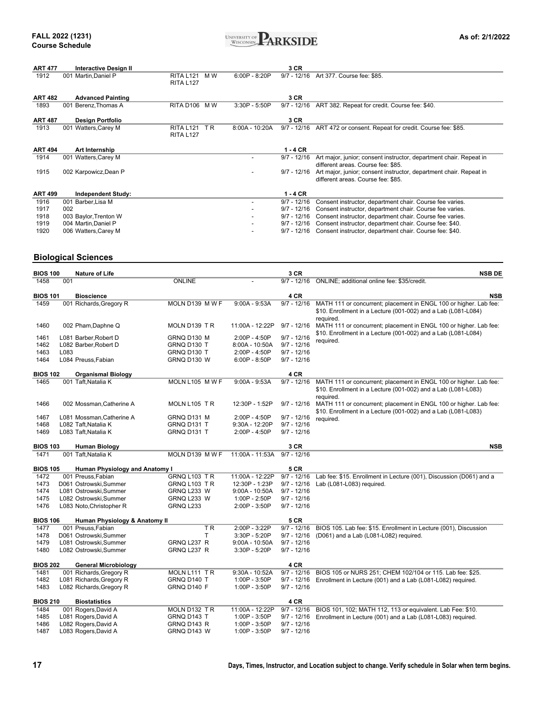

| <b>ART 477</b> | <b>Interactive Design II</b> |                  |     |                 | 3 CR          |                                                                    |
|----------------|------------------------------|------------------|-----|-----------------|---------------|--------------------------------------------------------------------|
| 1912           | 001 Martin, Daniel P         | <b>RITA L121</b> | M W | $6:00P - 8:20P$ | $9/7 - 12/16$ | Art 377, Course fee: \$85.                                         |
|                |                              | RITA L127        |     |                 |               |                                                                    |
|                |                              |                  |     |                 |               |                                                                    |
| <b>ART 482</b> | <b>Advanced Painting</b>     |                  |     |                 | 3 CR          |                                                                    |
| 1893           | 001 Berenz, Thomas A         | RITA D106 MW     |     | $3:30P - 5:50P$ | $9/7 - 12/16$ | ART 382. Repeat for credit. Course fee: \$40.                      |
|                |                              |                  |     |                 |               |                                                                    |
| <b>ART 487</b> | Design Portfolio             |                  |     |                 | 3 CR          |                                                                    |
| 1913           | 001 Watters, Carey M         | <b>RITA L121</b> | TR. | 8:00A - 10:20A  | $9/7 - 12/16$ | ART 472 or consent. Repeat for credit. Course fee: \$85.           |
|                |                              | <b>RITA L127</b> |     |                 |               |                                                                    |
|                |                              |                  |     |                 |               |                                                                    |
| <b>ART 494</b> | Art Internship               |                  |     |                 | $1 - 4$ CR    |                                                                    |
| 1914           | 001 Watters, Carey M         |                  |     |                 | $9/7 - 12/16$ | Art major, junior; consent instructor, department chair. Repeat in |
|                |                              |                  |     |                 |               | different areas. Course fee: \$85.                                 |
| 1915           | 002 Karpowicz, Dean P        |                  |     |                 | $9/7 - 12/16$ | Art major, junior; consent instructor, department chair. Repeat in |
|                |                              |                  |     |                 |               | different areas. Course fee: \$85.                                 |
|                |                              |                  |     |                 |               |                                                                    |
| <b>ART 499</b> | <b>Independent Study:</b>    |                  |     |                 | $1 - 4$ CR    |                                                                    |
| 1916           | 001 Barber, Lisa M           |                  |     |                 | $9/7 - 12/16$ | Consent instructor, department chair. Course fee varies.           |
| 1917           | 002                          |                  |     |                 | $9/7 - 12/16$ | Consent instructor, department chair. Course fee varies.           |
| 1918           | 003 Baylor, Trenton W        |                  |     |                 | $9/7 - 12/16$ | Consent instructor, department chair. Course fee varies.           |
| 1919           | 004 Martin, Daniel P         |                  |     |                 | $9/7 - 12/16$ | Consent instructor, department chair. Course fee: \$40.            |
| 1920           | 006 Watters, Carey M         |                  |     |                 | $9/7 - 12/16$ | Consent instructor, department chair. Course fee: \$40.            |

### **Biological Sciences**

| <b>BIOS 100</b> |      | <b>Nature of Life</b>                 |                  |                  | 3 CR          | <b>NSB DE</b>                                                                                                                                   |
|-----------------|------|---------------------------------------|------------------|------------------|---------------|-------------------------------------------------------------------------------------------------------------------------------------------------|
| 1458            | 001  |                                       | <b>ONLINE</b>    |                  | $9/7 - 12/16$ | ONLINE; additional online fee: \$35/credit.                                                                                                     |
| <b>BIOS 101</b> |      | <b>Bioscience</b>                     |                  |                  | 4 CR          | <b>NSB</b>                                                                                                                                      |
| 1459            |      | 001 Richards, Gregory R               | MOLN D139 M W F  | $9:00A - 9:53A$  | $9/7 - 12/16$ | MATH 111 or concurrent; placement in ENGL 100 or higher. Lab fee:<br>\$10. Enrollment in a Lecture (001-002) and a Lab (L081-L084)<br>required. |
| 1460            |      | 002 Pham, Daphne Q                    | MOLN D139 TR     | 11:00A - 12:22P  | $9/7 - 12/16$ | MATH 111 or concurrent; placement in ENGL 100 or higher. Lab fee:                                                                               |
| 1461            |      | L081 Barber, Robert D                 | GRNQ D130 M      | 2:00P - 4:50P    | $9/7 - 12/16$ | \$10. Enrollment in a Lecture (001-002) and a Lab (L081-L084)                                                                                   |
| 1462            |      | L082 Barber, Robert D                 | GRNQ D130 T      | 8:00A - 10:50A   | $9/7 - 12/16$ | required.                                                                                                                                       |
| 1463            | L083 |                                       | GRNQ D130 T      | $2:00P - 4:50P$  | $9/7 - 12/16$ |                                                                                                                                                 |
| 1464            |      | L084 Preuss, Fabian                   | GRNQ D130 W      | $6:00P - 8:50P$  | $9/7 - 12/16$ |                                                                                                                                                 |
| <b>BIOS 102</b> |      | <b>Organismal Biology</b>             |                  |                  | 4 CR          |                                                                                                                                                 |
| 1465            |      | 001 Taft, Natalia K                   | MOLN L105 M W F  | $9:00A - 9:53A$  | $9/7 - 12/16$ | MATH 111 or concurrent; placement in ENGL 100 or higher. Lab fee:                                                                               |
|                 |      |                                       |                  |                  |               | \$10. Enrollment in a Lecture (001-002) and a Lab (L081-L083)<br>required.                                                                      |
| 1466            |      | 002 Mossman, Catherine A              | MOLN L105 TR     | 12:30P - 1:52P   | $9/7 - 12/16$ | MATH 111 or concurrent; placement in ENGL 100 or higher. Lab fee:                                                                               |
| 1467            |      | L081 Mossman, Catherine A             | GRNQ D131 M      | 2:00P - 4:50P    | $9/7 - 12/16$ | \$10. Enrollment in a Lecture (001-002) and a Lab (L081-L083)<br>required.                                                                      |
| 1468            |      | L082 Taft.Natalia K                   | GRNQ D131 T      | 9:30A - 12:20P   | $9/7 - 12/16$ |                                                                                                                                                 |
| 1469            |      | L083 Taft, Natalia K                  | GRNQ D131 T      | 2:00P - 4:50P    | $9/7 - 12/16$ |                                                                                                                                                 |
| <b>BIOS 103</b> |      | <b>Human Biology</b>                  |                  |                  | 3 CR          | <b>NSB</b>                                                                                                                                      |
| 1471            |      | 001 Taft, Natalia K                   | MOLN D139 M W F  | 11:00A - 11:53A  | $9/7 - 12/16$ |                                                                                                                                                 |
| <b>BIOS 105</b> |      | <b>Human Physiology and Anatomy I</b> |                  |                  | 5 CR          |                                                                                                                                                 |
| 1472            |      | 001 Preuss.Fabian                     | GRNQ L103 TR     | 11:00A - 12:22P  | $9/7 - 12/16$ | Lab fee: \$15. Enrollment in Lecture (001), Discussion (D061) and a                                                                             |
| 1473            |      | D061 Ostrowski, Summer                | GRNQ L103 TR     | 12:30P - 1:23P   | $9/7 - 12/16$ | Lab (L081-L083) required.                                                                                                                       |
| 1474            |      | L081 Ostrowski, Summer                | GRNQ L233 W      | $9:00A - 10:50A$ | $9/7 - 12/16$ |                                                                                                                                                 |
| 1475            |      | L082 Ostrowski, Summer                | GRNQ L233 W      | 1:00P - 2:50P    | $9/7 - 12/16$ |                                                                                                                                                 |
| 1476            |      | L083 Noto, Christopher R              | <b>GRNQ L233</b> | 2:00P - 3:50P    | $9/7 - 12/16$ |                                                                                                                                                 |
| <b>BIOS 106</b> |      | Human Physiology & Anatomy II         |                  |                  | 5 CR          |                                                                                                                                                 |
| 1477            |      | 001 Preuss.Fabian                     | T <sub>R</sub>   | 2:00P - 3:22P    | $9/7 - 12/16$ | BIOS 105. Lab fee: \$15. Enrollment in Lecture (001), Discussion                                                                                |
| 1478            |      | D061 Ostrowski, Summer                | T                | 3:30P - 5:20P    | $9/7 - 12/16$ | (D061) and a Lab (L081-L082) required.                                                                                                          |
| 1479            |      | L081 Ostrowski, Summer                | GRNQ L237 R      | $9:00A - 10:50A$ | $9/7 - 12/16$ |                                                                                                                                                 |
| 1480            |      | L082 Ostrowski, Summer                | GRNQ L237 R      | 3:30P - 5:20P    | $9/7 - 12/16$ |                                                                                                                                                 |
| <b>BIOS 202</b> |      | <b>General Microbiology</b>           |                  |                  | 4 CR          |                                                                                                                                                 |
| 1481            |      | 001 Richards, Gregory R               | MOLN L111 TR     | 9:30A - 10:52A   | $9/7 - 12/16$ | BIOS 105 or NURS 251: CHEM 102/104 or 115. Lab fee: \$25.                                                                                       |
| 1482            |      | L081 Richards, Gregory R              | GRNQ D140 T      | 1:00P - 3:50P    | $9/7 - 12/16$ | Enrollment in Lecture (001) and a Lab (L081-L082) required.                                                                                     |
| 1483            |      | L082 Richards, Gregory R              | GRNQ D140 F      | 1:00P - 3:50P    | $9/7 - 12/16$ |                                                                                                                                                 |
| <b>BIOS 210</b> |      | <b>Biostatistics</b>                  |                  |                  | 4 CR          |                                                                                                                                                 |
| 1484            |      | 001 Rogers, David A                   | MOLN D132 TR     | 11:00A - 12:22P  | $9/7 - 12/16$ | BIOS 101, 102; MATH 112, 113 or equivalent. Lab Fee: \$10.                                                                                      |
| 1485            |      | L081 Rogers, David A                  | GRNQ D143 T      | 1:00P - 3:50P    | $9/7 - 12/16$ | Enrollment in Lecture (001) and a Lab (L081-L083) required.                                                                                     |
| 1486            |      | L082 Rogers, David A                  | GRNQ D143 R      | 1:00P - 3:50P    | $9/7 - 12/16$ |                                                                                                                                                 |
| 1487            |      | L083 Rogers, David A                  | GRNQ D143 W      | 1:00P - 3:50P    | $9/7 - 12/16$ |                                                                                                                                                 |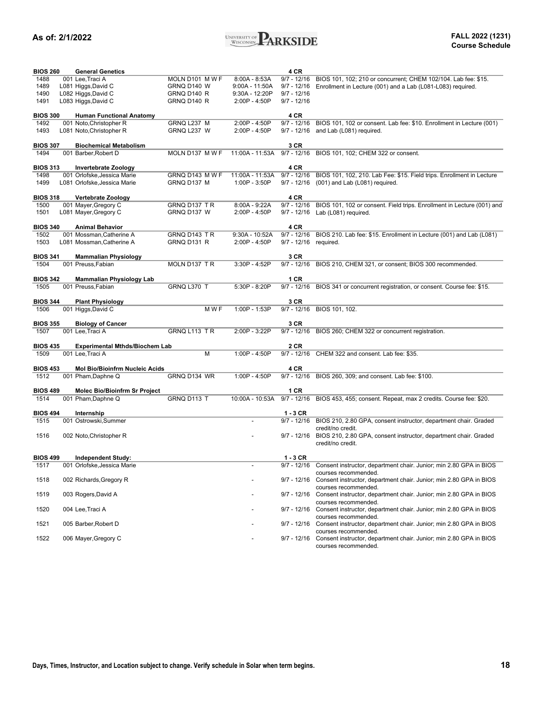

| 1488<br>001 Lee, Traci A<br>MOLN D101 M W F<br>$8:00A - 8:53A$<br>$9/7 - 12/16$<br>1489<br>L081 Higgs, David C<br>GRNQ D140 W<br>$9:00A - 11:50A$<br>$9/7 - 12/16$<br>1490<br>L082 Higgs, David C<br>GRNQ D140 R<br>$9/7 - 12/16$<br>9:30A - 12:20P<br>$9/7 - 12/16$<br>1491<br>L083 Higgs, David C<br>GRNQ D140 R<br>2:00P - 4:50P<br><b>BIOS 300</b><br>4 CR<br><b>Human Functional Anatomy</b><br>1492<br>GRNQ L237 M<br>$2:00P - 4:50P$<br>001 Noto, Christopher R<br>$9/7 - 12/16$<br>1493<br>L081 Noto, Christopher R<br>GRNQ L237 W<br>2:00P - 4:50P<br>$9/7 - 12/16$<br>and Lab (L081) required.<br>3 CR<br><b>BIOS 307</b><br><b>Biochemical Metabolism</b><br>11:00A - 11:53A 9/7 - 12/16 BIOS 101, 102; CHEM 322 or consent.<br>1494<br>001 Barber, Robert D<br>MOLN D137 M W F<br><b>BIOS 313</b><br>4 CR<br>Invertebrate Zoology<br>1498<br>001 Orlofske, Jessica Marie<br>GRNQ D143 MWF<br>11:00A - 11:53A<br>$9/7 - 12/16$<br>1499<br>L081 Orlofske, Jessica Marie<br>GRNQ D137 M<br>1:00P - 3:50P<br>$9/7 - 12/16$<br>(001) and Lab (L081) required.<br>4 CR<br><b>BIOS 318</b><br>Vertebrate Zoology<br>1500<br>001 Mayer, Gregory C<br>GRNQ D137 TR<br>8:00A - 9:22A<br>$9/7 - 12/16$<br>1501<br>L081 Mayer, Gregory C<br>GRNQ D137 W<br>2:00P - 4:50P<br>$9/7 - 12/16$<br>Lab (L081) required.<br><b>BIOS 340</b><br>4 CR<br><b>Animal Behavior</b><br>1502<br>001 Mossman, Catherine A<br>GRNQ D143 TR<br>$9:30A - 10:52A$<br>$9/7 - 12/16$<br>1503<br>GRNQ D131 R<br>L081 Mossman, Catherine A<br>2:00P - 4:50P<br>$9/7 - 12/16$<br>required.<br><b>BIOS 341</b><br>3 CR<br><b>Mammalian Physiology</b><br>1504<br>001 Preuss, Fabian<br>MOLN D137 TR<br>3:30P - 4:52P<br>$9/7 - 12/16$<br><b>BIOS 342</b><br>1 CR<br>Mammalian Physiology Lab | BIOS 101, 102; 210 or concurrent; CHEM 102/104. Lab fee: \$15.<br>Enrollment in Lecture (001) and a Lab (L081-L083) required.<br>BIOS 101, 102 or consent. Lab fee: \$10. Enrollment in Lecture (001)<br>BIOS 101, 102, 210. Lab Fee: \$15. Field trips. Enrollment in Lecture<br>BIOS 101, 102 or consent. Field trips. Enrollment in Lecture (001) and<br>BIOS 210. Lab fee: \$15. Enrollment in Lecture (001) and Lab (L081)<br>BIOS 210, CHEM 321, or consent; BIOS 300 recommended. |
|---------------------------------------------------------------------------------------------------------------------------------------------------------------------------------------------------------------------------------------------------------------------------------------------------------------------------------------------------------------------------------------------------------------------------------------------------------------------------------------------------------------------------------------------------------------------------------------------------------------------------------------------------------------------------------------------------------------------------------------------------------------------------------------------------------------------------------------------------------------------------------------------------------------------------------------------------------------------------------------------------------------------------------------------------------------------------------------------------------------------------------------------------------------------------------------------------------------------------------------------------------------------------------------------------------------------------------------------------------------------------------------------------------------------------------------------------------------------------------------------------------------------------------------------------------------------------------------------------------------------------------------------------------------------------------------------------------------------------------------------------------------------|------------------------------------------------------------------------------------------------------------------------------------------------------------------------------------------------------------------------------------------------------------------------------------------------------------------------------------------------------------------------------------------------------------------------------------------------------------------------------------------|
|                                                                                                                                                                                                                                                                                                                                                                                                                                                                                                                                                                                                                                                                                                                                                                                                                                                                                                                                                                                                                                                                                                                                                                                                                                                                                                                                                                                                                                                                                                                                                                                                                                                                                                                                                                     |                                                                                                                                                                                                                                                                                                                                                                                                                                                                                          |
|                                                                                                                                                                                                                                                                                                                                                                                                                                                                                                                                                                                                                                                                                                                                                                                                                                                                                                                                                                                                                                                                                                                                                                                                                                                                                                                                                                                                                                                                                                                                                                                                                                                                                                                                                                     |                                                                                                                                                                                                                                                                                                                                                                                                                                                                                          |
|                                                                                                                                                                                                                                                                                                                                                                                                                                                                                                                                                                                                                                                                                                                                                                                                                                                                                                                                                                                                                                                                                                                                                                                                                                                                                                                                                                                                                                                                                                                                                                                                                                                                                                                                                                     |                                                                                                                                                                                                                                                                                                                                                                                                                                                                                          |
|                                                                                                                                                                                                                                                                                                                                                                                                                                                                                                                                                                                                                                                                                                                                                                                                                                                                                                                                                                                                                                                                                                                                                                                                                                                                                                                                                                                                                                                                                                                                                                                                                                                                                                                                                                     |                                                                                                                                                                                                                                                                                                                                                                                                                                                                                          |
|                                                                                                                                                                                                                                                                                                                                                                                                                                                                                                                                                                                                                                                                                                                                                                                                                                                                                                                                                                                                                                                                                                                                                                                                                                                                                                                                                                                                                                                                                                                                                                                                                                                                                                                                                                     |                                                                                                                                                                                                                                                                                                                                                                                                                                                                                          |
|                                                                                                                                                                                                                                                                                                                                                                                                                                                                                                                                                                                                                                                                                                                                                                                                                                                                                                                                                                                                                                                                                                                                                                                                                                                                                                                                                                                                                                                                                                                                                                                                                                                                                                                                                                     |                                                                                                                                                                                                                                                                                                                                                                                                                                                                                          |
|                                                                                                                                                                                                                                                                                                                                                                                                                                                                                                                                                                                                                                                                                                                                                                                                                                                                                                                                                                                                                                                                                                                                                                                                                                                                                                                                                                                                                                                                                                                                                                                                                                                                                                                                                                     |                                                                                                                                                                                                                                                                                                                                                                                                                                                                                          |
|                                                                                                                                                                                                                                                                                                                                                                                                                                                                                                                                                                                                                                                                                                                                                                                                                                                                                                                                                                                                                                                                                                                                                                                                                                                                                                                                                                                                                                                                                                                                                                                                                                                                                                                                                                     |                                                                                                                                                                                                                                                                                                                                                                                                                                                                                          |
|                                                                                                                                                                                                                                                                                                                                                                                                                                                                                                                                                                                                                                                                                                                                                                                                                                                                                                                                                                                                                                                                                                                                                                                                                                                                                                                                                                                                                                                                                                                                                                                                                                                                                                                                                                     |                                                                                                                                                                                                                                                                                                                                                                                                                                                                                          |
|                                                                                                                                                                                                                                                                                                                                                                                                                                                                                                                                                                                                                                                                                                                                                                                                                                                                                                                                                                                                                                                                                                                                                                                                                                                                                                                                                                                                                                                                                                                                                                                                                                                                                                                                                                     |                                                                                                                                                                                                                                                                                                                                                                                                                                                                                          |
|                                                                                                                                                                                                                                                                                                                                                                                                                                                                                                                                                                                                                                                                                                                                                                                                                                                                                                                                                                                                                                                                                                                                                                                                                                                                                                                                                                                                                                                                                                                                                                                                                                                                                                                                                                     |                                                                                                                                                                                                                                                                                                                                                                                                                                                                                          |
|                                                                                                                                                                                                                                                                                                                                                                                                                                                                                                                                                                                                                                                                                                                                                                                                                                                                                                                                                                                                                                                                                                                                                                                                                                                                                                                                                                                                                                                                                                                                                                                                                                                                                                                                                                     |                                                                                                                                                                                                                                                                                                                                                                                                                                                                                          |
|                                                                                                                                                                                                                                                                                                                                                                                                                                                                                                                                                                                                                                                                                                                                                                                                                                                                                                                                                                                                                                                                                                                                                                                                                                                                                                                                                                                                                                                                                                                                                                                                                                                                                                                                                                     |                                                                                                                                                                                                                                                                                                                                                                                                                                                                                          |
|                                                                                                                                                                                                                                                                                                                                                                                                                                                                                                                                                                                                                                                                                                                                                                                                                                                                                                                                                                                                                                                                                                                                                                                                                                                                                                                                                                                                                                                                                                                                                                                                                                                                                                                                                                     |                                                                                                                                                                                                                                                                                                                                                                                                                                                                                          |
|                                                                                                                                                                                                                                                                                                                                                                                                                                                                                                                                                                                                                                                                                                                                                                                                                                                                                                                                                                                                                                                                                                                                                                                                                                                                                                                                                                                                                                                                                                                                                                                                                                                                                                                                                                     |                                                                                                                                                                                                                                                                                                                                                                                                                                                                                          |
|                                                                                                                                                                                                                                                                                                                                                                                                                                                                                                                                                                                                                                                                                                                                                                                                                                                                                                                                                                                                                                                                                                                                                                                                                                                                                                                                                                                                                                                                                                                                                                                                                                                                                                                                                                     |                                                                                                                                                                                                                                                                                                                                                                                                                                                                                          |
|                                                                                                                                                                                                                                                                                                                                                                                                                                                                                                                                                                                                                                                                                                                                                                                                                                                                                                                                                                                                                                                                                                                                                                                                                                                                                                                                                                                                                                                                                                                                                                                                                                                                                                                                                                     |                                                                                                                                                                                                                                                                                                                                                                                                                                                                                          |
|                                                                                                                                                                                                                                                                                                                                                                                                                                                                                                                                                                                                                                                                                                                                                                                                                                                                                                                                                                                                                                                                                                                                                                                                                                                                                                                                                                                                                                                                                                                                                                                                                                                                                                                                                                     |                                                                                                                                                                                                                                                                                                                                                                                                                                                                                          |
|                                                                                                                                                                                                                                                                                                                                                                                                                                                                                                                                                                                                                                                                                                                                                                                                                                                                                                                                                                                                                                                                                                                                                                                                                                                                                                                                                                                                                                                                                                                                                                                                                                                                                                                                                                     |                                                                                                                                                                                                                                                                                                                                                                                                                                                                                          |
|                                                                                                                                                                                                                                                                                                                                                                                                                                                                                                                                                                                                                                                                                                                                                                                                                                                                                                                                                                                                                                                                                                                                                                                                                                                                                                                                                                                                                                                                                                                                                                                                                                                                                                                                                                     |                                                                                                                                                                                                                                                                                                                                                                                                                                                                                          |
|                                                                                                                                                                                                                                                                                                                                                                                                                                                                                                                                                                                                                                                                                                                                                                                                                                                                                                                                                                                                                                                                                                                                                                                                                                                                                                                                                                                                                                                                                                                                                                                                                                                                                                                                                                     |                                                                                                                                                                                                                                                                                                                                                                                                                                                                                          |
|                                                                                                                                                                                                                                                                                                                                                                                                                                                                                                                                                                                                                                                                                                                                                                                                                                                                                                                                                                                                                                                                                                                                                                                                                                                                                                                                                                                                                                                                                                                                                                                                                                                                                                                                                                     |                                                                                                                                                                                                                                                                                                                                                                                                                                                                                          |
|                                                                                                                                                                                                                                                                                                                                                                                                                                                                                                                                                                                                                                                                                                                                                                                                                                                                                                                                                                                                                                                                                                                                                                                                                                                                                                                                                                                                                                                                                                                                                                                                                                                                                                                                                                     |                                                                                                                                                                                                                                                                                                                                                                                                                                                                                          |
|                                                                                                                                                                                                                                                                                                                                                                                                                                                                                                                                                                                                                                                                                                                                                                                                                                                                                                                                                                                                                                                                                                                                                                                                                                                                                                                                                                                                                                                                                                                                                                                                                                                                                                                                                                     |                                                                                                                                                                                                                                                                                                                                                                                                                                                                                          |
|                                                                                                                                                                                                                                                                                                                                                                                                                                                                                                                                                                                                                                                                                                                                                                                                                                                                                                                                                                                                                                                                                                                                                                                                                                                                                                                                                                                                                                                                                                                                                                                                                                                                                                                                                                     |                                                                                                                                                                                                                                                                                                                                                                                                                                                                                          |
|                                                                                                                                                                                                                                                                                                                                                                                                                                                                                                                                                                                                                                                                                                                                                                                                                                                                                                                                                                                                                                                                                                                                                                                                                                                                                                                                                                                                                                                                                                                                                                                                                                                                                                                                                                     |                                                                                                                                                                                                                                                                                                                                                                                                                                                                                          |
|                                                                                                                                                                                                                                                                                                                                                                                                                                                                                                                                                                                                                                                                                                                                                                                                                                                                                                                                                                                                                                                                                                                                                                                                                                                                                                                                                                                                                                                                                                                                                                                                                                                                                                                                                                     |                                                                                                                                                                                                                                                                                                                                                                                                                                                                                          |
|                                                                                                                                                                                                                                                                                                                                                                                                                                                                                                                                                                                                                                                                                                                                                                                                                                                                                                                                                                                                                                                                                                                                                                                                                                                                                                                                                                                                                                                                                                                                                                                                                                                                                                                                                                     |                                                                                                                                                                                                                                                                                                                                                                                                                                                                                          |
|                                                                                                                                                                                                                                                                                                                                                                                                                                                                                                                                                                                                                                                                                                                                                                                                                                                                                                                                                                                                                                                                                                                                                                                                                                                                                                                                                                                                                                                                                                                                                                                                                                                                                                                                                                     |                                                                                                                                                                                                                                                                                                                                                                                                                                                                                          |
|                                                                                                                                                                                                                                                                                                                                                                                                                                                                                                                                                                                                                                                                                                                                                                                                                                                                                                                                                                                                                                                                                                                                                                                                                                                                                                                                                                                                                                                                                                                                                                                                                                                                                                                                                                     |                                                                                                                                                                                                                                                                                                                                                                                                                                                                                          |
|                                                                                                                                                                                                                                                                                                                                                                                                                                                                                                                                                                                                                                                                                                                                                                                                                                                                                                                                                                                                                                                                                                                                                                                                                                                                                                                                                                                                                                                                                                                                                                                                                                                                                                                                                                     |                                                                                                                                                                                                                                                                                                                                                                                                                                                                                          |
|                                                                                                                                                                                                                                                                                                                                                                                                                                                                                                                                                                                                                                                                                                                                                                                                                                                                                                                                                                                                                                                                                                                                                                                                                                                                                                                                                                                                                                                                                                                                                                                                                                                                                                                                                                     |                                                                                                                                                                                                                                                                                                                                                                                                                                                                                          |
| 001 Lee, Traci A<br>GRNQ L113 TR<br>1507<br>2:00P - 3:22P                                                                                                                                                                                                                                                                                                                                                                                                                                                                                                                                                                                                                                                                                                                                                                                                                                                                                                                                                                                                                                                                                                                                                                                                                                                                                                                                                                                                                                                                                                                                                                                                                                                                                                           |                                                                                                                                                                                                                                                                                                                                                                                                                                                                                          |
|                                                                                                                                                                                                                                                                                                                                                                                                                                                                                                                                                                                                                                                                                                                                                                                                                                                                                                                                                                                                                                                                                                                                                                                                                                                                                                                                                                                                                                                                                                                                                                                                                                                                                                                                                                     | 3 CR                                                                                                                                                                                                                                                                                                                                                                                                                                                                                     |
| <b>BIOS 435</b><br>2 CR<br><b>Experimental Mthds/Biochem Lab</b>                                                                                                                                                                                                                                                                                                                                                                                                                                                                                                                                                                                                                                                                                                                                                                                                                                                                                                                                                                                                                                                                                                                                                                                                                                                                                                                                                                                                                                                                                                                                                                                                                                                                                                    | 9/7 - 12/16 BIOS 260; CHEM 322 or concurrent registration.                                                                                                                                                                                                                                                                                                                                                                                                                               |
| M<br>1509<br>001 Lee, Traci A<br>9/7 - 12/16 CHEM 322 and consent. Lab fee: \$35.<br>1:00P - 4:50P                                                                                                                                                                                                                                                                                                                                                                                                                                                                                                                                                                                                                                                                                                                                                                                                                                                                                                                                                                                                                                                                                                                                                                                                                                                                                                                                                                                                                                                                                                                                                                                                                                                                  |                                                                                                                                                                                                                                                                                                                                                                                                                                                                                          |
|                                                                                                                                                                                                                                                                                                                                                                                                                                                                                                                                                                                                                                                                                                                                                                                                                                                                                                                                                                                                                                                                                                                                                                                                                                                                                                                                                                                                                                                                                                                                                                                                                                                                                                                                                                     |                                                                                                                                                                                                                                                                                                                                                                                                                                                                                          |
|                                                                                                                                                                                                                                                                                                                                                                                                                                                                                                                                                                                                                                                                                                                                                                                                                                                                                                                                                                                                                                                                                                                                                                                                                                                                                                                                                                                                                                                                                                                                                                                                                                                                                                                                                                     |                                                                                                                                                                                                                                                                                                                                                                                                                                                                                          |
| <b>BIOS 453</b><br>4 CR<br><b>Mol Bio/Bioinfrm Nucleic Acids</b>                                                                                                                                                                                                                                                                                                                                                                                                                                                                                                                                                                                                                                                                                                                                                                                                                                                                                                                                                                                                                                                                                                                                                                                                                                                                                                                                                                                                                                                                                                                                                                                                                                                                                                    |                                                                                                                                                                                                                                                                                                                                                                                                                                                                                          |
| 1512<br>001 Pham, Daphne Q<br>GRNQ D134 WR<br>1:00P - 4:50P                                                                                                                                                                                                                                                                                                                                                                                                                                                                                                                                                                                                                                                                                                                                                                                                                                                                                                                                                                                                                                                                                                                                                                                                                                                                                                                                                                                                                                                                                                                                                                                                                                                                                                         | 9/7 - 12/16 BIOS 260, 309; and consent. Lab fee: \$100.                                                                                                                                                                                                                                                                                                                                                                                                                                  |
|                                                                                                                                                                                                                                                                                                                                                                                                                                                                                                                                                                                                                                                                                                                                                                                                                                                                                                                                                                                                                                                                                                                                                                                                                                                                                                                                                                                                                                                                                                                                                                                                                                                                                                                                                                     |                                                                                                                                                                                                                                                                                                                                                                                                                                                                                          |
| 1 CR<br><b>BIOS 489</b><br><b>Molec Bio/Bioinfrm Sr Project</b>                                                                                                                                                                                                                                                                                                                                                                                                                                                                                                                                                                                                                                                                                                                                                                                                                                                                                                                                                                                                                                                                                                                                                                                                                                                                                                                                                                                                                                                                                                                                                                                                                                                                                                     |                                                                                                                                                                                                                                                                                                                                                                                                                                                                                          |
| 1514<br>001 Pham, Daphne Q<br>GRNQ D113 T<br>10:00A - 10:53A                                                                                                                                                                                                                                                                                                                                                                                                                                                                                                                                                                                                                                                                                                                                                                                                                                                                                                                                                                                                                                                                                                                                                                                                                                                                                                                                                                                                                                                                                                                                                                                                                                                                                                        | 9/7 - 12/16 BIOS 453, 455; consent. Repeat, max 2 credits. Course fee: \$20.                                                                                                                                                                                                                                                                                                                                                                                                             |
|                                                                                                                                                                                                                                                                                                                                                                                                                                                                                                                                                                                                                                                                                                                                                                                                                                                                                                                                                                                                                                                                                                                                                                                                                                                                                                                                                                                                                                                                                                                                                                                                                                                                                                                                                                     |                                                                                                                                                                                                                                                                                                                                                                                                                                                                                          |
| <b>BIOS 494</b><br>$1 - 3$ CR<br>Internship                                                                                                                                                                                                                                                                                                                                                                                                                                                                                                                                                                                                                                                                                                                                                                                                                                                                                                                                                                                                                                                                                                                                                                                                                                                                                                                                                                                                                                                                                                                                                                                                                                                                                                                         |                                                                                                                                                                                                                                                                                                                                                                                                                                                                                          |
| 1515<br>001 Ostrowski, Summer<br>$9/7 - 12/16$                                                                                                                                                                                                                                                                                                                                                                                                                                                                                                                                                                                                                                                                                                                                                                                                                                                                                                                                                                                                                                                                                                                                                                                                                                                                                                                                                                                                                                                                                                                                                                                                                                                                                                                      | BIOS 210, 2.80 GPA, consent instructor, department chair. Graded                                                                                                                                                                                                                                                                                                                                                                                                                         |
| credit/no credit.                                                                                                                                                                                                                                                                                                                                                                                                                                                                                                                                                                                                                                                                                                                                                                                                                                                                                                                                                                                                                                                                                                                                                                                                                                                                                                                                                                                                                                                                                                                                                                                                                                                                                                                                                   |                                                                                                                                                                                                                                                                                                                                                                                                                                                                                          |
| 1516<br>$9/7 - 12/16$<br>002 Noto, Christopher R<br>credit/no credit.                                                                                                                                                                                                                                                                                                                                                                                                                                                                                                                                                                                                                                                                                                                                                                                                                                                                                                                                                                                                                                                                                                                                                                                                                                                                                                                                                                                                                                                                                                                                                                                                                                                                                               | BIOS 210, 2.80 GPA, consent instructor, department chair. Graded                                                                                                                                                                                                                                                                                                                                                                                                                         |
|                                                                                                                                                                                                                                                                                                                                                                                                                                                                                                                                                                                                                                                                                                                                                                                                                                                                                                                                                                                                                                                                                                                                                                                                                                                                                                                                                                                                                                                                                                                                                                                                                                                                                                                                                                     |                                                                                                                                                                                                                                                                                                                                                                                                                                                                                          |
| <b>BIOS 499</b><br><b>Independent Study:</b><br>1 - 3 CR                                                                                                                                                                                                                                                                                                                                                                                                                                                                                                                                                                                                                                                                                                                                                                                                                                                                                                                                                                                                                                                                                                                                                                                                                                                                                                                                                                                                                                                                                                                                                                                                                                                                                                            |                                                                                                                                                                                                                                                                                                                                                                                                                                                                                          |
| $9/7 - 12/16$<br>1517<br>001 Orlofske, Jessica Marie                                                                                                                                                                                                                                                                                                                                                                                                                                                                                                                                                                                                                                                                                                                                                                                                                                                                                                                                                                                                                                                                                                                                                                                                                                                                                                                                                                                                                                                                                                                                                                                                                                                                                                                | Consent instructor, department chair. Junior; min 2.80 GPA in BIOS                                                                                                                                                                                                                                                                                                                                                                                                                       |
| courses recommended.                                                                                                                                                                                                                                                                                                                                                                                                                                                                                                                                                                                                                                                                                                                                                                                                                                                                                                                                                                                                                                                                                                                                                                                                                                                                                                                                                                                                                                                                                                                                                                                                                                                                                                                                                |                                                                                                                                                                                                                                                                                                                                                                                                                                                                                          |
| 1518<br>002 Richards, Gregory R                                                                                                                                                                                                                                                                                                                                                                                                                                                                                                                                                                                                                                                                                                                                                                                                                                                                                                                                                                                                                                                                                                                                                                                                                                                                                                                                                                                                                                                                                                                                                                                                                                                                                                                                     | 9/7 - 12/16 Consent instructor, department chair. Junior; min 2.80 GPA in BIOS                                                                                                                                                                                                                                                                                                                                                                                                           |
| courses recommended.                                                                                                                                                                                                                                                                                                                                                                                                                                                                                                                                                                                                                                                                                                                                                                                                                                                                                                                                                                                                                                                                                                                                                                                                                                                                                                                                                                                                                                                                                                                                                                                                                                                                                                                                                |                                                                                                                                                                                                                                                                                                                                                                                                                                                                                          |
| 1519<br>003 Rogers, David A                                                                                                                                                                                                                                                                                                                                                                                                                                                                                                                                                                                                                                                                                                                                                                                                                                                                                                                                                                                                                                                                                                                                                                                                                                                                                                                                                                                                                                                                                                                                                                                                                                                                                                                                         | 9/7 - 12/16 Consent instructor, department chair. Junior; min 2.80 GPA in BIOS                                                                                                                                                                                                                                                                                                                                                                                                           |
| courses recommended.                                                                                                                                                                                                                                                                                                                                                                                                                                                                                                                                                                                                                                                                                                                                                                                                                                                                                                                                                                                                                                                                                                                                                                                                                                                                                                                                                                                                                                                                                                                                                                                                                                                                                                                                                |                                                                                                                                                                                                                                                                                                                                                                                                                                                                                          |
| 1520<br>004 Lee, Traci A                                                                                                                                                                                                                                                                                                                                                                                                                                                                                                                                                                                                                                                                                                                                                                                                                                                                                                                                                                                                                                                                                                                                                                                                                                                                                                                                                                                                                                                                                                                                                                                                                                                                                                                                            | 9/7 - 12/16 Consent instructor, department chair. Junior; min 2.80 GPA in BIOS                                                                                                                                                                                                                                                                                                                                                                                                           |
| courses recommended.                                                                                                                                                                                                                                                                                                                                                                                                                                                                                                                                                                                                                                                                                                                                                                                                                                                                                                                                                                                                                                                                                                                                                                                                                                                                                                                                                                                                                                                                                                                                                                                                                                                                                                                                                |                                                                                                                                                                                                                                                                                                                                                                                                                                                                                          |
| 1521<br>005 Barber, Robert D<br>$9/7 - 12/16$                                                                                                                                                                                                                                                                                                                                                                                                                                                                                                                                                                                                                                                                                                                                                                                                                                                                                                                                                                                                                                                                                                                                                                                                                                                                                                                                                                                                                                                                                                                                                                                                                                                                                                                       | Consent instructor, department chair. Junior; min 2.80 GPA in BIOS                                                                                                                                                                                                                                                                                                                                                                                                                       |
| courses recommended.<br>1522<br>006 Mayer, Gregory C<br>$9/7 - 12/16$                                                                                                                                                                                                                                                                                                                                                                                                                                                                                                                                                                                                                                                                                                                                                                                                                                                                                                                                                                                                                                                                                                                                                                                                                                                                                                                                                                                                                                                                                                                                                                                                                                                                                               | Consent instructor, department chair. Junior; min 2.80 GPA in BIOS                                                                                                                                                                                                                                                                                                                                                                                                                       |
|                                                                                                                                                                                                                                                                                                                                                                                                                                                                                                                                                                                                                                                                                                                                                                                                                                                                                                                                                                                                                                                                                                                                                                                                                                                                                                                                                                                                                                                                                                                                                                                                                                                                                                                                                                     |                                                                                                                                                                                                                                                                                                                                                                                                                                                                                          |
|                                                                                                                                                                                                                                                                                                                                                                                                                                                                                                                                                                                                                                                                                                                                                                                                                                                                                                                                                                                                                                                                                                                                                                                                                                                                                                                                                                                                                                                                                                                                                                                                                                                                                                                                                                     |                                                                                                                                                                                                                                                                                                                                                                                                                                                                                          |
|                                                                                                                                                                                                                                                                                                                                                                                                                                                                                                                                                                                                                                                                                                                                                                                                                                                                                                                                                                                                                                                                                                                                                                                                                                                                                                                                                                                                                                                                                                                                                                                                                                                                                                                                                                     |                                                                                                                                                                                                                                                                                                                                                                                                                                                                                          |
| 1505                                                                                                                                                                                                                                                                                                                                                                                                                                                                                                                                                                                                                                                                                                                                                                                                                                                                                                                                                                                                                                                                                                                                                                                                                                                                                                                                                                                                                                                                                                                                                                                                                                                                                                                                                                | GRNQ L370 T<br>5:30P - 8:20P                                                                                                                                                                                                                                                                                                                                                                                                                                                             |
| 001 Preuss, Fabian                                                                                                                                                                                                                                                                                                                                                                                                                                                                                                                                                                                                                                                                                                                                                                                                                                                                                                                                                                                                                                                                                                                                                                                                                                                                                                                                                                                                                                                                                                                                                                                                                                                                                                                                                  | 9/7 - 12/16 BIOS 341 or concurrent registration, or consent. Course fee: \$15.                                                                                                                                                                                                                                                                                                                                                                                                           |
|                                                                                                                                                                                                                                                                                                                                                                                                                                                                                                                                                                                                                                                                                                                                                                                                                                                                                                                                                                                                                                                                                                                                                                                                                                                                                                                                                                                                                                                                                                                                                                                                                                                                                                                                                                     |                                                                                                                                                                                                                                                                                                                                                                                                                                                                                          |
|                                                                                                                                                                                                                                                                                                                                                                                                                                                                                                                                                                                                                                                                                                                                                                                                                                                                                                                                                                                                                                                                                                                                                                                                                                                                                                                                                                                                                                                                                                                                                                                                                                                                                                                                                                     |                                                                                                                                                                                                                                                                                                                                                                                                                                                                                          |
|                                                                                                                                                                                                                                                                                                                                                                                                                                                                                                                                                                                                                                                                                                                                                                                                                                                                                                                                                                                                                                                                                                                                                                                                                                                                                                                                                                                                                                                                                                                                                                                                                                                                                                                                                                     |                                                                                                                                                                                                                                                                                                                                                                                                                                                                                          |
|                                                                                                                                                                                                                                                                                                                                                                                                                                                                                                                                                                                                                                                                                                                                                                                                                                                                                                                                                                                                                                                                                                                                                                                                                                                                                                                                                                                                                                                                                                                                                                                                                                                                                                                                                                     |                                                                                                                                                                                                                                                                                                                                                                                                                                                                                          |
|                                                                                                                                                                                                                                                                                                                                                                                                                                                                                                                                                                                                                                                                                                                                                                                                                                                                                                                                                                                                                                                                                                                                                                                                                                                                                                                                                                                                                                                                                                                                                                                                                                                                                                                                                                     |                                                                                                                                                                                                                                                                                                                                                                                                                                                                                          |
|                                                                                                                                                                                                                                                                                                                                                                                                                                                                                                                                                                                                                                                                                                                                                                                                                                                                                                                                                                                                                                                                                                                                                                                                                                                                                                                                                                                                                                                                                                                                                                                                                                                                                                                                                                     |                                                                                                                                                                                                                                                                                                                                                                                                                                                                                          |
|                                                                                                                                                                                                                                                                                                                                                                                                                                                                                                                                                                                                                                                                                                                                                                                                                                                                                                                                                                                                                                                                                                                                                                                                                                                                                                                                                                                                                                                                                                                                                                                                                                                                                                                                                                     |                                                                                                                                                                                                                                                                                                                                                                                                                                                                                          |
|                                                                                                                                                                                                                                                                                                                                                                                                                                                                                                                                                                                                                                                                                                                                                                                                                                                                                                                                                                                                                                                                                                                                                                                                                                                                                                                                                                                                                                                                                                                                                                                                                                                                                                                                                                     |                                                                                                                                                                                                                                                                                                                                                                                                                                                                                          |
|                                                                                                                                                                                                                                                                                                                                                                                                                                                                                                                                                                                                                                                                                                                                                                                                                                                                                                                                                                                                                                                                                                                                                                                                                                                                                                                                                                                                                                                                                                                                                                                                                                                                                                                                                                     |                                                                                                                                                                                                                                                                                                                                                                                                                                                                                          |
|                                                                                                                                                                                                                                                                                                                                                                                                                                                                                                                                                                                                                                                                                                                                                                                                                                                                                                                                                                                                                                                                                                                                                                                                                                                                                                                                                                                                                                                                                                                                                                                                                                                                                                                                                                     |                                                                                                                                                                                                                                                                                                                                                                                                                                                                                          |
|                                                                                                                                                                                                                                                                                                                                                                                                                                                                                                                                                                                                                                                                                                                                                                                                                                                                                                                                                                                                                                                                                                                                                                                                                                                                                                                                                                                                                                                                                                                                                                                                                                                                                                                                                                     |                                                                                                                                                                                                                                                                                                                                                                                                                                                                                          |
|                                                                                                                                                                                                                                                                                                                                                                                                                                                                                                                                                                                                                                                                                                                                                                                                                                                                                                                                                                                                                                                                                                                                                                                                                                                                                                                                                                                                                                                                                                                                                                                                                                                                                                                                                                     |                                                                                                                                                                                                                                                                                                                                                                                                                                                                                          |
| <b>BIOS 344</b><br>3 CR<br><b>Plant Physiology</b>                                                                                                                                                                                                                                                                                                                                                                                                                                                                                                                                                                                                                                                                                                                                                                                                                                                                                                                                                                                                                                                                                                                                                                                                                                                                                                                                                                                                                                                                                                                                                                                                                                                                                                                  |                                                                                                                                                                                                                                                                                                                                                                                                                                                                                          |
|                                                                                                                                                                                                                                                                                                                                                                                                                                                                                                                                                                                                                                                                                                                                                                                                                                                                                                                                                                                                                                                                                                                                                                                                                                                                                                                                                                                                                                                                                                                                                                                                                                                                                                                                                                     |                                                                                                                                                                                                                                                                                                                                                                                                                                                                                          |
| 1506<br>001 Higgs, David C<br>M W F<br>1:00P - 1:53P<br>9/7 - 12/16 BIOS 101, 102.                                                                                                                                                                                                                                                                                                                                                                                                                                                                                                                                                                                                                                                                                                                                                                                                                                                                                                                                                                                                                                                                                                                                                                                                                                                                                                                                                                                                                                                                                                                                                                                                                                                                                  |                                                                                                                                                                                                                                                                                                                                                                                                                                                                                          |
|                                                                                                                                                                                                                                                                                                                                                                                                                                                                                                                                                                                                                                                                                                                                                                                                                                                                                                                                                                                                                                                                                                                                                                                                                                                                                                                                                                                                                                                                                                                                                                                                                                                                                                                                                                     |                                                                                                                                                                                                                                                                                                                                                                                                                                                                                          |
|                                                                                                                                                                                                                                                                                                                                                                                                                                                                                                                                                                                                                                                                                                                                                                                                                                                                                                                                                                                                                                                                                                                                                                                                                                                                                                                                                                                                                                                                                                                                                                                                                                                                                                                                                                     |                                                                                                                                                                                                                                                                                                                                                                                                                                                                                          |
|                                                                                                                                                                                                                                                                                                                                                                                                                                                                                                                                                                                                                                                                                                                                                                                                                                                                                                                                                                                                                                                                                                                                                                                                                                                                                                                                                                                                                                                                                                                                                                                                                                                                                                                                                                     |                                                                                                                                                                                                                                                                                                                                                                                                                                                                                          |
|                                                                                                                                                                                                                                                                                                                                                                                                                                                                                                                                                                                                                                                                                                                                                                                                                                                                                                                                                                                                                                                                                                                                                                                                                                                                                                                                                                                                                                                                                                                                                                                                                                                                                                                                                                     |                                                                                                                                                                                                                                                                                                                                                                                                                                                                                          |
| <b>BIOS 355</b>                                                                                                                                                                                                                                                                                                                                                                                                                                                                                                                                                                                                                                                                                                                                                                                                                                                                                                                                                                                                                                                                                                                                                                                                                                                                                                                                                                                                                                                                                                                                                                                                                                                                                                                                                     |                                                                                                                                                                                                                                                                                                                                                                                                                                                                                          |
| <b>Biology of Cancer</b>                                                                                                                                                                                                                                                                                                                                                                                                                                                                                                                                                                                                                                                                                                                                                                                                                                                                                                                                                                                                                                                                                                                                                                                                                                                                                                                                                                                                                                                                                                                                                                                                                                                                                                                                            |                                                                                                                                                                                                                                                                                                                                                                                                                                                                                          |
|                                                                                                                                                                                                                                                                                                                                                                                                                                                                                                                                                                                                                                                                                                                                                                                                                                                                                                                                                                                                                                                                                                                                                                                                                                                                                                                                                                                                                                                                                                                                                                                                                                                                                                                                                                     |                                                                                                                                                                                                                                                                                                                                                                                                                                                                                          |
|                                                                                                                                                                                                                                                                                                                                                                                                                                                                                                                                                                                                                                                                                                                                                                                                                                                                                                                                                                                                                                                                                                                                                                                                                                                                                                                                                                                                                                                                                                                                                                                                                                                                                                                                                                     |                                                                                                                                                                                                                                                                                                                                                                                                                                                                                          |
|                                                                                                                                                                                                                                                                                                                                                                                                                                                                                                                                                                                                                                                                                                                                                                                                                                                                                                                                                                                                                                                                                                                                                                                                                                                                                                                                                                                                                                                                                                                                                                                                                                                                                                                                                                     |                                                                                                                                                                                                                                                                                                                                                                                                                                                                                          |
|                                                                                                                                                                                                                                                                                                                                                                                                                                                                                                                                                                                                                                                                                                                                                                                                                                                                                                                                                                                                                                                                                                                                                                                                                                                                                                                                                                                                                                                                                                                                                                                                                                                                                                                                                                     |                                                                                                                                                                                                                                                                                                                                                                                                                                                                                          |
|                                                                                                                                                                                                                                                                                                                                                                                                                                                                                                                                                                                                                                                                                                                                                                                                                                                                                                                                                                                                                                                                                                                                                                                                                                                                                                                                                                                                                                                                                                                                                                                                                                                                                                                                                                     |                                                                                                                                                                                                                                                                                                                                                                                                                                                                                          |
|                                                                                                                                                                                                                                                                                                                                                                                                                                                                                                                                                                                                                                                                                                                                                                                                                                                                                                                                                                                                                                                                                                                                                                                                                                                                                                                                                                                                                                                                                                                                                                                                                                                                                                                                                                     |                                                                                                                                                                                                                                                                                                                                                                                                                                                                                          |
|                                                                                                                                                                                                                                                                                                                                                                                                                                                                                                                                                                                                                                                                                                                                                                                                                                                                                                                                                                                                                                                                                                                                                                                                                                                                                                                                                                                                                                                                                                                                                                                                                                                                                                                                                                     |                                                                                                                                                                                                                                                                                                                                                                                                                                                                                          |
|                                                                                                                                                                                                                                                                                                                                                                                                                                                                                                                                                                                                                                                                                                                                                                                                                                                                                                                                                                                                                                                                                                                                                                                                                                                                                                                                                                                                                                                                                                                                                                                                                                                                                                                                                                     |                                                                                                                                                                                                                                                                                                                                                                                                                                                                                          |
|                                                                                                                                                                                                                                                                                                                                                                                                                                                                                                                                                                                                                                                                                                                                                                                                                                                                                                                                                                                                                                                                                                                                                                                                                                                                                                                                                                                                                                                                                                                                                                                                                                                                                                                                                                     |                                                                                                                                                                                                                                                                                                                                                                                                                                                                                          |
|                                                                                                                                                                                                                                                                                                                                                                                                                                                                                                                                                                                                                                                                                                                                                                                                                                                                                                                                                                                                                                                                                                                                                                                                                                                                                                                                                                                                                                                                                                                                                                                                                                                                                                                                                                     |                                                                                                                                                                                                                                                                                                                                                                                                                                                                                          |
|                                                                                                                                                                                                                                                                                                                                                                                                                                                                                                                                                                                                                                                                                                                                                                                                                                                                                                                                                                                                                                                                                                                                                                                                                                                                                                                                                                                                                                                                                                                                                                                                                                                                                                                                                                     |                                                                                                                                                                                                                                                                                                                                                                                                                                                                                          |
|                                                                                                                                                                                                                                                                                                                                                                                                                                                                                                                                                                                                                                                                                                                                                                                                                                                                                                                                                                                                                                                                                                                                                                                                                                                                                                                                                                                                                                                                                                                                                                                                                                                                                                                                                                     |                                                                                                                                                                                                                                                                                                                                                                                                                                                                                          |
|                                                                                                                                                                                                                                                                                                                                                                                                                                                                                                                                                                                                                                                                                                                                                                                                                                                                                                                                                                                                                                                                                                                                                                                                                                                                                                                                                                                                                                                                                                                                                                                                                                                                                                                                                                     |                                                                                                                                                                                                                                                                                                                                                                                                                                                                                          |
|                                                                                                                                                                                                                                                                                                                                                                                                                                                                                                                                                                                                                                                                                                                                                                                                                                                                                                                                                                                                                                                                                                                                                                                                                                                                                                                                                                                                                                                                                                                                                                                                                                                                                                                                                                     |                                                                                                                                                                                                                                                                                                                                                                                                                                                                                          |
|                                                                                                                                                                                                                                                                                                                                                                                                                                                                                                                                                                                                                                                                                                                                                                                                                                                                                                                                                                                                                                                                                                                                                                                                                                                                                                                                                                                                                                                                                                                                                                                                                                                                                                                                                                     |                                                                                                                                                                                                                                                                                                                                                                                                                                                                                          |
|                                                                                                                                                                                                                                                                                                                                                                                                                                                                                                                                                                                                                                                                                                                                                                                                                                                                                                                                                                                                                                                                                                                                                                                                                                                                                                                                                                                                                                                                                                                                                                                                                                                                                                                                                                     |                                                                                                                                                                                                                                                                                                                                                                                                                                                                                          |
|                                                                                                                                                                                                                                                                                                                                                                                                                                                                                                                                                                                                                                                                                                                                                                                                                                                                                                                                                                                                                                                                                                                                                                                                                                                                                                                                                                                                                                                                                                                                                                                                                                                                                                                                                                     |                                                                                                                                                                                                                                                                                                                                                                                                                                                                                          |
|                                                                                                                                                                                                                                                                                                                                                                                                                                                                                                                                                                                                                                                                                                                                                                                                                                                                                                                                                                                                                                                                                                                                                                                                                                                                                                                                                                                                                                                                                                                                                                                                                                                                                                                                                                     |                                                                                                                                                                                                                                                                                                                                                                                                                                                                                          |
|                                                                                                                                                                                                                                                                                                                                                                                                                                                                                                                                                                                                                                                                                                                                                                                                                                                                                                                                                                                                                                                                                                                                                                                                                                                                                                                                                                                                                                                                                                                                                                                                                                                                                                                                                                     |                                                                                                                                                                                                                                                                                                                                                                                                                                                                                          |
|                                                                                                                                                                                                                                                                                                                                                                                                                                                                                                                                                                                                                                                                                                                                                                                                                                                                                                                                                                                                                                                                                                                                                                                                                                                                                                                                                                                                                                                                                                                                                                                                                                                                                                                                                                     |                                                                                                                                                                                                                                                                                                                                                                                                                                                                                          |
|                                                                                                                                                                                                                                                                                                                                                                                                                                                                                                                                                                                                                                                                                                                                                                                                                                                                                                                                                                                                                                                                                                                                                                                                                                                                                                                                                                                                                                                                                                                                                                                                                                                                                                                                                                     |                                                                                                                                                                                                                                                                                                                                                                                                                                                                                          |
|                                                                                                                                                                                                                                                                                                                                                                                                                                                                                                                                                                                                                                                                                                                                                                                                                                                                                                                                                                                                                                                                                                                                                                                                                                                                                                                                                                                                                                                                                                                                                                                                                                                                                                                                                                     |                                                                                                                                                                                                                                                                                                                                                                                                                                                                                          |
|                                                                                                                                                                                                                                                                                                                                                                                                                                                                                                                                                                                                                                                                                                                                                                                                                                                                                                                                                                                                                                                                                                                                                                                                                                                                                                                                                                                                                                                                                                                                                                                                                                                                                                                                                                     |                                                                                                                                                                                                                                                                                                                                                                                                                                                                                          |
|                                                                                                                                                                                                                                                                                                                                                                                                                                                                                                                                                                                                                                                                                                                                                                                                                                                                                                                                                                                                                                                                                                                                                                                                                                                                                                                                                                                                                                                                                                                                                                                                                                                                                                                                                                     |                                                                                                                                                                                                                                                                                                                                                                                                                                                                                          |
|                                                                                                                                                                                                                                                                                                                                                                                                                                                                                                                                                                                                                                                                                                                                                                                                                                                                                                                                                                                                                                                                                                                                                                                                                                                                                                                                                                                                                                                                                                                                                                                                                                                                                                                                                                     |                                                                                                                                                                                                                                                                                                                                                                                                                                                                                          |
|                                                                                                                                                                                                                                                                                                                                                                                                                                                                                                                                                                                                                                                                                                                                                                                                                                                                                                                                                                                                                                                                                                                                                                                                                                                                                                                                                                                                                                                                                                                                                                                                                                                                                                                                                                     |                                                                                                                                                                                                                                                                                                                                                                                                                                                                                          |
|                                                                                                                                                                                                                                                                                                                                                                                                                                                                                                                                                                                                                                                                                                                                                                                                                                                                                                                                                                                                                                                                                                                                                                                                                                                                                                                                                                                                                                                                                                                                                                                                                                                                                                                                                                     |                                                                                                                                                                                                                                                                                                                                                                                                                                                                                          |
|                                                                                                                                                                                                                                                                                                                                                                                                                                                                                                                                                                                                                                                                                                                                                                                                                                                                                                                                                                                                                                                                                                                                                                                                                                                                                                                                                                                                                                                                                                                                                                                                                                                                                                                                                                     |                                                                                                                                                                                                                                                                                                                                                                                                                                                                                          |
|                                                                                                                                                                                                                                                                                                                                                                                                                                                                                                                                                                                                                                                                                                                                                                                                                                                                                                                                                                                                                                                                                                                                                                                                                                                                                                                                                                                                                                                                                                                                                                                                                                                                                                                                                                     |                                                                                                                                                                                                                                                                                                                                                                                                                                                                                          |
|                                                                                                                                                                                                                                                                                                                                                                                                                                                                                                                                                                                                                                                                                                                                                                                                                                                                                                                                                                                                                                                                                                                                                                                                                                                                                                                                                                                                                                                                                                                                                                                                                                                                                                                                                                     |                                                                                                                                                                                                                                                                                                                                                                                                                                                                                          |
|                                                                                                                                                                                                                                                                                                                                                                                                                                                                                                                                                                                                                                                                                                                                                                                                                                                                                                                                                                                                                                                                                                                                                                                                                                                                                                                                                                                                                                                                                                                                                                                                                                                                                                                                                                     |                                                                                                                                                                                                                                                                                                                                                                                                                                                                                          |
|                                                                                                                                                                                                                                                                                                                                                                                                                                                                                                                                                                                                                                                                                                                                                                                                                                                                                                                                                                                                                                                                                                                                                                                                                                                                                                                                                                                                                                                                                                                                                                                                                                                                                                                                                                     |                                                                                                                                                                                                                                                                                                                                                                                                                                                                                          |
|                                                                                                                                                                                                                                                                                                                                                                                                                                                                                                                                                                                                                                                                                                                                                                                                                                                                                                                                                                                                                                                                                                                                                                                                                                                                                                                                                                                                                                                                                                                                                                                                                                                                                                                                                                     |                                                                                                                                                                                                                                                                                                                                                                                                                                                                                          |
|                                                                                                                                                                                                                                                                                                                                                                                                                                                                                                                                                                                                                                                                                                                                                                                                                                                                                                                                                                                                                                                                                                                                                                                                                                                                                                                                                                                                                                                                                                                                                                                                                                                                                                                                                                     |                                                                                                                                                                                                                                                                                                                                                                                                                                                                                          |
|                                                                                                                                                                                                                                                                                                                                                                                                                                                                                                                                                                                                                                                                                                                                                                                                                                                                                                                                                                                                                                                                                                                                                                                                                                                                                                                                                                                                                                                                                                                                                                                                                                                                                                                                                                     |                                                                                                                                                                                                                                                                                                                                                                                                                                                                                          |
|                                                                                                                                                                                                                                                                                                                                                                                                                                                                                                                                                                                                                                                                                                                                                                                                                                                                                                                                                                                                                                                                                                                                                                                                                                                                                                                                                                                                                                                                                                                                                                                                                                                                                                                                                                     |                                                                                                                                                                                                                                                                                                                                                                                                                                                                                          |
|                                                                                                                                                                                                                                                                                                                                                                                                                                                                                                                                                                                                                                                                                                                                                                                                                                                                                                                                                                                                                                                                                                                                                                                                                                                                                                                                                                                                                                                                                                                                                                                                                                                                                                                                                                     |                                                                                                                                                                                                                                                                                                                                                                                                                                                                                          |
|                                                                                                                                                                                                                                                                                                                                                                                                                                                                                                                                                                                                                                                                                                                                                                                                                                                                                                                                                                                                                                                                                                                                                                                                                                                                                                                                                                                                                                                                                                                                                                                                                                                                                                                                                                     |                                                                                                                                                                                                                                                                                                                                                                                                                                                                                          |
|                                                                                                                                                                                                                                                                                                                                                                                                                                                                                                                                                                                                                                                                                                                                                                                                                                                                                                                                                                                                                                                                                                                                                                                                                                                                                                                                                                                                                                                                                                                                                                                                                                                                                                                                                                     |                                                                                                                                                                                                                                                                                                                                                                                                                                                                                          |
|                                                                                                                                                                                                                                                                                                                                                                                                                                                                                                                                                                                                                                                                                                                                                                                                                                                                                                                                                                                                                                                                                                                                                                                                                                                                                                                                                                                                                                                                                                                                                                                                                                                                                                                                                                     |                                                                                                                                                                                                                                                                                                                                                                                                                                                                                          |
|                                                                                                                                                                                                                                                                                                                                                                                                                                                                                                                                                                                                                                                                                                                                                                                                                                                                                                                                                                                                                                                                                                                                                                                                                                                                                                                                                                                                                                                                                                                                                                                                                                                                                                                                                                     |                                                                                                                                                                                                                                                                                                                                                                                                                                                                                          |
|                                                                                                                                                                                                                                                                                                                                                                                                                                                                                                                                                                                                                                                                                                                                                                                                                                                                                                                                                                                                                                                                                                                                                                                                                                                                                                                                                                                                                                                                                                                                                                                                                                                                                                                                                                     |                                                                                                                                                                                                                                                                                                                                                                                                                                                                                          |
|                                                                                                                                                                                                                                                                                                                                                                                                                                                                                                                                                                                                                                                                                                                                                                                                                                                                                                                                                                                                                                                                                                                                                                                                                                                                                                                                                                                                                                                                                                                                                                                                                                                                                                                                                                     |                                                                                                                                                                                                                                                                                                                                                                                                                                                                                          |
|                                                                                                                                                                                                                                                                                                                                                                                                                                                                                                                                                                                                                                                                                                                                                                                                                                                                                                                                                                                                                                                                                                                                                                                                                                                                                                                                                                                                                                                                                                                                                                                                                                                                                                                                                                     |                                                                                                                                                                                                                                                                                                                                                                                                                                                                                          |
|                                                                                                                                                                                                                                                                                                                                                                                                                                                                                                                                                                                                                                                                                                                                                                                                                                                                                                                                                                                                                                                                                                                                                                                                                                                                                                                                                                                                                                                                                                                                                                                                                                                                                                                                                                     |                                                                                                                                                                                                                                                                                                                                                                                                                                                                                          |
|                                                                                                                                                                                                                                                                                                                                                                                                                                                                                                                                                                                                                                                                                                                                                                                                                                                                                                                                                                                                                                                                                                                                                                                                                                                                                                                                                                                                                                                                                                                                                                                                                                                                                                                                                                     |                                                                                                                                                                                                                                                                                                                                                                                                                                                                                          |
|                                                                                                                                                                                                                                                                                                                                                                                                                                                                                                                                                                                                                                                                                                                                                                                                                                                                                                                                                                                                                                                                                                                                                                                                                                                                                                                                                                                                                                                                                                                                                                                                                                                                                                                                                                     |                                                                                                                                                                                                                                                                                                                                                                                                                                                                                          |
|                                                                                                                                                                                                                                                                                                                                                                                                                                                                                                                                                                                                                                                                                                                                                                                                                                                                                                                                                                                                                                                                                                                                                                                                                                                                                                                                                                                                                                                                                                                                                                                                                                                                                                                                                                     |                                                                                                                                                                                                                                                                                                                                                                                                                                                                                          |
|                                                                                                                                                                                                                                                                                                                                                                                                                                                                                                                                                                                                                                                                                                                                                                                                                                                                                                                                                                                                                                                                                                                                                                                                                                                                                                                                                                                                                                                                                                                                                                                                                                                                                                                                                                     |                                                                                                                                                                                                                                                                                                                                                                                                                                                                                          |
|                                                                                                                                                                                                                                                                                                                                                                                                                                                                                                                                                                                                                                                                                                                                                                                                                                                                                                                                                                                                                                                                                                                                                                                                                                                                                                                                                                                                                                                                                                                                                                                                                                                                                                                                                                     |                                                                                                                                                                                                                                                                                                                                                                                                                                                                                          |
|                                                                                                                                                                                                                                                                                                                                                                                                                                                                                                                                                                                                                                                                                                                                                                                                                                                                                                                                                                                                                                                                                                                                                                                                                                                                                                                                                                                                                                                                                                                                                                                                                                                                                                                                                                     |                                                                                                                                                                                                                                                                                                                                                                                                                                                                                          |
|                                                                                                                                                                                                                                                                                                                                                                                                                                                                                                                                                                                                                                                                                                                                                                                                                                                                                                                                                                                                                                                                                                                                                                                                                                                                                                                                                                                                                                                                                                                                                                                                                                                                                                                                                                     |                                                                                                                                                                                                                                                                                                                                                                                                                                                                                          |
|                                                                                                                                                                                                                                                                                                                                                                                                                                                                                                                                                                                                                                                                                                                                                                                                                                                                                                                                                                                                                                                                                                                                                                                                                                                                                                                                                                                                                                                                                                                                                                                                                                                                                                                                                                     |                                                                                                                                                                                                                                                                                                                                                                                                                                                                                          |
|                                                                                                                                                                                                                                                                                                                                                                                                                                                                                                                                                                                                                                                                                                                                                                                                                                                                                                                                                                                                                                                                                                                                                                                                                                                                                                                                                                                                                                                                                                                                                                                                                                                                                                                                                                     |                                                                                                                                                                                                                                                                                                                                                                                                                                                                                          |
|                                                                                                                                                                                                                                                                                                                                                                                                                                                                                                                                                                                                                                                                                                                                                                                                                                                                                                                                                                                                                                                                                                                                                                                                                                                                                                                                                                                                                                                                                                                                                                                                                                                                                                                                                                     |                                                                                                                                                                                                                                                                                                                                                                                                                                                                                          |
|                                                                                                                                                                                                                                                                                                                                                                                                                                                                                                                                                                                                                                                                                                                                                                                                                                                                                                                                                                                                                                                                                                                                                                                                                                                                                                                                                                                                                                                                                                                                                                                                                                                                                                                                                                     |                                                                                                                                                                                                                                                                                                                                                                                                                                                                                          |
|                                                                                                                                                                                                                                                                                                                                                                                                                                                                                                                                                                                                                                                                                                                                                                                                                                                                                                                                                                                                                                                                                                                                                                                                                                                                                                                                                                                                                                                                                                                                                                                                                                                                                                                                                                     |                                                                                                                                                                                                                                                                                                                                                                                                                                                                                          |
|                                                                                                                                                                                                                                                                                                                                                                                                                                                                                                                                                                                                                                                                                                                                                                                                                                                                                                                                                                                                                                                                                                                                                                                                                                                                                                                                                                                                                                                                                                                                                                                                                                                                                                                                                                     |                                                                                                                                                                                                                                                                                                                                                                                                                                                                                          |
|                                                                                                                                                                                                                                                                                                                                                                                                                                                                                                                                                                                                                                                                                                                                                                                                                                                                                                                                                                                                                                                                                                                                                                                                                                                                                                                                                                                                                                                                                                                                                                                                                                                                                                                                                                     |                                                                                                                                                                                                                                                                                                                                                                                                                                                                                          |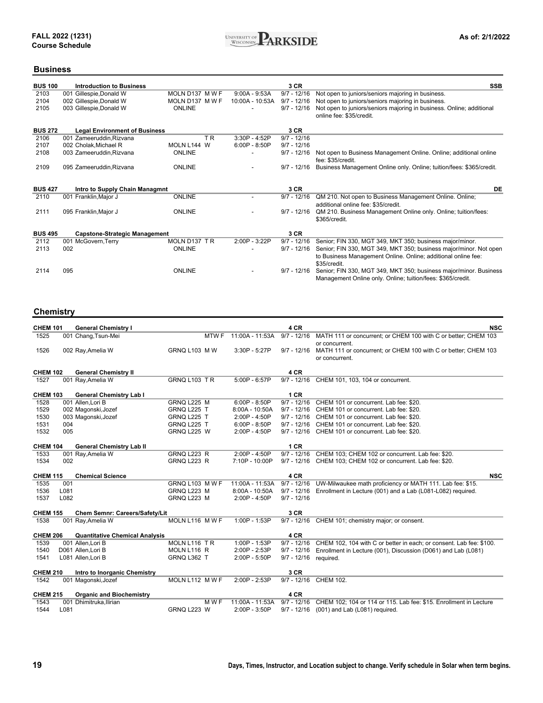

### **Business**

| <b>BUS 100</b> | <b>Introduction to Business</b>      |                 |                 | 3 CR          | <b>SSB</b>                                                           |
|----------------|--------------------------------------|-----------------|-----------------|---------------|----------------------------------------------------------------------|
| 2103           | 001 Gillespie, Donald W              | MOLN D137 M W F | $9:00A - 9:53A$ | $9/7 - 12/16$ | Not open to juniors/seniors majoring in business.                    |
| 2104           | 002 Gillespie, Donald W              | MOLN D137 M W F | 10:00A - 10:53A | $9/7 - 12/16$ | Not open to juniors/seniors majoring in business.                    |
| 2105           | 003 Gillespie, Donald W              | <b>ONLINE</b>   |                 | $9/7 - 12/16$ | Not open to juniors/seniors majoring in business. Online; additional |
|                |                                      |                 |                 |               | online fee: \$35/credit.                                             |
| <b>BUS 272</b> | <b>Legal Environment of Business</b> |                 |                 | 3 CR          |                                                                      |
| 2106           | 001 Zameeruddin, Rizvana             | T R             | 3:30P - 4:52P   | $9/7 - 12/16$ |                                                                      |
| 2107           | 002 Cholak, Michael R                | MOLN L144 W     | $6:00P - 8:50P$ | $9/7 - 12/16$ |                                                                      |
| 2108           | 003 Zameeruddin, Rizvana             | <b>ONLINE</b>   |                 | $9/7 - 12/16$ | Not open to Business Management Online. Online; additional online    |
|                |                                      |                 |                 |               | fee: \$35/credit.                                                    |
| 2109           | 095 Zameeruddin, Rizvana             | <b>ONLINE</b>   |                 | $9/7 - 12/16$ | Business Management Online only. Online; tuition/fees: \$365/credit. |
|                |                                      |                 |                 |               |                                                                      |
| <b>BUS 427</b> | Intro to Supply Chain Managmnt       |                 |                 | 3 CR          | DE                                                                   |
| 2110           | 001 Franklin, Major J                | <b>ONLINE</b>   |                 | $9/7 - 12/16$ | QM 210. Not open to Business Management Online. Online;              |
|                |                                      |                 |                 |               | additional online fee: \$35/credit.                                  |
| 2111           | 095 Franklin, Major J                | <b>ONLINE</b>   |                 | $9/7 - 12/16$ | QM 210. Business Management Online only. Online; tuition/fees:       |
|                |                                      |                 |                 |               | \$365/credit.                                                        |
| <b>BUS 495</b> | <b>Capstone-Strategic Management</b> |                 |                 | 3 CR          |                                                                      |
| 2112           | 001 McGovern, Terry                  | MOLN D137 TR    | $2:00P - 3:22P$ | $9/7 - 12/16$ | Senior; FIN 330, MGT 349, MKT 350; business major/minor.             |
| 2113           | 002                                  | <b>ONLINE</b>   |                 | $9/7 - 12/16$ | Senior; FIN 330, MGT 349, MKT 350; business major/minor. Not open    |
|                |                                      |                 |                 |               | to Business Management Online. Online; additional online fee:        |
|                |                                      |                 |                 |               | \$35/credit.                                                         |
| 2114           | 095                                  | <b>ONLINE</b>   |                 | $9/7 - 12/16$ | Senior; FIN 330, MGT 349, MKT 350; business major/minor. Business    |
|                |                                      |                 |                 |               | Management Online only. Online; tuition/fees: \$365/credit.          |
|                |                                      |                 |                 |               |                                                                      |

#### **Chemistry**

| <b>CHEM 101</b> |      | <b>General Chemistry I</b>                           |                     |       |                  | 4 CR          | <b>NSC</b>                                                          |
|-----------------|------|------------------------------------------------------|---------------------|-------|------------------|---------------|---------------------------------------------------------------------|
| 1525            |      | 001 Chang, Tsun-Mei                                  |                     | MTW F | 11:00A - 11:53A  | $9/7 - 12/16$ | MATH 111 or concurrent; or CHEM 100 with C or better; CHEM 103      |
|                 |      |                                                      |                     |       |                  |               | or concurrent.                                                      |
| 1526            |      | 002 Ray, Amelia W                                    | <b>GRNQ L103 MW</b> |       | 3:30P - 5:27P    | $9/7 - 12/16$ | MATH 111 or concurrent; or CHEM 100 with C or better; CHEM 103      |
|                 |      |                                                      |                     |       |                  |               | or concurrent.                                                      |
| <b>CHEM 102</b> |      | <b>General Chemistry II</b>                          |                     |       |                  | 4 CR          |                                                                     |
| 1527            |      | 001 Ray, Amelia W                                    | GRNQ L103 TR        |       | $5:00P - 6:57P$  | $9/7 - 12/16$ | CHEM 101, 103, 104 or concurrent.                                   |
|                 |      |                                                      |                     |       |                  |               |                                                                     |
| <b>CHEM 103</b> |      | <b>General Chemistry Lab I</b>                       |                     |       |                  | 1 CR          |                                                                     |
| 1528            |      | 001 Allen, Lori B                                    | GRNQ L225 M         |       | $6:00P - 8:50P$  | $9/7 - 12/16$ | CHEM 101 or concurrent. Lab fee: \$20.                              |
| 1529            |      | 002 Magonski, Jozef                                  | GRNQ L225 T         |       | $8:00A - 10:50A$ | $9/7 - 12/16$ | CHEM 101 or concurrent. Lab fee: \$20.                              |
| 1530            |      | 003 Magonski, Jozef                                  | GRNQ L225 T         |       | $2:00P - 4:50P$  | $9/7 - 12/16$ | CHEM 101 or concurrent. Lab fee: \$20.                              |
| 1531            | 004  |                                                      | GRNQ L225 T         |       | $6:00P - 8:50P$  | $9/7 - 12/16$ | CHEM 101 or concurrent. Lab fee: \$20.                              |
| 1532            | 005  |                                                      | GRNQ L225 W         |       | 2:00P - 4:50P    | $9/7 - 12/16$ | CHEM 101 or concurrent. Lab fee: \$20.                              |
| <b>CHEM 104</b> |      |                                                      |                     |       |                  | 1CR           |                                                                     |
| 1533            |      | <b>General Chemistry Lab II</b><br>001 Ray, Amelia W | <b>GRNQ L223 R</b>  |       | $2:00P - 4:50P$  | $9/7 - 12/16$ | CHEM 103; CHEM 102 or concurrent. Lab fee: \$20.                    |
| 1534            | 002  |                                                      | GRNQ L223 R         |       | 7:10P - 10:00P   | $9/7 - 12/16$ | CHEM 103; CHEM 102 or concurrent. Lab fee: \$20.                    |
|                 |      |                                                      |                     |       |                  |               |                                                                     |
| <b>CHEM 115</b> |      | <b>Chemical Science</b>                              |                     |       |                  | 4 CR          | <b>NSC</b>                                                          |
| 1535            | 001  |                                                      | GRNQ L103 MWF       |       | 11:00A - 11:53A  | $9/7 - 12/16$ | UW-Milwaukee math proficiency or MATH 111. Lab fee: \$15.           |
| 1536            | L081 |                                                      | GRNQ L223 M         |       | 8:00A - 10:50A   | $9/7 - 12/16$ | Enrollment in Lecture (001) and a Lab (L081-L082) required.         |
| 1537            | L082 |                                                      | GRNQ L223 M         |       | 2:00P - 4:50P    | $9/7 - 12/16$ |                                                                     |
| <b>CHEM 155</b> |      | Chem Semnr: Careers/Safety/Lit                       |                     |       |                  | 3 CR          |                                                                     |
| 1538            |      | 001 Ray, Amelia W                                    | MOLN L116 M W F     |       | 1:00P - 1:53P    | $9/7 - 12/16$ | CHEM 101; chemistry major; or consent.                              |
|                 |      |                                                      |                     |       |                  |               |                                                                     |
| <b>CHEM 206</b> |      | <b>Quantitative Chemical Analysis</b>                |                     |       |                  | 4 CR          |                                                                     |
| 1539            |      | 001 Allen, Lori B                                    | MOLN L116 TR        |       | 1:00P - 1:53P    | $9/7 - 12/16$ | CHEM 102, 104 with C or better in each; or consent. Lab fee: \$100. |
| 1540            |      | D061 Allen, Lori B                                   | MOLN L116 R         |       | 2:00P - 2:53P    | $9/7 - 12/16$ | Enrollment in Lecture (001), Discussion (D061) and Lab (L081)       |
| 1541            |      | L081 Allen, Lori B                                   | GRNQ L362 T         |       | 2:00P - 5:50P    | $9/7 - 12/16$ | required.                                                           |
|                 |      |                                                      |                     |       |                  |               |                                                                     |
| <b>CHEM 210</b> |      | Intro to Inorganic Chemistry                         |                     |       |                  | 3 CR          |                                                                     |
| 1542            |      | 001 Magonski, Jozef                                  | MOLN L112 M W F     |       | 2:00P - 2:53P    | $9/7 - 12/16$ | <b>CHEM 102.</b>                                                    |
| <b>CHEM 215</b> |      | <b>Organic and Biochemistry</b>                      |                     |       |                  | 4 CR          |                                                                     |
| 1543            |      | 001 Dhimitruka, Ilirian                              |                     | M W F | 11:00A - 11:53A  | $9/7 - 12/16$ | CHEM 102; 104 or 114 or 115. Lab fee: \$15. Enrollment in Lecture   |
| 1544            | L081 |                                                      | GRNQ L223 W         |       | 2:00P - 3:50P    | $9/7 - 12/16$ | (001) and Lab (L081) required.                                      |
|                 |      |                                                      |                     |       |                  |               |                                                                     |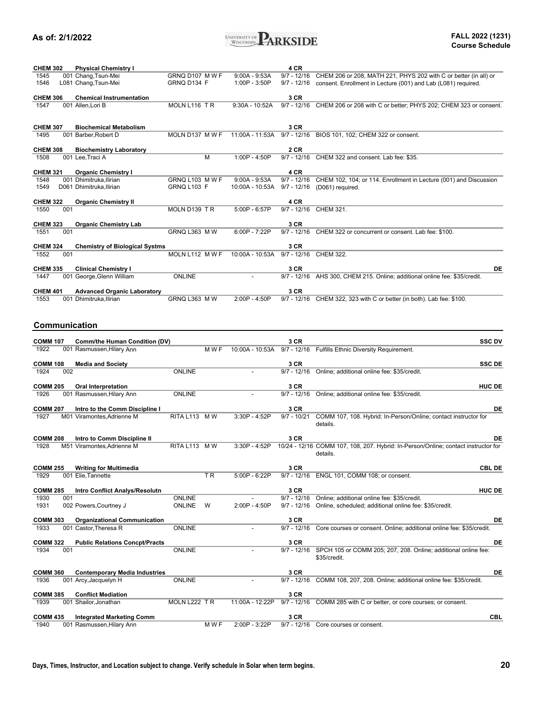

| <b>CHEM 302</b>         |     | <b>Physical Chemistry I</b>                        |                 |       |                 | 4 CR                  |                                                                                    |
|-------------------------|-----|----------------------------------------------------|-----------------|-------|-----------------|-----------------------|------------------------------------------------------------------------------------|
| 1545                    |     | 001 Chang, Tsun-Mei                                | GRNQ D107 M W F |       | $9:00A - 9:53A$ | $9/7 - 12/16$         | CHEM 206 or 208, MATH 221, PHYS 202 with C or better (in all) or                   |
| 1546                    |     | L081 Chang, Tsun-Mei                               | GRNQ D134 F     |       | 1:00P - 3:50P   | $9/7 - 12/16$         | consent. Enrollment in Lecture (001) and Lab (L081) required.                      |
|                         |     |                                                    |                 |       |                 |                       |                                                                                    |
| <b>CHEM 306</b>         |     | <b>Chemical Instrumentation</b>                    |                 |       |                 | 3 CR                  |                                                                                    |
| 1547                    |     | 001 Allen, Lori B                                  | MOLN L116 TR    |       | 9:30A - 10:52A  |                       | 9/7 - 12/16 CHEM 206 or 208 with C or better; PHYS 202; CHEM 323 or consent.       |
|                         |     |                                                    |                 |       |                 |                       |                                                                                    |
|                         |     |                                                    |                 |       |                 |                       |                                                                                    |
| <b>CHEM 307</b>         |     | <b>Biochemical Metabolism</b>                      |                 |       |                 | 3 CR                  |                                                                                    |
| 1495                    |     | 001 Barber, Robert D                               | MOLN D137 M W F |       | 11:00A - 11:53A | $9/7 - 12/16$         | BIOS 101, 102; CHEM 322 or consent.                                                |
|                         |     |                                                    |                 |       |                 |                       |                                                                                    |
| <b>CHEM 308</b>         |     | <b>Biochemistry Laboratory</b>                     |                 |       |                 | 2 CR                  |                                                                                    |
| 1508                    |     | 001 Lee, Traci A                                   |                 | м     | 1:00P - 4:50P   |                       | 9/7 - 12/16 CHEM 322 and consent. Lab fee: \$35.                                   |
|                         |     |                                                    |                 |       |                 |                       |                                                                                    |
| <b>CHEM 321</b>         |     | <b>Organic Chemistry I</b>                         |                 |       |                 | 4 CR                  |                                                                                    |
| 1548                    |     | 001 Dhimitruka, Ilirian                            | GRNQ L103 M W F |       | $9:00A - 9:53A$ |                       | 9/7 - 12/16 CHEM 102, 104; or 114. Enrollment in Lecture (001) and Discussion      |
| 1549                    |     | D061 Dhimitruka, Ilirian                           | GRNQ L103 F     |       | 10:00A - 10:53A | $9/7 - 12/16$         | (D061) required.                                                                   |
|                         |     |                                                    |                 |       |                 |                       |                                                                                    |
| <b>CHEM 322</b>         |     | <b>Organic Chemistry II</b>                        |                 |       |                 | 4 CR                  |                                                                                    |
| 1550                    | 001 |                                                    | MOLN D139 TR    |       | 5:00P - 6:57P   | $9/7 - 12/16$         | CHEM 321.                                                                          |
|                         |     |                                                    |                 |       |                 |                       |                                                                                    |
| <b>CHEM 323</b>         |     | <b>Organic Chemistry Lab</b>                       |                 |       |                 | 3 CR                  |                                                                                    |
|                         |     |                                                    |                 |       |                 |                       |                                                                                    |
| 1551                    | 001 |                                                    | GRNQ L363 M W   |       | 6:00P - 7:22P   |                       | 9/7 - 12/16 CHEM 322 or concurrent or consent. Lab fee: \$100.                     |
|                         |     |                                                    |                 |       |                 |                       |                                                                                    |
| <b>CHEM 324</b>         |     | <b>Chemistry of Biological Systms</b>              |                 |       |                 | 3 CR                  |                                                                                    |
| 1552                    | 001 |                                                    | MOLN L112 M W F |       | 10:00A - 10:53A | 9/7 - 12/16 CHEM 322. |                                                                                    |
|                         |     |                                                    |                 |       |                 |                       |                                                                                    |
| <b>CHEM 335</b>         |     | <b>Clinical Chemistry I</b>                        |                 |       |                 | 3 CR                  | DE                                                                                 |
| 1447                    |     | 001 George, Glenn William                          | <b>ONLINE</b>   |       |                 |                       | 9/7 - 12/16 AHS 300, CHEM 215. Online; additional online fee: \$35/credit.         |
|                         |     |                                                    |                 |       |                 |                       |                                                                                    |
| <b>CHEM 401</b>         |     | <b>Advanced Organic Laboratory</b>                 |                 |       |                 | 3 CR                  |                                                                                    |
| 1553                    |     | 001 Dhimitruka, Ilirian                            | GRNQ L363 MW    |       | 2:00P - 4:50P   |                       | 9/7 - 12/16 CHEM 322, 323 with C or better (in both). Lab fee: \$100.              |
|                         |     |                                                    |                 |       |                 |                       |                                                                                    |
|                         |     |                                                    |                 |       |                 |                       |                                                                                    |
|                         |     |                                                    |                 |       |                 |                       |                                                                                    |
|                         |     | Communication                                      |                 |       |                 |                       |                                                                                    |
|                         |     |                                                    |                 |       |                 |                       |                                                                                    |
|                         |     |                                                    |                 |       |                 |                       |                                                                                    |
| <b>COMM 107</b>         |     | Comm/the Human Condition (DV)                      |                 |       |                 | 3 CR                  | <b>SSC DV</b>                                                                      |
| 1922                    |     | 001 Rasmussen, Hilary Ann                          |                 | M W F |                 |                       | 10:00A - 10:53A 9/7 - 12/16 Fulfills Ethnic Diversity Requirement.                 |
|                         |     |                                                    |                 |       |                 |                       |                                                                                    |
| <b>COMM 108</b>         |     | <b>Media and Society</b>                           |                 |       |                 | 3 CR                  | <b>SSC DE</b>                                                                      |
| 1924                    | 002 |                                                    | <b>ONLINE</b>   |       |                 |                       | 9/7 - 12/16 Online; additional online fee: \$35/credit.                            |
|                         |     |                                                    |                 |       |                 |                       |                                                                                    |
| <b>COMM 205</b>         |     |                                                    |                 |       |                 | 3 CR                  | <b>HUC DE</b>                                                                      |
|                         |     | <b>Oral Interpretation</b>                         |                 |       |                 |                       |                                                                                    |
| 1926                    |     | 001 Rasmussen, Hilary Ann                          | <b>ONLINE</b>   |       |                 | $9/7 - 12/16$         | Online; additional online fee: \$35/credit.                                        |
|                         |     |                                                    |                 |       |                 |                       |                                                                                    |
| <b>COMM 207</b>         |     | Intro to the Comm Discipline I                     |                 |       |                 | 3 CR                  | DE                                                                                 |
| 1927                    |     | M01 Viramontes, Adrienne M                         | RITA L113 MW    |       | 3:30P - 4:52P   | $9/7 - 10/21$         | COMM 107, 108. Hybrid: In-Person/Online; contact instructor for                    |
|                         |     |                                                    |                 |       |                 |                       | details.                                                                           |
|                         |     |                                                    |                 |       |                 |                       |                                                                                    |
| <b>COMM 208</b>         |     | Intro to Comm Discipline II                        |                 |       |                 | 3 CR                  | DE                                                                                 |
| 1928                    |     | M51 Viramontes.Adrienne M                          | RITA L113 MW    |       | 3:30P - 4:52P   |                       | 10/24 - 12/16 COMM 107, 108, 207. Hybrid: In-Person/Online; contact instructor for |
|                         |     |                                                    |                 |       |                 |                       | details.                                                                           |
|                         |     |                                                    |                 |       |                 |                       |                                                                                    |
| <b>COMM 255</b>         |     | <b>Writing for Multimedia</b>                      |                 |       |                 | 3 CR                  | <b>CBL DE</b>                                                                      |
| 1929                    |     | 001 Elie, Tannette                                 |                 | TR.   | 5:00P - 6:22P   | $9/7 - 12/16$         | ENGL 101, COMM 108; or consent.                                                    |
|                         |     |                                                    |                 |       |                 |                       |                                                                                    |
| <b>COMM 285</b>         |     | <b>Intro Conflict Analys/Resolutn</b>              |                 |       |                 | 3 CR                  | <b>HUC DE</b>                                                                      |
| 1930                    | 001 |                                                    | <b>ONLINE</b>   |       |                 | $9/7 - 12/16$         | Online; additional online fee: \$35/credit.                                        |
| 1931                    |     | 002 Powers, Courtney J                             | <b>ONLINE</b>   | W     | 2:00P - 4:50P   | $9/7 - 12/16$         | Online, scheduled; additional online fee: \$35/credit.                             |
|                         |     |                                                    |                 |       |                 |                       |                                                                                    |
| <b>COMM 303</b>         |     | <b>Organizational Communication</b>                |                 |       |                 | 3 CR                  | DE                                                                                 |
| 1933                    |     | 001 Castor, Theresa R                              | <b>ONLINE</b>   |       |                 | $9/7 - 12/16$         | Core courses or consent. Online; additional online fee: \$35/credit.               |
|                         |     |                                                    |                 |       |                 |                       |                                                                                    |
|                         |     |                                                    |                 |       |                 |                       |                                                                                    |
| <b>COMM 322</b>         |     | <b>Public Relations Concpt/Practs</b>              |                 |       |                 | 3 CR                  | DE                                                                                 |
| 1934                    | 001 |                                                    | <b>ONLINE</b>   |       |                 | $9/7 - 12/16$         | SPCH 105 or COMM 205; 207, 208. Online; additional online fee:                     |
|                         |     |                                                    |                 |       |                 |                       | \$35/credit.                                                                       |
|                         |     |                                                    |                 |       |                 |                       |                                                                                    |
| <b>COMM 360</b>         |     | <b>Contemporary Media Industries</b>               |                 |       |                 | 3 CR                  | DE                                                                                 |
| 1936                    |     | 001 Arcy, Jacquelyn H                              | ONLINE          |       |                 | $9/7 - 12/16$         | COMM 108, 207, 208. Online; additional online fee: \$35/credit.                    |
|                         |     |                                                    |                 |       |                 |                       |                                                                                    |
| <b>COMM 385</b><br>1939 |     | <b>Conflict Mediation</b><br>001 Shailor, Jonathan | MOLN L222 TR    |       | 11:00A - 12:22P | 3 CR                  | 9/7 - 12/16 COMM 285 with C or better, or core courses; or consent.                |

**3 CR** CBL 1940 001 Rasmussen,Hilary Ann M W F 2:00P - 3:22P 9/7 - 12/16 Core courses or consent.

**COMM 435 Integrated Marketing Comm**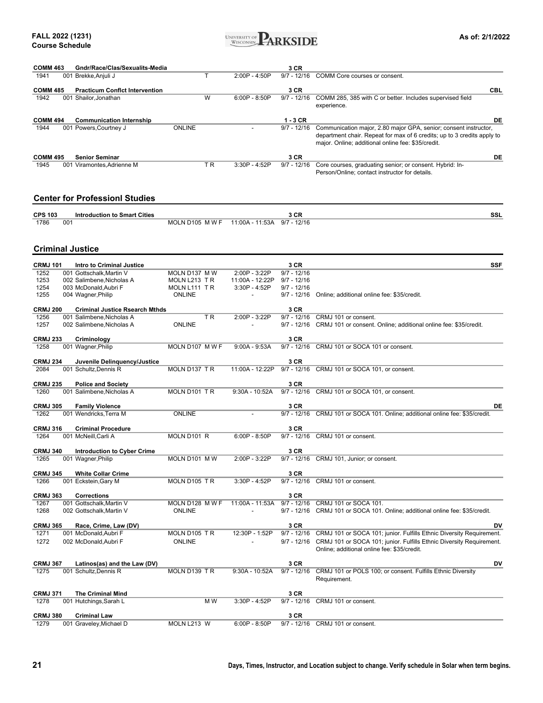

| <b>COMM 463</b><br>1941 |     | Gndr/Race/Clas/Sexualits-Media<br>001 Brekke, Anjuli J | т                      | 2:00P - 4:50P    | 3 CR<br>$9/7 - 12/16$          | COMM Core courses or consent.                                                                                                                                                                     |
|-------------------------|-----|--------------------------------------------------------|------------------------|------------------|--------------------------------|---------------------------------------------------------------------------------------------------------------------------------------------------------------------------------------------------|
|                         |     |                                                        |                        |                  |                                |                                                                                                                                                                                                   |
| <b>COMM 485</b>         |     | <b>Practicum Conflct Intervention</b>                  |                        |                  | 3 CR                           | CBL                                                                                                                                                                                               |
| 1942                    |     | 001 Shailor, Jonathan                                  | W                      | $6:00P - 8:50P$  | $9/7 - 12/16$                  | COMM 285, 385 with C or better. Includes supervised field<br>experience.                                                                                                                          |
| <b>COMM 494</b>         |     | <b>Communication Internship</b>                        |                        |                  | $1 - 3$ CR                     | DE                                                                                                                                                                                                |
| 1944                    |     | 001 Powers, Courtney J                                 | <b>ONLINE</b>          |                  | $9/7 - 12/16$                  | Communication major, 2.80 major GPA, senior; consent instructor,<br>department chair. Repeat for max of 6 credits; up to 3 credits apply to<br>major. Online; additional online fee: \$35/credit. |
| <b>COMM 495</b>         |     | <b>Senior Seminar</b>                                  |                        |                  | 3 CR                           | DE                                                                                                                                                                                                |
| 1945                    |     | 001 Viramontes, Adrienne M                             | TR                     | 3:30P - 4:52P    | $9/7 - 12/16$                  | Core courses, graduating senior; or consent. Hybrid: In-<br>Person/Online; contact instructor for details.                                                                                        |
|                         |     | <b>Center for ProfessionI Studies</b>                  |                        |                  |                                |                                                                                                                                                                                                   |
| <b>CPS 103</b>          |     | <b>Introduction to Smart Cities</b>                    |                        |                  | 3 CR                           | SSL                                                                                                                                                                                               |
| 1786                    | 001 |                                                        | MOLN D105 M W F        | 11:00A - 11:53A  | $9/7 - 12/16$                  |                                                                                                                                                                                                   |
|                         |     | <b>Criminal Justice</b>                                |                        |                  |                                |                                                                                                                                                                                                   |
| <b>CRMJ 101</b>         |     | <b>Intro to Criminal Justice</b>                       |                        |                  | 3 CR                           | <b>SSF</b>                                                                                                                                                                                        |
| 1252                    |     | 001 Gottschalk.Martin V                                | MOLN D137 M W          | 2:00P - 3:22P    | $9/7 - 12/16$                  |                                                                                                                                                                                                   |
| 1253                    |     | 002 Salimbene, Nicholas A                              | MOLN L213 TR           | 11:00A - 12:22P  | $9/7 - 12/16$                  |                                                                                                                                                                                                   |
| 1254<br>1255            |     | 003 McDonald, Aubri F<br>004 Wagner, Philip            | MOLN L111 TR<br>ONLINE | 3:30P - 4:52P    | $9/7 - 12/16$<br>$9/7 - 12/16$ | Online; additional online fee: \$35/credit.                                                                                                                                                       |
|                         |     |                                                        |                        |                  |                                |                                                                                                                                                                                                   |
| <b>CRMJ 200</b>         |     | <b>Criminal Justice Rsearch Mthds</b>                  |                        |                  | 3 CR                           |                                                                                                                                                                                                   |
| 1256<br>1257            |     | 001 Salimbene, Nicholas A<br>002 Salimbene, Nicholas A | TR.<br><b>ONLINE</b>   | 2:00P - 3:22P    | $9/7 - 12/16$<br>$9/7 - 12/16$ | CRMJ 101 or consent.<br>CRMJ 101 or consent. Online; additional online fee: \$35/credit.                                                                                                          |
|                         |     |                                                        |                        |                  |                                |                                                                                                                                                                                                   |
| <b>CRMJ 233</b>         |     | Criminology                                            |                        |                  | 3 CR                           |                                                                                                                                                                                                   |
| 1258                    |     | 001 Wagner, Philip                                     | MOLN D107 M W F        | $9:00A - 9:53A$  |                                | 9/7 - 12/16 CRMJ 101 or SOCA 101 or consent.                                                                                                                                                      |
| <b>CRMJ 234</b>         |     | Juvenile Delinquency/Justice                           |                        |                  | 3 CR                           |                                                                                                                                                                                                   |
| 2084                    |     | 001 Schultz, Dennis R                                  | MOLN D137 TR           | 11:00A - 12:22P  | $9/7 - 12/16$                  | CRMJ 101 or SOCA 101, or consent.                                                                                                                                                                 |
| <b>CRMJ 235</b>         |     | <b>Police and Society</b>                              |                        |                  | 3 CR                           |                                                                                                                                                                                                   |
| 1260                    |     | 001 Salimbene, Nicholas A                              | MOLN D101 TR           | $9:30A - 10:52A$ | $9/7 - 12/16$                  | CRMJ 101 or SOCA 101, or consent.                                                                                                                                                                 |
|                         |     |                                                        |                        |                  |                                |                                                                                                                                                                                                   |
| <b>CRMJ 305</b><br>1262 |     | <b>Family Violence</b><br>001 Wendricks, Terra M       | <b>ONLINE</b>          |                  | 3 CR<br>$9/7 - 12/16$          | DE<br>CRMJ 101 or SOCA 101. Online; additional online fee: \$35/credit.                                                                                                                           |
|                         |     |                                                        |                        |                  |                                |                                                                                                                                                                                                   |
| <b>CRMJ 316</b>         |     | <b>Criminal Procedure</b>                              |                        |                  | 3 CR                           |                                                                                                                                                                                                   |
| 1264                    |     | 001 McNeill, Carli A                                   | MOLN D101 R            | $6:00P - 8:50P$  |                                | 9/7 - 12/16 CRMJ 101 or consent.                                                                                                                                                                  |
| <b>CRMJ 340</b>         |     | <b>Introduction to Cyber Crime</b>                     |                        |                  | 3 CR                           |                                                                                                                                                                                                   |
| 1265                    |     | 001 Wagner, Philip                                     | MOLN D101 MW           | 2:00P - 3:22P    |                                | 9/7 - 12/16 CRMJ 101, Junior; or consent.                                                                                                                                                         |
| <b>CRMJ 345</b>         |     | <b>White Collar Crime</b>                              |                        |                  | 3 CR                           |                                                                                                                                                                                                   |
| 1266                    |     | 001 Eckstein, Gary M                                   | MOLN D105 TR           | 3:30P - 4:52P    | $9/7 - 12/16$                  | CRMJ 101 or consent.                                                                                                                                                                              |
|                         |     |                                                        |                        |                  |                                |                                                                                                                                                                                                   |
| <b>CRMJ 363</b><br>1267 |     | <b>Corrections</b><br>001 Gottschalk, Martin V         | MOLN D128 M W F        | 11:00A - 11:53A  | 3 CR<br>$9/7 - 12/16$          | CRMJ 101 or SOCA 101.                                                                                                                                                                             |
| 1268                    |     | 002 Gottschalk, Martin V                               | <b>ONLINE</b>          |                  | $9/7 - 12/16$                  | CRMJ 101 or SOCA 101. Online; additional online fee: \$35/credit.                                                                                                                                 |
| <b>CRMJ 365</b>         |     | Race, Crime, Law (DV)                                  |                        |                  | 3 CR                           | DV                                                                                                                                                                                                |
| 1271                    |     | 001 McDonald, Aubri F                                  | MOLN D105 TR           | 12:30P - 1:52P   | $9/7 - 12/16$                  | CRMJ 101 or SOCA 101; junior. Fulfills Ethnic Diversity Requirement.                                                                                                                              |
| 1272                    |     | 002 McDonald, Aubri F                                  | <b>ONLINE</b>          |                  | $9/7 - 12/16$                  | CRMJ 101 or SOCA 101; junior. Fulfills Ethnic Diversity Requirement.<br>Online; additional online fee: \$35/credit.                                                                               |
|                         |     |                                                        |                        |                  |                                |                                                                                                                                                                                                   |
| <b>CRMJ 367</b>         |     | Latinos(as) and the Law (DV)                           |                        |                  | 3 CR                           | DV                                                                                                                                                                                                |
| 1275                    |     | 001 Schultz, Dennis R                                  | MOLN D139 TR           | $9:30A - 10:52A$ | $9/7 - 12/16$                  | CRMJ 101 or POLS 100; or consent. Fulfills Ethnic Diversity<br>Requirement.                                                                                                                       |
| <b>CRMJ 371</b>         |     | <b>The Criminal Mind</b>                               |                        |                  | 3 CR                           |                                                                                                                                                                                                   |
| 1278                    |     | 001 Hutchings, Sarah L                                 | M W                    | 3:30P - 4:52P    | $9/7 - 12/16$                  | CRMJ 101 or consent.                                                                                                                                                                              |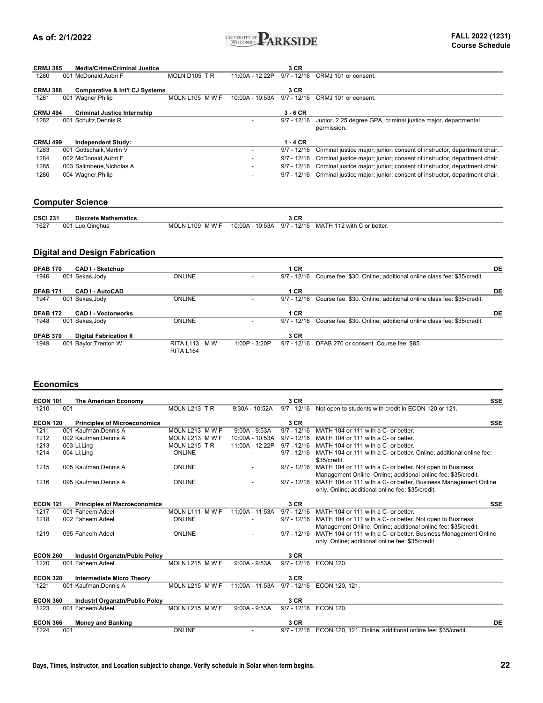

| <b>CRMJ 385</b> |     | <b>Media/Crime/Criminal Justice</b>       |                 |                 | 3 CR          |                                                                              |
|-----------------|-----|-------------------------------------------|-----------------|-----------------|---------------|------------------------------------------------------------------------------|
| 1280            |     | 001 McDonald, Aubri F                     | MOLN D105 TR    | 11:00A - 12:22P | $9/7 - 12/16$ | CRMJ 101 or consent.                                                         |
| <b>CRMJ 388</b> |     | <b>Comparative &amp; Int'l CJ Systems</b> |                 |                 | 3 CR          |                                                                              |
| 1281            |     | 001 Wagner, Philip                        | MOLN L105 MWF   | 10:00A - 10:53A | $9/7 - 12/16$ | CRMJ 101 or consent.                                                         |
| <b>CRMJ 494</b> |     | <b>Criminal Justice Internship</b>        |                 |                 | $3 - 6$ CR    |                                                                              |
| 1282            | 001 | Schultz, Dennis R                         |                 |                 | $9/7 - 12/16$ | Junior, 2.25 degree GPA, criminal justice major, departmental<br>permission. |
| <b>CRMJ 499</b> |     | <b>Independent Study:</b>                 |                 |                 | $1 - 4$ CR    |                                                                              |
| 1283            | 001 | Gottschalk, Martin V                      |                 |                 | $9/7 - 12/16$ | Criminal justice major; junior; consent of instructor, department chair.     |
| 1284            |     | 002 McDonald, Aubri F                     |                 |                 | $9/7 - 12/16$ | Criminal justice major; junior; consent of instructor, department chair.     |
| 1285            |     | 003 Salimbene, Nicholas A                 |                 |                 | $9/7 - 12/16$ | Criminal justice major; junior; consent of instructor, department chair.     |
| 1286            |     | 004 Wagner, Philip                        |                 |                 | $9/7 - 12/16$ | Criminal justice major; junior; consent of instructor, department chair.     |
|                 |     | <b>Computer Science</b>                   |                 |                 |               |                                                                              |
| <b>CSCI 231</b> |     | <b>Discrete Mathematics</b>               |                 |                 | 3 CR          |                                                                              |
| 1627            |     | 001 Luo, Qinghua                          | MOLN L109 M W F | 10:00A - 10:53A | $9/7 - 12/16$ | MATH 112 with C or better.                                                   |
|                 |     |                                           |                 |                 |               |                                                                              |
|                 |     |                                           |                 |                 |               |                                                                              |

#### **Digital and Design Fabrication**

| <b>DFAB 170</b><br><b>CAD I - Sketchup</b>       |                                  |               | 1 CR          |                                                                     | DE |
|--------------------------------------------------|----------------------------------|---------------|---------------|---------------------------------------------------------------------|----|
| 1946<br>001 Sekas, Jody                          | <b>ONLINE</b>                    |               | $9/7 - 12/16$ | Course fee: \$30, Online: additional online class fee: \$35/credit. |    |
| <b>DFAB 171</b><br><b>CAD I - AutoCAD</b>        |                                  |               | 1 CR          |                                                                     | DE |
| 1947<br>001 Sekas, Jody                          | <b>ONLINE</b>                    |               | $9/7 - 12/16$ | Course fee: \$30. Online: additional online class fee: \$35/credit. |    |
| <b>DFAB 172</b><br><b>CAD I - Vectorworks</b>    |                                  |               | 1 CR          |                                                                     | DE |
| 1948<br>001 Sekas, Jody                          | <b>ONLINE</b>                    |               | $9/7 - 12/16$ | Course fee: \$30, Online: additional online class fee: \$35/credit. |    |
| <b>DFAB 370</b><br><b>Digital Fabrication II</b> |                                  |               | 3 CR          |                                                                     |    |
| 1949<br>001 Baylor, Trenton W                    | RITA L113 MW<br><b>RITA L164</b> | 1:00P - 3:20P |               | 9/7 - 12/16 DFAB 270 or consent. Course fee: \$85.                  |    |

#### **Economics**

| <b>ECON 101</b> |     | <b>The American Economy</b>           |                 |                          | 3 CR          | <b>SSE</b>                                                                                                                  |
|-----------------|-----|---------------------------------------|-----------------|--------------------------|---------------|-----------------------------------------------------------------------------------------------------------------------------|
| 1210            | 001 |                                       | MOLN L213 TR    | 9:30A - 10:52A           | $9/7 - 12/16$ | Not open to students with credit in ECON 120 or 121.                                                                        |
| <b>ECON 120</b> |     | <b>Principles of Microeconomics</b>   |                 |                          | 3 CR          | <b>SSE</b>                                                                                                                  |
| 1211            |     | 001 Kaufman.Dennis A                  | MOLN L213 MWF   | $9:00A - 9:53A$          | $9/7 - 12/16$ | MATH 104 or 111 with a C- or better.                                                                                        |
| 1212            |     | 002 Kaufman, Dennis A                 | MOLN L213 MWF   | $10:00A - 10:53A$        | $9/7 - 12/16$ | MATH 104 or 111 with a C- or better.                                                                                        |
| 1213            |     | 003 Li, Ling                          | MOLN L215 TR    | 11:00A - 12:22P          | $9/7 - 12/16$ | MATH 104 or 111 with a C- or better.                                                                                        |
| 1214            |     | 004 Li, Ling                          | <b>ONLINE</b>   | $\overline{\phantom{0}}$ | $9/7 - 12/16$ | MATH 104 or 111 with a C- or better. Online; additional online fee:<br>\$35/credit.                                         |
| 1215            |     | 005 Kaufman, Dennis A                 | <b>ONLINE</b>   |                          | $9/7 - 12/16$ | MATH 104 or 111 with a C- or better. Not open to Business                                                                   |
|                 |     |                                       |                 |                          |               | Management Online. Online; additional online fee: \$35/credit.                                                              |
| 1216            |     | 095 Kaufman, Dennis A                 | <b>ONLINE</b>   |                          | $9/7 - 12/16$ | MATH 104 or 111 with a C- or better. Business Management Online<br>only. Online; additional online fee: \$35/credit.        |
| <b>ECON 121</b> |     | <b>Principles of Macroeconomics</b>   |                 |                          | 3 CR          | <b>SSE</b>                                                                                                                  |
| 1217            |     | 001 Faheem, Adeel                     | MOLN L111 MWF   | 11:00A - 11:53A          | $9/7 - 12/16$ | MATH 104 or 111 with a C- or better.                                                                                        |
| 1218            |     | 002 Faheem, Adeel                     | <b>ONLINE</b>   |                          | $9/7 - 12/16$ | MATH 104 or 111 with a C- or better. Not open to Business<br>Management Online. Online; additional online fee: \$35/credit. |
| 1219            |     | 095 Faheem.Adeel                      | <b>ONLINE</b>   |                          | $9/7 - 12/16$ | MATH 104 or 111 with a C- or better. Business Management Online<br>only. Online; additional online fee: \$35/credit.        |
| <b>ECON 260</b> |     | <b>Industri Organztn/Publc Policy</b> |                 |                          | 3 CR          |                                                                                                                             |
| 1220            |     | 001 Faheem, Adeel                     | MOLN L215 M W F | $9:00A - 9:53A$          | $9/7 - 12/16$ | <b>ECON 120.</b>                                                                                                            |
| <b>ECON 320</b> |     | <b>Intermediate Micro Theory</b>      |                 |                          | 3 CR          |                                                                                                                             |
| 1221            |     | 001 Kaufman, Dennis A                 | MOLN L215 M W F | 11:00A - 11:53A          | $9/7 - 12/16$ | ECON 120, 121.                                                                                                              |
| <b>ECON 360</b> |     | <b>Industri Organztn/Public Polcy</b> |                 |                          | 3 CR          |                                                                                                                             |
| 1223            |     | 001 Faheem, Adeel                     | MOLN L215 M W F | $9:00A - 9:53A$          | $9/7 - 12/16$ | <b>ECON 120.</b>                                                                                                            |
| <b>ECON 366</b> |     | <b>Money and Banking</b>              |                 |                          | 3 CR          | DE                                                                                                                          |
| 1224            | 001 |                                       | ONLINE          |                          | $9/7 - 12/16$ | ECON 120, 121, Online: additional online fee: \$35/credit.                                                                  |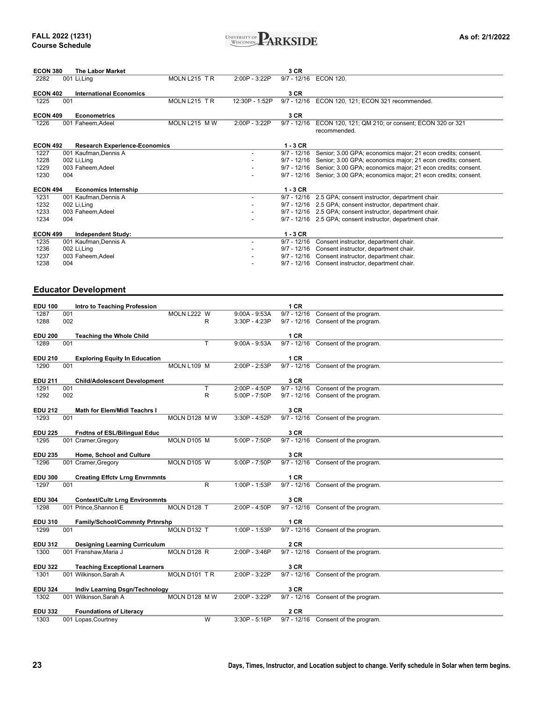

| <b>ECON 380</b> | <b>The Labor Market</b>              |               |                          | 3 CR          |                                                                    |
|-----------------|--------------------------------------|---------------|--------------------------|---------------|--------------------------------------------------------------------|
| 2282            | 001 Li, Ling                         | MOLN L215 TR  | $2:00P - 3:22P$          | $9/7 - 12/16$ | <b>ECON 120.</b>                                                   |
| <b>ECON 402</b> | <b>International Economics</b>       |               |                          | 3 CR          |                                                                    |
| 1225            | 001                                  | MOLN L215 TR  | 12:30P - 1:52P           | $9/7 - 12/16$ | ECON 120, 121; ECON 321 recommended.                               |
| <b>ECON 409</b> | Econometrics                         |               |                          | 3 CR          |                                                                    |
| 1226            | 001 Faheem, Adeel                    | MOLN L215 M W | 2:00P - 3:22P            | $9/7 - 12/16$ | ECON 120, 121; QM 210; or consent; ECON 320 or 321<br>recommended. |
| <b>ECON 492</b> | <b>Research Experience-Economics</b> |               |                          | $1 - 3$ CR    |                                                                    |
| 1227            | 001 Kaufman, Dennis A                |               |                          | $9/7 - 12/16$ | Senior; 3.00 GPA; economics major; 21 econ credits; consent.       |
| 1228            | 002 Li, Ling                         |               |                          | $9/7 - 12/16$ | Senior; 3.00 GPA; economics major; 21 econ credits; consent.       |
| 1229            | 003 Faheem, Adeel                    |               |                          | $9/7 - 12/16$ | Senior; 3.00 GPA; economics major; 21 econ credits; consent.       |
| 1230            | 004                                  |               |                          | $9/7 - 12/16$ | Senior; 3.00 GPA; economics major; 21 econ credits; consent.       |
| <b>ECON 494</b> | <b>Economics Internship</b>          |               |                          | $1 - 3$ CR    |                                                                    |
| 1231            | 001 Kaufman, Dennis A                |               | $\overline{\phantom{0}}$ | $9/7 - 12/16$ | 2.5 GPA; consent instructor, department chair.                     |
| 1232            | 002 Li, Ling                         |               |                          |               | 9/7 - 12/16 2.5 GPA; consent instructor, department chair.         |
| 1233            | 003 Faheem, Adeel                    |               |                          | $9/7 - 12/16$ | 2.5 GPA; consent instructor, department chair.                     |
| 1234            | 004                                  |               |                          |               | 9/7 - 12/16 2.5 GPA; consent instructor, department chair.         |
| <b>ECON 499</b> | <b>Independent Study:</b>            |               |                          | $1 - 3$ CR    |                                                                    |
| 1235            | 001 Kaufman, Dennis A                |               | $\overline{\phantom{0}}$ | $9/7 - 12/16$ | Consent instructor, department chair.                              |
| 1236            | 002 Li, Ling                         |               |                          | $9/7 - 12/16$ | Consent instructor, department chair.                              |
| 1237            | 003 Faheem, Adeel                    |               |                          | $9/7 - 12/16$ | Consent instructor, department chair.                              |
| 1238            | 004                                  |               |                          | $9/7 - 12/16$ | Consent instructor, department chair.                              |

### **Educator Development**

| <b>EDU 100</b>         |     | Intro to Teaching Profession          |               |   |                 | 1 CR          |                                     |
|------------------------|-----|---------------------------------------|---------------|---|-----------------|---------------|-------------------------------------|
| 1287                   | 001 |                                       | MOLN L222 W   |   | $9:00A - 9:53A$ | $9/7 - 12/16$ | Consent of the program.             |
| 1288                   | 002 |                                       |               | R | 3:30P - 4:23P   | $9/7 - 12/16$ | Consent of the program.             |
|                        |     |                                       |               |   |                 |               |                                     |
| <b>EDU 200</b>         |     | <b>Teaching the Whole Child</b>       |               |   |                 | 1 CR          |                                     |
| 1289                   | 001 |                                       |               | т | $9:00A - 9:53A$ |               | 9/7 - 12/16 Consent of the program. |
|                        |     |                                       |               |   |                 |               |                                     |
| <b>EDU 210</b>         |     | <b>Exploring Equity In Education</b>  |               |   |                 | 1 CR          |                                     |
| 1290                   | 001 |                                       | MOLN L109 M   |   | 2:00P - 2:53P   | $9/7 - 12/16$ | Consent of the program.             |
|                        |     |                                       |               |   |                 |               |                                     |
| <b>EDU 211</b>         |     | <b>Child/Adolescent Development</b>   |               |   |                 | 3 CR          |                                     |
| 1291                   | 001 |                                       |               | т | $2:00P - 4:50P$ | $9/7 - 12/16$ | Consent of the program.             |
| 1292                   | 002 |                                       |               | R | 5:00P - 7:50P   |               | 9/7 - 12/16 Consent of the program. |
|                        |     |                                       |               |   |                 |               |                                     |
| <b>EDU 212</b>         |     | Math for Elem/Midl Teachrs I          |               |   |                 | 3 CR          |                                     |
| 1293                   | 001 |                                       | MOLN D128 M W |   | 3:30P - 4:52P   |               | 9/7 - 12/16 Consent of the program. |
|                        |     |                                       |               |   |                 |               |                                     |
| <b>EDU 225</b>         |     | Fndtns of ESL/Bilingual Educ          |               |   |                 | 3 CR          |                                     |
| 1295                   |     | 001 Cramer, Gregory                   | MOLN D105 M   |   | 5:00P - 7:50P   |               | 9/7 - 12/16 Consent of the program. |
|                        |     |                                       |               |   |                 |               |                                     |
| <b>EDU 235</b>         |     | Home, School and Culture              |               |   |                 | 3 CR          |                                     |
| 1296                   |     | 001 Cramer, Gregory                   | MOLN D105 W   |   | 5:00P - 7:50P   |               | 9/7 - 12/16 Consent of the program. |
|                        |     |                                       |               |   |                 | 1 CR          |                                     |
| <b>EDU 300</b><br>1297 | 001 | <b>Creating Effctv Lrng Envrnmnts</b> |               | R | 1:00P - 1:53P   |               | 9/7 - 12/16 Consent of the program. |
|                        |     |                                       |               |   |                 |               |                                     |
| <b>EDU 304</b>         |     | <b>Context/Cultr Lrng Environmnts</b> |               |   |                 | 3 CR          |                                     |
| 1298                   |     | 001 Prince, Shannon E                 | MOLN D128 T   |   | 2:00P - 4:50P   | $9/7 - 12/16$ | Consent of the program.             |
|                        |     |                                       |               |   |                 |               |                                     |
| <b>EDU 310</b>         |     | Family/School/Commnty Prtnrshp        |               |   |                 | 1 CR          |                                     |
| 1299                   | 001 |                                       | MOLN D132 T   |   | 1:00P - 1:53P   | $9/7 - 12/16$ | Consent of the program.             |
|                        |     |                                       |               |   |                 |               |                                     |
| <b>EDU 312</b>         |     | <b>Designing Learning Curriculum</b>  |               |   |                 | <b>2 CR</b>   |                                     |
| 1300                   |     | 001 Franshaw, Maria J                 | MOLN D128 R   |   | 2:00P - 3:46P   | $9/7 - 12/16$ | Consent of the program.             |
|                        |     |                                       |               |   |                 |               |                                     |
| <b>EDU 322</b>         |     | <b>Teaching Exceptional Learners</b>  |               |   |                 | 3 CR          |                                     |
| 1301                   |     | 001 Wilkinson, Sarah A                | MOLN D101 TR  |   | 2:00P - 3:22P   |               | 9/7 - 12/16 Consent of the program. |
|                        |     |                                       |               |   |                 |               |                                     |
| <b>EDU 324</b>         |     | Indiv Learning Dsgn/Technology        |               |   |                 | 3 CR          |                                     |
| 1302                   |     | 001 Wilkinson, Sarah A                | MOLN D128 MW  |   | 2:00P - 3:22P   |               | 9/7 - 12/16 Consent of the program. |
|                        |     |                                       |               |   |                 |               |                                     |
| <b>EDU 332</b>         |     | <b>Foundations of Literacy</b>        |               |   |                 | 2 CR          |                                     |
| 1303                   |     | 001 Lopas, Courtney                   |               | W | 3:30P - 5:16P   |               | 9/7 - 12/16 Consent of the program. |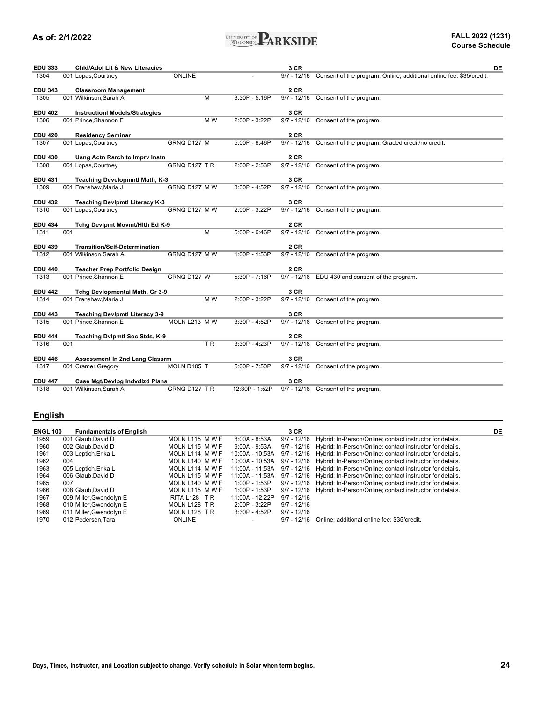

| <b>EDU 333</b> | <b>Chid/Adol Lit &amp; New Literacies</b> |                          |                 | 3 CR          | DE                                                                              |
|----------------|-------------------------------------------|--------------------------|-----------------|---------------|---------------------------------------------------------------------------------|
| 1304           | 001 Lopas, Courtney                       | ONLINE                   |                 |               | 9/7 - 12/16 Consent of the program. Online; additional online fee: \$35/credit. |
| <b>EDU 343</b> | <b>Classroom Management</b>               |                          |                 | <b>2 CR</b>   |                                                                                 |
| 1305           | 001 Wilkinson, Sarah A                    | м                        | 3:30P - 5:16P   |               | 9/7 - 12/16 Consent of the program.                                             |
| <b>EDU 402</b> | <b>InstructionI Models/Strategies</b>     |                          |                 | 3 CR          |                                                                                 |
| 1306           | 001 Prince, Shannon E                     | M W                      | 2:00P - 3:22P   | $9/7 - 12/16$ | Consent of the program.                                                         |
| <b>EDU 420</b> | <b>Residency Seminar</b>                  |                          |                 | 2 CR          |                                                                                 |
| 1307           | 001 Lopas, Courtney                       | GRNQ D127 M              | $5:00P - 6:46P$ |               | 9/7 - 12/16 Consent of the program. Graded credit/no credit.                    |
| <b>EDU 430</b> | Usng Actn Rsrch to Imprv Instn            |                          |                 | <b>2 CR</b>   |                                                                                 |
| 1308           | 001 Lopas, Courtney                       | GRNQ D127 TR             | 2:00P - 2:53P   | $9/7 - 12/16$ | Consent of the program.                                                         |
| <b>EDU 431</b> | Teaching Developmntl Math, K-3            |                          |                 | 3 CR          |                                                                                 |
| 1309           | 001 Franshaw, Maria J                     | GRNQ D127 M W            | 3:30P - 4:52P   |               | 9/7 - 12/16 Consent of the program.                                             |
| <b>EDU 432</b> | <b>Teaching Devlpmtl Literacy K-3</b>     |                          |                 | 3 CR          |                                                                                 |
| 1310           | 001 Lopas, Courtney                       | GRNQ D127 MW             | 2:00P - 3:22P   | $9/7 - 12/16$ | Consent of the program.                                                         |
|                |                                           |                          |                 | 2 CR          |                                                                                 |
| <b>EDU 434</b> | Tchg Devipmt Movmt/Hith Ed K-9            |                          |                 |               |                                                                                 |
| 1311           | 001                                       | м                        | $5:00P - 6:46P$ |               | 9/7 - 12/16 Consent of the program.                                             |
| <b>EDU 439</b> | <b>Transition/Self-Determination</b>      |                          |                 | 2 CR          |                                                                                 |
| 1312           | 001 Wilkinson, Sarah A                    | GRNQ D127 MW             | 1:00P - 1:53P   |               | 9/7 - 12/16 Consent of the program.                                             |
| <b>EDU 440</b> | <b>Teacher Prep Portfolio Design</b>      |                          |                 | 2 CR          |                                                                                 |
| 1313           | 001 Prince, Shannon E                     | GRNQ D127 W              | 5:30P - 7:16P   |               | 9/7 - 12/16 EDU 430 and consent of the program.                                 |
| <b>EDU 442</b> | Tchg Devlopmental Math, Gr 3-9            |                          |                 | 3 CR          |                                                                                 |
| 1314           | 001 Franshaw, Maria J                     | M W                      | 2:00P - 3:22P   |               | 9/7 - 12/16 Consent of the program.                                             |
| <b>EDU 443</b> | <b>Teaching Devipmti Literacy 3-9</b>     |                          |                 | 3 CR          |                                                                                 |
| 1315           | 001 Prince, Shannon E                     | MOLN L213 M W            | 3:30P - 4:52P   | 9/7 - 12/16   | Consent of the program.                                                         |
|                |                                           |                          |                 |               |                                                                                 |
| <b>EDU 444</b> | Teaching Dvlpmtl Soc Stds, K-9            | $\overline{\mathsf{TR}}$ |                 | 2CR           |                                                                                 |
| 1316           | 001                                       |                          | 3:30P - 4:23P   |               | 9/7 - 12/16 Consent of the program.                                             |
| <b>EDU 446</b> | <b>Assessment In 2nd Lang Classrm</b>     |                          |                 | 3 CR          |                                                                                 |
| 1317           | 001 Cramer, Gregory                       | MOLN D105 T              | 5:00P - 7:50P   |               | 9/7 - 12/16 Consent of the program.                                             |
| <b>EDU 447</b> | Case Mgt/Devipg Indvdizd Plans            |                          |                 | 3 CR          |                                                                                 |
| 1318           | 001 Wilkinson, Sarah A                    | GRNQ D127 TR             | 12:30P - 1:52P  |               | 9/7 - 12/16 Consent of the program.                                             |

### **English**

| <b>ENGL 100</b> | <b>Fundamentals of English</b> |                         |                 | 3 CR          |                                                                                       | DE |
|-----------------|--------------------------------|-------------------------|-----------------|---------------|---------------------------------------------------------------------------------------|----|
| 1959            | 001 Glaub.David D              | MOLN L115 MWF           | 8:00A - 8:53A   |               | 9/7 - 12/16 Hybrid: In-Person/Online; contact instructor for details.                 |    |
| 1960            | 002 Glaub.David D              | MOLN L115 MWF           | 9:00A - 9:53A   |               | 9/7 - 12/16 Hybrid: In-Person/Online; contact instructor for details.                 |    |
| 1961            | 003 Leptich, Erika L           | MOLN L114 MWF           | 10:00A - 10:53A |               | 9/7 - 12/16 Hybrid: In-Person/Online; contact instructor for details.                 |    |
| 1962            | 004                            | MOLN L140 MWF           |                 |               | 10:00A - 10:53A 9/7 - 12/16 Hybrid: In-Person/Online; contact instructor for details. |    |
| 1963            | 005 Leptich, Erika L           | MOLN L114 MWF           |                 |               | 11:00A - 11:53A 9/7 - 12/16 Hybrid: In-Person/Online; contact instructor for details. |    |
| 1964            | 006 Glaub.David D              | MOLN L115 M W F         |                 |               | 11:00A - 11:53A 9/7 - 12/16 Hybrid: In-Person/Online; contact instructor for details. |    |
| 1965            | 007                            | MOLN L140 MWF           | $1:00P - 1:53P$ |               | 9/7 - 12/16 Hybrid: In-Person/Online; contact instructor for details.                 |    |
| 1966            | 008 Glaub.David D              | MOLN L115 MWF           | 1:00P - 1:53P   |               | 9/7 - 12/16 Hybrid: In-Person/Online; contact instructor for details.                 |    |
| 1967            | 009 Miller, Gwendolyn E        | RITAL <sub>128</sub> TR | 11:00A - 12:22P | $9/7 - 12/16$ |                                                                                       |    |
| 1968            | 010 Miller, Gwendolyn E        | MOLN L128 TR            | $2:00P - 3:22P$ | $9/7 - 12/16$ |                                                                                       |    |
| 1969            | 011 Miller, Gwendolyn E        | MOLN L128 TR            | $3:30P - 4:52P$ | $9/7 - 12/16$ |                                                                                       |    |
| 1970            | 012 Pedersen, Tara             | <b>ONLINE</b>           |                 | $9/7 - 12/16$ | Online; additional online fee: \$35/credit.                                           |    |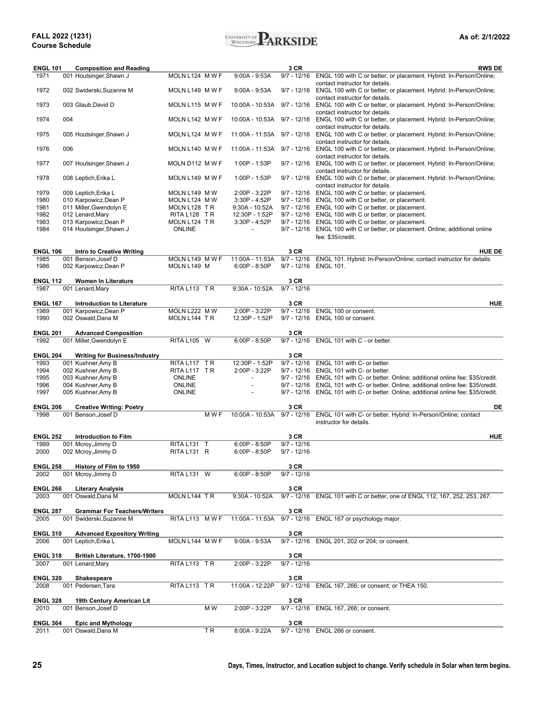#### **FALL 2022 (1231) Course Schedule**



| <b>ENGL 101</b>         |     | <b>Composition and Reading</b>                             |                 |     |                          | 3 CR          | <b>RWS DE</b>                                                                                                                            |
|-------------------------|-----|------------------------------------------------------------|-----------------|-----|--------------------------|---------------|------------------------------------------------------------------------------------------------------------------------------------------|
| 1971                    |     | 001 Houtsinger, Shawn J                                    | MOLN L124 M W F |     | $9:00A - 9:53A$          | $9/7 - 12/16$ | ENGL 100 with C or better, or placement. Hybrid: In-Person/Online;                                                                       |
| 1972                    |     | 002 Swiderski, Suzanne M                                   | MOLN L149 MWF   |     | $9:00A - 9:53A$          |               | contact instructor for details.<br>9/7 - 12/16 ENGL 100 with C or better, or placement. Hybrid: In-Person/Online;                        |
| 1973                    |     | 003 Glaub, David D                                         | MOLN L115 M W F |     | 10:00A - 10:53A          |               | contact instructor for details.<br>9/7 - 12/16 ENGL 100 with C or better, or placement. Hybrid: In-Person/Online;                        |
| 1974                    | 004 |                                                            | MOLN L142 M W F |     | 10:00A - 10:53A          |               | contact instructor for details.<br>9/7 - 12/16 ENGL 100 with C or better, or placement. Hybrid: In-Person/Online;                        |
| 1975                    |     | 005 Houtsinger, Shawn J                                    | MOLN L124 M W F |     | 11:00A - 11:53A          | $9/7 - 12/16$ | contact instructor for details.<br>ENGL 100 with C or better, or placement. Hybrid: In-Person/Online;<br>contact instructor for details. |
| 1976                    | 006 |                                                            | MOLN L140 MWF   |     | 11:00A - 11:53A          |               | 9/7 - 12/16 ENGL 100 with C or better, or placement. Hybrid: In-Person/Online;<br>contact instructor for details.                        |
| 1977                    |     | 007 Houtsinger, Shawn J                                    | MOLN D112 M W F |     | 1:00P - 1:53P            |               | 9/7 - 12/16 ENGL 100 with C or better, or placement. Hybrid: In-Person/Online;<br>contact instructor for details.                        |
| 1978                    |     | 008 Leptich, Erika L                                       | MOLN L149 M W F |     | 1:00P - 1:53P            |               | 9/7 - 12/16 ENGL 100 with C or better, or placement. Hybrid: In-Person/Online;<br>contact instructor for details.                        |
| 1979                    |     | 009 Leptich, Erika L                                       | MOLN L149 M W   |     | 2:00P - 3:22P            |               | 9/7 - 12/16 ENGL 100 with C or better, or placement.                                                                                     |
| 1980                    |     | 010 Karpowicz, Dean P                                      | MOLN L124 M W   |     | 3:30P - 4:52P            |               | 9/7 - 12/16 ENGL 100 with C or better, or placement.                                                                                     |
| 1981                    |     | 011 Miller, Gwendolyn E                                    | MOLN L128 TR    |     | 9:30A - 10:52A           |               | 9/7 - 12/16 ENGL 100 with C or better, or placement.                                                                                     |
| 1982                    |     | 012 Lenard, Mary                                           | RITA L128 TR    |     | 12:30P - 1:52P           |               | 9/7 - 12/16 ENGL 100 with C or better, or placement.                                                                                     |
| 1983                    |     | 013 Karpowicz, Dean P                                      | MOLN L124 TR    |     | 3:30P - 4:52P            |               | 9/7 - 12/16 ENGL 100 with C or better, or placement.                                                                                     |
| 1984                    |     | 014 Houtsinger, Shawn J                                    | <b>ONLINE</b>   |     | $\overline{\phantom{a}}$ |               | 9/7 - 12/16 ENGL 100 with C or better, or placement. Online; additional online<br>fee: \$35/credit.                                      |
| <b>ENGL 106</b>         |     | <b>Intro to Creative Writing</b>                           |                 |     |                          | 3 CR          | <b>HUE DE</b>                                                                                                                            |
| 1985                    |     | 001 Benson, Josef D                                        | MOLN L149 MWF   |     | 11:00A - 11:53A          |               | 9/7 - 12/16 ENGL 101. Hybrid: In-Person/Online; contact instructor for details.                                                          |
| 1986                    |     | 002 Karpowicz, Dean P                                      | MOLN L149 M     |     | $6:00P - 8:50P$          | $9/7 - 12/16$ | <b>ENGL 101.</b>                                                                                                                         |
| <b>ENGL 112</b>         |     | <b>Women In Literature</b>                                 |                 |     |                          | 3 CR          |                                                                                                                                          |
| 1987                    |     | 001 Lenard, Mary                                           | RITA L113 TR    |     | 9:30A - 10:52A           | $9/7 - 12/16$ |                                                                                                                                          |
| <b>ENGL 167</b>         |     | <b>Introduction to Literature</b>                          |                 |     |                          | 3 CR          | <b>HUE</b>                                                                                                                               |
| 1989                    |     | 001 Karpowicz, Dean P                                      | MOLN L222 M W   |     | $2:00P - 3:22P$          |               | 9/7 - 12/16 ENGL 100 or consent.                                                                                                         |
| 1990                    |     | 002 Oswald, Dana M                                         | MOLN L144 TR    |     | 12:30P - 1:52P           |               | 9/7 - 12/16 ENGL 100 or consent.                                                                                                         |
| <b>ENGL 201</b>         |     | <b>Advanced Composition</b>                                |                 |     |                          | 3 CR          |                                                                                                                                          |
| 1992                    |     | 001 Miller, Gwendolyn E                                    | RITA L105 W     |     | $6:00P - 8:50P$          |               | 9/7 - 12/16 ENGL 101 with C - or better.                                                                                                 |
| <b>ENGL 204</b>         |     |                                                            |                 |     |                          | 3 CR          |                                                                                                                                          |
| 1993                    |     | <b>Writing for Business/Industry</b><br>001 Kushner, Amy B | RITA L117 TR    |     | 12:30P - 1:52P           |               | 9/7 - 12/16 ENGL 101 with C- or better.                                                                                                  |
| 1994                    |     | 002 Kushner, Amy B                                         | RITA L117 TR    |     | 2:00P - 3:22P            |               | 9/7 - 12/16 ENGL 101 with C- or better.                                                                                                  |
| 1995                    |     | 003 Kushner, Amy B                                         | <b>ONLINE</b>   |     | $\overline{\phantom{a}}$ |               | 9/7 - 12/16 ENGL 101 with C- or better. Online; additional online fee: \$35/credit.                                                      |
| 1996                    |     | 004 Kushner, Amy B                                         | <b>ONLINE</b>   |     | $\overline{a}$           |               | 9/7 - 12/16 ENGL 101 with C- or better. Online; additional online fee: \$35/credit.                                                      |
| 1997                    |     | 005 Kushner, Amy B                                         | <b>ONLINE</b>   |     | $\overline{\phantom{a}}$ |               | 9/7 - 12/16 ENGL 101 with C- or better. Online; additional online fee: \$35/credit.                                                      |
|                         |     |                                                            |                 |     |                          |               |                                                                                                                                          |
| <b>ENGL 206</b>         |     | <b>Creative Writing: Poetry</b>                            |                 |     |                          | 3 CR          | DE                                                                                                                                       |
| 1998                    |     | 001 Benson, Josef D                                        |                 | MWE | 10:00A - 10:53A          | $9/7 - 12/16$ | ENGL 101 with C- or better. Hybrid: In-Person/Online; contact<br>instructor for details.                                                 |
| <b>ENGL 252</b>         |     | <b>Introduction to Film</b>                                |                 |     |                          | 3 CR          | <b>HUE</b>                                                                                                                               |
| 1999                    |     | 001 Mcroy, Jimmy D                                         | RITA L131 T     |     | $6:00P - 8:50P$          | $9/7 - 12/16$ |                                                                                                                                          |
| 2000                    |     | 002 Mcroy, Jimmy D                                         | RITA L131 R     |     | $6:00P - 8:50P$          | $9/7 - 12/16$ |                                                                                                                                          |
|                         |     |                                                            |                 |     |                          |               |                                                                                                                                          |
| <b>ENGL 258</b>         |     | History of Film to 1950                                    |                 |     |                          | 3 CR          |                                                                                                                                          |
| 2002                    |     | 001 Mcroy, Jimmy D                                         | RITA L131 W     |     | $6:00P - 8:50P$          | $9/7 - 12/16$ |                                                                                                                                          |
| <b>ENGL 266</b>         |     | <b>Literary Analysis</b>                                   |                 |     |                          | 3 CR          |                                                                                                                                          |
| 2003                    |     | 001 Oswald.Dana M                                          | MOLN L144 TR    |     | 9:30A - 10:52A           | $9/7 - 12/16$ | ENGL 101 with C or better, one of ENGL 112, 167, 252, 253, 267.                                                                          |
|                         |     |                                                            |                 |     |                          |               |                                                                                                                                          |
| <b>ENGL 287</b>         |     | <b>Grammar For Teachers/Writers</b>                        |                 |     |                          | 3 CR          |                                                                                                                                          |
| 2005                    |     | 001 Swiderski, Suzanne M                                   | RITA L113 MWF   |     | 11:00A - 11:53A          |               | 9/7 - 12/16 ENGL 167 or psychology major.                                                                                                |
| <b>ENGL 310</b>         |     | <b>Advanced Expository Writing</b>                         |                 |     |                          | 3 CR          |                                                                                                                                          |
| 2006                    |     | 001 Leptich, Erika L                                       | MOLN L144 MWF   |     | $9:00A - 9:53A$          |               | 9/7 - 12/16 ENGL 201, 202 or 204; or consent.                                                                                            |
|                         |     |                                                            |                 |     |                          |               |                                                                                                                                          |
| <b>ENGL 318</b>         |     | British Literature, 1700-1900                              |                 |     |                          | 3 CR          |                                                                                                                                          |
| 2007                    |     | 001 Lenard, Mary                                           | RITA L113 TR    |     | 2:00P - 3:22P            | $9/7 - 12/16$ |                                                                                                                                          |
| <b>ENGL 320</b>         |     | Shakespeare                                                |                 |     |                          | 3 CR          |                                                                                                                                          |
| 2008                    |     | 001 Pedersen, Tara                                         | RITA L113 TR    |     | 11:00A - 12:22P          |               | 9/7 - 12/16 ENGL 167, 266; or consent; or THEA 150.                                                                                      |
| <b>ENGL 328</b>         |     | 19th Century American Lit                                  |                 |     |                          | 3 CR          |                                                                                                                                          |
| 2010                    |     | 001 Benson, Josef D                                        |                 | M W | 2:00P - 3:22P            |               | 9/7 - 12/16 ENGL 167, 266; or consent.                                                                                                   |
|                         |     |                                                            |                 |     |                          |               |                                                                                                                                          |
| <b>ENGL 364</b><br>2011 |     | <b>Epic and Mythology</b><br>001 Oswald, Dana M            |                 | ΤR  | 8:00A - 9:22A            | 3 CR          | 9/7 - 12/16 ENGL 266 or consent.                                                                                                         |
|                         |     |                                                            |                 |     |                          |               |                                                                                                                                          |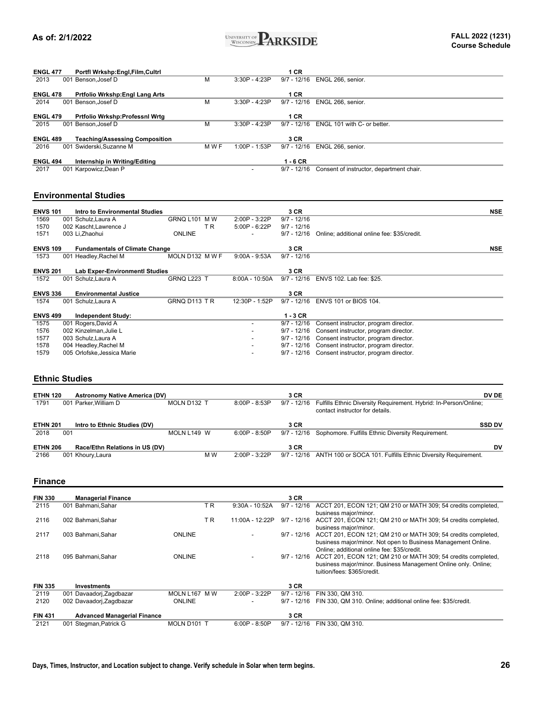

| <b>ENGL 477</b> |     | Portfl Wrkshp:Engl,Film,Cultrl        |       |                 | 1 CR          |                                          |
|-----------------|-----|---------------------------------------|-------|-----------------|---------------|------------------------------------------|
| 2013            |     | 001 Benson.Josef D                    | М     | $3:30P - 4:23P$ | $9/7 - 12/16$ | ENGL 266, senior.                        |
| <b>ENGL 478</b> |     | <b>Prtfolio Wrkshp:Engl Lang Arts</b> |       |                 | 1 CR          |                                          |
| 2014            | 001 | Benson.Josef D                        | М     | $3:30P - 4:23P$ | $9/7 - 12/16$ | ENGL 266, senior.                        |
|                 |     |                                       |       |                 |               |                                          |
| <b>ENGL 479</b> |     | Prtfolio Wrkshp:Professnl Wrtg        |       |                 | 1 CR          |                                          |
| 2015            |     | 001 Benson.Josef D                    | М     | $3:30P - 4:23P$ | $9/7 - 12/16$ | ENGL 101 with C- or better.              |
|                 |     |                                       |       |                 |               |                                          |
| <b>ENGL 489</b> |     | <b>Teaching/Assessing Composition</b> |       |                 | 3 CR          |                                          |
| 2016            |     | 001 Swiderski.Suzanne M               | M W F | $1:00P - 1:53P$ | $9/7 - 12/16$ | ENGL 266, senior.                        |
|                 |     |                                       |       |                 |               |                                          |
| <b>ENGL 494</b> |     | Internship in Writing/Editing         |       |                 | $1 - 6$ CR    |                                          |
| 2017            |     | 001 Karpowicz, Dean P                 |       |                 | $9/7 - 12/16$ | Consent of instructor, department chair. |

#### **Environmental Studies**

| <b>ENVS 101</b> | Intro to Environmental Studies        |                 |                          | 3 CR          |                                             | <b>NSE</b> |
|-----------------|---------------------------------------|-----------------|--------------------------|---------------|---------------------------------------------|------------|
| 1569            | 001 Schulz, Laura A                   | GRNQ L101 MW    | 2:00P - 3:22P            | $9/7 - 12/16$ |                                             |            |
| 1570            | 002 Kascht, Lawrence J                | T R             | $5:00P - 6:22P$          | $9/7 - 12/16$ |                                             |            |
| 1571            | 003 Li, Zhaohui                       | <b>ONLINE</b>   |                          | $9/7 - 12/16$ | Online; additional online fee: \$35/credit. |            |
| <b>ENVS 109</b> | <b>Fundamentals of Climate Change</b> |                 |                          | 3 CR          |                                             | <b>NSE</b> |
| 1573            | 001 Headley, Rachel M                 | MOLN D132 M W F | $9:00A - 9:53A$          | $9/7 - 12/16$ |                                             |            |
| <b>ENVS 201</b> | <b>Lab Exper-Environmentl Studies</b> |                 |                          | 3 CR          |                                             |            |
| 1572            | 001 Schulz, Laura A                   | GRNQ L223 T     | $8:00A - 10:50A$         | $9/7 - 12/16$ | ENVS 102. Lab fee: \$25.                    |            |
| <b>ENVS 336</b> | <b>Environmental Justice</b>          |                 |                          | 3 CR          |                                             |            |
| 1574            | 001 Schulz, Laura A                   | GRNQ D113 TR    | 12:30P - 1:52P           | $9/7 - 12/16$ | ENVS 101 or BIOS 104.                       |            |
| <b>ENVS 499</b> | <b>Independent Study:</b>             |                 |                          | $1 - 3$ CR    |                                             |            |
| 1575            | 001 Rogers, David A                   |                 | $\overline{\phantom{0}}$ | $9/7 - 12/16$ | Consent instructor, program director.       |            |
| 1576            | 002 Kinzelman, Julie L                |                 |                          | 9/7 - 12/16   | Consent instructor, program director.       |            |
| 1577            | 003 Schulz, Laura A                   |                 |                          | $9/7 - 12/16$ | Consent instructor, program director.       |            |
| 1578            | 004 Headley, Rachel M                 |                 | $\overline{\phantom{a}}$ | 9/7 - 12/16   | Consent instructor, program director.       |            |
| 1579            | 005 Orlofske, Jessica Marie           |                 |                          | $9/7 - 12/16$ | Consent instructor, program director.       |            |

#### **Ethnic Studies**

| <b>ETHN 120</b><br>1791 |     | <b>Astronomy Native America (DV)</b><br>001 Parker. William D | MOLN D132 T |     | $8:00P - 8:53P$ | 3 CR<br>9/7 - 12/16 | Fulfills Ethnic Diversity Requirement. Hybrid: In-Person/Online;<br>contact instructor for details. | <b>DV DE</b>  |
|-------------------------|-----|---------------------------------------------------------------|-------------|-----|-----------------|---------------------|-----------------------------------------------------------------------------------------------------|---------------|
| <b>ETHN 201</b><br>2018 | 001 | Intro to Ethnic Studies (DV)                                  | MOLN L149 W |     | $6:00P - 8:50P$ | 3 CR<br>9/7 - 12/16 | Sophomore. Fulfills Ethnic Diversity Requirement.                                                   | <b>SSD DV</b> |
| <b>ETHN 206</b><br>2166 |     | Race/Ethn Relations in US (DV)<br>001 Khoury, Laura           |             | M W | $2:00P - 3:22P$ | 3 CR                | 9/7 - 12/16 ANTH 100 or SOCA 101. Fulfills Ethnic Diversity Requirement.                            | DV            |

#### **Finance**

| <b>FIN 330</b> | <b>Managerial Finance</b>          |               |     |                  | 3 CR          |                                                                                                                                                                                                        |
|----------------|------------------------------------|---------------|-----|------------------|---------------|--------------------------------------------------------------------------------------------------------------------------------------------------------------------------------------------------------|
| 2115           | Bahmani.Sahar<br>001               |               | T R | $9:30A - 10:52A$ | $9/7 - 12/16$ | ACCT 201, ECON 121; QM 210 or MATH 309; 54 credits completed,                                                                                                                                          |
| 2116           | 002 Bahmani, Sahar                 |               | T R | 11:00A - 12:22P  | $9/7 - 12/16$ | business major/minor.<br>ACCT 201, ECON 121; QM 210 or MATH 309; 54 credits completed,                                                                                                                 |
| 2117           | 003 Bahmani, Sahar                 | <b>ONLINE</b> |     |                  | $9/7 - 12/16$ | business major/minor.<br>ACCT 201, ECON 121; QM 210 or MATH 309; 54 credits completed,<br>business major/minor. Not open to Business Management Online.<br>Online: additional online fee: \$35/credit. |
| 2118           | 095 Bahmani.Sahar                  | <b>ONLINE</b> |     |                  | $9/7 - 12/16$ | ACCT 201, ECON 121; QM 210 or MATH 309; 54 credits completed,<br>business major/minor. Business Management Online only. Online;<br>tuition/fees: \$365/credit.                                         |
| <b>FIN 335</b> | <b>Investments</b>                 |               |     |                  | 3 CR          |                                                                                                                                                                                                        |
| 2119           | 001 Davaadorj, Zagdbazar           | MOLN L167 M W |     | 2:00P - 3:22P    | $9/7 - 12/16$ | FIN 330, QM 310.                                                                                                                                                                                       |
| 2120           | 002 Davaadorj, Zagdbazar           | <b>ONLINE</b> |     | -                | $9/7 - 12/16$ | FIN 330, QM 310, Online: additional online fee: \$35/credit.                                                                                                                                           |
| <b>FIN 431</b> | <b>Advanced Managerial Finance</b> |               |     |                  | 3 CR          |                                                                                                                                                                                                        |
| 2121           | 001 Stegman, Patrick G             | MOLN D101 T   |     | $6:00P - 8:50P$  | $9/7 - 12/16$ | FIN 330, QM 310.                                                                                                                                                                                       |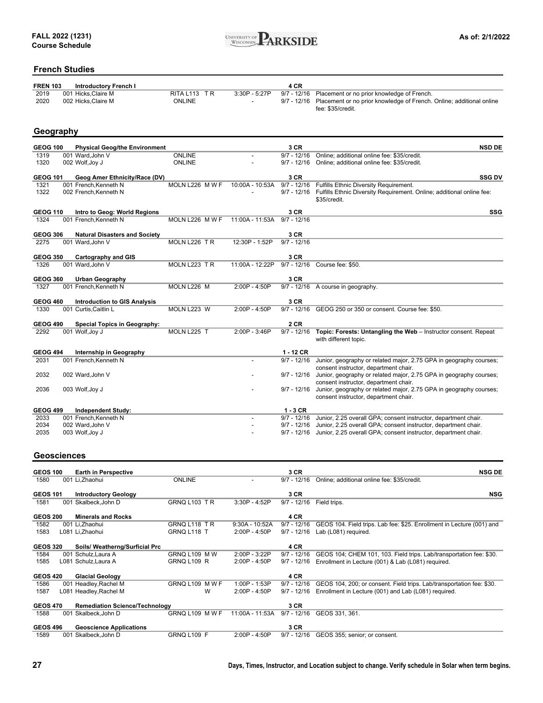

### **French Studies**

| <b>FREN 103</b> | Introductory French I |                         | 4 CR |                                                                                  |
|-----------------|-----------------------|-------------------------|------|----------------------------------------------------------------------------------|
| 2019            | 001 Hicks.Claire M    | RITAL <sub>113</sub> TR |      | 3:30P - 5:27P 9/7 - 12/16 Placement or no prior knowledge of French.             |
| 2020            | 002 Hicks.Claire M    | ONLINE                  |      | 9/7 - 12/16 Placement or no prior knowledge of French. Online; additional online |
|                 |                       |                         |      | fee: \$35/credit.                                                                |

### **Geography**

| <b>GEOG 100</b> | <b>Physical Geog/the Environment</b> |                 |                 | 3 CR          | <b>NSD DE</b>                                                                                               |
|-----------------|--------------------------------------|-----------------|-----------------|---------------|-------------------------------------------------------------------------------------------------------------|
| 1319            | 001 Ward.John V                      | ONLINE          |                 | $9/7 - 12/16$ | Online; additional online fee: \$35/credit.                                                                 |
| 1320            | 002 Wolf, Joy J                      | <b>ONLINE</b>   |                 | $9/7 - 12/16$ | Online; additional online fee: \$35/credit.                                                                 |
| <b>GEOG 101</b> | Geog Amer Ethnicity/Race (DV)        |                 |                 | 3 CR          | <b>SSG DV</b>                                                                                               |
| 1321            | 001 French.Kenneth N                 | MOLN L226 M W F | 10:00A - 10:53A | $9/7 - 12/16$ | Fulfills Ethnic Diversity Requirement.                                                                      |
| 1322            | 002 French, Kenneth N                |                 |                 | $9/7 - 12/16$ | Fulfills Ethnic Diversity Requirement. Online; additional online fee:                                       |
|                 |                                      |                 |                 |               | \$35/credit.                                                                                                |
| <b>GEOG 110</b> | Intro to Geog: World Regions         |                 |                 | 3 CR          | SSG                                                                                                         |
| 1324            | 001 French.Kenneth N                 | MOLN L226 M W F | 11:00A - 11:53A | $9/7 - 12/16$ |                                                                                                             |
|                 |                                      |                 |                 |               |                                                                                                             |
| <b>GEOG 306</b> | <b>Natural Disasters and Society</b> |                 |                 | 3 CR          |                                                                                                             |
| 2275            | 001 Ward.John V                      | MOLN L226 TR    | 12:30P - 1:52P  | $9/7 - 12/16$ |                                                                                                             |
| <b>GEOG 350</b> | <b>Cartography and GIS</b>           |                 |                 | 3 CR          |                                                                                                             |
| 1326            | 001 Ward.John V                      | MOLN L223 TR    | 11:00A - 12:22P |               | 9/7 - 12/16 Course fee: \$50.                                                                               |
|                 |                                      |                 |                 |               |                                                                                                             |
| <b>GEOG 360</b> | <b>Urban Geography</b>               |                 |                 | 3 CR          |                                                                                                             |
| 1327            | 001 French, Kenneth N                | MOLN L226 M     | 2:00P - 4:50P   |               | 9/7 - 12/16 A course in geography.                                                                          |
|                 |                                      |                 |                 |               |                                                                                                             |
| <b>GEOG 460</b> | <b>Introduction to GIS Analysis</b>  |                 |                 | 3 CR          |                                                                                                             |
| 1330            | 001 Curtis, Caitlin L                | MOLN L223 W     | 2:00P - 4:50P   |               | 9/7 - 12/16 GEOG 250 or 350 or consent. Course fee: \$50.                                                   |
| <b>GEOG 490</b> | <b>Special Topics in Geography:</b>  |                 |                 | 2 CR          |                                                                                                             |
| 2292            | 001 Wolf, Joy J                      | MOLN L225 T     | 2:00P - 3:46P   | $9/7 - 12/16$ | Topic: Forests: Untangling the Web - Instructor consent. Repeat                                             |
|                 |                                      |                 |                 |               | with different topic.                                                                                       |
|                 |                                      |                 |                 |               |                                                                                                             |
| <b>GEOG 494</b> | Internship in Geography              |                 |                 | $1 - 12$ CR   |                                                                                                             |
| 2031            | 001 French, Kenneth N                |                 |                 | $9/7 - 12/16$ | Junior, geography or related major, 2.75 GPA in geography courses;                                          |
|                 |                                      |                 |                 |               | consent instructor, department chair.                                                                       |
| 2032            | 002 Ward, John V                     |                 |                 |               | 9/7 - 12/16 Junior, geography or related major, 2.75 GPA in geography courses;                              |
| 2036            | 003 Wolf, Joy J                      |                 |                 | $9/7 - 12/16$ | consent instructor, department chair.<br>Junior, geography or related major, 2.75 GPA in geography courses; |
|                 |                                      |                 |                 |               | consent instructor, department chair.                                                                       |
|                 |                                      |                 |                 |               |                                                                                                             |
| <b>GEOG 499</b> | <b>Independent Study:</b>            |                 |                 | $1 - 3$ CR    |                                                                                                             |
| 2033            | 001 French.Kenneth N                 |                 |                 | $9/7 - 12/16$ | Junior, 2.25 overall GPA; consent instructor, department chair.                                             |
| 2034            | 002 Ward, John V                     |                 |                 | $9/7 - 12/16$ | Junior, 2.25 overall GPA; consent instructor, department chair.                                             |
| 2035            | 003 Wolf, Joy J                      |                 |                 | $9/7 - 12/16$ | Junior, 2.25 overall GPA; consent instructor, department chair.                                             |
|                 |                                      |                 |                 |               |                                                                                                             |

#### **Geosciences**

| <b>GEOS 100</b> | <b>Earth in Perspective</b>           |                    |                  | 3 CR          | <b>NSG DE</b>                                                         |
|-----------------|---------------------------------------|--------------------|------------------|---------------|-----------------------------------------------------------------------|
| 1580            | 001 Li, Zhaohui                       | <b>ONLINE</b>      |                  | $9/7 - 12/16$ | Online; additional online fee: \$35/credit.                           |
|                 |                                       |                    |                  |               |                                                                       |
| <b>GEOS 101</b> | <b>Introductory Geology</b>           |                    |                  | 3 CR          | <b>NSG</b>                                                            |
| 1581            | 001 Skalbeck, John D                  | GRNQ L103 TR       | 3:30P - 4:52P    | $9/7 - 12/16$ | Field trips.                                                          |
| <b>GEOS 200</b> | <b>Minerals and Rocks</b>             |                    |                  | 4 CR          |                                                                       |
| 1582            | 001 Li, Zhaohui                       | GRNQ L118 TR       | $9:30A - 10:52A$ | $9/7 - 12/16$ | GEOS 104. Field trips. Lab fee: \$25. Enrollment in Lecture (001) and |
|                 |                                       |                    |                  |               |                                                                       |
| 1583            | L081 Li, Zhaohui                      | GRNQ L118 T        | $2:00P - 4:50P$  | $9/7 - 12/16$ | Lab (L081) required.                                                  |
|                 |                                       |                    |                  |               |                                                                       |
| <b>GEOS 320</b> | Soils/ Weatherng/Surficial Prc        |                    |                  | 4 CR          |                                                                       |
| 1584            | 001 Schulz, Laura A                   | GRNQ L109 M W      | 2:00P - 3:22P    | $9/7 - 12/16$ | GEOS 104; CHEM 101, 103. Field trips. Lab/transportation fee: \$30.   |
| 1585            | L081 Schulz, Laura A                  | <b>GRNQ L109 R</b> | $2:00P - 4:50P$  | $9/7 - 12/16$ | Enrollment in Lecture (001) & Lab (L081) required.                    |
|                 |                                       |                    |                  |               |                                                                       |
| <b>GEOS 420</b> | <b>Glacial Geology</b>                |                    |                  | 4 CR          |                                                                       |
| 1586            | 001 Headley, Rachel M                 | GRNQ L109 MWF      | 1:00P - 1:53P    | $9/7 - 12/16$ | GEOS 104, 200; or consent. Field trips. Lab/transportation fee: \$30. |
| 1587            | L081 Headley, Rachel M                | w                  | $2:00P - 4:50P$  | $9/7 - 12/16$ | Enrollment in Lecture (001) and Lab (L081) required.                  |
|                 |                                       |                    |                  |               |                                                                       |
| <b>GEOS 470</b> | <b>Remediation Science/Technology</b> |                    |                  | 3 CR          |                                                                       |
| 1588            | 001 Skalbeck, John D                  | GRNQ L109 MWF      | 11:00A - 11:53A  | $9/7 - 12/16$ | GEOS 331, 361.                                                        |
|                 |                                       |                    |                  |               |                                                                       |
| <b>GEOS 496</b> | <b>Geoscience Applications</b>        |                    |                  | 3 CR          |                                                                       |
| 1589            | 001 Skalbeck, John D                  | GRNQ L109 F        | $2:00P - 4:50P$  | $9/7 - 12/16$ | GEOS 355; senior; or consent.                                         |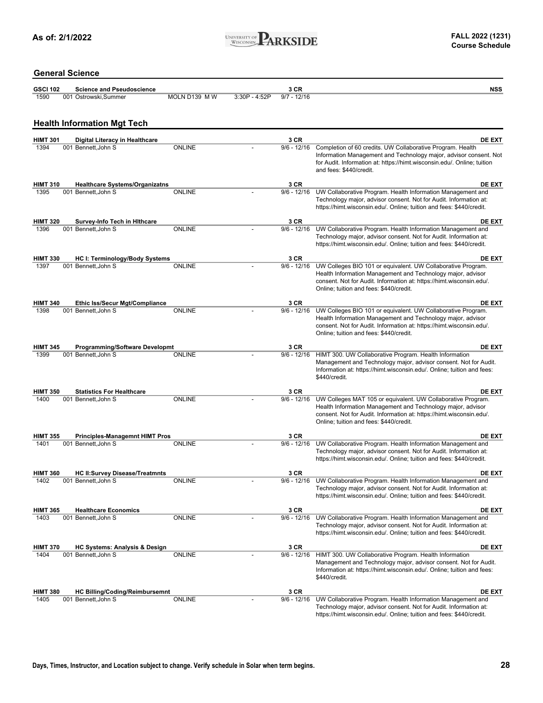

### **General Science**

| <b>GSCI 102</b> | <b>Science and Pseudoscience</b> |               |                 | ה י<br>งษณ      | NSS |
|-----------------|----------------------------------|---------------|-----------------|-----------------|-----|
| 1590            | 001 Ostrowski.Summer             | MOLN D139 M W | $3:30P - 4:52P$ | $-12/16$<br>9/7 |     |

### **Health Information Mgt Tech**

| <b>HIMT 301</b>         | <b>Digital Literacy in Healthcare</b>                           |               | 3 CR                  | <b>DE EXT</b>                                                                                                                             |
|-------------------------|-----------------------------------------------------------------|---------------|-----------------------|-------------------------------------------------------------------------------------------------------------------------------------------|
| 1394                    | 001 Bennett, John S                                             | <b>ONLINE</b> | $9/6 - 12/16$         | Completion of 60 credits. UW Collaborative Program. Health                                                                                |
|                         |                                                                 |               |                       | Information Management and Technology major, advisor consent. Not                                                                         |
|                         |                                                                 |               |                       | for Audit. Information at: https://himt.wisconsin.edu/. Online; tuition                                                                   |
|                         |                                                                 |               |                       | and fees: \$440/credit.                                                                                                                   |
| <b>HIMT 310</b>         | <b>Healthcare Systems/Organizatns</b>                           |               | 3 CR                  | <b>DE EXT</b>                                                                                                                             |
| 1395                    | 001 Bennett, John S                                             | <b>ONLINE</b> | $9/6 - 12/16$         | UW Collaborative Program. Health Information Management and                                                                               |
|                         |                                                                 |               |                       | Technology major, advisor consent. Not for Audit. Information at:                                                                         |
|                         |                                                                 |               |                       | https://himt.wisconsin.edu/. Online; tuition and fees: \$440/credit.                                                                      |
|                         |                                                                 |               |                       |                                                                                                                                           |
| <b>HIMT 320</b>         | Survey-Info Tech in Hithcare                                    |               | 3 CR                  | <b>DE EXT</b>                                                                                                                             |
| 1396                    | 001 Bennett, John S                                             | <b>ONLINE</b> | $9/6 - 12/16$         | UW Collaborative Program. Health Information Management and                                                                               |
|                         |                                                                 |               |                       | Technology major, advisor consent. Not for Audit. Information at:<br>https://himt.wisconsin.edu/. Online; tuition and fees: \$440/credit. |
|                         |                                                                 |               |                       |                                                                                                                                           |
| <b>HIMT 330</b>         | HC I: Terminology/Body Systems                                  |               | 3 CR                  | <b>DE EXT</b>                                                                                                                             |
| 1397                    | 001 Bennett, John S                                             | <b>ONLINE</b> | $9/6 - 12/16$         | UW Colleges BIO 101 or equivalent. UW Collaborative Program.                                                                              |
|                         |                                                                 |               |                       | Health Information Management and Technology major, advisor                                                                               |
|                         |                                                                 |               |                       | consent. Not for Audit. Information at: https://himt.wisconsin.edu/.                                                                      |
|                         |                                                                 |               |                       | Online; tuition and fees: \$440/credit.                                                                                                   |
| <b>HIMT 340</b>         | Ethic Iss/Secur Mgt/Compliance                                  |               | 3 CR                  | <b>DE EXT</b>                                                                                                                             |
| 1398                    | 001 Bennett, John S                                             | <b>ONLINE</b> | $9/6 - 12/16$         | UW Colleges BIO 101 or equivalent. UW Collaborative Program.                                                                              |
|                         |                                                                 |               |                       | Health Information Management and Technology major, advisor                                                                               |
|                         |                                                                 |               |                       | consent. Not for Audit. Information at: https://himt.wisconsin.edu/.                                                                      |
|                         |                                                                 |               |                       | Online; tuition and fees: \$440/credit.                                                                                                   |
|                         |                                                                 |               |                       |                                                                                                                                           |
| <b>HIMT 345</b><br>1399 | <b>Programming/Software Developmt</b><br>001 Bennett.John S     | <b>ONLINE</b> | 3 CR<br>$9/6 - 12/16$ | <b>DE EXT</b><br>HIMT 300. UW Collaborative Program. Health Information                                                                   |
|                         |                                                                 |               |                       | Management and Technology major, advisor consent. Not for Audit.                                                                          |
|                         |                                                                 |               |                       | Information at: https://himt.wisconsin.edu/. Online; tuition and fees:                                                                    |
|                         |                                                                 |               |                       | \$440/credit.                                                                                                                             |
|                         |                                                                 |               |                       |                                                                                                                                           |
| <b>HIMT 350</b><br>1400 | <b>Statistics For Healthcare</b>                                | <b>ONLINE</b> | 3 CR<br>$9/6 - 12/16$ | <b>DE EXT</b>                                                                                                                             |
|                         | 001 Bennett, John S                                             |               |                       | UW Colleges MAT 105 or equivalent. UW Collaborative Program.<br>Health Information Management and Technology major, advisor               |
|                         |                                                                 |               |                       | consent. Not for Audit. Information at: https://himt.wisconsin.edu/.                                                                      |
|                         |                                                                 |               |                       | Online; tuition and fees: \$440/credit.                                                                                                   |
|                         |                                                                 |               |                       |                                                                                                                                           |
| <b>HIMT 355</b><br>1401 | <b>Principles-Managemnt HIMT Pros</b><br>001 Bennett, John S    | <b>ONLINE</b> | 3 CR<br>$9/6 - 12/16$ | <b>DE EXT</b><br>UW Collaborative Program. Health Information Management and                                                              |
|                         |                                                                 |               |                       | Technology major, advisor consent. Not for Audit. Information at:                                                                         |
|                         |                                                                 |               |                       | https://himt.wisconsin.edu/. Online; tuition and fees: \$440/credit.                                                                      |
|                         |                                                                 |               |                       |                                                                                                                                           |
| <b>HIMT 360</b>         | <b>HC II:Survey Disease/Treatmnts</b>                           |               | 3 CR                  | <b>DE EXT</b>                                                                                                                             |
| 1402                    | 001 Bennett, John S                                             | <b>ONLINE</b> | $9/6 - 12/16$         | UW Collaborative Program. Health Information Management and                                                                               |
|                         |                                                                 |               |                       | Technology major, advisor consent. Not for Audit. Information at:                                                                         |
|                         |                                                                 |               |                       | https://himt.wisconsin.edu/. Online; tuition and fees: \$440/credit.                                                                      |
| <b>HIMT 365</b>         | <b>Healthcare Economics</b>                                     |               | 3 CR                  | <b>DE EXT</b>                                                                                                                             |
| 1403                    | 001 Bennett, John S                                             | <b>ONLINE</b> | $9/6 - 12/16$         | UW Collaborative Program. Health Information Management and                                                                               |
|                         |                                                                 |               |                       | Technology major, advisor consent. Not for Audit. Information at:                                                                         |
|                         |                                                                 |               |                       | https://himt.wisconsin.edu/. Online; tuition and fees: \$440/credit.                                                                      |
|                         |                                                                 |               | 3 CR                  |                                                                                                                                           |
| <b>HIMT 370</b><br>1404 | <b>HC Systems: Analysis &amp; Design</b><br>001 Bennett, John S | <b>ONLINE</b> | $9/6 - 12/16$         | <b>DE EXT</b><br>HIMT 300. UW Collaborative Program. Health Information                                                                   |
|                         |                                                                 |               |                       | Management and Technology major, advisor consent. Not for Audit.                                                                          |
|                         |                                                                 |               |                       | Information at: https://himt.wisconsin.edu/. Online; tuition and fees:                                                                    |
|                         |                                                                 |               |                       | \$440/credit.                                                                                                                             |
|                         |                                                                 |               |                       |                                                                                                                                           |
| <b>HIMT 380</b><br>1405 | <b>HC Billing/Coding/Reimbursemnt</b><br>001 Bennett, John S    | <b>ONLINE</b> | 3 CR<br>$9/6 - 12/16$ | <b>DE EXT</b><br>UW Collaborative Program. Health Information Management and                                                              |
|                         |                                                                 |               |                       | Technology major, advisor consent. Not for Audit. Information at:                                                                         |
|                         |                                                                 |               |                       | https://himt.wisconsin.edu/. Online; tuition and fees: \$440/credit.                                                                      |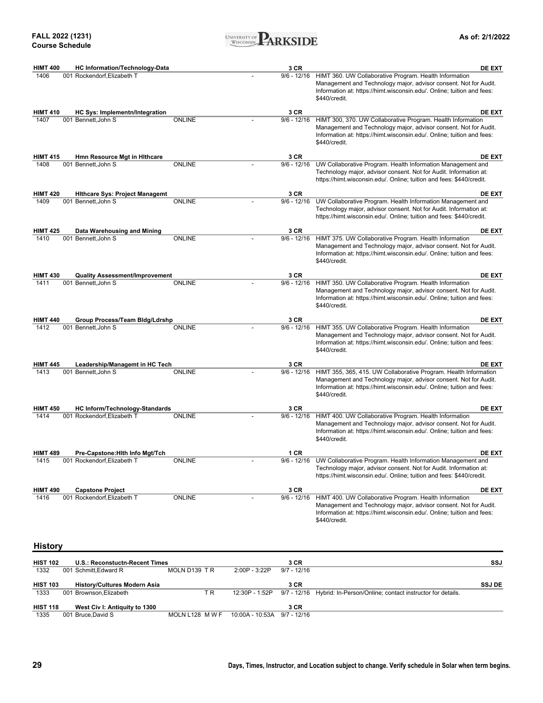

| <b>HIMT 400</b>         | <b>HC Information/Technology-Data</b>                   |               |                | 3 CR                  | <b>DE EXT</b>                                                                                                                                                                                                                     |
|-------------------------|---------------------------------------------------------|---------------|----------------|-----------------------|-----------------------------------------------------------------------------------------------------------------------------------------------------------------------------------------------------------------------------------|
| 1406                    | 001 Rockendorf, Elizabeth T                             |               |                |                       | 9/6 - 12/16 HIMT 360. UW Collaborative Program. Health Information<br>Management and Technology major, advisor consent. Not for Audit.<br>Information at: https://himt.wisconsin.edu/. Online; tuition and fees:<br>\$440/credit. |
| <b>HIMT 410</b>         | HC Sys: Implementn/Integration                          |               |                | 3 CR                  | <b>DE EXT</b>                                                                                                                                                                                                                     |
| 1407                    | 001 Bennett, John S                                     | <b>ONLINE</b> |                | $9/6 - 12/16$         | HIMT 300, 370. UW Collaborative Program. Health Information<br>Management and Technology major, advisor consent. Not for Audit.<br>Information at: https://himt.wisconsin.edu/. Online; tuition and fees:<br>\$440/credit.        |
| <b>HIMT 415</b>         | Hmn Resource Mgt in Hithcare                            |               |                | 3 CR                  | <b>DE EXT</b>                                                                                                                                                                                                                     |
| 1408                    | 001 Bennett.John S                                      | <b>ONLINE</b> |                | $9/6 - 12/16$         | UW Collaborative Program. Health Information Management and<br>Technology major, advisor consent. Not for Audit. Information at:<br>https://himt.wisconsin.edu/. Online; tuition and fees: \$440/credit.                          |
| <b>HIMT 420</b>         | <b>Hithcare Sys: Project Managemt</b>                   |               |                | 3 CR                  | DE EXT                                                                                                                                                                                                                            |
| 1409                    | 001 Bennett, John S                                     | <b>ONLINE</b> |                |                       | 9/6 - 12/16 UW Collaborative Program. Health Information Management and<br>Technology major, advisor consent. Not for Audit. Information at:<br>https://himt.wisconsin.edu/. Online; tuition and fees: \$440/credit.              |
| <b>HIMT 425</b>         | Data Warehousing and Mining                             |               |                | 3 CR                  | <b>DE EXT</b>                                                                                                                                                                                                                     |
| 1410                    | 001 Bennett, John S                                     | <b>ONLINE</b> |                | $9/6 - 12/16$         | HIMT 375. UW Collaborative Program. Health Information<br>Management and Technology major, advisor consent. Not for Audit.<br>Information at: https://himt.wisconsin.edu/. Online; tuition and fees:<br>\$440/credit.             |
| <b>HIMT 430</b>         | <b>Quality Assessment/Improvement</b>                   |               |                | 3 CR                  | <b>DE EXT</b>                                                                                                                                                                                                                     |
| 1411                    | 001 Bennett, John S                                     | <b>ONLINE</b> |                | $9/6 - 12/16$         | HIMT 350. UW Collaborative Program. Health Information<br>Management and Technology major, advisor consent. Not for Audit.<br>Information at: https://himt.wisconsin.edu/. Online; tuition and fees:<br>\$440/credit.             |
| <b>HIMT 440</b>         | Group Process/Team Bldg/Ldrshp                          |               |                | 3 CR                  | <b>DE EXT</b>                                                                                                                                                                                                                     |
| 1412                    | 001 Bennett, John S                                     | ONLINE        |                |                       | 9/6 - 12/16 HIMT 355. UW Collaborative Program. Health Information<br>Management and Technology major, advisor consent. Not for Audit.<br>Information at: https://himt.wisconsin.edu/. Online; tuition and fees:<br>\$440/credit. |
| <b>HIMT 445</b>         | Leadership/Managemt in HC Tech                          |               |                | 3 CR                  | <b>DE EXT</b>                                                                                                                                                                                                                     |
| 1413                    | 001 Bennett, John S                                     | <b>ONLINE</b> |                | $9/6 - 12/16$         | HIMT 355, 365, 415. UW Collaborative Program. Health Information<br>Management and Technology major, advisor consent. Not for Audit.<br>Information at: https://himt.wisconsin.edu/. Online; tuition and fees:<br>\$440/credit.   |
| <b>HIMT 450</b>         | <b>HC Inform/Technology-Standards</b>                   |               |                | 3 CR                  | <b>DE EXT</b>                                                                                                                                                                                                                     |
| 1414                    | 001 Rockendorf, Elizabeth T                             | <b>ONLINE</b> |                | $9/6 - 12/16$         | HIMT 400. UW Collaborative Program. Health Information<br>Management and Technology major, advisor consent. Not for Audit.<br>Information at: https://himt.wisconsin.edu/. Online; tuition and fees:<br>\$440/credit.             |
| <b>HIMT 489</b>         | Pre-Capstone: Hith Info Mgt/Tch                         |               |                | 1 CR                  | <b>DE EXT</b>                                                                                                                                                                                                                     |
| 1415                    | 001 Rockendorf, Elizabeth T                             | ONLINE        |                | 9/6 - 12/16           | UW Collaborative Program. Health Information Management and<br>Technology major, advisor consent. Not for Audit. Information at:<br>https://himt.wisconsin.edu/. Online; tuition and fees: \$440/credit.                          |
| <b>HIMT 490</b>         | <b>Capstone Project</b>                                 |               |                | 3 CR                  | <b>DE EXT</b>                                                                                                                                                                                                                     |
| 1416                    | 001 Rockendorf, Elizabeth T                             | <b>ONLINE</b> |                |                       | 9/6 - 12/16 HIMT 400. UW Collaborative Program. Health Information<br>Management and Technology major, advisor consent. Not for Audit.<br>Information at: https://himt.wisconsin.edu/. Online; tuition and fees:<br>\$440/credit. |
| <b>History</b>          |                                                         |               |                |                       |                                                                                                                                                                                                                                   |
|                         |                                                         |               |                |                       |                                                                                                                                                                                                                                   |
| <b>HIST 102</b><br>1332 | U.S.: Reconstuctn-Recent Times<br>001 Schmitt, Edward R | MOLN D139 TR  | 2:00P - 3:22P  | 3 CR<br>$9/7 - 12/16$ | SSJ                                                                                                                                                                                                                               |
| <b>HIST 103</b>         | <b>History/Cultures Modern Asia</b>                     |               |                | 3 CR                  | <b>SSJ DE</b>                                                                                                                                                                                                                     |
| 1333                    | 001 Brownson, Elizabeth                                 | T R           | 12:30P - 1:52P |                       | 9/7 - 12/16 Hybrid: In-Person/Online; contact instructor for details.                                                                                                                                                             |

| <b>HIST 118</b> | West Civ I: Antiquity to 1300 |                                             | 3 CR |  |
|-----------------|-------------------------------|---------------------------------------------|------|--|
| 1335            | 001 Bruce.David S             | MOLN L128 M W F 10:00A - 10:53A 9/7 - 12/16 |      |  |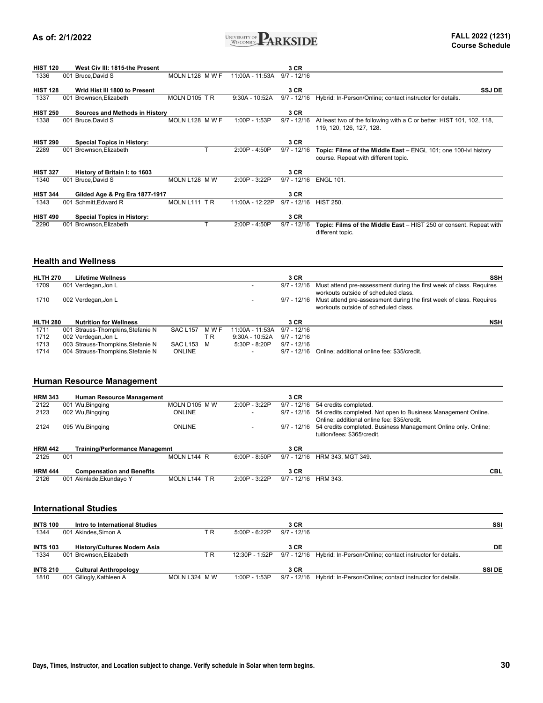

| <b>HIST 120</b> |     | West Civ III: 1815-the Present    |                 |                 | 3 CR          |                                                                                                                |
|-----------------|-----|-----------------------------------|-----------------|-----------------|---------------|----------------------------------------------------------------------------------------------------------------|
| 1336            |     | 001 Bruce, David S                | MOLN L128 M W F | 11:00A - 11:53A | $9/7 - 12/16$ |                                                                                                                |
| <b>HIST 128</b> |     | Wrld Hist III 1800 to Present     |                 |                 | 3 CR          | <b>SSJ DE</b>                                                                                                  |
| 1337            |     | 001 Brownson, Elizabeth           | MOLN D105 TR    | 9:30A - 10:52A  | $9/7 - 12/16$ | Hybrid: In-Person/Online; contact instructor for details.                                                      |
| <b>HIST 250</b> |     | Sources and Methods in History    |                 |                 | 3 CR          |                                                                                                                |
| 1338            | 001 | Bruce,David S                     | MOLN L128 M W F | 1:00P - 1:53P   | $9/7 - 12/16$ | At least two of the following with a C or better: HIST 101, 102, 118,<br>119, 120, 126, 127, 128.              |
| <b>HIST 290</b> |     | <b>Special Topics in History:</b> |                 |                 | 3 CR          |                                                                                                                |
| 2289            | 001 | Brownson, Elizabeth               |                 | 2:00P - 4:50P   | $9/7 - 12/16$ | <b>Topic: Films of the Middle East</b> – ENGL 101; one 100-lvl history<br>course. Repeat with different topic. |
| <b>HIST 327</b> |     | History of Britain I: to 1603     |                 |                 | 3 CR          |                                                                                                                |
| 1340            | 001 | Bruce, David S                    | MOLN L128 M W   | $2:00P - 3:22P$ | $9/7 - 12/16$ | <b>ENGL 101.</b>                                                                                               |
| <b>HIST 344</b> |     | Gilded Age & Prg Era 1877-1917    |                 |                 | 3 CR          |                                                                                                                |
| 1343            | 001 | Schmitt, Edward R                 | MOLN L111 TR    | 11:00A - 12:22P | $9/7 - 12/16$ | <b>HIST 250.</b>                                                                                               |
| <b>HIST 490</b> |     | <b>Special Topics in History:</b> |                 |                 | 3 CR          |                                                                                                                |
| 2290            | 001 | Brownson, Elizabeth               |                 | $2:00P - 4:50P$ | $9/7 - 12/16$ | Topic: Films of the Middle East - HIST 250 or consent. Repeat with<br>different topic.                         |

#### **Health and Wellness**

| <b>HLTH 270</b> | <b>Lifetime Wellness</b>          |                 |       |                  | 3 CR          | <b>SSH</b>                                                                                                  |
|-----------------|-----------------------------------|-----------------|-------|------------------|---------------|-------------------------------------------------------------------------------------------------------------|
| 1709            | 001 Verdegan, Jon L               |                 |       |                  | $9/7 - 12/16$ | Must attend pre-assessment during the first week of class. Requires<br>workouts outside of scheduled class. |
| 1710            | 002 Verdegan, Jon L               |                 |       |                  | 9/7 - 12/16   | Must attend pre-assessment during the first week of class. Requires<br>workouts outside of scheduled class. |
| <b>HLTH 280</b> | <b>Nutrition for Wellness</b>     |                 |       |                  | 3 CR          | <b>NSH</b>                                                                                                  |
| 1711            | 001 Strauss-Thompkins, Stefanie N | <b>SAC L157</b> | M W F | 11:00A - 11:53A  | $9/7 - 12/16$ |                                                                                                             |
| 1712            | 002 Verdegan, Jon L               |                 | T R   | $9:30A - 10:52A$ | 9/7 - 12/16   |                                                                                                             |
| 1713            | 003 Strauss-Thompkins, Stefanie N | SAC L153 M      |       | $5:30P - 8:20P$  | $9/7 - 12/16$ |                                                                                                             |
| 1714            | 004 Strauss-Thompkins. Stefanie N | <b>ONLINE</b>   |       |                  | $9/7 - 12/16$ | Online: additional online fee: \$35/credit.                                                                 |

### **Human Resource Management**

| <b>HRM 343</b> | <b>Human Resource Management</b>      |               |                 | 3 CR          |                                                                                                                                              |
|----------------|---------------------------------------|---------------|-----------------|---------------|----------------------------------------------------------------------------------------------------------------------------------------------|
| 2122           | 001 Wu, Bingging                      | MOLN D105 M W | 2:00P - 3:22P   | $9/7 - 12/16$ | 54 credits completed.                                                                                                                        |
| 2123           | 002 Wu, Bingging                      | <b>ONLINE</b> | -               | $9/7 - 12/16$ | 54 credits completed. Not open to Business Management Online.                                                                                |
| 2124           | 095 Wu, Bingging                      | <b>ONLINE</b> |                 | 9/7 - 12/16   | Online: additional online fee: \$35/credit.<br>54 credits completed. Business Management Online only. Online;<br>tuition/fees: \$365/credit. |
| <b>HRM 442</b> | <b>Training/Performance Managemnt</b> |               |                 | 3 CR          |                                                                                                                                              |
| 2125           | 001                                   | MOLN L144 R   | $6:00P - 8:50P$ | $9/7 - 12/16$ | HRM 343, MGT 349.                                                                                                                            |
| <b>HRM 444</b> | <b>Compensation and Benefits</b>      |               |                 | 3 CR          | CBL                                                                                                                                          |
| 2126           | 001 Akinlade, Ekundayo Y              | MOLN L144 TR  | $2:00P - 3:22P$ | $9/7 - 12/16$ | <b>HRM 343.</b>                                                                                                                              |

#### **International Studies**

| <b>INTS 100</b><br>1344 | Intro to International Studies<br>001 Akindes.Simon A  | ТR            | $5:00P - 6:22P$ | 3 CR<br>$9/7 - 12/16$ |                                                                       | SSI          |
|-------------------------|--------------------------------------------------------|---------------|-----------------|-----------------------|-----------------------------------------------------------------------|--------------|
| <b>INTS 103</b>         | <b>History/Cultures Modern Asia</b>                    |               |                 | 3 CR                  |                                                                       | DE           |
| 1334<br><b>INTS 210</b> | 001 Brownson.Elizabeth<br><b>Cultural Anthropology</b> | T R           | 12:30P - 1:52P  | 3 CR                  | 9/7 - 12/16 Hybrid: In-Person/Online; contact instructor for details. | <b>SSIDE</b> |
| 1810                    | 001 Gillogly, Kathleen A                               | MOLN L324 M W | 1:00P - 1:53P   |                       | 9/7 - 12/16 Hybrid: In-Person/Online; contact instructor for details. |              |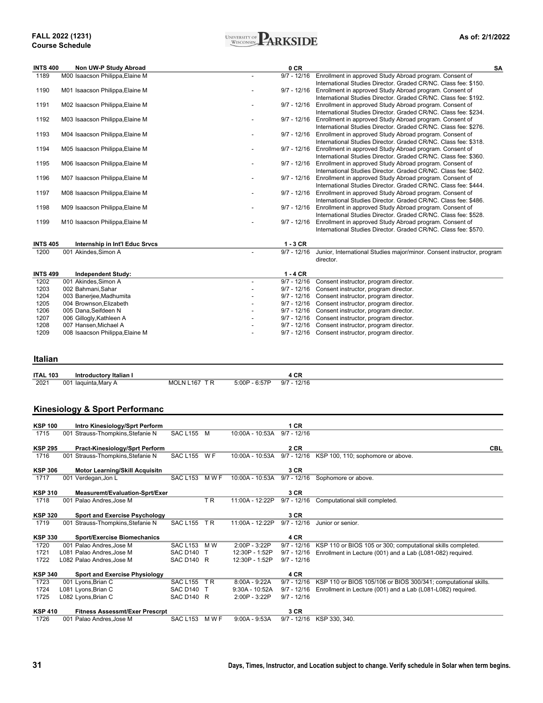#### **FALL 2022 (1231) Course Schedule**



| <b>INTS 400</b> | Non UW-P Study Abroad           | 0 CR                                                                                    | <b>SA</b> |
|-----------------|---------------------------------|-----------------------------------------------------------------------------------------|-----------|
| 1189            | M00 Isaacson Philippa, Elaine M | Enrollment in approved Study Abroad program. Consent of<br>$9/7 - 12/16$                |           |
|                 |                                 | International Studies Director, Graded CR/NC, Class fee: \$150.                         |           |
| 1190            | M01 Isaacson Philippa, Elaine M | 9/7 - 12/16 Enrollment in approved Study Abroad program. Consent of                     |           |
|                 |                                 | International Studies Director, Graded CR/NC, Class fee: \$192.                         |           |
| 1191            | M02 Isaacson Philippa, Elaine M | Enrollment in approved Study Abroad program. Consent of<br>$9/7 - 12/16$                |           |
|                 |                                 | International Studies Director, Graded CR/NC, Class fee: \$234.                         |           |
| 1192            | M03 Isaacson Philippa, Elaine M | Enrollment in approved Study Abroad program. Consent of<br>$9/7 - 12/16$                |           |
|                 |                                 | International Studies Director, Graded CR/NC, Class fee: \$276.                         |           |
| 1193            | M04 Isaacson Philippa, Elaine M | 9/7 - 12/16 Enrollment in approved Study Abroad program. Consent of                     |           |
|                 |                                 | International Studies Director, Graded CR/NC, Class fee: \$318.                         |           |
| 1194            | M05 Isaacson Philippa, Elaine M | $9/7 - 12/16$<br>Enrollment in approved Study Abroad program. Consent of                |           |
|                 |                                 | International Studies Director, Graded CR/NC, Class fee: \$360.                         |           |
| 1195            | M06 Isaacson Philippa, Elaine M | $9/7 - 12/16$<br>Enrollment in approved Study Abroad program. Consent of                |           |
|                 |                                 | International Studies Director, Graded CR/NC, Class fee: \$402.                         |           |
| 1196            | M07 Isaacson Philippa, Elaine M | Enrollment in approved Study Abroad program. Consent of<br>$9/7 - 12/16$                |           |
|                 |                                 | International Studies Director, Graded CR/NC, Class fee: \$444.                         |           |
| 1197            | M08 Isaacson Philippa, Elaine M | $9/7 - 12/16$<br>Enrollment in approved Study Abroad program. Consent of                |           |
|                 |                                 | International Studies Director, Graded CR/NC, Class fee: \$486.                         |           |
| 1198            | M09 Isaacson Philippa, Elaine M | $9/7 - 12/16$<br>Enrollment in approved Study Abroad program. Consent of                |           |
|                 |                                 | International Studies Director, Graded CR/NC, Class fee: \$528.                         |           |
| 1199            | M10 Isaacson Philippa, Elaine M | Enrollment in approved Study Abroad program. Consent of<br>$9/7 - 12/16$                |           |
|                 |                                 | International Studies Director, Graded CR/NC, Class fee: \$570.                         |           |
|                 |                                 |                                                                                         |           |
| <b>INTS 405</b> | Internship in Int'l Educ Srvcs  | $1 - 3$ CR                                                                              |           |
| 1200            | 001 Akindes, Simon A            | Junior, International Studies major/minor. Consent instructor, program<br>$9/7 - 12/16$ |           |
|                 |                                 | director.                                                                               |           |

| <b>INTS 499</b> | <b>Independent Study:</b>       |                          | 1 - 4 CR                                          |  |
|-----------------|---------------------------------|--------------------------|---------------------------------------------------|--|
| 1202            | 001 Akindes.Simon A             | $\,$                     | 9/7 - 12/16 Consent instructor, program director. |  |
| 1203            | 002 Bahmani, Sahar              | $\overline{\phantom{0}}$ | 9/7 - 12/16 Consent instructor, program director. |  |
| 1204            | 003 Banerjee, Madhumita         | $\,$                     | 9/7 - 12/16 Consent instructor, program director. |  |
| 1205            | 004 Brownson.Elizabeth          | $\overline{\phantom{a}}$ | 9/7 - 12/16 Consent instructor, program director. |  |
| 1206            | 005 Dana.Seifdeen N             | $\overline{\phantom{0}}$ | 9/7 - 12/16 Consent instructor, program director. |  |
| 1207            | 006 Gillogly, Kathleen A        | $\overline{\phantom{0}}$ | 9/7 - 12/16 Consent instructor, program director. |  |
| 1208            | 007 Hansen, Michael A           | $\,$                     | 9/7 - 12/16 Consent instructor, program director. |  |
| 1209            | 008 Isaacson Philippa, Elaine M |                          | 9/7 - 12/16 Consent instructor, program director. |  |

### **Italian**

| <b>ITAL</b><br>. 103 |                                                                                                                                  |                                                                                                                                      |               | <b>AF</b>    |  |
|----------------------|----------------------------------------------------------------------------------------------------------------------------------|--------------------------------------------------------------------------------------------------------------------------------------|---------------|--------------|--|
|                      | <b>Introductory Italian</b> i                                                                                                    |                                                                                                                                      |               | ◡            |  |
| 2021                 | 00<br>laguinta.<br>Marv A<br>the contract of the contract of the contract of the contract of the contract of the contract of the | MOL<br>167<br>NL.<br>the contract of the contract of the contract of the contract of the contract of the contract of the contract of | :00P<br>o:57P | 12/16<br>9/7 |  |

### **Kinesiology & Sport Performanc**

| <b>KSP 100</b> | Intro Kinesiology/Sprt Perform        |                 |                |                  | 1 CR          |                                                                |     |
|----------------|---------------------------------------|-----------------|----------------|------------------|---------------|----------------------------------------------------------------|-----|
| 1715           | 001 Strauss-Thompkins, Stefanie N     | <b>SAC L155</b> | M              | 10:00A - 10:53A  | $9/7 - 12/16$ |                                                                |     |
|                |                                       |                 |                |                  |               |                                                                |     |
| <b>KSP 295</b> | <b>Pract-Kinesiology/Sprt Perform</b> |                 |                |                  | 2 CR          |                                                                | CBL |
| 1716           | 001 Strauss-Thompkins, Stefanie N     | <b>SAC L155</b> | W F            | 10:00A - 10:53A  | $9/7 - 12/16$ | KSP 100, 110; sophomore or above.                              |     |
| <b>KSP 306</b> | <b>Motor Learning/Skill Acquisitn</b> |                 |                |                  | 3 CR          |                                                                |     |
|                |                                       |                 |                |                  |               |                                                                |     |
| 1717           | 001 Verdegan, Jon L                   | <b>SAC L153</b> | M W F          | 10:00A - 10:53A  | $9/7 - 12/16$ | Sophomore or above.                                            |     |
| <b>KSP 310</b> | Measuremt/Evaluation-Sprt/Exer        |                 |                |                  | 3 CR          |                                                                |     |
|                |                                       |                 | T <sub>R</sub> |                  | $9/7 - 12/16$ |                                                                |     |
| 1718           | 001 Palao Andres, Jose M              |                 |                | 11:00A - 12:22P  |               | Computational skill completed.                                 |     |
| <b>KSP 320</b> | <b>Sport and Exercise Psychology</b>  |                 |                |                  | 3 CR          |                                                                |     |
|                |                                       |                 |                | 11:00A - 12:22P  | $9/7 - 12/16$ | Junior or senior.                                              |     |
| 1719           | 001 Strauss-Thompkins, Stefanie N     | <b>SAC L155</b> | T R            |                  |               |                                                                |     |
| <b>KSP 330</b> | <b>Sport/Exercise Biomechanics</b>    |                 |                |                  | 4 CR          |                                                                |     |
| 1720           | 001 Palao Andres, Jose M              | <b>SAC L153</b> | M W            | 2:00P - 3:22P    | $9/7 - 12/16$ | KSP 110 or BIOS 105 or 300; computational skills completed.    |     |
| 1721           | L081 Palao Andres.Jose M              | <b>SAC D140</b> |                | 12:30P - 1:52P   | $9/7 - 12/16$ | Enrollment in Lecture (001) and a Lab (L081-082) required.     |     |
| 1722           | L082 Palao Andres, Jose M             | SAC D140 R      |                | 12:30P - 1:52P   | $9/7 - 12/16$ |                                                                |     |
|                |                                       |                 |                |                  |               |                                                                |     |
| <b>KSP 340</b> | <b>Sport and Exercise Physiology</b>  |                 |                |                  | 4 CR          |                                                                |     |
| 1723           | 001 Lyons, Brian C                    | <b>SAC L155</b> | T <sub>R</sub> | 8:00A - 9:22A    | $9/7 - 12/16$ | KSP 110 or BIOS 105/106 or BIOS 300/341; computational skills. |     |
| 1724           | L081 Lyons, Brian C                   | <b>SAC D140</b> | т              | $9:30A - 10:52A$ | $9/7 - 12/16$ | Enrollment in Lecture (001) and a Lab (L081-L082) required.    |     |
| 1725           | L082 Lyons, Brian C                   | SAC D140 R      |                | 2:00P - 3:22P    | $9/7 - 12/16$ |                                                                |     |
|                |                                       |                 |                |                  |               |                                                                |     |
| <b>KSP 410</b> | <b>Fitness Assessmt/Exer Prescrpt</b> |                 |                |                  | 3 CR          |                                                                |     |
| 1726           | 001 Palao Andres.Jose M               | <b>SAC L153</b> | M W F          | $9:00A - 9:53A$  | $9/7 - 12/16$ | KSP 330, 340.                                                  |     |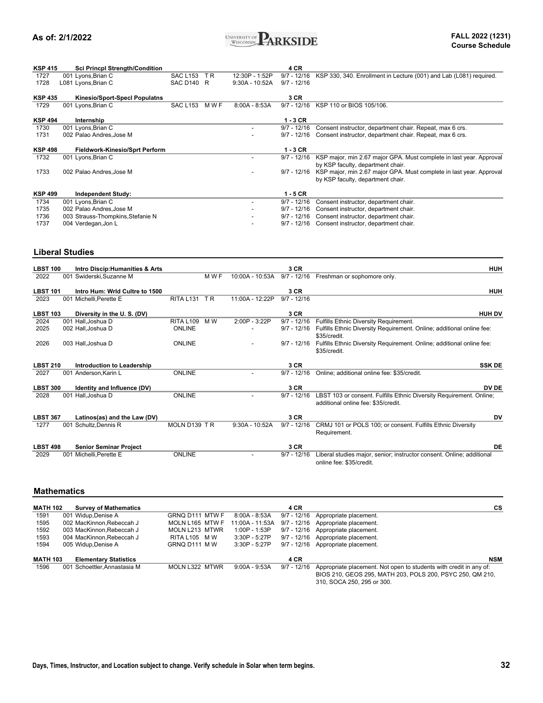

| <b>KSP 415</b> | <b>Sci Princpl Strength/Condition</b> |                 |       |                  | 4 CR          |                                                                     |
|----------------|---------------------------------------|-----------------|-------|------------------|---------------|---------------------------------------------------------------------|
| 1727           | 001 Lyons, Brian C                    | <b>SAC L153</b> | T R   | 12:30P - 1:52P   | $9/7 - 12/16$ | KSP 330, 340. Enrollment in Lecture (001) and Lab (L081) required.  |
| 1728           | L081 Lyons, Brian C                   | SAC D140 R      |       | $9:30A - 10:52A$ | $9/7 - 12/16$ |                                                                     |
|                |                                       |                 |       |                  |               |                                                                     |
| <b>KSP 435</b> | <b>Kinesio/Sport-SpecI Populatns</b>  |                 |       |                  | 3 CR          |                                                                     |
| 1729           | 001 Lyons, Brian C                    | <b>SAC L153</b> | M W F | $8:00A - 8:53A$  | $9/7 - 12/16$ | KSP 110 or BIOS 105/106.                                            |
|                |                                       |                 |       |                  |               |                                                                     |
| <b>KSP 494</b> | Internship                            |                 |       |                  | $1 - 3$ CR    |                                                                     |
| 1730           | 001 Lyons, Brian C                    |                 |       |                  | $9/7 - 12/16$ | Consent instructor, department chair. Repeat, max 6 crs.            |
| 1731           | 002 Palao Andres, Jose M              |                 |       |                  | $9/7 - 12/16$ | Consent instructor, department chair. Repeat, max 6 crs.            |
|                |                                       |                 |       |                  |               |                                                                     |
| <b>KSP 498</b> | <b>Fieldwork-Kinesio/Sprt Perform</b> |                 |       |                  | $1 - 3$ CR    |                                                                     |
| 1732           | 001 Lyons, Brian C                    |                 |       |                  | $9/7 - 12/16$ | KSP major, min 2.67 major GPA. Must complete in last year. Approval |
|                |                                       |                 |       |                  |               | by KSP faculty, department chair.                                   |
| 1733           | 002 Palao Andres.Jose M               |                 |       |                  | $9/7 - 12/16$ | KSP major, min 2.67 major GPA. Must complete in last year. Approval |
|                |                                       |                 |       |                  |               | by KSP faculty, department chair.                                   |
|                |                                       |                 |       |                  |               |                                                                     |
| <b>KSP 499</b> | <b>Independent Study:</b>             |                 |       |                  | $1 - 5$ CR    |                                                                     |
| 1734           | 001 Lyons, Brian C                    |                 |       |                  | $9/7 - 12/16$ | Consent instructor, department chair.                               |
| 1735           | 002 Palao Andres, Jose M              |                 |       |                  | $9/7 - 12/16$ | Consent instructor, department chair.                               |
| 1736           | 003 Strauss-Thompkins, Stefanie N     |                 |       |                  | $9/7 - 12/16$ | Consent instructor, department chair.                               |
| 1737           | 004 Verdegan, Jon L                   |                 |       |                  | $9/7 - 12/16$ | Consent instructor, department chair.                               |

### **Liberal Studies**

| <b>LBST 100</b> | Intro Discip: Humanities & Arts    |                  |       |                  | 3 CR          | <b>HUH</b>                                                                                                 |
|-----------------|------------------------------------|------------------|-------|------------------|---------------|------------------------------------------------------------------------------------------------------------|
| 2022            | 001 Swiderski, Suzanne M           |                  | M W F | 10:00A - 10:53A  | $9/7 - 12/16$ | Freshman or sophomore only.                                                                                |
| <b>LBST 101</b> | Intro Hum: Wrld Cultre to 1500     |                  |       |                  | 3 CR          | <b>HUH</b>                                                                                                 |
| 2023            | 001 Michelli, Perette E            | <b>RITA L131</b> | T R   | 11:00A - 12:22P  | $9/7 - 12/16$ |                                                                                                            |
| <b>LBST 103</b> | Diversity in the U.S. (DV)         |                  |       |                  | 3 CR          | <b>HUH DV</b>                                                                                              |
| 2024            | 001 Hall, Joshua D                 | <b>RITA L109</b> | M W   | $2:00P - 3:22P$  | $9/7 - 12/16$ | Fulfills Ethnic Diversity Requirement.                                                                     |
| 2025            | 002 Hall, Joshua D                 | ONLINE           |       |                  | $9/7 - 12/16$ | Fulfills Ethnic Diversity Requirement. Online; additional online fee:<br>\$35/credit.                      |
| 2026            | 003 Hall, Joshua D                 | <b>ONLINE</b>    |       |                  | $9/7 - 12/16$ | Fulfills Ethnic Diversity Requirement. Online; additional online fee:<br>\$35/credit.                      |
| <b>LBST 210</b> | Introduction to Leadership         |                  |       |                  | 3 CR          | <b>SSK DE</b>                                                                                              |
| 2027            | 001 Anderson, Karin L              | <b>ONLINE</b>    |       |                  | $9/7 - 12/16$ | Online; additional online fee: \$35/credit.                                                                |
| <b>LBST 300</b> | <b>Identity and Influence (DV)</b> |                  |       |                  | 3 CR          | DV DE                                                                                                      |
| 2028            | 001 Hall.Joshua D                  | ONLINE           |       |                  | $9/7 - 12/16$ | LBST 103 or consent. Fulfills Ethnic Diversity Requirement. Online;<br>additional online fee: \$35/credit. |
| <b>LBST 367</b> | Latinos(as) and the Law (DV)       |                  |       |                  | 3 CR          | DV                                                                                                         |
| 1277            | 001 Schultz, Dennis R              | MOLN D139 TR     |       | $9:30A - 10:52A$ | $9/7 - 12/16$ | CRMJ 101 or POLS 100; or consent. Fulfills Ethnic Diversity<br>Requirement.                                |
| <b>LBST 498</b> | <b>Senior Seminar Project</b>      |                  |       |                  | 3 CR          | DE                                                                                                         |
| 2029            | 001 Michelli, Perette E            | <b>ONLINE</b>    |       |                  | $9/7 - 12/16$ | Liberal studies major, senior; instructor consent. Online; additional<br>online fee: \$35/credit.          |

#### **Mathematics**

| <b>MATH 102</b> | <b>Survey of Mathematics</b> |                 |                 | <b>4 CR</b>   | CS                                                                                                                              |
|-----------------|------------------------------|-----------------|-----------------|---------------|---------------------------------------------------------------------------------------------------------------------------------|
| 1591            | 001 Widup.Denise A           | GRNQ D111 MTW F | 8:00A - 8:53A   | $9/7 - 12/16$ | Appropriate placement.                                                                                                          |
| 1595            | 002 MacKinnon, Rebeccah J    | MOLN L165 MTW F | 11:00A - 11:53A | 9/7 - 12/16   | Appropriate placement.                                                                                                          |
| 1592            | 003 MacKinnon, Rebeccah J    | MOLN L213 MTWR  | 1:00P - 1:53P   | $9/7 - 12/16$ | Appropriate placement.                                                                                                          |
| 1593            | 004 MacKinnon.Rebeccah J     | RITA L105 MW    | $3:30P - 5:27P$ | $9/7 - 12/16$ | Appropriate placement.                                                                                                          |
| 1594            | 005 Widup, Denise A          | GRNQ D111 MW    | $3:30P - 5:27P$ | $9/7 - 12/16$ | Appropriate placement.                                                                                                          |
| <b>MATH 103</b> | <b>Elementary Statistics</b> |                 |                 | 4 CR          | <b>NSM</b>                                                                                                                      |
| 1596            | 001 Schoettler.Annastasia M  | MOLN L322 MTWR  | $9:00A - 9:53A$ | $9/7 - 12/16$ | Appropriate placement. Not open to students with credit in any of:<br>BIOS 210, GEOS 295, MATH 203, POLS 200, PSYC 250, QM 210. |
|                 |                              |                 |                 |               | 310 SOCA 250 205 or 300                                                                                                         |

310, SOCA 250, 295 or 300.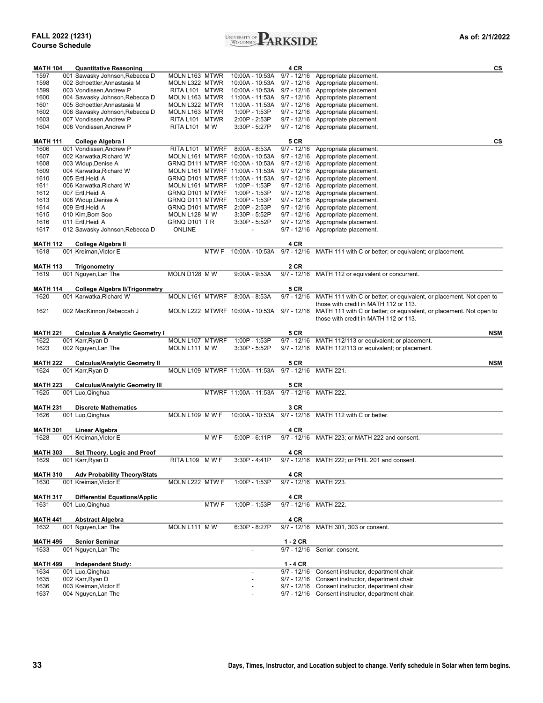

| <b>MATH 104</b>         | <b>Quantitative Reasoning</b>                |                 |                  |                                                                    | 4 CR          | cs                                                                              |
|-------------------------|----------------------------------------------|-----------------|------------------|--------------------------------------------------------------------|---------------|---------------------------------------------------------------------------------|
| 1597                    | 001 Sawasky Johnson, Rebecca D               | MOLN L163 MTWR  |                  | 10:00A - 10:53A                                                    | $9/7 - 12/16$ | Appropriate placement.                                                          |
| 1598                    | 002 Schoettler, Annastasia M                 | MOLN L322 MTWR  |                  | 10:00A - 10:53A                                                    | $9/7 - 12/16$ | Appropriate placement.                                                          |
| 1599                    | 003 Vondissen, Andrew P                      | RITA L101 MTWR  |                  | 10:00A - 10:53A                                                    | $9/7 - 12/16$ | Appropriate placement.                                                          |
| 1600                    | 004 Sawasky Johnson, Rebecca D               | MOLN L163 MTWR  |                  | 11:00A - 11:53A                                                    | $9/7 - 12/16$ | Appropriate placement.                                                          |
| 1601                    | 005 Schoettler, Annastasia M                 | MOLN L322 MTWR  |                  | 11:00A - 11:53A                                                    | $9/7 - 12/16$ | Appropriate placement.                                                          |
| 1602                    | 006 Sawasky Johnson, Rebecca D               | MOLN L163 MTWR  |                  | 1:00P - 1:53P                                                      | $9/7 - 12/16$ | Appropriate placement.                                                          |
| 1603                    | 007 Vondissen, Andrew P                      | RITA L101 MTWR  |                  | 2:00P - 2:53P                                                      | $9/7 - 12/16$ | Appropriate placement.                                                          |
| 1604                    | 008 Vondissen, Andrew P                      | RITA L101 M W   |                  | $3:30P - 5:27P$                                                    | 9/7 - 12/16   | Appropriate placement.                                                          |
| MATH 111                | College Algebra I                            |                 |                  |                                                                    | 5 CR          | CS                                                                              |
| 1606                    | 001 Vondissen, Andrew P                      | RITA L101 MTWRF |                  | $8:00A - 8:53A$                                                    | $9/7 - 12/16$ | Appropriate placement.                                                          |
| 1607                    | 002 Karwatka, Richard W                      |                 |                  | MOLN L161 MTWRF 10:00A - 10:53A                                    | $9/7 - 12/16$ | Appropriate placement.                                                          |
| 1608                    | 003 Widup, Denise A                          |                 |                  | GRNQ D111 MTWRF 10:00A - 10:53A                                    | $9/7 - 12/16$ | Appropriate placement.                                                          |
| 1609<br>1610            | 004 Karwatka, Richard W<br>005 Ertl, Heidi A |                 |                  | MOLN L161 MTWRF 11:00A - 11:53A<br>GRNQ D101 MTWRF 11:00A - 11:53A | $9/7 - 12/16$ | Appropriate placement.<br>9/7 - 12/16 Appropriate placement.                    |
| 1611                    | 006 Karwatka, Richard W                      | MOLN L161 MTWRF |                  | 1:00P - 1:53P                                                      | $9/7 - 12/16$ | Appropriate placement.                                                          |
| 1612                    | 007 Ertl, Heidi A                            | GRNQ D101 MTWRF |                  | 1:00P - 1:53P                                                      | $9/7 - 12/16$ | Appropriate placement.                                                          |
| 1613                    | 008 Widup, Denise A                          | GRNQ D111 MTWRF |                  | 1:00P - 1:53P                                                      | $9/7 - 12/16$ | Appropriate placement.                                                          |
| 1614                    | 009 Ertl, Heidi A                            | GRNQ D101 MTWRF |                  | 2:00P - 2:53P                                                      | $9/7 - 12/16$ | Appropriate placement.                                                          |
| 1615                    | 010 Kim, Bom Soo                             | MOLN L128 M W   |                  | $3:30P - 5:52P$                                                    | 9/7 - 12/16   | Appropriate placement.                                                          |
| 1616                    | 011 Ertl, Heidi A                            | GRNQ D101 TR    |                  | 3:30P - 5:52P                                                      | $9/7 - 12/16$ | Appropriate placement.                                                          |
| 1617                    | 012 Sawasky Johnson, Rebecca D               | <b>ONLINE</b>   |                  |                                                                    | 9/7 - 12/16   | Appropriate placement.                                                          |
| <b>MATH 112</b>         | College Algebra II                           |                 |                  |                                                                    | 4 CR          |                                                                                 |
| 1618                    | 001 Kreiman. Victor E                        |                 | <b>MTWF</b>      | 10:00A - 10:53A                                                    |               | 9/7 - 12/16 MATH 111 with C or better; or equivalent; or placement.             |
| <b>MATH 113</b>         | <b>Trigonometry</b>                          |                 |                  |                                                                    | 2 CR          |                                                                                 |
| 1619                    | 001 Nguyen, Lan The                          | MOLN D128 M W   |                  | $9:00A - 9:53A$                                                    |               | 9/7 - 12/16 MATH 112 or equivalent or concurrent.                               |
| <b>MATH 114</b>         | <b>College Algebra II/Trigonmetry</b>        |                 |                  |                                                                    | <b>5 CR</b>   |                                                                                 |
| 1620                    | 001 Karwatka, Richard W                      | MOLN L161 MTWRF |                  | $8:00A - 8:53A$                                                    |               | 9/7 - 12/16 MATH 111 with C or better; or equivalent, or placement. Not open to |
|                         |                                              |                 |                  |                                                                    |               | those with credit in MATH 112 or 113.                                           |
| 1621                    | 002 MacKinnon, Rebeccah J                    |                 |                  | MOLN L222 MTWRF 10:00A - 10:53A                                    |               | 9/7 - 12/16 MATH 111 with C or better; or equivalent, or placement. Not open to |
|                         |                                              |                 |                  |                                                                    |               | those with credit in MATH 112 or 113.                                           |
| <b>MATH 221</b>         | <b>Calculus &amp; Analytic Geometry I</b>    |                 |                  |                                                                    | 5 CR          | <b>NSM</b>                                                                      |
| 1622                    | 001 Karr, Ryan D                             | MOLN L107 MTWRF |                  | 1:00P - 1:53P                                                      |               | 9/7 - 12/16 MATH 112/113 or equivalent; or placement.                           |
| 1623                    | 002 Nguyen, Lan The                          | MOLN L111 M W   |                  | $3:30P - 5:52P$                                                    |               | 9/7 - 12/16 MATH 112/113 or equivalent; or placement.                           |
| <b>MATH 222</b>         | <b>Calculus/Analytic Geometry II</b>         |                 |                  |                                                                    | 5 CR          | <b>NSM</b>                                                                      |
| 1624                    | 001 Karr, Ryan D                             |                 |                  | MOLN L109 MTWRF 11:00A - 11:53A                                    |               | 9/7 - 12/16 MATH 221.                                                           |
|                         |                                              |                 |                  |                                                                    |               |                                                                                 |
| <b>MATH 223</b><br>1625 | <b>Calculus/Analytic Geometry III</b>        |                 |                  | MTWRF 11:00A - 11:53A                                              | <b>5 CR</b>   | 9/7 - 12/16 MATH 222.                                                           |
|                         | 001 Luo, Qinghua                             |                 |                  |                                                                    |               |                                                                                 |
| <b>MATH 231</b>         | <b>Discrete Mathematics</b>                  |                 |                  |                                                                    | 3 CR          |                                                                                 |
| 1626                    | 001 Luo, Qinghua                             | MOLN L109 M W F |                  | 10:00A - 10:53A                                                    |               | 9/7 - 12/16 MATH 112 with C or better.                                          |
| <b>MATH 301</b>         | Linear Algebra                               |                 |                  |                                                                    | 4 CR          |                                                                                 |
| 1628                    | 001 Kreiman, Victor E                        |                 | M W F            | $5:00P - 6:11P$                                                    |               | 9/7 - 12/16 MATH 223; or MATH 222 and consent.                                  |
| <b>MATH 303</b>         | Set Theory, Logic and Proof                  |                 |                  |                                                                    | 4 CR          |                                                                                 |
| 1629                    | 001 Karr,Ryan D                              | RITA L109 MWF   |                  | $3:30P - 4:41P$                                                    |               | 9/7 - 12/16 MATH 222; or PHIL 201 and consent.                                  |
| <b>MATH 310</b>         | <b>Adv Probability Theory/Stats</b>          |                 |                  |                                                                    | 4 CR          |                                                                                 |
| 1630                    | 001 Kreiman, Victor E                        | MOLN L222 MTW F |                  | 1:00P - 1:53P                                                      |               | 9/7 - 12/16 MATH 223.                                                           |
| <b>MATH 317</b>         | <b>Differential Equations/Applic</b>         |                 |                  |                                                                    | 4 CR          |                                                                                 |
| 1631                    | 001 Luo, Qinghua                             |                 | MTW <sub>F</sub> | 1:00P - 1:53P                                                      |               | 9/7 - 12/16 MATH 222.                                                           |
| <b>MATH 441</b>         | <b>Abstract Algebra</b>                      |                 |                  |                                                                    | 4 CR          |                                                                                 |
| 1632                    | 001 Nguyen, Lan The                          | MOLN L111 MW    |                  | 6:30P - 8:27P                                                      |               | 9/7 - 12/16 MATH 301, 303 or consent.                                           |
|                         |                                              |                 |                  |                                                                    |               |                                                                                 |
| <b>MATH 495</b><br>1633 | <b>Senior Seminar</b><br>001 Nguyen, Lan The |                 |                  |                                                                    | $1 - 2$ CR    | 9/7 - 12/16 Senior; consent.                                                    |
|                         |                                              |                 |                  |                                                                    |               |                                                                                 |
| <b>MATH 499</b>         | <b>Independent Study:</b>                    |                 |                  |                                                                    | $1 - 4$ CR    |                                                                                 |
| 1634                    | 001 Luo, Qinghua                             |                 |                  |                                                                    |               | 9/7 - 12/16 Consent instructor, department chair.                               |
| 1635<br>1636            | 002 Karr, Ryan D<br>003 Kreiman, Victor E    |                 |                  |                                                                    | 9/7 - 12/16   | Consent instructor, department chair.<br>Consent instructor, department chair.  |
| 1637                    | 004 Nguyen, Lan The                          |                 |                  |                                                                    | 9/7 - 12/16   | 9/7 - 12/16 Consent instructor, department chair.                               |
|                         |                                              |                 |                  |                                                                    |               |                                                                                 |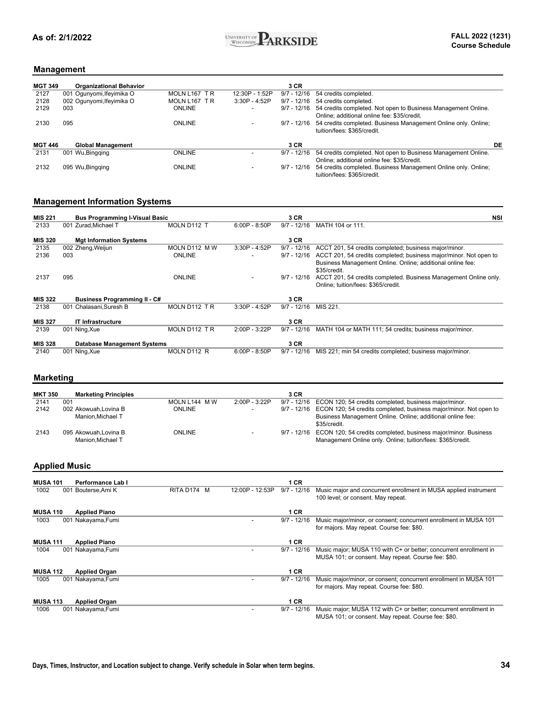

### **Management**

| <b>MGT 349</b> | <b>Organizational Behavior</b> |               |                 | 3 CR          |                                                                |    |
|----------------|--------------------------------|---------------|-----------------|---------------|----------------------------------------------------------------|----|
| 2127           | 001 Ogunyomi, Ifeyimika O      | MOLN L167 TR  | 12:30P - 1:52P  | $9/7 - 12/16$ | 54 credits completed.                                          |    |
| 2128           | 002 Ogunyomi, Ifeyimika O      | MOLN L167 TR  | $3:30P - 4:52P$ | $9/7 - 12/16$ | 54 credits completed.                                          |    |
| 2129           | 003                            | <b>ONLINE</b> | -               | $9/7 - 12/16$ | 54 credits completed. Not open to Business Management Online.  |    |
|                |                                |               |                 |               | Online: additional online fee: \$35/credit.                    |    |
| 2130           | 095                            | <b>ONLINE</b> |                 | 9/7 - 12/16   | 54 credits completed. Business Management Online only. Online; |    |
|                |                                |               |                 |               | tuition/fees: \$365/credit.                                    |    |
|                |                                |               |                 |               |                                                                |    |
| <b>MGT 446</b> | <b>Global Management</b>       |               |                 | 3 CR          |                                                                | DE |
| 2131           | 001 Wu, Bingging               | <b>ONLINE</b> |                 | $9/7 - 12/16$ | 54 credits completed. Not open to Business Management Online.  |    |
|                |                                |               |                 |               | Online: additional online fee: \$35/credit.                    |    |
| 2132           | 095 Wu, Bingging               | <b>ONLINE</b> |                 | $9/7 - 12/16$ | 54 credits completed. Business Management Online only. Online; |    |
|                |                                |               |                 |               | tuition/fees: \$365/credit.                                    |    |

### **Management Information Systems**

| <b>MIS 221</b> | <b>Bus Programming I-Visual Basic</b> |               |                 | 3 CR          | NSI                                                                        |
|----------------|---------------------------------------|---------------|-----------------|---------------|----------------------------------------------------------------------------|
| 2133           | 001 Zurad.Michael T                   | MOLN D112 T   | $6:00P - 8:50P$ | $9/7 - 12/16$ | MATH 104 or 111.                                                           |
| <b>MIS 320</b> | <b>Mgt Information Systems</b>        |               |                 | 3 CR          |                                                                            |
| 2135           | 002 Zheng, Weijun                     | MOLN D112 M W | $3:30P - 4:52P$ | $9/7 - 12/16$ | ACCT 201, 54 credits completed; business major/minor.                      |
| 2136           | 003                                   | <b>ONLINE</b> |                 | $9/7 - 12/16$ | ACCT 201, 54 credits completed; business major/minor. Not open to          |
|                |                                       |               |                 |               | Business Management Online. Online; additional online fee:<br>\$35/credit. |
| 2137           | 095                                   | <b>ONLINE</b> |                 | $9/7 - 12/16$ | ACCT 201, 54 credits completed. Business Management Online only.           |
|                |                                       |               |                 |               | Online: tuition/fees: \$365/credit.                                        |
| <b>MIS 322</b> | <b>Business Programming II - C#</b>   |               |                 | 3 CR          |                                                                            |
| 2138           | 001 Chalasani, Suresh B               | MOLN D112 TR  | $3:30P - 4:52P$ | $9/7 - 12/16$ | MIS 221.                                                                   |
|                |                                       |               |                 |               |                                                                            |
| <b>MIS 327</b> | <b>IT Infrastructure</b>              |               |                 | 3 CR          |                                                                            |
| 2139           | 001 Ning, Xue                         | MOLN D112 TR  | 2:00P - 3:22P   | $9/7 - 12/16$ | MATH 104 or MATH 111; 54 credits; business major/minor.                    |
|                |                                       |               |                 |               |                                                                            |
| <b>MIS 328</b> | <b>Database Management Systems</b>    |               |                 | 3 CR          |                                                                            |
| 2140           | 001 Ning, Xue                         | MOLN D112 R   | $6:00P - 8:50P$ | $9/7 - 12/16$ | MIS 221; min 54 credits completed; business major/minor.                   |

### **Marketing**

| <b>MKT 350</b> | <b>Marketing Principles</b>              |               |               | 3 CR |                                                                                                                                           |
|----------------|------------------------------------------|---------------|---------------|------|-------------------------------------------------------------------------------------------------------------------------------------------|
| 2141           | 001                                      | MOLN L144 MW  | 2:00P - 3:22P |      | 9/7 - 12/16 ECON 120; 54 credits completed, business major/minor.                                                                         |
| 2142           | 002 Akowuah.Lovina B                     | <b>ONLINE</b> | -             |      | 9/7 - 12/16 ECON 120; 54 credits completed, business major/minor. Not open to                                                             |
|                | Manion.Michael T                         |               |               |      | Business Management Online. Online; additional online fee:<br>\$35/credit.                                                                |
| 2143           | 095 Akowuah Lovina B<br>Manion.Michael T | <b>ONLINE</b> |               |      | 9/7 - 12/16 ECON 120; 54 credits completed, business major/minor. Business<br>Management Online only. Online; tuition/fees: \$365/credit. |

#### **Applied Music**

| <b>MUSA 101</b> | Performance Lab I    |             |                 | 1 CR          |                                                                   |
|-----------------|----------------------|-------------|-----------------|---------------|-------------------------------------------------------------------|
|                 |                      |             |                 | $9/7 - 12/16$ |                                                                   |
| 1002            | 001 Bouterse, Ami K  | RITA D174 M | 12:00P - 12:53P |               | Music major and concurrent enrollment in MUSA applied instrument  |
|                 |                      |             |                 |               | 100 level; or consent. May repeat.                                |
|                 |                      |             |                 |               |                                                                   |
| <b>MUSA 110</b> | <b>Applied Piano</b> |             |                 | 1 CR          |                                                                   |
| 1003            | 001 Nakayama, Fumi   |             |                 | $9/7 - 12/16$ | Music major/minor, or consent; concurrent enrollment in MUSA 101  |
|                 |                      |             |                 |               | for majors. May repeat. Course fee: \$80.                         |
|                 |                      |             |                 |               |                                                                   |
| <b>MUSA 111</b> | <b>Applied Piano</b> |             |                 | 1 CR          |                                                                   |
| 1004            | 001 Nakayama, Fumi   |             |                 | $9/7 - 12/16$ | Music major; MUSA 110 with C+ or better; concurrent enrollment in |
|                 |                      |             |                 |               | MUSA 101; or consent. May repeat. Course fee: \$80.               |
|                 |                      |             |                 |               |                                                                   |
|                 |                      |             |                 |               |                                                                   |
| <b>MUSA 112</b> | <b>Applied Organ</b> |             |                 | 1 CR          |                                                                   |
| 1005            | 001 Nakayama, Fumi   |             |                 | $9/7 - 12/16$ | Music major/minor, or consent; concurrent enrollment in MUSA 101  |
|                 |                      |             |                 |               | for majors. May repeat. Course fee: \$80.                         |
|                 |                      |             |                 |               |                                                                   |
| <b>MUSA 113</b> | <b>Applied Organ</b> |             |                 | 1 CR          |                                                                   |
| 1006            | 001 Nakayama, Fumi   |             |                 | $9/7 - 12/16$ | Music major; MUSA 112 with C+ or better; concurrent enrollment in |
|                 |                      |             |                 |               | MUSA 101; or consent. May repeat. Course fee: \$80.               |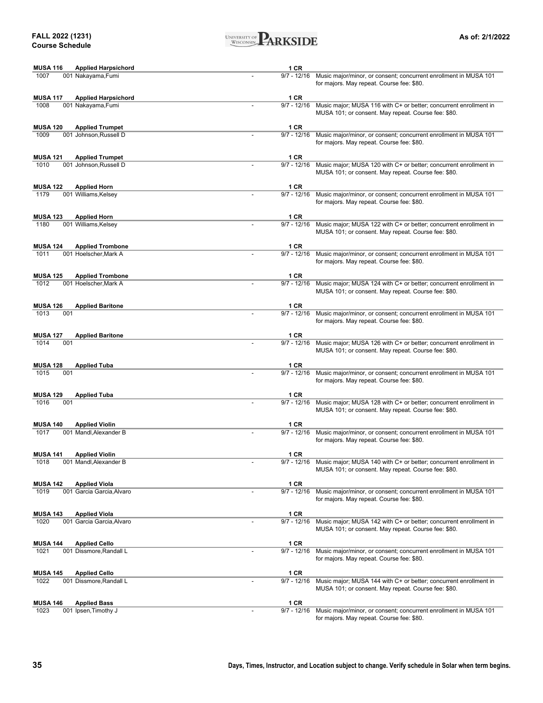

| <b>MUSA 116</b><br><b>Applied Harpsichord</b> | 1 CR          |                                                                                                                          |
|-----------------------------------------------|---------------|--------------------------------------------------------------------------------------------------------------------------|
| 1007<br>001 Nakayama, Fumi                    | $9/7 - 12/16$ | Music major/minor, or consent; concurrent enrollment in MUSA 101<br>for majors. May repeat. Course fee: \$80.            |
| <b>MUSA 117</b><br><b>Applied Harpsichord</b> | 1 CR          |                                                                                                                          |
| 1008<br>001 Nakayama, Fumi                    | $9/7 - 12/16$ | Music major; MUSA 116 with C+ or better; concurrent enrollment in<br>MUSA 101; or consent. May repeat. Course fee: \$80. |
| <b>MUSA 120</b><br><b>Applied Trumpet</b>     | 1 CR          |                                                                                                                          |
| 1009<br>001 Johnson, Russell D                | $9/7 - 12/16$ | Music major/minor, or consent; concurrent enrollment in MUSA 101<br>for majors. May repeat. Course fee: \$80.            |
| <b>MUSA 121</b><br><b>Applied Trumpet</b>     | 1 CR          |                                                                                                                          |
| 1010<br>001 Johnson, Russell D                | $9/7 - 12/16$ | Music major; MUSA 120 with C+ or better; concurrent enrollment in<br>MUSA 101; or consent. May repeat. Course fee: \$80. |
| <b>MUSA 122</b><br><b>Applied Horn</b>        | 1 CR          |                                                                                                                          |
| 1179<br>001 Williams, Kelsey                  | $9/7 - 12/16$ | Music major/minor, or consent; concurrent enrollment in MUSA 101<br>for majors. May repeat. Course fee: \$80.            |
| <b>MUSA 123</b><br><b>Applied Horn</b>        | 1 CR          |                                                                                                                          |
| 1180<br>001 Williams, Kelsey                  | $9/7 - 12/16$ | Music major; MUSA 122 with C+ or better; concurrent enrollment in<br>MUSA 101; or consent. May repeat. Course fee: \$80. |
| <b>MUSA 124</b><br><b>Applied Trombone</b>    | 1 CR          |                                                                                                                          |
| 1011<br>001 Hoelscher, Mark A                 | $9/7 - 12/16$ | Music major/minor, or consent; concurrent enrollment in MUSA 101<br>for majors. May repeat. Course fee: \$80.            |
| <b>MUSA 125</b><br><b>Applied Trombone</b>    | 1 CR          |                                                                                                                          |
| 1012<br>001 Hoelscher, Mark A                 | $9/7 - 12/16$ | Music major; MUSA 124 with C+ or better; concurrent enrollment in<br>MUSA 101; or consent. May repeat. Course fee: \$80. |
| <b>MUSA 126</b><br><b>Applied Baritone</b>    | 1 CR          |                                                                                                                          |
| 1013<br>001                                   | $9/7 - 12/16$ | Music major/minor, or consent; concurrent enrollment in MUSA 101<br>for majors. May repeat. Course fee: \$80.            |
| <b>MUSA 127</b><br><b>Applied Baritone</b>    | 1 CR          |                                                                                                                          |
| 1014<br>001                                   | $9/7 - 12/16$ | Music major; MUSA 126 with C+ or better; concurrent enrollment in<br>MUSA 101; or consent. May repeat. Course fee: \$80. |
| <b>MUSA 128</b><br><b>Applied Tuba</b>        | 1 CR          |                                                                                                                          |
| 001<br>1015                                   | $9/7 - 12/16$ | Music major/minor, or consent; concurrent enrollment in MUSA 101<br>for majors. May repeat. Course fee: \$80.            |
| <b>MUSA 129</b><br><b>Applied Tuba</b>        | 1 CR          |                                                                                                                          |
| 1016<br>001                                   | $9/7 - 12/16$ | Music major; MUSA 128 with C+ or better; concurrent enrollment in<br>MUSA 101; or consent. May repeat. Course fee: \$80. |
| <b>MUSA 140</b><br><b>Applied Violin</b>      | 1 CR          |                                                                                                                          |
| 1017<br>001 Mandl, Alexander B                | $9/7 - 12/16$ | Music major/minor, or consent; concurrent enrollment in MUSA 101<br>for majors. May repeat. Course fee: \$80.            |
| <b>MUSA 141</b><br><b>Applied Violin</b>      | 1 CR          |                                                                                                                          |
| 1018<br>001 Mandl, Alexander B                | 9/7 - 12/16   | Music major; MUSA 140 with C+ or better; concurrent enrollment in<br>MUSA 101; or consent. May repeat. Course fee: \$80. |
| <b>MUSA 142</b><br><b>Applied Viola</b>       | 1 CR          |                                                                                                                          |
| 1019<br>001 Garcia Garcia, Alvaro             | $9/7 - 12/16$ | Music major/minor, or consent; concurrent enrollment in MUSA 101<br>for majors. May repeat. Course fee: \$80.            |
| <b>MUSA 143</b><br><b>Applied Viola</b>       | 1 CR          |                                                                                                                          |
| 1020<br>001 Garcia Garcia, Alvaro             | $9/7 - 12/16$ | Music major; MUSA 142 with C+ or better; concurrent enrollment in<br>MUSA 101; or consent. May repeat. Course fee: \$80. |
| <b>MUSA 144</b><br><b>Applied Cello</b>       | 1 CR          |                                                                                                                          |
| 1021<br>001 Dissmore, Randall L               | $9/7 - 12/16$ | Music major/minor, or consent; concurrent enrollment in MUSA 101<br>for majors. May repeat. Course fee: \$80.            |
| <b>MUSA 145</b><br><b>Applied Cello</b>       | 1 CR          |                                                                                                                          |
| 1022<br>001 Dissmore, Randall L               | $9/7 - 12/16$ | Music major; MUSA 144 with C+ or better; concurrent enrollment in<br>MUSA 101; or consent. May repeat. Course fee: \$80. |
| <b>MUSA 146</b><br><b>Applied Bass</b>        | 1 CR          |                                                                                                                          |
| 1023<br>001 Ipsen, Timothy J                  | $9/7 - 12/16$ | Music major/minor, or consent; concurrent enrollment in MUSA 101                                                         |

for majors. May repeat. Course fee: \$80.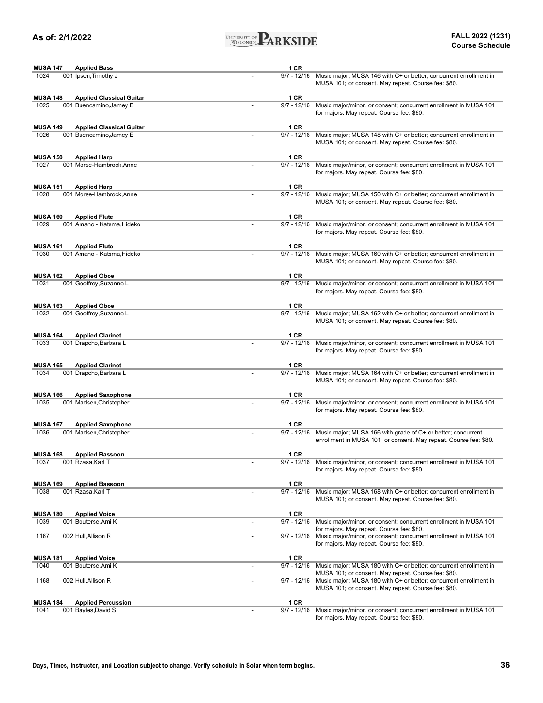

| <b>MUSA 147</b> | <b>Applied Bass</b>             |                          | 1 CR          |                                                                                                                                                                                 |
|-----------------|---------------------------------|--------------------------|---------------|---------------------------------------------------------------------------------------------------------------------------------------------------------------------------------|
| 1024            | 001 Ipsen, Timothy J            |                          | $9/7 - 12/16$ | Music major; MUSA 146 with C+ or better; concurrent enrollment in<br>MUSA 101; or consent. May repeat. Course fee: \$80.                                                        |
| <b>MUSA 148</b> | <b>Applied Classical Guitar</b> |                          | 1 CR          |                                                                                                                                                                                 |
| 1025            | 001 Buencamino, Jamey E         |                          | $9/7 - 12/16$ | Music major/minor, or consent; concurrent enrollment in MUSA 101<br>for majors. May repeat. Course fee: \$80.                                                                   |
| <b>MUSA 149</b> | <b>Applied Classical Guitar</b> |                          | 1 CR          |                                                                                                                                                                                 |
| 1026            | 001 Buencamino, Jamey E         |                          | $9/7 - 12/16$ | Music major; MUSA 148 with C+ or better; concurrent enrollment in<br>MUSA 101; or consent. May repeat. Course fee: \$80.                                                        |
| <b>MUSA 150</b> | <b>Applied Harp</b>             |                          | <b>1 CR</b>   |                                                                                                                                                                                 |
| 1027            | 001 Morse-Hambrock, Anne        |                          | $9/7 - 12/16$ | Music major/minor, or consent; concurrent enrollment in MUSA 101                                                                                                                |
|                 |                                 |                          |               | for majors. May repeat. Course fee: \$80.                                                                                                                                       |
| <b>MUSA 151</b> | <b>Applied Harp</b>             |                          | 1 CR          |                                                                                                                                                                                 |
| 1028            | 001 Morse-Hambrock.Anne         |                          | $9/7 - 12/16$ | Music major; MUSA 150 with C+ or better; concurrent enrollment in<br>MUSA 101; or consent. May repeat. Course fee: \$80.                                                        |
| <b>MUSA 160</b> | <b>Applied Flute</b>            |                          | 1 CR          |                                                                                                                                                                                 |
| 1029            | 001 Amano - Katsma, Hideko      |                          | $9/7 - 12/16$ | Music major/minor, or consent; concurrent enrollment in MUSA 101<br>for majors. May repeat. Course fee: \$80.                                                                   |
| <b>MUSA 161</b> | <b>Applied Flute</b>            |                          | <b>1 CR</b>   |                                                                                                                                                                                 |
| 1030            | 001 Amano - Katsma, Hideko      |                          | $9/7 - 12/16$ | Music major; MUSA 160 with C+ or better; concurrent enrollment in<br>MUSA 101; or consent. May repeat. Course fee: \$80.                                                        |
| <b>MUSA 162</b> | <b>Applied Oboe</b>             |                          | 1 CR          |                                                                                                                                                                                 |
| 1031            | 001 Geoffrey, Suzanne L         |                          | $9/7 - 12/16$ | Music major/minor, or consent; concurrent enrollment in MUSA 101<br>for majors. May repeat. Course fee: \$80.                                                                   |
| <b>MUSA 163</b> | <b>Applied Oboe</b>             |                          | 1 CR          |                                                                                                                                                                                 |
| 1032            | 001 Geoffrey, Suzanne L         |                          | $9/7 - 12/16$ | Music major; MUSA 162 with C+ or better; concurrent enrollment in<br>MUSA 101; or consent. May repeat. Course fee: \$80.                                                        |
| <b>MUSA 164</b> | <b>Applied Clarinet</b>         |                          | 1 CR          |                                                                                                                                                                                 |
| 1033            | 001 Drapcho, Barbara L          |                          | $9/7 - 12/16$ | Music major/minor, or consent; concurrent enrollment in MUSA 101<br>for majors. May repeat. Course fee: \$80.                                                                   |
| <b>MUSA 165</b> | <b>Applied Clarinet</b>         |                          | <b>1 CR</b>   |                                                                                                                                                                                 |
| 1034            | 001 Drapcho, Barbara L          |                          | $9/7 - 12/16$ | Music major; MUSA 164 with C+ or better; concurrent enrollment in<br>MUSA 101; or consent. May repeat. Course fee: \$80.                                                        |
| <b>MUSA 166</b> | <b>Applied Saxophone</b>        |                          | 1 CR          |                                                                                                                                                                                 |
| 1035            | 001 Madsen, Christopher         |                          | $9/7 - 12/16$ | Music major/minor, or consent; concurrent enrollment in MUSA 101<br>for majors. May repeat. Course fee: \$80.                                                                   |
| <b>MUSA 167</b> | <b>Applied Saxophone</b>        |                          | <b>1 CR</b>   |                                                                                                                                                                                 |
| 1036            | 001 Madsen, Christopher         |                          | $9/7 - 12/16$ | Music major; MUSA 166 with grade of C+ or better; concurrent<br>enrollment in MUSA 101; or consent. May repeat. Course fee: \$80.                                               |
| <b>MUSA 168</b> | <b>Applied Bassoon</b>          |                          | <b>1 CR</b>   |                                                                                                                                                                                 |
| 1037            | 001 Rzasa, Karl T               |                          | $9/7 - 12/16$ | Music major/minor, or consent; concurrent enrollment in MUSA 101<br>for majors. May repeat. Course fee: \$80.                                                                   |
| <b>MUSA 169</b> | <b>Applied Bassoon</b>          |                          | 1 CR          |                                                                                                                                                                                 |
| 1038            | 001 Rzasa, Karl T               |                          | $9/7 - 12/16$ | Music major; MUSA 168 with C+ or better; concurrent enrollment in<br>MUSA 101; or consent. May repeat. Course fee: \$80.                                                        |
| <b>MUSA 180</b> | <b>Applied Voice</b>            |                          | 1 CR          |                                                                                                                                                                                 |
| 1039            | 001 Bouterse.Ami K              |                          | $9/7 - 12/16$ | Music major/minor, or consent; concurrent enrollment in MUSA 101                                                                                                                |
| 1167            | 002 Hull, Allison R             |                          | $9/7 - 12/16$ | for majors. May repeat. Course fee: \$80.<br>Music major/minor, or consent; concurrent enrollment in MUSA 101<br>for majors. May repeat. Course fee: \$80.                      |
| <b>MUSA 181</b> | <b>Applied Voice</b>            |                          | 1 CR          |                                                                                                                                                                                 |
| 1040            | 001 Bouterse, Ami K             |                          | $9/7 - 12/16$ | Music major; MUSA 180 with C+ or better; concurrent enrollment in                                                                                                               |
| 1168            | 002 Hull, Allison R             |                          | 9/7 - 12/16   | MUSA 101; or consent. May repeat. Course fee: \$80.<br>Music major; MUSA 180 with C+ or better; concurrent enrollment in<br>MUSA 101; or consent. May repeat. Course fee: \$80. |
| <b>MUSA 184</b> | <b>Applied Percussion</b>       |                          | 1 CR          |                                                                                                                                                                                 |
| 1041            | 001 Bayles, David S             | $\overline{\phantom{0}}$ | $9/7 - 12/16$ | Music major/minor, or consent; concurrent enrollment in MUSA 101                                                                                                                |
|                 |                                 |                          |               |                                                                                                                                                                                 |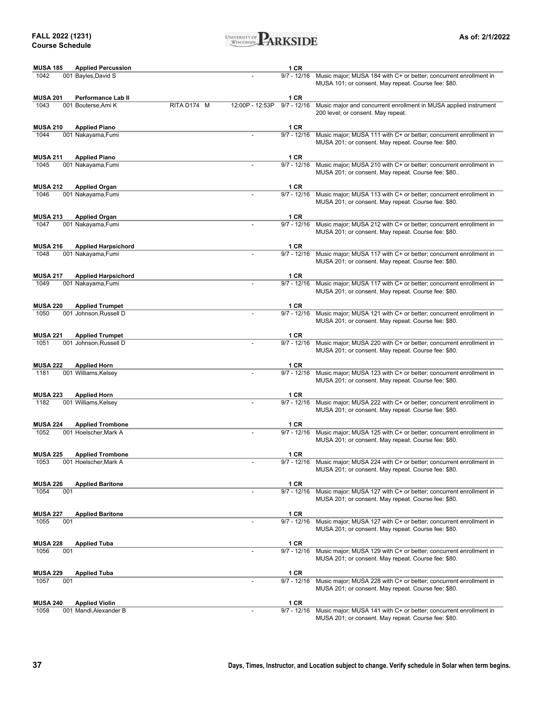**FALL 2022 (1231) Course Schedule**



| <b>MUSA 185</b> | <b>Applied Percussion</b>  |             |                 | 1 CR          |                                                                                                                                      |
|-----------------|----------------------------|-------------|-----------------|---------------|--------------------------------------------------------------------------------------------------------------------------------------|
| 1042            | 001 Bayles, David S        |             |                 | $9/7 - 12/16$ | Music major; MUSA 184 with C+ or better; concurrent enrollment in<br>MUSA 101; or consent. May repeat. Course fee: \$80.             |
| <b>MUSA 201</b> | Performance Lab II         |             |                 | 1 CR          |                                                                                                                                      |
| 1043            | 001 Bouterse, Ami K        | RITA D174 M | 12:00P - 12:53P | $9/7 - 12/16$ | Music major and concurrent enrollment in MUSA applied instrument<br>200 level; or consent. May repeat.                               |
| <b>MUSA 210</b> | <b>Applied Piano</b>       |             |                 | 1 CR          |                                                                                                                                      |
| 1044            | 001 Nakayama, Fumi         |             |                 | $9/7 - 12/16$ | Music major; MUSA 111 with C+ or better; concurrent enrollment in<br>MUSA 201; or consent. May repeat. Course fee: \$80.             |
| <b>MUSA 211</b> | <b>Applied Piano</b>       |             |                 | 1 CR          |                                                                                                                                      |
| 1045            | 001 Nakayama, Fumi         |             |                 | $9/7 - 12/16$ | Music major; MUSA 210 with C+ or better; concurrent enrollment in<br>MUSA 201; or consent. May repeat. Course fee: \$80              |
| <b>MUSA 212</b> | <b>Applied Organ</b>       |             |                 | 1 CR          |                                                                                                                                      |
| 1046            | 001 Nakayama, Fumi         |             |                 | $9/7 - 12/16$ | Music major; MUSA 113 with C+ or better; concurrent enrollment in<br>MUSA 201; or consent. May repeat. Course fee: \$80.             |
| <b>MUSA 213</b> | <b>Applied Organ</b>       |             |                 | 1 CR          |                                                                                                                                      |
| 1047            | 001 Nakayama, Fumi         |             |                 | $9/7 - 12/16$ | Music major; MUSA 212 with C+ or better; concurrent enrollment in<br>MUSA 201; or consent. May repeat. Course fee: \$80.             |
| <b>MUSA 216</b> | <b>Applied Harpsichord</b> |             |                 | 1 CR          |                                                                                                                                      |
| 1048            | 001 Nakayama, Fumi         |             |                 | $9/7 - 12/16$ | Music major; MUSA 117 with C+ or better; concurrent enrollment in<br>MUSA 201; or consent. May repeat. Course fee: \$80.             |
| <b>MUSA 217</b> | <b>Applied Harpsichord</b> |             |                 | 1 CR          |                                                                                                                                      |
| 1049            | 001 Nakayama, Fumi         |             |                 | $9/7 - 12/16$ | Music major; MUSA 117 with C+ or better; concurrent enrollment in<br>MUSA 201; or consent. May repeat. Course fee: \$80.             |
| <b>MUSA 220</b> | <b>Applied Trumpet</b>     |             |                 | 1 CR          |                                                                                                                                      |
| 1050            | 001 Johnson, Russell D     |             |                 | $9/7 - 12/16$ | Music major; MUSA 121 with C+ or better; concurrent enrollment in<br>MUSA 201; or consent. May repeat. Course fee: \$80.             |
| <b>MUSA 221</b> | <b>Applied Trumpet</b>     |             |                 | 1 CR          |                                                                                                                                      |
| 1051            | 001 Johnson, Russell D     |             |                 | $9/7 - 12/16$ | Music major; MUSA 220 with C+ or better; concurrent enrollment in<br>MUSA 201; or consent. May repeat. Course fee: \$80.             |
| <b>MUSA 222</b> | <b>Applied Horn</b>        |             |                 | 1 CR          |                                                                                                                                      |
| 1181            | 001 Williams, Kelsey       |             |                 | 9/7 - 12/16   | Music major; MUSA 123 with C+ or better; concurrent enrollment in<br>MUSA 201; or consent. May repeat. Course fee: \$80.             |
| <b>MUSA 223</b> | <b>Applied Horn</b>        |             |                 | 1 CR          |                                                                                                                                      |
| 1182            | 001 Williams, Kelsey       |             |                 | $9/7 - 12/16$ | Music major; MUSA 222 with C+ or better; concurrent enrollment in<br>MUSA 201; or consent. May repeat. Course fee: \$80.             |
| <b>MUSA 224</b> | <b>Applied Trombone</b>    |             |                 | 1 CR          |                                                                                                                                      |
| 1052            | 001 Hoelscher, Mark A      |             |                 | $9/7 - 12/16$ | Music major; MUSA 125 with C+ or better; concurrent enrollment in<br>MUSA 201; or consent. May repeat. Course fee: \$80.             |
| <b>MUSA 225</b> | <b>Applied Trombone</b>    |             |                 | 1 CR          |                                                                                                                                      |
| 1053            | 001 Hoelscher, Mark A      |             |                 |               | 9/7 - 12/16 Music major; MUSA 224 with C+ or better; concurrent enrollment in<br>MUSA 201; or consent. May repeat. Course fee: \$80. |
| <b>MUSA 226</b> | <b>Applied Baritone</b>    |             |                 | 1 CR          |                                                                                                                                      |
| 1054<br>001     |                            |             |                 | $9/7 - 12/16$ | Music major; MUSA 127 with C+ or better; concurrent enrollment in<br>MUSA 201; or consent. May repeat. Course fee: \$80.             |
| <b>MUSA 227</b> | <b>Applied Baritone</b>    |             |                 | 1 CR          |                                                                                                                                      |
| 1055<br>001     |                            |             |                 | $9/7 - 12/16$ | Music major; MUSA 127 with C+ or better; concurrent enrollment in<br>MUSA 201; or consent. May repeat. Course fee: \$80.             |
| <b>MUSA 228</b> | <b>Applied Tuba</b>        |             |                 | 1 CR          |                                                                                                                                      |
| 1056<br>001     |                            |             |                 | $9/7 - 12/16$ | Music major; MUSA 129 with C+ or better; concurrent enrollment in<br>MUSA 201; or consent. May repeat. Course fee: \$80.             |
| <b>MUSA 229</b> | <b>Applied Tuba</b>        |             |                 | 1 CR          |                                                                                                                                      |
| 1057<br>001     |                            |             |                 | $9/7 - 12/16$ | Music major; MUSA 228 with C+ or better; concurrent enrollment in<br>MUSA 201; or consent. May repeat. Course fee: \$80.             |
| <b>MUSA 240</b> | <b>Applied Violin</b>      |             |                 | 1 CR          |                                                                                                                                      |
| 1058            | 001 Mandl, Alexander B     |             |                 |               | 9/7 - 12/16 Music major; MUSA 141 with C+ or better; concurrent enrollment in                                                        |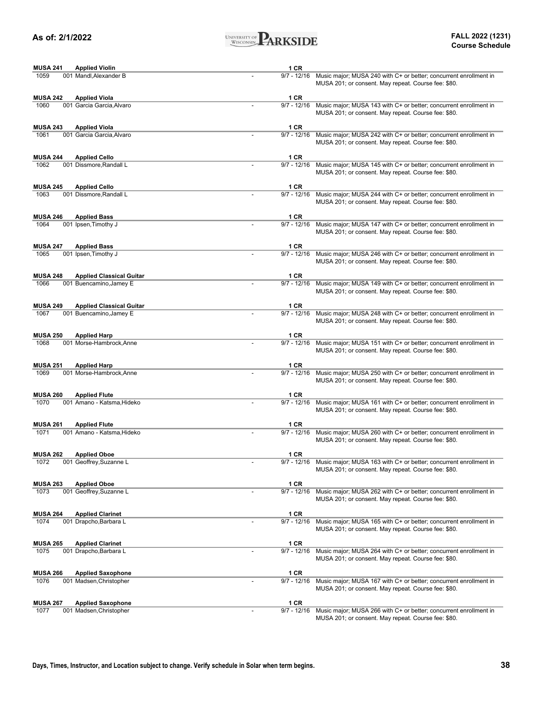

| <b>MUSA 241</b> | <b>Applied Violin</b>           | 1 CR          |                                                                                                                            |
|-----------------|---------------------------------|---------------|----------------------------------------------------------------------------------------------------------------------------|
| 1059            | 001 Mandl, Alexander B          | $9/7 - 12/16$ | Music major; MUSA 240 with C+ or better; concurrent enrollment in<br>MUSA 201; or consent. May repeat. Course fee: \$80.   |
| <b>MUSA 242</b> | <b>Applied Viola</b>            | 1 CR          |                                                                                                                            |
| 1060            | 001 Garcia Garcia, Alvaro       | $9/7 - 12/16$ | Music major; MUSA 143 with C+ or better; concurrent enrollment in<br>MUSA 201; or consent. May repeat. Course fee: \$80.   |
| <b>MUSA 243</b> | <b>Applied Viola</b>            | 1 CR          |                                                                                                                            |
| 1061            | 001 Garcia Garcia, Alvaro       | $9/7 - 12/16$ | Music major; MUSA 242 with C+ or better; concurrent enrollment in<br>MUSA 201; or consent. May repeat. Course fee: \$80.   |
| <b>MUSA 244</b> | <b>Applied Cello</b>            | 1 CR          |                                                                                                                            |
| 1062            | 001 Dissmore.Randall L          | $9/7 - 12/16$ | Music major; MUSA 145 with C+ or better; concurrent enrollment in<br>MUSA 201; or consent. May repeat. Course fee: \$80.   |
| <b>MUSA 245</b> | <b>Applied Cello</b>            | 1 CR          |                                                                                                                            |
| 1063            | 001 Dissmore.Randall L          | $9/7 - 12/16$ | Music major; MUSA 244 with C+ or better; concurrent enrollment in<br>MUSA 201; or consent. May repeat. Course fee: \$80.   |
| <b>MUSA 246</b> | <b>Applied Bass</b>             | 1 CR          |                                                                                                                            |
| 1064            | 001 Ipsen, Timothy J            | $9/7 - 12/16$ | Music major; MUSA 147 with C+ or better; concurrent enrollment in<br>MUSA 201; or consent. May repeat. Course fee: \$80.   |
| <b>MUSA 247</b> | <b>Applied Bass</b>             | 1 CR          |                                                                                                                            |
| 1065            | 001 Ipsen, Timothy J            | $9/7 - 12/16$ | Music major; MUSA 246 with C+ or better; concurrent enrollment in<br>MUSA 201; or consent. May repeat. Course fee: \$80.   |
| <b>MUSA 248</b> | <b>Applied Classical Guitar</b> | 1 CR          |                                                                                                                            |
| 1066            | 001 Buencamino, Jamey E         | $9/7 - 12/16$ | Music major; MUSA 149 with C+ or better; concurrent enrollment in<br>MUSA 201; or consent. May repeat. Course fee: \$80.   |
| <b>MUSA 249</b> | <b>Applied Classical Guitar</b> | 1 CR          |                                                                                                                            |
| 1067            | 001 Buencamino, Jamey E         | $9/7 - 12/16$ | Music major; MUSA 248 with C+ or better; concurrent enrollment in<br>MUSA 201; or consent. May repeat. Course fee: \$80.   |
| <b>MUSA 250</b> | <b>Applied Harp</b>             | 1 CR          |                                                                                                                            |
| 1068            | 001 Morse-Hambrock, Anne        | $9/7 - 12/16$ | Music major; MUSA 151 with C+ or better; concurrent enrollment in<br>MUSA 201; or consent. May repeat. Course fee: \$80.   |
| <b>MUSA 251</b> | <b>Applied Harp</b>             | 1 CR          |                                                                                                                            |
| 1069            | 001 Morse-Hambrock, Anne        | $9/7 - 12/16$ | Music major; MUSA 250 with C+ or better; concurrent enrollment in<br>MUSA 201; or consent. May repeat. Course fee: \$80.   |
| <b>MUSA 260</b> | <b>Applied Flute</b>            | 1 CR          |                                                                                                                            |
| 1070            | 001 Amano - Katsma, Hideko      | $9/7 - 12/16$ | Music major; MUSA 161 with C+ or better; concurrent enrollment in<br>MUSA 201; or consent. May repeat. Course fee: \$80.   |
| <b>MUSA 261</b> | <b>Applied Flute</b>            | 1 CR          |                                                                                                                            |
| 1071            | 001 Amano - Katsma, Hideko      | $9/7 - 12/16$ | Music major; MUSA 260 with C+ or better; concurrent enrollment in<br>MUSA 201; or consent. May repeat. Course fee: \$80.   |
| <b>MUSA 262</b> | <b>Applied Oboe</b>             | <b>1 CR</b>   |                                                                                                                            |
| 1072            | 001 Geoffrey, Suzanne L         | 9/7 - 12/16   | Music major; MUSA 163 with $C+$ or better; concurrent enrollment in<br>MUSA 201; or consent. May repeat. Course fee: \$80. |
| <b>MUSA 263</b> | <b>Applied Oboe</b>             | 1 CR          |                                                                                                                            |
| 1073            | 001 Geoffrey, Suzanne L         | $9/7 - 12/16$ | Music major; MUSA 262 with C+ or better; concurrent enrollment in<br>MUSA 201; or consent. May repeat. Course fee: \$80.   |
| <b>MUSA 264</b> | <b>Applied Clarinet</b>         | 1 CR          |                                                                                                                            |
| 1074            | 001 Drapcho, Barbara L          | $9/7 - 12/16$ | Music major; MUSA 165 with C+ or better; concurrent enrollment in<br>MUSA 201; or consent. May repeat. Course fee: \$80.   |
| <b>MUSA 265</b> | <b>Applied Clarinet</b>         | 1 CR          |                                                                                                                            |
| 1075            | 001 Drapcho, Barbara L          | $9/7 - 12/16$ | Music major; MUSA 264 with C+ or better; concurrent enrollment in<br>MUSA 201; or consent. May repeat. Course fee: \$80.   |
| <b>MUSA 266</b> | <b>Applied Saxophone</b>        | 1 CR          |                                                                                                                            |
| 1076            | 001 Madsen, Christopher         | $9/7 - 12/16$ | Music major; MUSA 167 with C+ or better; concurrent enrollment in<br>MUSA 201; or consent. May repeat. Course fee: \$80.   |
| <b>MUSA 267</b> | <b>Applied Saxophone</b>        | 1 CR          |                                                                                                                            |
| 1077            | 001 Madsen, Christopher         | $9/7 - 12/16$ | Music major; MUSA 266 with C+ or better; concurrent enrollment in                                                          |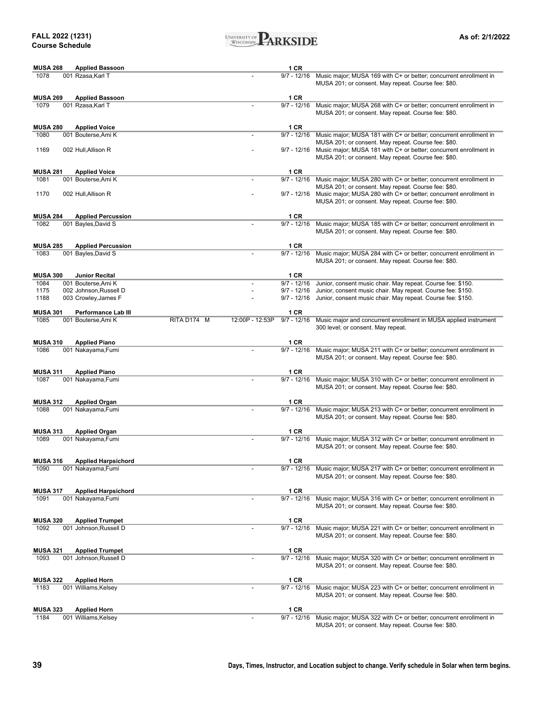

| <b>MUSA 268</b> | <b>Applied Bassoon</b>                     |             |                 | 1 CR          |                                                                                                                                                                                             |
|-----------------|--------------------------------------------|-------------|-----------------|---------------|---------------------------------------------------------------------------------------------------------------------------------------------------------------------------------------------|
| 1078            | 001 Rzasa, Karl T                          |             |                 | 9/7 - 12/16   | Music major; MUSA 169 with C+ or better; concurrent enrollment in<br>MUSA 201; or consent. May repeat. Course fee: \$80.                                                                    |
| <b>MUSA 269</b> | <b>Applied Bassoon</b>                     |             |                 | 1 CR          |                                                                                                                                                                                             |
| 1079            | 001 Rzasa, Karl T                          |             |                 | $9/7 - 12/16$ | Music major; MUSA 268 with C+ or better; concurrent enrollment in<br>MUSA 201; or consent. May repeat. Course fee: \$80.                                                                    |
| <b>MUSA 280</b> | <b>Applied Voice</b>                       |             |                 | 1 CR          |                                                                                                                                                                                             |
| 1080            | 001 Bouterse, Ami K                        |             |                 | $9/7 - 12/16$ | Music major; MUSA 181 with C+ or better; concurrent enrollment in                                                                                                                           |
| 1169            | 002 Hull, Allison R                        |             |                 |               | MUSA 201; or consent. May repeat. Course fee: \$80.<br>9/7 - 12/16 Music major; MUSA 181 with C+ or better; concurrent enrollment in<br>MUSA 201; or consent. May repeat. Course fee: \$80. |
| <b>MUSA 281</b> | <b>Applied Voice</b>                       |             |                 | 1 CR          |                                                                                                                                                                                             |
| 1081            | 001 Bouterse, Ami K                        |             |                 | $9/7 - 12/16$ | Music major; MUSA 280 with C+ or better; concurrent enrollment in                                                                                                                           |
| 1170            | 002 Hull, Allison R                        |             |                 |               | MUSA 201; or consent. May repeat. Course fee: \$80.<br>9/7 - 12/16 Music major; MUSA 280 with C+ or better; concurrent enrollment in                                                        |
|                 |                                            |             |                 |               | MUSA 201; or consent. May repeat. Course fee: \$80.                                                                                                                                         |
| <b>MUSA 284</b> | <b>Applied Percussion</b>                  |             |                 | 1 CR          |                                                                                                                                                                                             |
| 1082            | 001 Bayles, David S                        |             |                 | $9/7 - 12/16$ | Music major; MUSA 185 with C+ or better; concurrent enrollment in<br>MUSA 201; or consent. May repeat. Course fee: \$80.                                                                    |
| <b>MUSA 285</b> | <b>Applied Percussion</b>                  |             |                 | 1 CR          |                                                                                                                                                                                             |
| 1083            | 001 Bayles, David S                        |             |                 | $9/7 - 12/16$ | Music major; MUSA 284 with C+ or better; concurrent enrollment in<br>MUSA 201; or consent. May repeat. Course fee: \$80.                                                                    |
| <b>MUSA 300</b> | <b>Junior Recital</b>                      |             |                 | 1 CR          |                                                                                                                                                                                             |
| 1084            | 001 Bouterse, Ami K                        |             |                 | $9/7 - 12/16$ | Junior, consent music chair. May repeat. Course fee: \$150.                                                                                                                                 |
| 1175            | 002 Johnson, Russell D                     |             |                 | 9/7 - 12/16   | Junior, consent music chair. May repeat. Course fee: \$150.                                                                                                                                 |
| 1188            | 003 Crowley, James F                       |             |                 | 9/7 - 12/16   | Junior, consent music chair. May repeat. Course fee: \$150.                                                                                                                                 |
| <b>MUSA 301</b> | Performance Lab III                        |             |                 | 1 CR          |                                                                                                                                                                                             |
| 1085            | 001 Bouterse, Ami K                        | RITA D174 M | 12:00P - 12:53P | $9/7 - 12/16$ | Music major and concurrent enrollment in MUSA applied instrument<br>300 level; or consent. May repeat.                                                                                      |
| <b>MUSA 310</b> | <b>Applied Piano</b>                       |             |                 | 1 CR          |                                                                                                                                                                                             |
| 1086            | 001 Nakayama, Fumi                         |             |                 | $9/7 - 12/16$ | Music major; MUSA 211 with C+ or better; concurrent enrollment in<br>MUSA 201; or consent. May repeat. Course fee: \$80.                                                                    |
| <b>MUSA 311</b> | <b>Applied Piano</b>                       |             |                 | 1 CR          |                                                                                                                                                                                             |
| 1087            | 001 Nakayama, Fumi                         |             |                 | $9/7 - 12/16$ | Music major; MUSA 310 with C+ or better; concurrent enrollment in<br>MUSA 201; or consent. May repeat. Course fee: \$80.                                                                    |
| <b>MUSA 312</b> |                                            |             |                 | 1 CR          |                                                                                                                                                                                             |
| 1088            | <b>Applied Organ</b><br>001 Nakayama, Fumi |             |                 | $9/7 - 12/16$ | Music major; MUSA 213 with C+ or better; concurrent enrollment in                                                                                                                           |
|                 |                                            |             |                 |               | MUSA 201; or consent. May repeat. Course fee: \$80.                                                                                                                                         |
| <b>MUSA 313</b> | <b>Applied Organ</b>                       |             |                 | 1 CR          |                                                                                                                                                                                             |
| 1089            | 001 Nakayama, Fumi                         |             |                 | $9/7 - 12/16$ | Music major; MUSA 312 with C+ or better; concurrent enrollment in<br>MUSA 201; or consent. May repeat. Course fee: \$80.                                                                    |
| <b>MUSA 316</b> | <b>Applied Harpsichord</b>                 |             |                 | 1 CR          |                                                                                                                                                                                             |
| 1090            | 001 Nakayama, Fumi                         |             |                 |               | 9/7 - 12/16 Music major; MUSA 217 with C+ or better; concurrent enrollment in<br>MUSA 201; or consent. May repeat. Course fee: \$80.                                                        |
| <b>MUSA 317</b> | <b>Applied Harpsichord</b>                 |             |                 | 1 CR          |                                                                                                                                                                                             |
| 1091            | 001 Nakayama, Fumi                         |             |                 | $9/7 - 12/16$ | Music major; MUSA 316 with C+ or better; concurrent enrollment in<br>MUSA 201; or consent. May repeat. Course fee: \$80.                                                                    |
| <b>MUSA 320</b> | <b>Applied Trumpet</b>                     |             |                 | 1 CR          |                                                                                                                                                                                             |
| 1092            | 001 Johnson, Russell D                     |             |                 | $9/7 - 12/16$ | Music major; MUSA 221 with C+ or better; concurrent enrollment in<br>MUSA 201; or consent. May repeat. Course fee: \$80.                                                                    |
| <b>MUSA 321</b> | <b>Applied Trumpet</b>                     |             |                 | 1 CR          |                                                                                                                                                                                             |
| 1093            | 001 Johnson, Russell D                     |             |                 | $9/7 - 12/16$ | Music major; MUSA 320 with C+ or better; concurrent enrollment in<br>MUSA 201; or consent. May repeat. Course fee: \$80.                                                                    |
| <b>MUSA 322</b> | <b>Applied Horn</b>                        |             |                 | 1 CR          |                                                                                                                                                                                             |
| 1183            | 001 Williams, Kelsey                       |             |                 | $9/7 - 12/16$ | Music major; MUSA 223 with C+ or better; concurrent enrollment in<br>MUSA 201; or consent. May repeat. Course fee: \$80.                                                                    |
| <b>MUSA 323</b> | <b>Applied Horn</b>                        |             |                 | 1 CR          |                                                                                                                                                                                             |
| 1184            | 001 Williams, Kelsey                       |             |                 | $9/7 - 12/16$ | Music major; MUSA 322 with C+ or better; concurrent enrollment in<br>MUSA 201: or consent. May repeat. Course fee: \$80                                                                     |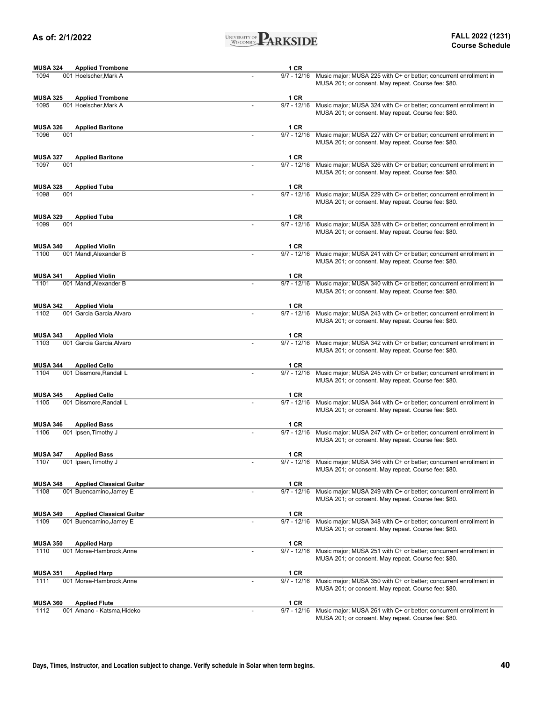

| <b>MUSA 324</b><br><b>Applied Trombone</b>         |                          | 1 CR          |                                                                                                                          |
|----------------------------------------------------|--------------------------|---------------|--------------------------------------------------------------------------------------------------------------------------|
| 1094<br>001 Hoelscher, Mark A                      |                          | $9/7 - 12/16$ | Music major; MUSA 225 with C+ or better; concurrent enrollment in<br>MUSA 201; or consent. May repeat. Course fee: \$80. |
| <b>MUSA 325</b><br><b>Applied Trombone</b>         |                          | 1 CR          |                                                                                                                          |
| 1095<br>001 Hoelscher, Mark A                      |                          | $9/7 - 12/16$ | Music major; MUSA 324 with C+ or better; concurrent enrollment in<br>MUSA 201; or consent. May repeat. Course fee: \$80. |
| <b>MUSA 326</b><br><b>Applied Baritone</b>         |                          | 1 CR          |                                                                                                                          |
| 1096<br>001                                        |                          | $9/7 - 12/16$ | Music major; MUSA 227 with C+ or better; concurrent enrollment in<br>MUSA 201; or consent. May repeat. Course fee: \$80. |
| <b>MUSA 327</b><br><b>Applied Baritone</b>         |                          | 1 CR          |                                                                                                                          |
| 001<br>1097                                        |                          | $9/7 - 12/16$ | Music major; MUSA 326 with C+ or better; concurrent enrollment in<br>MUSA 201; or consent. May repeat. Course fee: \$80. |
| <b>MUSA 328</b><br><b>Applied Tuba</b>             |                          | 1 CR          |                                                                                                                          |
| 1098<br>001                                        |                          | $9/7 - 12/16$ | Music major; MUSA 229 with C+ or better; concurrent enrollment in<br>MUSA 201; or consent. May repeat. Course fee: \$80. |
| <b>MUSA 329</b><br><b>Applied Tuba</b>             |                          | 1 CR          |                                                                                                                          |
| 1099<br>001                                        |                          | $9/7 - 12/16$ | Music major; MUSA 328 with C+ or better; concurrent enrollment in<br>MUSA 201; or consent. May repeat. Course fee: \$80. |
| <b>MUSA 340</b><br><b>Applied Violin</b>           |                          | 1 CR          |                                                                                                                          |
| 1100<br>001 Mandl, Alexander B                     |                          | $9/7 - 12/16$ | Music major; MUSA 241 with C+ or better; concurrent enrollment in<br>MUSA 201; or consent. May repeat. Course fee: \$80. |
| <b>MUSA 341</b><br><b>Applied Violin</b>           |                          | 1 CR          |                                                                                                                          |
| 1101<br>001 Mandl, Alexander B                     |                          | $9/7 - 12/16$ | Music major; MUSA 340 with C+ or better; concurrent enrollment in<br>MUSA 201; or consent. May repeat. Course fee: \$80. |
| <b>MUSA 342</b><br><b>Applied Viola</b>            |                          | 1 CR          |                                                                                                                          |
| 1102<br>001 Garcia Garcia, Alvaro                  |                          | $9/7 - 12/16$ | Music major; MUSA 243 with C+ or better; concurrent enrollment in<br>MUSA 201; or consent. May repeat. Course fee: \$80. |
| <b>MUSA 343</b><br><b>Applied Viola</b>            |                          | 1 CR          |                                                                                                                          |
| 1103<br>001 Garcia Garcia, Alvaro                  |                          | $9/7 - 12/16$ | Music major; MUSA 342 with C+ or better; concurrent enrollment in<br>MUSA 201; or consent. May repeat. Course fee: \$80. |
| <b>MUSA 344</b><br><b>Applied Cello</b>            |                          | 1 CR          |                                                                                                                          |
| 1104<br>001 Dissmore, Randall L                    |                          | $9/7 - 12/16$ | Music major; MUSA 245 with C+ or better; concurrent enrollment in<br>MUSA 201; or consent. May repeat. Course fee: \$80. |
| <b>MUSA 345</b><br><b>Applied Cello</b>            |                          | 1 CR          |                                                                                                                          |
| 1105<br>001 Dissmore, Randall L                    |                          | $9/7 - 12/16$ | Music major; MUSA 344 with C+ or better; concurrent enrollment in<br>MUSA 201; or consent. May repeat. Course fee: \$80. |
| <b>MUSA 346</b><br><b>Applied Bass</b>             |                          | 1 CR          |                                                                                                                          |
| 001 Ipsen, Timothy J<br>1106                       |                          | $9/7 - 12/16$ | Music major; MUSA 247 with C+ or better; concurrent enrollment in<br>MUSA 201; or consent. May repeat. Course fee: \$80. |
| <b>MUSA 347</b><br><b>Applied Bass</b>             |                          | 1 CR          |                                                                                                                          |
| 1107<br>001 Ipsen, Timothy J                       |                          | $9/7 - 12/16$ | Music major; MUSA 346 with C+ or better; concurrent enrollment in<br>MUSA 201; or consent. May repeat. Course fee: \$80. |
| <b>MUSA 348</b><br><b>Applied Classical Guitar</b> |                          | 1 CR          |                                                                                                                          |
| 1108<br>001 Buencamino, Jamey E                    |                          | $9/7 - 12/16$ | Music major; MUSA 249 with C+ or better; concurrent enrollment in<br>MUSA 201; or consent. May repeat. Course fee: \$80. |
| <b>MUSA 349</b><br><b>Applied Classical Guitar</b> |                          | 1 CR          |                                                                                                                          |
| 1109<br>001 Buencamino, Jamey E                    |                          | $9/7 - 12/16$ | Music major; MUSA 348 with C+ or better; concurrent enrollment in<br>MUSA 201; or consent. May repeat. Course fee: \$80. |
| <b>MUSA 350</b><br><b>Applied Harp</b>             |                          | 1 CR          |                                                                                                                          |
| 1110<br>001 Morse-Hambrock, Anne                   |                          | $9/7 - 12/16$ | Music major; MUSA 251 with C+ or better; concurrent enrollment in<br>MUSA 201; or consent. May repeat. Course fee: \$80. |
| <b>MUSA 351</b><br><b>Applied Harp</b>             |                          | 1 CR          |                                                                                                                          |
| 1111<br>001 Morse-Hambrock, Anne                   |                          | $9/7 - 12/16$ | Music major; MUSA 350 with C+ or better; concurrent enrollment in<br>MUSA 201; or consent. May repeat. Course fee: \$80. |
| <b>MUSA 360</b><br><b>Applied Flute</b>            |                          | 1 CR          |                                                                                                                          |
| 1112<br>001 Amano - Katsma, Hideko                 | $\overline{\phantom{a}}$ | $9/7 - 12/16$ | Music major; MUSA 261 with C+ or better; concurrent enrollment in                                                        |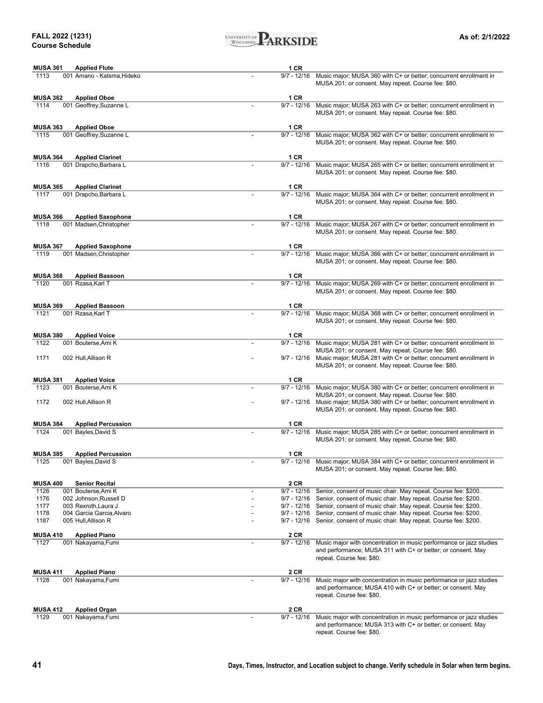#### **FALL 2022 (1231) Course Schedule**



| <b>MUSA 361</b><br><b>Applied Flute</b>                                        | 1 CR                                                                                                                                                        |
|--------------------------------------------------------------------------------|-------------------------------------------------------------------------------------------------------------------------------------------------------------|
| 1113<br>001 Amano - Katsma, Hideko                                             | Music major; MUSA 360 with C+ or better; concurrent enrollment in<br>$9/7 - 12/16$                                                                          |
|                                                                                | MUSA 201; or consent. May repeat. Course fee: \$80.                                                                                                         |
|                                                                                |                                                                                                                                                             |
| <b>MUSA 362</b><br><b>Applied Oboe</b><br>1114<br>001 Geoffrey, Suzanne L      | 1 CR<br>$9/7 - 12/16$<br>Music major; MUSA 263 with C+ or better; concurrent enrollment in                                                                  |
|                                                                                | MUSA 201; or consent. May repeat. Course fee: \$80.                                                                                                         |
|                                                                                |                                                                                                                                                             |
| <b>MUSA 363</b><br><b>Applied Oboe</b>                                         | 1 CR                                                                                                                                                        |
| 001 Geoffrey, Suzanne L<br>1115                                                | $9/7 - 12/16$<br>Music major; MUSA 362 with C+ or better; concurrent enrollment in                                                                          |
|                                                                                | MUSA 201; or consent. May repeat. Course fee: \$80.                                                                                                         |
|                                                                                |                                                                                                                                                             |
| <b>MUSA 364</b><br><b>Applied Clarinet</b><br>1116<br>001 Drapcho, Barbara L   | 1 CR<br>$9/7 - 12/16$<br>Music major; MUSA 265 with C+ or better; concurrent enrollment in                                                                  |
|                                                                                | MUSA 201; or consent. May repeat. Course fee: \$80.                                                                                                         |
|                                                                                |                                                                                                                                                             |
| <b>MUSA 365</b><br><b>Applied Clarinet</b>                                     | 1 CR                                                                                                                                                        |
| 1117<br>001 Drapcho, Barbara L                                                 | $9/7 - 12/16$<br>Music major; MUSA 364 with C+ or better; concurrent enrollment in                                                                          |
|                                                                                | MUSA 201; or consent. May repeat. Course fee: \$80.                                                                                                         |
|                                                                                | 1 CR                                                                                                                                                        |
| <b>MUSA 366</b><br><b>Applied Saxophone</b><br>1118<br>001 Madsen, Christopher | $9/7 - 12/16$<br>Music major; MUSA 267 with C+ or better; concurrent enrollment in                                                                          |
|                                                                                | MUSA 201; or consent. May repeat. Course fee: \$80.                                                                                                         |
|                                                                                |                                                                                                                                                             |
| <b>MUSA 367</b><br><b>Applied Saxophone</b>                                    | 1 CR                                                                                                                                                        |
| 1119<br>001 Madsen, Christopher                                                | $9/7 - 12/16$<br>Music major; MUSA 366 with C+ or better; concurrent enrollment in                                                                          |
|                                                                                | MUSA 201; or consent. May repeat. Course fee: \$80.                                                                                                         |
|                                                                                | 1 CR                                                                                                                                                        |
| <b>MUSA 368</b><br><b>Applied Bassoon</b><br>1120<br>001 Rzasa, Karl T         | $9/7 - 12/16$<br>Music major; MUSA 269 with C+ or better; concurrent enrollment in                                                                          |
|                                                                                | MUSA 201; or consent. May repeat. Course fee: \$80.                                                                                                         |
|                                                                                |                                                                                                                                                             |
| <b>MUSA 369</b><br><b>Applied Bassoon</b>                                      | 1 CR                                                                                                                                                        |
| 1121<br>001 Rzasa, Karl T                                                      | $9/7 - 12/16$<br>Music major; MUSA 368 with C+ or better; concurrent enrollment in                                                                          |
|                                                                                | MUSA 201; or consent. May repeat. Course fee: \$80.                                                                                                         |
|                                                                                |                                                                                                                                                             |
| <b>MUSA 380</b><br><b>Applied Voice</b><br>1122<br>001 Bouterse, Ami K         | 1 CR<br>$9/7 - 12/16$<br>Music major; MUSA 281 with C+ or better; concurrent enrollment in                                                                  |
|                                                                                | MUSA 201; or consent. May repeat. Course fee: \$80.                                                                                                         |
| 1171<br>002 Hull, Allison R                                                    | $9/7 - 12/16$<br>Music major; MUSA 281 with C+ or better; concurrent enrollment in                                                                          |
|                                                                                | MUSA 201; or consent. May repeat. Course fee: \$80.                                                                                                         |
|                                                                                |                                                                                                                                                             |
| <b>MUSA 381</b><br><b>Applied Voice</b>                                        | 1 CR                                                                                                                                                        |
| 1123<br>001 Bouterse, Ami K                                                    | $9/7 - 12/16$<br>Music major; MUSA 380 with C+ or better; concurrent enrollment in<br>MUSA 201; or consent. May repeat. Course fee: \$80.                   |
| 1172<br>002 Hull, Allison R                                                    | $9/7 - 12/16$<br>Music major; MUSA 380 with C+ or better; concurrent enrollment in                                                                          |
|                                                                                | MUSA 201; or consent. May repeat. Course fee: \$80.                                                                                                         |
|                                                                                |                                                                                                                                                             |
| <b>MUSA 384</b><br><b>Applied Percussion</b>                                   | 1 CR                                                                                                                                                        |
| 1124<br>001 Bayles, David S                                                    | $9/7 - 12/16$<br>Music major; MUSA 285 with C+ or better; concurrent enrollment in                                                                          |
|                                                                                | MUSA 201; or consent. May repeat. Course fee: \$80.                                                                                                         |
| <b>MUSA 385</b><br><b>Applied Percussion</b>                                   | 1 CR                                                                                                                                                        |
| 1125<br>001 Bayles, David S                                                    | 9/7 - 12/16<br>Music major; MUSA 384 with C+ or better; concurrent enrollment in                                                                            |
|                                                                                | MUSA 201; or consent. May repeat. Course fee: \$80.                                                                                                         |
|                                                                                |                                                                                                                                                             |
| <b>MUSA 400</b><br><b>Senior Recital</b>                                       | 2 CR                                                                                                                                                        |
| 1126<br>001 Bouterse, Ami K                                                    | $9/7 - 12/16$<br>Senior, consent of music chair. May repeat. Course fee: \$200.                                                                             |
| 1176<br>002 Johnson, Russell D                                                 | Senior, consent of music chair. May repeat. Course fee: \$200.<br>$9/7 - 12/16$                                                                             |
| 1177<br>003 Rexroth, Laura J<br>1178<br>004 Garcia Garcia, Alvaro              | 9/7 - 12/16<br>Senior, consent of music chair. May repeat. Course fee: \$200.<br>9/7 - 12/16 Senior, consent of music chair. May repeat. Course fee: \$200. |
| 1187<br>005 Hull, Allison R                                                    | 9/7 - 12/16 Senior, consent of music chair. May repeat. Course fee: \$200.                                                                                  |
|                                                                                |                                                                                                                                                             |
| <b>MUSA 410</b><br><b>Applied Piano</b>                                        | 2 CR                                                                                                                                                        |
| 1127<br>001 Nakayama, Fumi                                                     | $9/7 - 12/16$<br>Music major with concentration in music performance or jazz studies                                                                        |
|                                                                                | and performance; MUSA 311 with C+ or better; or consent. May                                                                                                |
|                                                                                | repeat. Course fee: \$80.                                                                                                                                   |
| <b>MUSA 411</b><br><b>Applied Piano</b>                                        | 2 CR                                                                                                                                                        |
| 1128<br>001 Nakayama, Fumi                                                     | $9/7 - 12/16$<br>Music major with concentration in music performance or jazz studies                                                                        |
|                                                                                | and performance; MUSA 410 with C+ or better; or consent. May                                                                                                |
|                                                                                | repeat. Course fee: \$80.                                                                                                                                   |
|                                                                                |                                                                                                                                                             |
| <b>MUSA 412</b><br><b>Applied Organ</b><br>1129                                | 2 CR<br>$9/7 - 12/16$                                                                                                                                       |
| 001 Nakayama, Fumi                                                             | Music major with concentration in music performance or jazz studies<br>and performance; MUSA 313 with C+ or better; or consent. May                         |

repeat. Course fee: \$80.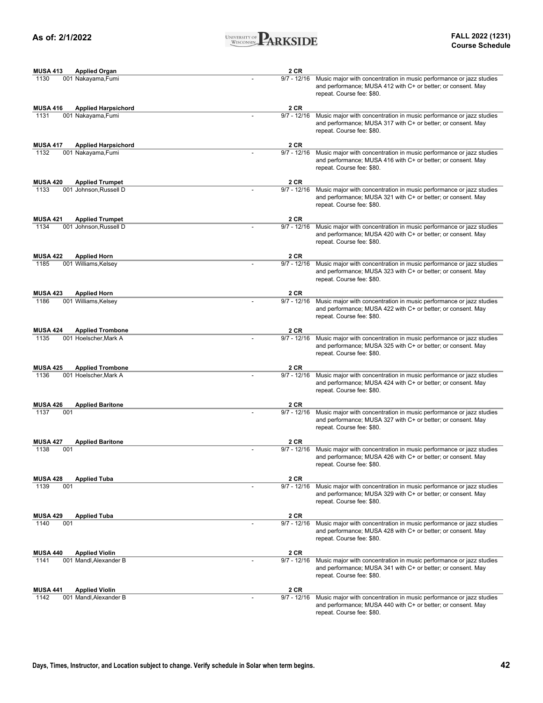

| <b>MUSA 413</b> | <b>Applied Organ</b>       | 2 CR          |                                                                                                                                                                  |
|-----------------|----------------------------|---------------|------------------------------------------------------------------------------------------------------------------------------------------------------------------|
| 1130            | 001 Nakayama, Fumi         | $9/7 - 12/16$ | Music major with concentration in music performance or jazz studies<br>and performance; MUSA 412 with C+ or better; or consent. May<br>repeat. Course fee: \$80. |
| <b>MUSA 416</b> | <b>Applied Harpsichord</b> | 2 CR          |                                                                                                                                                                  |
| 1131            | 001 Nakayama, Fumi         | $9/7 - 12/16$ | Music major with concentration in music performance or jazz studies<br>and performance; MUSA 317 with C+ or better; or consent. May<br>repeat. Course fee: \$80. |
| <b>MUSA 417</b> | <b>Applied Harpsichord</b> | 2 CR          |                                                                                                                                                                  |
| 1132            | 001 Nakayama, Fumi         | $9/7 - 12/16$ | Music major with concentration in music performance or jazz studies<br>and performance; MUSA 416 with C+ or better; or consent. May<br>repeat. Course fee: \$80. |
| <b>MUSA 420</b> | <b>Applied Trumpet</b>     | 2 CR          |                                                                                                                                                                  |
| 1133            | 001 Johnson, Russell D     | $9/7 - 12/16$ | Music major with concentration in music performance or jazz studies<br>and performance; MUSA 321 with C+ or better; or consent. May<br>repeat. Course fee: \$80. |
| <b>MUSA 421</b> | <b>Applied Trumpet</b>     | 2 CR          |                                                                                                                                                                  |
| 1134            | 001 Johnson, Russell D     | $9/7 - 12/16$ | Music major with concentration in music performance or jazz studies<br>and performance; MUSA 420 with C+ or better; or consent. May<br>repeat. Course fee: \$80. |
| <b>MUSA 422</b> | <b>Applied Horn</b>        | 2 CR          |                                                                                                                                                                  |
| 1185            | 001 Williams, Kelsey       | $9/7 - 12/16$ | Music major with concentration in music performance or jazz studies<br>and performance; MUSA 323 with C+ or better; or consent. May<br>repeat. Course fee: \$80. |
| <b>MUSA 423</b> | <b>Applied Horn</b>        | 2 CR          |                                                                                                                                                                  |
| 1186            | 001 Williams, Kelsey       | $9/7 - 12/16$ | Music major with concentration in music performance or jazz studies<br>and performance; MUSA 422 with C+ or better; or consent. May<br>repeat. Course fee: \$80. |
| <b>MUSA 424</b> | <b>Applied Trombone</b>    | 2 CR          |                                                                                                                                                                  |
| 1135            | 001 Hoelscher, Mark A      | $9/7 - 12/16$ | Music major with concentration in music performance or jazz studies<br>and performance; MUSA 325 with C+ or better; or consent. May<br>repeat. Course fee: \$80. |
| <b>MUSA 425</b> | <b>Applied Trombone</b>    | 2 CR          |                                                                                                                                                                  |
| 1136            | 001 Hoelscher, Mark A      | $9/7 - 12/16$ | Music major with concentration in music performance or jazz studies<br>and performance; MUSA 424 with C+ or better; or consent. May<br>repeat. Course fee: \$80. |
| <b>MUSA 426</b> | <b>Applied Baritone</b>    | 2 CR          |                                                                                                                                                                  |
| 001<br>1137     |                            | $9/7 - 12/16$ | Music major with concentration in music performance or jazz studies<br>and performance; MUSA 327 with C+ or better; or consent. May<br>repeat. Course fee: \$80. |
| <b>MUSA 427</b> | <b>Applied Baritone</b>    | 2 CR          |                                                                                                                                                                  |
| 001<br>1138     |                            | $9/7 - 12/16$ | Music major with concentration in music performance or jazz studies<br>and performance; MUSA 426 with C+ or better; or consent. May<br>repeat. Course fee: \$80. |
| <b>MUSA 428</b> | <b>Applied Tuba</b>        | 2 CR          |                                                                                                                                                                  |
| 1139<br>001     |                            | $9/7 - 12/16$ | Music major with concentration in music performance or jazz studies<br>and performance; MUSA 329 with C+ or better; or consent. May<br>repeat. Course fee: \$80. |
| <b>MUSA 429</b> | <b>Applied Tuba</b>        | 2 CR          |                                                                                                                                                                  |
| 1140<br>001     |                            | $9/7 - 12/16$ | Music major with concentration in music performance or jazz studies<br>and performance; MUSA 428 with C+ or better; or consent. May<br>repeat. Course fee: \$80. |
| <b>MUSA 440</b> | <b>Applied Violin</b>      | 2 CR          |                                                                                                                                                                  |
| 1141            | 001 Mandl, Alexander B     | $9/7 - 12/16$ | Music major with concentration in music performance or jazz studies<br>and performance; MUSA 341 with C+ or better; or consent. May<br>repeat. Course fee: \$80. |
| <b>MUSA 441</b> | <b>Applied Violin</b>      | 2 CR          |                                                                                                                                                                  |
| 1142            | 001 Mandl, Alexander B     | $9/7 - 12/16$ | Music major with concentration in music performance or jazz studies<br>and performance; MUSA 440 with C+ or better; or consent. May<br>repeat. Course fee: \$80. |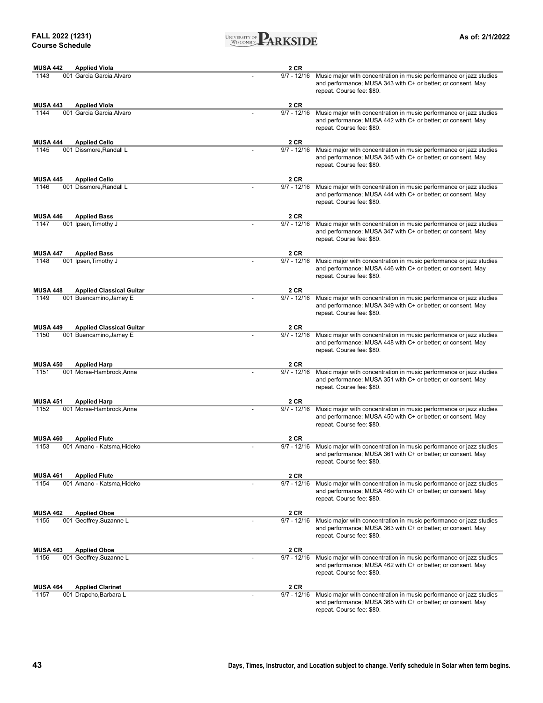

| <b>MUSA 442</b> | <b>Applied Viola</b>            | 2 CR          |                                                                                                                                                                  |
|-----------------|---------------------------------|---------------|------------------------------------------------------------------------------------------------------------------------------------------------------------------|
| 1143            | 001 Garcia Garcia, Alvaro       | $9/7 - 12/16$ | Music major with concentration in music performance or jazz studies<br>and performance; MUSA 343 with C+ or better; or consent. May<br>repeat. Course fee: \$80. |
| <b>MUSA 443</b> | <b>Applied Viola</b>            | 2 CR          |                                                                                                                                                                  |
| 1144            | 001 Garcia Garcia, Alvaro       | $9/7 - 12/16$ | Music major with concentration in music performance or jazz studies<br>and performance; MUSA 442 with C+ or better; or consent. May<br>repeat. Course fee: \$80. |
| <b>MUSA 444</b> | <b>Applied Cello</b>            | 2 CR          |                                                                                                                                                                  |
| 1145            | 001 Dissmore, Randall L         | $9/7 - 12/16$ | Music major with concentration in music performance or jazz studies<br>and performance; MUSA 345 with C+ or better; or consent. May<br>repeat. Course fee: \$80. |
| <b>MUSA 445</b> | <b>Applied Cello</b>            | 2 CR          |                                                                                                                                                                  |
| 1146            | 001 Dissmore, Randall L         | $9/7 - 12/16$ | Music major with concentration in music performance or jazz studies<br>and performance; MUSA 444 with C+ or better; or consent. May<br>repeat. Course fee: \$80. |
| <b>MUSA 446</b> | <b>Applied Bass</b>             | 2 CR          |                                                                                                                                                                  |
| 1147            | 001 Ipsen, Timothy J            | $9/7 - 12/16$ | Music major with concentration in music performance or jazz studies<br>and performance; MUSA 347 with C+ or better; or consent. May<br>repeat. Course fee: \$80. |
| <b>MUSA 447</b> | <b>Applied Bass</b>             | 2 CR          |                                                                                                                                                                  |
| 1148            | 001 Ipsen, Timothy J            | $9/7 - 12/16$ | Music major with concentration in music performance or jazz studies<br>and performance; MUSA 446 with C+ or better; or consent. May<br>repeat. Course fee: \$80. |
| <b>MUSA 448</b> | <b>Applied Classical Guitar</b> | 2 CR          |                                                                                                                                                                  |
| 1149            | 001 Buencamino, Jamey E         | $9/7 - 12/16$ | Music major with concentration in music performance or jazz studies<br>and performance; MUSA 349 with C+ or better; or consent. May<br>repeat. Course fee: \$80. |
| <b>MUSA 449</b> | <b>Applied Classical Guitar</b> | 2 CR          |                                                                                                                                                                  |
| 1150            | 001 Buencamino, Jamey E         | $9/7 - 12/16$ | Music major with concentration in music performance or jazz studies<br>and performance; MUSA 448 with C+ or better; or consent. May<br>repeat. Course fee: \$80. |
| <b>MUSA 450</b> | <b>Applied Harp</b>             | 2 CR          |                                                                                                                                                                  |
| 1151            | 001 Morse-Hambrock, Anne        | $9/7 - 12/16$ | Music major with concentration in music performance or jazz studies<br>and performance; MUSA 351 with C+ or better; or consent. May<br>repeat. Course fee: \$80. |
| <b>MUSA 451</b> | <b>Applied Harp</b>             | <b>2 CR</b>   |                                                                                                                                                                  |
| 1152            | 001 Morse-Hambrock.Anne         | $9/7 - 12/16$ | Music major with concentration in music performance or jazz studies<br>and performance; MUSA 450 with C+ or better; or consent. May<br>repeat. Course fee: \$80. |
| <b>MUSA 460</b> | <b>Applied Flute</b>            | 2 CR          |                                                                                                                                                                  |
| 1153            | 001 Amano - Katsma, Hideko      | $9/7 - 12/16$ | Music major with concentration in music performance or jazz studies<br>and performance; MUSA 361 with C+ or better; or consent. May<br>repeat. Course fee: \$80. |
| <b>MUSA 461</b> | <b>Applied Flute</b>            | 2 CR          |                                                                                                                                                                  |
| 1154            | 001 Amano - Katsma, Hideko      | $9/7 - 12/16$ | Music major with concentration in music performance or jazz studies<br>and performance; MUSA 460 with C+ or better; or consent. May<br>repeat. Course fee: \$80. |
| <b>MUSA 462</b> | <b>Applied Oboe</b>             | 2 CR          |                                                                                                                                                                  |
| 1155            | 001 Geoffrey, Suzanne L         | $9/7 - 12/16$ | Music major with concentration in music performance or jazz studies<br>and performance; MUSA 363 with C+ or better; or consent. May<br>repeat. Course fee: \$80. |
| <b>MUSA 463</b> | <b>Applied Oboe</b>             | 2 CR          |                                                                                                                                                                  |
| 1156            | 001 Geoffrey, Suzanne L         | $9/7 - 12/16$ | Music major with concentration in music performance or jazz studies<br>and performance; MUSA 462 with C+ or better; or consent. May<br>repeat. Course fee: \$80. |
| <b>MUSA 464</b> | <b>Applied Clarinet</b>         | 2 CR          |                                                                                                                                                                  |
| 1157            | 001 Drapcho, Barbara L          | $9/7 - 12/16$ | Music major with concentration in music performance or jazz studies<br>and performance; MUSA 365 with C+ or better; or consent. May<br>repeat. Course fee: \$80. |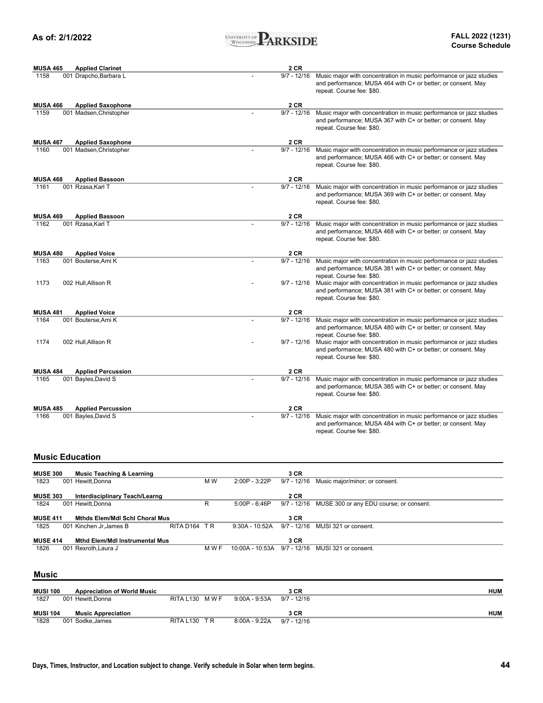

| <b>MUSA 465</b>             | <b>Applied Clarinet</b>   | 2 CR          |                                                                                                                                                                  |
|-----------------------------|---------------------------|---------------|------------------------------------------------------------------------------------------------------------------------------------------------------------------|
| 1158                        | 001 Drapcho, Barbara L    | $9/7 - 12/16$ | Music major with concentration in music performance or jazz studies<br>and performance; MUSA 464 with C+ or better; or consent. May<br>repeat. Course fee: \$80. |
| <b>MUSA 466</b>             | <b>Applied Saxophone</b>  | 2 CR          |                                                                                                                                                                  |
| 1159                        | 001 Madsen, Christopher   | $9/7 - 12/16$ | Music major with concentration in music performance or jazz studies<br>and performance; MUSA 367 with C+ or better; or consent. May<br>repeat. Course fee: \$80. |
| <b>MUSA 467</b>             | <b>Applied Saxophone</b>  | 2 CR          |                                                                                                                                                                  |
| 1160                        | 001 Madsen, Christopher   | $9/7 - 12/16$ | Music major with concentration in music performance or jazz studies<br>and performance; MUSA 466 with C+ or better; or consent. May<br>repeat. Course fee: \$80. |
| <b>MUSA 468</b>             | <b>Applied Bassoon</b>    | 2 CR          |                                                                                                                                                                  |
| 1161<br>001 Rzasa, Karl T   |                           | $9/7 - 12/16$ | Music major with concentration in music performance or jazz studies<br>and performance; MUSA 369 with C+ or better; or consent. May<br>repeat. Course fee: \$80. |
| <b>MUSA 469</b>             | <b>Applied Bassoon</b>    | 2 CR          |                                                                                                                                                                  |
| 001 Rzasa, Karl T<br>1162   |                           | $9/7 - 12/16$ | Music major with concentration in music performance or jazz studies<br>and performance; MUSA 468 with C+ or better; or consent. May<br>repeat. Course fee: \$80. |
| <b>MUSA 480</b>             | <b>Applied Voice</b>      | 2 CR          |                                                                                                                                                                  |
| 1163<br>001 Bouterse, Ami K |                           | $9/7 - 12/16$ | Music major with concentration in music performance or jazz studies<br>and performance; MUSA 381 with C+ or better; or consent. May<br>repeat. Course fee: \$80. |
| 1173<br>002 Hull, Allison R |                           | $9/7 - 12/16$ | Music major with concentration in music performance or jazz studies<br>and performance; MUSA 381 with C+ or better; or consent. May<br>repeat. Course fee: \$80. |
| <b>MUSA 481</b>             | <b>Applied Voice</b>      | 2 CR          |                                                                                                                                                                  |
| 001 Bouterse, Ami K<br>1164 |                           | $9/7 - 12/16$ | Music major with concentration in music performance or jazz studies<br>and performance; MUSA 480 with C+ or better; or consent. May<br>repeat. Course fee: \$80. |
| 1174<br>002 Hull, Allison R |                           | $9/7 - 12/16$ | Music major with concentration in music performance or jazz studies<br>and performance; MUSA 480 with C+ or better; or consent. May<br>repeat. Course fee: \$80. |
| <b>MUSA 484</b>             | <b>Applied Percussion</b> | 2 CR          |                                                                                                                                                                  |
| 1165<br>001 Bayles, David S |                           | $9/7 - 12/16$ | Music major with concentration in music performance or jazz studies<br>and performance; MUSA 385 with C+ or better; or consent. May<br>repeat. Course fee: \$80. |
| <b>MUSA 485</b>             | <b>Applied Percussion</b> | 2 CR          |                                                                                                                                                                  |
| 1166<br>001 Bayles, David S |                           | $9/7 - 12/16$ | Music major with concentration in music performance or jazz studies<br>and performance; MUSA 484 with C+ or better; or consent. May<br>repeat. Course fee: \$80. |
| <b>Music Education</b>      |                           |               |                                                                                                                                                                  |

#### **3 CR** 1823 001 Hewitt,Donna **M W** 2:00P - 3:22P 9/7 - 12/16 Music major/minor; or consent. **2 CR** 1824 001 Hewitt,Donna R 5:00P - 6:46P 9/7 - 12/16 MUSE 300 or any EDU course; or consent. **3 CR**<br>9:30A - 10:52A 9/7 - 12/16 MUSI 321 or consent. 1825 001 Kinchen Jr,James B RITA D164 T R 9:30A - 10:52A 9/7 - 12/16 MUSI 321 or consent. **3 CR** 1826 001 Rexroth,Laura J M W F 10:00A - 10:53A 9/7 - 12/16 MUSI 321 or consent. **MUSE 414 Mthd Elem/Mdl Instrumental Mus MUSE 303 Interdisciplinary Teach/Learng MUSE 411 Mthds Elem/Mdl Schl Choral Mus MUSE 300 Music Teaching & Learning**

#### **Music**

| <b>MUSI 100</b> | <b>Appreciation of World Music</b> |               |                 | 3 CR          | HUM        |
|-----------------|------------------------------------|---------------|-----------------|---------------|------------|
| 1827            | 001 Hewitt.Donna                   | RITA L130 MWF | $9:00A - 9:53A$ | $9/7 - 12/16$ |            |
|                 |                                    |               |                 |               |            |
| <b>MUSI 104</b> | <b>Music Appreciation</b>          |               |                 | 3 CR          | <b>HUM</b> |
| 1828            | 001 Sodke,James                    | RITA L130 TR  | 8:00A - 9:22A   | $9/7 - 12/16$ |            |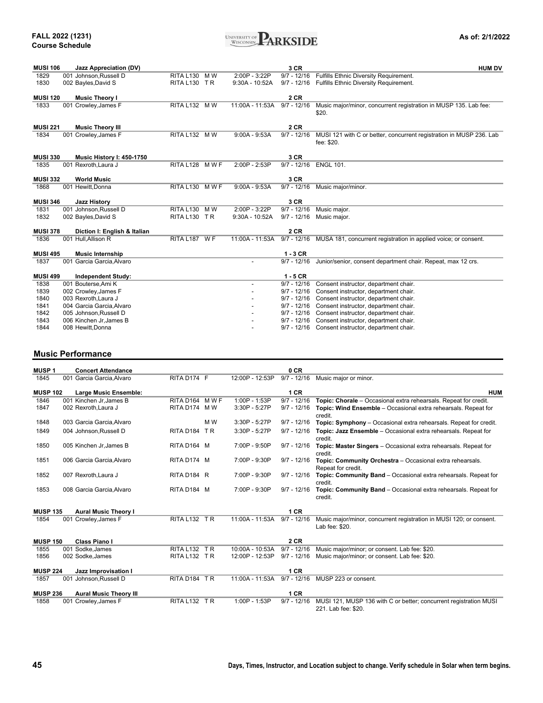| UNIVERSITY OF<br>н.<br>ARKSID<br><b>WISCONSIN</b> |
|---------------------------------------------------|
|---------------------------------------------------|

| <b>MUSI 106</b> | <b>Jazz Appreciation (DV)</b> |                  |       |                  | 3 CR          | <b>HUM DV</b>                                                       |
|-----------------|-------------------------------|------------------|-------|------------------|---------------|---------------------------------------------------------------------|
| 1829            | 001 Johnson, Russell D        | <b>RITA L130</b> | M W   | 2:00P - 3:22P    | $9/7 - 12/16$ | Fulfills Ethnic Diversity Requirement.                              |
| 1830            | 002 Bayles, David S           | RITA L130 TR     |       | $9:30A - 10:52A$ | $9/7 - 12/16$ | Fulfills Ethnic Diversity Requirement.                              |
|                 |                               |                  |       |                  |               |                                                                     |
| <b>MUSI 120</b> | <b>Music Theory I</b>         |                  |       |                  | 2 CR          |                                                                     |
| 1833            | 001 Crowley, James F          | RITA L132 MW     |       | 11:00A - 11:53A  | $9/7 - 12/16$ | Music major/minor, concurrent registration in MUSP 135. Lab fee:    |
|                 |                               |                  |       |                  |               | \$20.                                                               |
|                 |                               |                  |       |                  |               |                                                                     |
| <b>MUSI 221</b> | <b>Music Theory III</b>       |                  |       |                  | <b>2 CR</b>   |                                                                     |
| 1834            | 001 Crowley, James F          | RITA L132 M W    |       | $9:00A - 9:53A$  | $9/7 - 12/16$ | MUSI 121 with C or better, concurrent registration in MUSP 236. Lab |
|                 |                               |                  |       |                  |               | fee: \$20.                                                          |
|                 |                               |                  |       |                  |               |                                                                     |
| <b>MUSI 330</b> | Music History I: 450-1750     |                  |       |                  | 3 CR          |                                                                     |
| 1835            | 001 Rexroth.Laura J           | RITA L128        | M W F | 2:00P - 2:53P    | $9/7 - 12/16$ | <b>ENGL 101.</b>                                                    |
|                 |                               |                  |       |                  | 3 CR          |                                                                     |
| <b>MUSI 332</b> | <b>World Music</b>            |                  |       |                  |               |                                                                     |
| 1868            | 001 Hewitt, Donna             | RITA L130 MWF    |       | $9:00A - 9:53A$  | $9/7 - 12/16$ | Music major/minor.                                                  |
| <b>MUSI 346</b> | <b>Jazz History</b>           |                  |       |                  | 3 CR          |                                                                     |
| 1831            | 001 Johnson, Russell D        | <b>RITA L130</b> | M W   | 2:00P - 3:22P    | $9/7 - 12/16$ | Music major.                                                        |
| 1832            | 002 Bayles, David S           | RITA L130 TR     |       | $9:30A - 10:52A$ | $9/7 - 12/16$ | Music major.                                                        |
|                 |                               |                  |       |                  |               |                                                                     |
| <b>MUSI 378</b> | Diction I: English & Italian  |                  |       |                  | 2 CR          |                                                                     |
| 1836            | 001 Hull, Allison R           | RITA L187 WF     |       | 11:00A - 11:53A  | $9/7 - 12/16$ | MUSA 181, concurrent registration in applied voice; or consent.     |
|                 |                               |                  |       |                  |               |                                                                     |
| <b>MUSI 495</b> | <b>Music Internship</b>       |                  |       |                  | $1 - 3$ CR    |                                                                     |
| 1837            | 001 Garcia Garcia, Alvaro     |                  |       |                  | $9/7 - 12/16$ | Junior/senior, consent department chair. Repeat, max 12 crs.        |
|                 |                               |                  |       |                  |               |                                                                     |
| <b>MUSI 499</b> | <b>Independent Study:</b>     |                  |       |                  | $1 - 5$ CR    |                                                                     |
| 1838            | 001 Bouterse, Ami K           |                  |       |                  | $9/7 - 12/16$ | Consent instructor, department chair.                               |
| 1839            | 002 Crowley, James F          |                  |       |                  | $9/7 - 12/16$ | Consent instructor, department chair.                               |
| 1840            | 003 Rexroth, Laura J          |                  |       |                  | $9/7 - 12/16$ | Consent instructor, department chair.                               |
| 1841            | 004 Garcia Garcia, Alvaro     |                  |       |                  | $9/7 - 12/16$ | Consent instructor, department chair.                               |
| 1842            | 005 Johnson, Russell D        |                  |       |                  | $9/7 - 12/16$ | Consent instructor, department chair.                               |
| 1843            | 006 Kinchen Jr, James B       |                  |       |                  | $9/7 - 12/16$ | Consent instructor, department chair.                               |
| 1844            | 008 Hewitt.Donna              |                  |       |                  | $9/7 - 12/16$ | Consent instructor, department chair.                               |

### **Music Performance**

| <b>MUSP1</b>    | <b>Concert Attendance</b>     |               |     |                 | 0 CR          |                                                                                          |
|-----------------|-------------------------------|---------------|-----|-----------------|---------------|------------------------------------------------------------------------------------------|
| 1845            | 001 Garcia Garcia, Alvaro     | RITA D174 F   |     | 12:00P - 12:53P | $9/7 - 12/16$ | Music major or minor.                                                                    |
| <b>MUSP 102</b> | Large Music Ensemble:         |               |     |                 | 1 CR          | <b>HUM</b>                                                                               |
| 1846            | 001 Kinchen Jr.James B        | RITA D164 MWF |     | 1:00P - 1:53P   | $9/7 - 12/16$ | Topic: Chorale - Occasional extra rehearsals. Repeat for credit.                         |
| 1847            | 002 Rexroth, Laura J          | RITA D174 MW  |     | 3:30P - 5:27P   | $9/7 - 12/16$ | Topic: Wind Ensemble - Occasional extra rehearsals. Repeat for<br>credit.                |
| 1848            | 003 Garcia Garcia, Alvaro     |               | M W | 3:30P - 5:27P   | $9/7 - 12/16$ | Topic: Symphony - Occasional extra rehearsals. Repeat for credit.                        |
| 1849            | 004 Johnson, Russell D        | RITA D184 TR  |     | 3:30P - 5:27P   | $9/7 - 12/16$ | Topic: Jazz Ensemble - Occasional extra rehearsals. Repeat for<br>credit.                |
| 1850            | 005 Kinchen Jr.James B        | RITA D164 M   |     | 7:00P - 9:50P   | $9/7 - 12/16$ | Topic: Master Singers - Occasional extra rehearsals. Repeat for<br>credit.               |
| 1851            | 006 Garcia Garcia, Alvaro     | RITA D174 M   |     | 7:00P - 9:30P   | $9/7 - 12/16$ | Topic: Community Orchestra - Occasional extra rehearsals.<br>Repeat for credit.          |
| 1852            | 007 Rexroth, Laura J          | RITA D184 R   |     | 7:00P - 9:30P   | $9/7 - 12/16$ | Topic: Community Band - Occasional extra rehearsals. Repeat for<br>credit.               |
| 1853            | 008 Garcia Garcia Alvaro      | RITA D184 M   |     | 7:00P - 9:30P   | $9/7 - 12/16$ | Topic: Community Band - Occasional extra rehearsals. Repeat for<br>credit.               |
| <b>MUSP 135</b> | <b>Aural Music Theory I</b>   |               |     |                 | 1 CR          |                                                                                          |
| 1854            | 001 Crowley, James F          | RITA L132 TR  |     | 11:00A - 11:53A | $9/7 - 12/16$ | Music major/minor, concurrent registration in MUSI 120; or consent.<br>Lab fee: \$20.    |
| <b>MUSP 150</b> | Class Piano I                 |               |     |                 | 2 CR          |                                                                                          |
| 1855            | 001 Sodke, James              | RITA L132 TR  |     | 10:00A - 10:53A | $9/7 - 12/16$ | Music major/minor; or consent. Lab fee: \$20.                                            |
| 1856            | 002 Sodke, James              | RITA L132 TR  |     | 12:00P - 12:53P | $9/7 - 12/16$ | Music major/minor; or consent. Lab fee: \$20.                                            |
| <b>MUSP 224</b> | Jazz Improvisation I          |               |     |                 | 1 CR          |                                                                                          |
| 1857            | 001 Johnson, Russell D        | RITA D184 TR  |     | 11:00A - 11:53A | $9/7 - 12/16$ | MUSP 223 or consent.                                                                     |
| <b>MUSP 236</b> | <b>Aural Music Theory III</b> |               |     |                 | 1 CR          |                                                                                          |
| 1858            | 001 Crowley, James F          | RITA L132 TR  |     | 1:00P - 1:53P   | $9/7 - 12/16$ | MUSI 121, MUSP 136 with C or better; concurrent registration MUSI<br>221. Lab fee: \$20. |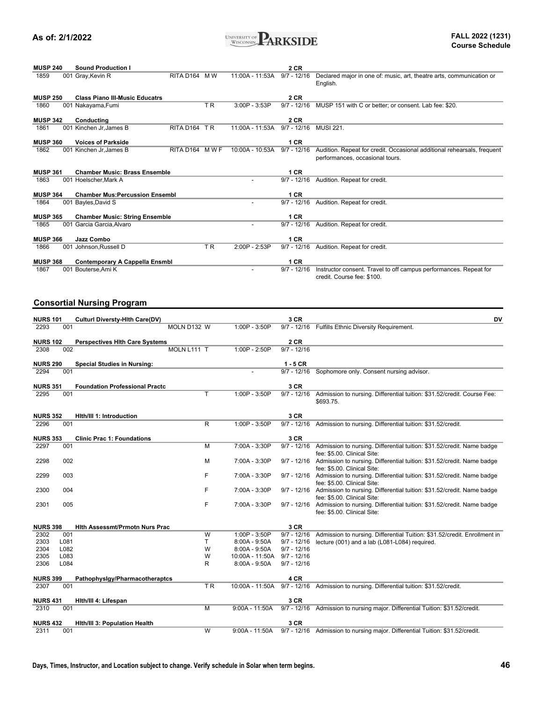

| <b>MUSP 240</b> |     | <b>Sound Production I</b>              |                           |                |                   | 2 CR          |                                                                                  |
|-----------------|-----|----------------------------------------|---------------------------|----------------|-------------------|---------------|----------------------------------------------------------------------------------|
| 1859            |     | 001 Gray, Kevin R                      | RITA D <sub>164</sub> M W |                | 11:00A - 11:53A   | $9/7 - 12/16$ | Declared major in one of: music, art, theatre arts, communication or<br>English. |
| <b>MUSP 250</b> |     | <b>Class Piano III-Music Educatrs</b>  |                           |                |                   | 2 CR          |                                                                                  |
| 1860            |     | 001 Nakayama, Fumi                     |                           | T <sub>R</sub> | $3:00P - 3:53P$   | $9/7 - 12/16$ | MUSP 151 with C or better; or consent. Lab fee: \$20.                            |
| <b>MUSP 342</b> |     |                                        |                           |                |                   | 2 CR          |                                                                                  |
|                 |     | Conducting                             |                           |                |                   |               |                                                                                  |
| 1861            | 001 | Kinchen Jr.James B                     | RITA D164 TR              |                | $11:00A - 11:53A$ | $9/7 - 12/16$ | <b>MUSI 221.</b>                                                                 |
| <b>MUSP 360</b> |     | <b>Voices of Parkside</b>              |                           |                |                   | 1 CR          |                                                                                  |
| 1862            |     | 001 Kinchen Jr, James B                | RITA D164 MWF             |                | $10:00A - 10:53A$ | $9/7 - 12/16$ | Audition. Repeat for credit. Occasional additional rehearsals, frequent          |
|                 |     |                                        |                           |                |                   |               |                                                                                  |
|                 |     |                                        |                           |                |                   |               | performances, occasional tours.                                                  |
|                 |     |                                        |                           |                |                   |               |                                                                                  |
| <b>MUSP 361</b> |     | <b>Chamber Music: Brass Ensemble</b>   |                           |                |                   | 1 CR          |                                                                                  |
| 1863            |     | 001 Hoelscher, Mark A                  |                           |                |                   | $9/7 - 12/16$ | Audition. Repeat for credit.                                                     |
|                 |     |                                        |                           |                |                   |               |                                                                                  |
| <b>MUSP 364</b> |     | <b>Chamber Mus: Percussion Ensembl</b> |                           |                |                   | 1 CR          |                                                                                  |
| 1864            |     | 001 Bayles, David S                    |                           |                |                   | $9/7 - 12/16$ | Audition. Repeat for credit.                                                     |
|                 |     |                                        |                           |                |                   |               |                                                                                  |
| <b>MUSP 365</b> |     | <b>Chamber Music: String Ensemble</b>  |                           |                |                   | 1 CR          |                                                                                  |
| 1865            |     | 001 Garcia Garcia, Alvaro              |                           |                |                   | $9/7 - 12/16$ | Audition. Repeat for credit.                                                     |
|                 |     |                                        |                           |                |                   |               |                                                                                  |
| <b>MUSP 366</b> |     | Jazz Combo                             |                           |                |                   | 1 CR          |                                                                                  |
| 1866            |     | 001 Johnson, Russell D                 |                           | <b>TR</b>      | 2:00P - 2:53P     | $9/7 - 12/16$ | Audition. Repeat for credit.                                                     |
|                 |     |                                        |                           |                |                   |               |                                                                                  |
| <b>MUSP 368</b> |     | <b>Contemporary A Cappella Ensmbl</b>  |                           |                |                   | 1 CR          |                                                                                  |
| 1867            | 001 | Bouterse, Ami K                        |                           |                |                   | $9/7 - 12/16$ | Instructor consent. Travel to off campus performances. Repeat for                |
|                 |     |                                        |                           |                |                   |               | credit. Course fee: \$100.                                                       |

### **Consortial Nursing Program**

| <b>NURS 101</b> |      | <b>Culturi Diversty-Hith Care(DV)</b> |                |                  | 3 CR          | <b>DV</b>                                                                                                                                        |
|-----------------|------|---------------------------------------|----------------|------------------|---------------|--------------------------------------------------------------------------------------------------------------------------------------------------|
| 2293            | 001  |                                       | MOLN D132 W    | 1:00P - 3:50P    | $9/7 - 12/16$ | Fulfills Ethnic Diversity Requirement.                                                                                                           |
| <b>NURS 102</b> |      | <b>Perspectives Hith Care Systems</b> |                |                  | 2CR           |                                                                                                                                                  |
| 2308            | 002  |                                       | MOLN L111 T    | 1:00P - 2:50P    | $9/7 - 12/16$ |                                                                                                                                                  |
| <b>NURS 290</b> |      | <b>Special Studies in Nursing:</b>    |                |                  | $1 - 5$ CR    |                                                                                                                                                  |
| 2294            | 001  |                                       |                |                  |               | 9/7 - 12/16 Sophomore only. Consent nursing advisor.                                                                                             |
| <b>NURS 351</b> |      | <b>Foundation Professional Practc</b> |                |                  | 3 CR          |                                                                                                                                                  |
| 2295            | 001  |                                       | T              | $1:00P - 3:50P$  | $9/7 - 12/16$ | Admission to nursing. Differential tuition: \$31.52/credit. Course Fee:<br>\$693.75.                                                             |
| <b>NURS 352</b> |      | Hith/III 1: Introduction              |                |                  | 3 CR          |                                                                                                                                                  |
| 2296            | 001  |                                       | R              | 1:00P - 3:50P    | $9/7 - 12/16$ | Admission to nursing. Differential tuition: \$31.52/credit.                                                                                      |
| <b>NURS 353</b> |      | <b>Clinic Prac 1: Foundations</b>     |                |                  | 3 CR          |                                                                                                                                                  |
| 2297            | 001  |                                       | M              | 7:00A - 3:30P    | $9/7 - 12/16$ | Admission to nursing. Differential tuition: \$31.52/credit. Name badge                                                                           |
| 2298            | 002  |                                       | M              | 7:00A - 3:30P    |               | fee: \$5.00. Clinical Site:<br>9/7 - 12/16 Admission to nursing. Differential tuition: \$31.52/credit. Name badge<br>fee: \$5.00. Clinical Site: |
| 2299            | 003  |                                       | F              | 7:00A - 3:30P    |               | 9/7 - 12/16 Admission to nursing. Differential tuition: \$31.52/credit. Name badge<br>fee: \$5.00. Clinical Site:                                |
| 2300            | 004  |                                       | F              | 7:00A - 3:30P    |               | 9/7 - 12/16 Admission to nursing. Differential tuition: \$31.52/credit. Name badge<br>fee: \$5.00. Clinical Site:                                |
| 2301            | 005  |                                       | F              | 7:00A - 3:30P    |               | 9/7 - 12/16 Admission to nursing. Differential tuition: \$31.52/credit. Name badge<br>fee: \$5.00. Clinical Site:                                |
| <b>NURS 398</b> |      | <b>Hith Assessmt/Prmotn Nurs Prac</b> |                |                  | 3 CR          |                                                                                                                                                  |
| 2302            | 001  |                                       | $\overline{w}$ | 1:00P - 3:50P    | $9/7 - 12/16$ | Admission to nursing. Differential Tuition: \$31.52/credit. Enrollment in                                                                        |
| 2303            | L081 |                                       | T              | $8:00A - 9:50A$  | $9/7 - 12/16$ | lecture (001) and a lab (L081-L084) required.                                                                                                    |
| 2304            | L082 |                                       | W              | $8:00A - 9:50A$  | $9/7 - 12/16$ |                                                                                                                                                  |
| 2305            | L083 |                                       | W              | 10:00A - 11:50A  | $9/7 - 12/16$ |                                                                                                                                                  |
| 2306            | L084 |                                       | R              | $8:00A - 9:50A$  | $9/7 - 12/16$ |                                                                                                                                                  |
| <b>NURS 399</b> |      | Pathophysigy/Pharmacotheraptcs        |                |                  | 4 CR          |                                                                                                                                                  |
| 2307            | 001  |                                       | TR             | 10:00A - 11:50A  |               | 9/7 - 12/16 Admission to nursing. Differential tuition: \$31.52/credit.                                                                          |
| <b>NURS 431</b> |      | Hith/III 4: Lifespan                  |                |                  | 3 CR          |                                                                                                                                                  |
| 2310            | 001  |                                       | $\overline{M}$ | $9:00A - 11:50A$ |               | 9/7 - 12/16 Admission to nursing major. Differential Tuition: \$31.52/credit.                                                                    |
| <b>NURS 432</b> |      | <b>Hith/III 3: Population Health</b>  |                |                  | 3 CR          |                                                                                                                                                  |
| 2311            | 001  |                                       | W              | $9:00A - 11:50A$ |               | 9/7 - 12/16 Admission to nursing major. Differential Tuition: \$31.52/credit.                                                                    |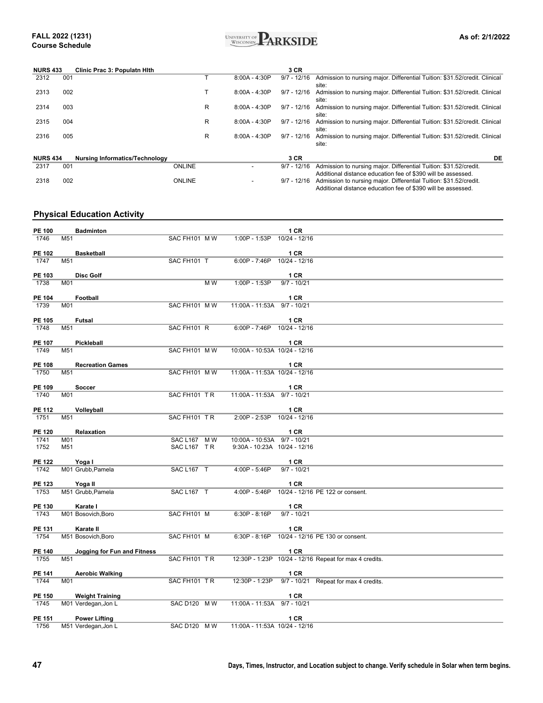

| <b>NURS 433</b> |     | Clinic Prac 3: Populatn Hith          |               |   |                 | 3 CR          |                                                                            |
|-----------------|-----|---------------------------------------|---------------|---|-----------------|---------------|----------------------------------------------------------------------------|
| 2312            | 001 |                                       |               |   | $8:00A - 4:30P$ | $9/7 - 12/16$ | Admission to nursing major. Differential Tuition: \$31.52/credit. Clinical |
|                 |     |                                       |               |   |                 |               | site:                                                                      |
| 2313            | 002 |                                       |               |   | $8:00A - 4:30P$ | $9/7 - 12/16$ | Admission to nursing major. Differential Tuition: \$31.52/credit. Clinical |
|                 |     |                                       |               |   |                 |               | site:                                                                      |
| 2314            | 003 |                                       |               | R | $8:00A - 4:30P$ | 9/7 - 12/16   | Admission to nursing major. Differential Tuition: \$31.52/credit. Clinical |
|                 |     |                                       |               |   |                 |               | site:                                                                      |
| 2315            | 004 |                                       |               | R | $8:00A - 4:30P$ | $9/7 - 12/16$ | Admission to nursing major. Differential Tuition: \$31.52/credit. Clinical |
|                 |     |                                       |               |   |                 |               | site:                                                                      |
| 2316            | 005 |                                       |               | R | $8:00A - 4:30P$ | $9/7 - 12/16$ | Admission to nursing major. Differential Tuition: \$31.52/credit. Clinical |
|                 |     |                                       |               |   |                 |               | site:                                                                      |
|                 |     |                                       |               |   |                 |               |                                                                            |
| <b>NURS 434</b> |     | <b>Nursing Informatics/Technology</b> |               |   |                 | 3 CR          | DE                                                                         |
| 2317            | 001 |                                       | <b>ONLINE</b> |   |                 | $9/7 - 12/16$ | Admission to nursing major. Differential Tuition: \$31.52/credit.          |
|                 |     |                                       |               |   |                 |               | Additional distance education fee of \$390 will be assessed.               |
| 2318            | 002 |                                       | <b>ONLINE</b> |   |                 | $9/7 - 12/16$ | Admission to nursing major. Differential Tuition: \$31.52/credit.          |
|                 |     |                                       |               |   |                 |               | Additional distance education fee of \$390 will be assessed.               |

### **Physical Education Activity**

| <b>PE 100</b>         |     | <b>Badminton</b>            |               |                               | 1 CR                                                   |
|-----------------------|-----|-----------------------------|---------------|-------------------------------|--------------------------------------------------------|
| 1746                  | M51 |                             | SAC FH101 MW  | 1:00P - 1:53P                 | 10/24 - 12/16                                          |
|                       |     |                             |               |                               |                                                        |
| <b>PE 102</b><br>1747 | M51 | <b>Basketball</b>           | SAC FH101 T   | $6:00P - 7:46P$               | 1 CR<br>10/24 - 12/16                                  |
|                       |     |                             |               |                               |                                                        |
| PE 103                |     | <b>Disc Golf</b>            |               |                               | 1 CR                                                   |
| 1738                  | M01 |                             | $M_{W}$       | 1:00P - 1:53P                 | $9/7 - 10/21$                                          |
| <b>PE 104</b>         |     | Football                    |               |                               | 1 CR                                                   |
| 1739                  | M01 |                             | SAC FH101 MW  | 11:00A - 11:53A 9/7 - 10/21   |                                                        |
|                       |     |                             |               |                               |                                                        |
| PE 105                |     | <b>Futsal</b>               |               |                               | 1 CR                                                   |
| 1748                  | M51 |                             | SAC FH101 R   | $6:00P - 7:46P$               | 10/24 - 12/16                                          |
| <b>PE 107</b>         |     | Pickleball                  |               |                               | 1 CR                                                   |
| 1749                  | M51 |                             | SAC FH101 M W | 10:00A - 10:53A 10/24 - 12/16 |                                                        |
| PE 108                |     | <b>Recreation Games</b>     |               |                               | <b>1 CR</b>                                            |
| 1750                  | M51 |                             | SAC FH101 M W | 11:00A - 11:53A 10/24 - 12/16 |                                                        |
|                       |     |                             |               |                               |                                                        |
| PE 109                |     | Soccer                      |               |                               | 1 CR                                                   |
| 1740                  | M01 |                             | SAC FH101 TR  | 11:00A - 11:53A 9/7 - 10/21   |                                                        |
| <b>PE 112</b>         |     | Volleyball                  |               |                               | 1 CR                                                   |
| 1751                  | M51 |                             | SAC FH101 TR  | 2:00P - 2:53P 10/24 - 12/16   |                                                        |
|                       |     |                             |               |                               |                                                        |
| <b>PE 120</b><br>1741 | M01 | Relaxation                  | SAC L167 M W  | 10:00A - 10:53A 9/7 - 10/21   | 1 CR                                                   |
| 1752                  | M51 |                             | SAC L167 TR   | 9:30A - 10:23A 10/24 - 12/16  |                                                        |
|                       |     |                             |               |                               |                                                        |
| <b>PE 122</b><br>1742 |     | Yoga I<br>M01 Grubb, Pamela | SAC L167 T    | 4:00P - 5:46P                 | 1 CR<br>$9/7 - 10/21$                                  |
|                       |     |                             |               |                               |                                                        |
| PE 123                |     | Yoga II                     |               |                               | 1 CR                                                   |
| 1753                  |     | M51 Grubb, Pamela           | SAC L167 T    | $4:00P - 5:46P$               | 10/24 - 12/16 PE 122 or consent.                       |
| <b>PE 130</b>         |     | Karate I                    |               |                               | 1 CR                                                   |
| 1743                  |     | M01 Bosovich, Boro          | SAC FH101 M   | $6:30P - 8:16P$               | $9/7 - 10/21$                                          |
|                       |     |                             |               |                               |                                                        |
| <b>PE 131</b>         |     | Karate II                   |               |                               | 1 CR                                                   |
| 1754                  |     | M51 Bosovich, Boro          | SAC FH101 M   |                               | 6:30P - 8:16P 10/24 - 12/16 PE 130 or consent.         |
| <b>PE 140</b>         |     | Jogging for Fun and Fitness |               |                               | 1 CR                                                   |
| 1755                  | M51 |                             | SAC FH101 TR  |                               | 12:30P - 1:23P 10/24 - 12/16 Repeat for max 4 credits. |
| PE 141                |     | <b>Aerobic Walking</b>      |               |                               | 1 CR                                                   |
| 1744                  | M01 |                             | SAC FH101 TR  |                               | 12:30P - 1:23P 9/7 - 10/21 Repeat for max 4 credits.   |
|                       |     |                             |               |                               |                                                        |
| PE 150                |     | <b>Weight Training</b>      |               |                               | 1 CR                                                   |
| 1745                  |     | M01 Verdegan, Jon L         | SAC D120 M W  | 11:00A - 11:53A 9/7 - 10/21   |                                                        |
| <b>PE 151</b>         |     | <b>Power Lifting</b>        |               |                               | 1 CR                                                   |
| 1756                  |     | M51 Verdegan, Jon L         | SAC D120 M W  | 11:00A - 11:53A 10/24 - 12/16 |                                                        |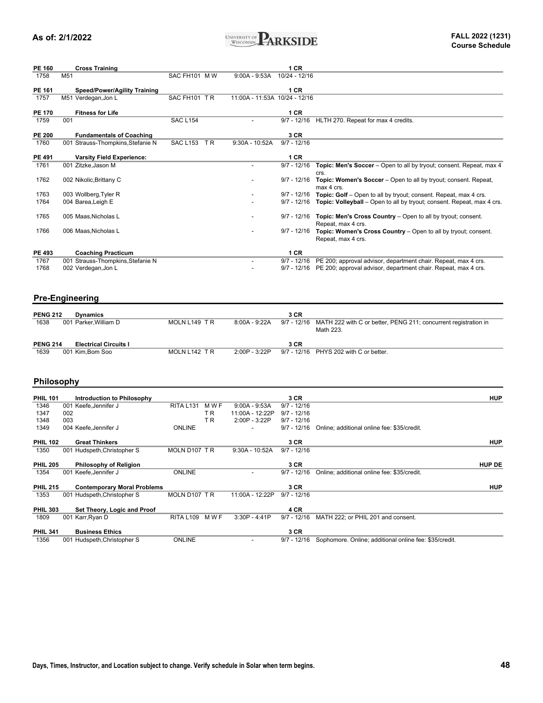

| <b>PE 160</b>   | <b>Cross Training</b>               |                        |                               | 1CR           |                                                                        |
|-----------------|-------------------------------------|------------------------|-------------------------------|---------------|------------------------------------------------------------------------|
| 1758            | M <sub>51</sub>                     | SAC FH101 MW           | $9:00A - 9:53A$               | 10/24 - 12/16 |                                                                        |
| PE 161          | <b>Speed/Power/Agility Training</b> |                        |                               | 1 CR          |                                                                        |
| 1757            |                                     | SAC FH101 TR           | 11:00A - 11:53A 10/24 - 12/16 |               |                                                                        |
|                 | M51 Verdegan, Jon L                 |                        |                               |               |                                                                        |
| <b>PE 170</b>   | <b>Fitness for Life</b>             |                        |                               | 1CR           |                                                                        |
| 1759            | 001                                 | <b>SAC L154</b>        |                               | $9/7 - 12/16$ | HLTH 270. Repeat for max 4 credits.                                    |
|                 |                                     |                        |                               |               |                                                                        |
| <b>PE 200</b>   | <b>Fundamentals of Coaching</b>     |                        |                               | 3 CR          |                                                                        |
| 1760            | 001 Strauss-Thompkins, Stefanie N   | <b>SAC L153</b><br>TR. | 9:30A - 10:52A                | $9/7 - 12/16$ |                                                                        |
| PE 491          | <b>Varsity Field Experience:</b>    |                        |                               | 1 CR          |                                                                        |
| 1761            | 001 Zitzke.Jason M                  |                        |                               | $9/7 - 12/16$ | Topic: Men's Soccer - Open to all by tryout; consent. Repeat, max 4    |
|                 |                                     |                        |                               |               | crs.                                                                   |
| 1762            | 002 Nikolic, Brittany C             |                        |                               | $9/7 - 12/16$ | Topic: Women's Soccer - Open to all by tryout; consent. Repeat,        |
|                 |                                     |                        |                               |               | max 4 crs.                                                             |
| 1763            | 003 Wollberg, Tyler R               |                        |                               | $9/7 - 12/16$ | Topic: Golf - Open to all by tryout; consent. Repeat, max 4 crs.       |
| 1764            | 004 Barea, Leigh E                  |                        |                               | $9/7 - 12/16$ | Topic: Volleyball - Open to all by tryout; consent. Repeat, max 4 crs. |
|                 |                                     |                        |                               |               |                                                                        |
| 1765            | 005 Maas, Nicholas L                |                        |                               | $9/7 - 12/16$ | Topic: Men's Cross Country - Open to all by tryout; consent.           |
|                 |                                     |                        |                               |               | Repeat, max 4 crs.                                                     |
| 1766            | 006 Maas, Nicholas L                |                        |                               | $9/7 - 12/16$ | Topic: Women's Cross Country - Open to all by tryout; consent.         |
|                 |                                     |                        |                               |               | Repeat, max 4 crs.                                                     |
|                 |                                     |                        |                               |               |                                                                        |
| <b>PE 493</b>   | <b>Coaching Practicum</b>           |                        |                               | 1 CR          |                                                                        |
| 1767            | 001 Strauss-Thompkins, Stefanie N   |                        |                               | $9/7 - 12/16$ | PE 200; approval advisor, department chair. Repeat, max 4 crs.         |
| 1768            | 002 Verdegan, Jon L                 |                        |                               | $9/7 - 12/16$ | PE 200; approval advisor, department chair. Repeat, max 4 crs.         |
|                 |                                     |                        |                               |               |                                                                        |
|                 |                                     |                        |                               |               |                                                                        |
|                 |                                     |                        |                               |               |                                                                        |
|                 | <b>Pre-Engineering</b>              |                        |                               |               |                                                                        |
| <b>PENG 212</b> | <b>Dynamics</b>                     |                        |                               | 3 CR          |                                                                        |
| 1638            |                                     | MOLN L149 TR           | $8:00A - 9:22A$               | $9/7 - 12/16$ |                                                                        |
|                 | 001 Parker, William D               |                        |                               |               | MATH 222 with C or better, PENG 211; concurrent registration in        |
|                 |                                     |                        |                               |               | Math 223.                                                              |
| <b>PENG 214</b> | <b>Electrical Circuits I</b>        |                        |                               | 3 CR          |                                                                        |
|                 |                                     |                        |                               |               |                                                                        |

#### 1639 001 Kim,Bom Soo MOLN L142 T R 2:00P - 3:22P 9/7 - 12/16 PHYS 202 with C or better. **PENG 211 CIRCUITS 215**

### **Philosophy**

| <b>PHIL 101</b> | Introduction to Philosophy         |                  |                |                  | 3 CR          |                                                        | <b>HUP</b>    |
|-----------------|------------------------------------|------------------|----------------|------------------|---------------|--------------------------------------------------------|---------------|
| 1346            | 001 Keefe, Jennifer J              | <b>RITA L131</b> | M W F          | $9:00A - 9:53A$  | $9/7 - 12/16$ |                                                        |               |
| 1347            | 002                                |                  | T R            | 11:00A - 12:22P  | $9/7 - 12/16$ |                                                        |               |
| 1348            | 003                                |                  | T <sub>R</sub> | $2:00P - 3:22P$  | $9/7 - 12/16$ |                                                        |               |
| 1349            | 004 Keefe, Jennifer J              | <b>ONLINE</b>    |                | -                | $9/7 - 12/16$ | Online; additional online fee: \$35/credit.            |               |
| <b>PHIL 102</b> | <b>Great Thinkers</b>              |                  |                |                  | 3 CR          |                                                        | <b>HUP</b>    |
| 1350            | 001 Hudspeth, Christopher S        | MOLN D107 TR     |                | $9:30A - 10:52A$ | $9/7 - 12/16$ |                                                        |               |
| <b>PHIL 205</b> | Philosophy of Religion             |                  |                |                  | 3 CR          |                                                        | <b>HUP DE</b> |
| 1354            | 001 Keefe, Jennifer J              | <b>ONLINE</b>    |                | -                | $9/7 - 12/16$ | Online; additional online fee: \$35/credit.            |               |
| <b>PHIL 215</b> | <b>Contemporary Moral Problems</b> |                  |                |                  | 3 CR          |                                                        | <b>HUP</b>    |
| 1353            | 001 Hudspeth, Christopher S        | MOLN D107 TR     |                | 11:00A - 12:22P  | $9/7 - 12/16$ |                                                        |               |
| <b>PHIL 303</b> | Set Theory, Logic and Proof        |                  |                |                  | 4 CR          |                                                        |               |
| 1809            | 001 Karr, Ryan D                   | <b>RITA L109</b> | M W F          | $3:30P - 4:41P$  | $9/7 - 12/16$ | MATH 222; or PHIL 201 and consent.                     |               |
| <b>PHIL 341</b> | <b>Business Ethics</b>             |                  |                |                  | 3 CR          |                                                        |               |
| 1356            | 001 Hudspeth, Christopher S        | <b>ONLINE</b>    |                |                  | $9/7 - 12/16$ | Sophomore. Online; additional online fee: \$35/credit. |               |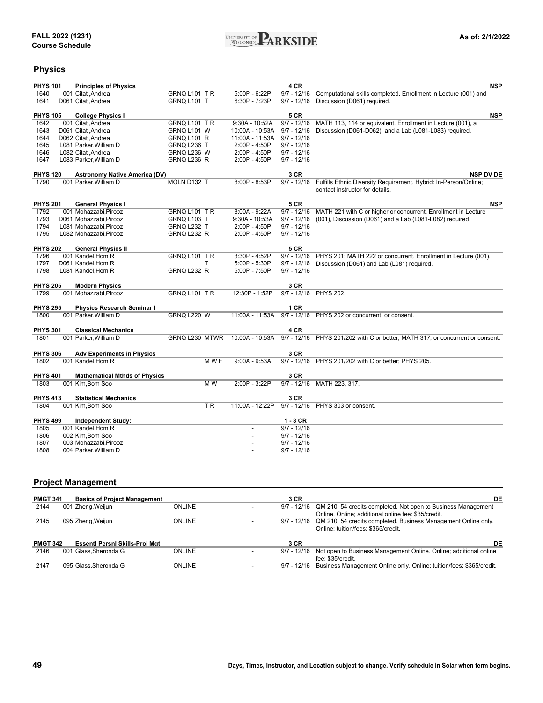

### **Physics**

| <b>PHYS 101</b> | <b>Principles of Physics</b>         |                     |         |                  | 4 CR          | <b>NSP</b>                                                                     |
|-----------------|--------------------------------------|---------------------|---------|------------------|---------------|--------------------------------------------------------------------------------|
| 1640            | 001 Citati.Andrea                    | GRNQ L101 TR        |         | 5:00P - 6:22P    | $9/7 - 12/16$ | Computational skills completed. Enrollment in Lecture (001) and                |
| 1641            | D061 Citati, Andrea                  | GRNQ L101 T         |         | 6:30P - 7:23P    | $9/7 - 12/16$ | Discussion (D061) required.                                                    |
|                 |                                      |                     |         |                  |               |                                                                                |
| <b>PHYS 105</b> | <b>College Physics I</b>             |                     |         |                  | <b>5 CR</b>   | <b>NSP</b>                                                                     |
| 1642            | 001 Citati, Andrea                   | GRNQ L101 TR        |         | 9:30A - 10:52A   | $9/7 - 12/16$ | MATH 113, 114 or equivalent. Enrollment in Lecture (001), a                    |
| 1643            | D061 Citati, Andrea                  | GRNQ L101 W         |         | 10:00A - 10:53A  | $9/7 - 12/16$ | Discussion (D061-D062), and a Lab (L081-L083) required.                        |
| 1644            | D062 Citati, Andrea                  | GRNQ L101 R         |         | 11:00A - 11:53A  | $9/7 - 12/16$ |                                                                                |
| 1645            | L081 Parker, William D               | GRNQ L236 T         |         | 2:00P - 4:50P    | $9/7 - 12/16$ |                                                                                |
| 1646            | L082 Citati, Andrea                  | GRNQ L236 W         |         | 2:00P - 4:50P    | $9/7 - 12/16$ |                                                                                |
| 1647            | L083 Parker, William D               | GRNQ L236 R         |         | 2:00P - 4:50P    | $9/7 - 12/16$ |                                                                                |
| <b>PHYS 120</b> | <b>Astronomy Native America (DV)</b> |                     |         |                  | 3 CR          | <b>NSP DV DE</b>                                                               |
| 1790            | 001 Parker, William D                | MOLN D132 T         |         | 8:00P - 8:53P    | $9/7 - 12/16$ | Fulfills Ethnic Diversity Requirement. Hybrid: In-Person/Online;               |
|                 |                                      |                     |         |                  |               | contact instructor for details.                                                |
|                 |                                      |                     |         |                  |               |                                                                                |
| <b>PHYS 201</b> | <b>General Physics I</b>             |                     |         |                  | <b>5 CR</b>   | <b>NSP</b>                                                                     |
| 1792            | 001 Mohazzabi, Pirooz                | GRNQ L101 TR        |         | $8:00A - 9:22A$  | $9/7 - 12/16$ | MATH 221 with C or higher or concurrent. Enrollment in Lecture                 |
| 1793            | D061 Mohazzabi, Pirooz               | <b>GRNQ L103 T</b>  |         | $9:30A - 10:53A$ | $9/7 - 12/16$ | (001), Discussion (D061) and a Lab (L081-L082) required.                       |
| 1794            | L081 Mohazzabi, Pirooz               | GRNQ L232 T         |         | 2:00P - 4:50P    | $9/7 - 12/16$ |                                                                                |
| 1795            | L082 Mohazzabi, Pirooz               | GRNQ L232 R         |         | 2:00P - 4:50P    | $9/7 - 12/16$ |                                                                                |
|                 |                                      |                     |         |                  |               |                                                                                |
| <b>PHYS 202</b> | <b>General Physics II</b>            |                     |         |                  | <b>5 CR</b>   |                                                                                |
| 1796            | 001 Kandel, Hom R                    | GRNQ L101 TR        |         | 3:30P - 4:52P    | $9/7 - 12/16$ | PHYS 201; MATH 222 or concurrent. Enrollment in Lecture (001),                 |
| 1797            | D061 Kandel, Hom R                   |                     | т       | 5:00P - 5:30P    | $9/7 - 12/16$ | Discussion (D061) and Lab (L081) required.                                     |
| 1798            | L081 Kandel, Hom R                   | GRNQ L232 R         |         | 5:00P - 7:50P    | $9/7 - 12/16$ |                                                                                |
|                 |                                      |                     |         |                  |               |                                                                                |
| <b>PHYS 205</b> | <b>Modern Physics</b>                |                     |         |                  | 3 CR          |                                                                                |
| 1799            | 001 Mohazzabi, Pirooz                | <b>GRNQ L101 TR</b> |         | 12:30P - 1:52P   |               | 9/7 - 12/16 PHYS 202.                                                          |
|                 |                                      |                     |         |                  |               |                                                                                |
| <b>PHYS 295</b> | <b>Physics Research Seminar I</b>    |                     |         |                  | 1 CR          |                                                                                |
| 1800            | 001 Parker, William D                | GRNQ L220 W         |         |                  |               | 11:00A - 11:53A 9/7 - 12/16 PHYS 202 or concurrent; or consent.                |
| <b>PHYS 301</b> | <b>Classical Mechanics</b>           |                     |         |                  | 4 CR          |                                                                                |
| 1801            | 001 Parker, William D                | GRNQ L230 MTWR      |         | 10:00A - 10:53A  |               | 9/7 - 12/16 PHYS 201/202 with C or better; MATH 317, or concurrent or consent. |
|                 |                                      |                     |         |                  |               |                                                                                |
| <b>PHYS 306</b> | <b>Adv Experiments in Physics</b>    |                     |         |                  | 3 CR          |                                                                                |
| 1802            | 001 Kandel, Hom R                    |                     | M W F   | $9:00A - 9:53A$  |               | 9/7 - 12/16 PHYS 201/202 with C or better; PHYS 205.                           |
|                 |                                      |                     |         |                  |               |                                                                                |
| <b>PHYS 401</b> | <b>Mathematical Mthds of Physics</b> |                     |         |                  | 3 CR          |                                                                                |
| 1803            | 001 Kim, Bom Soo                     |                     | M W     | 2:00P - 3:22P    | $9/7 - 12/16$ | MATH 223, 317.                                                                 |
| <b>PHYS 413</b> | <b>Statistical Mechanics</b>         |                     |         |                  | 3 CR          |                                                                                |
| 1804            | 001 Kim, Bom Soo                     |                     | $T_{R}$ | 11:00A - 12:22P  |               | 9/7 - 12/16 PHYS 303 or consent.                                               |
|                 |                                      |                     |         |                  |               |                                                                                |
| <b>PHYS 499</b> | <b>Independent Study:</b>            |                     |         |                  | $1 - 3$ CR    |                                                                                |
| 1805            | 001 Kandel, Hom R                    |                     |         |                  | $9/7 - 12/16$ |                                                                                |
| 1806            | 002 Kim, Bom Soo                     |                     |         |                  | $9/7 - 12/16$ |                                                                                |
| 1807            | 003 Mohazzabi, Pirooz                |                     |         |                  | $9/7 - 12/16$ |                                                                                |
| 1808            | 004 Parker, William D                |                     |         |                  | $9/7 - 12/16$ |                                                                                |

### **Project Management**

| <b>PMGT 341</b> | <b>Basics of Project Management</b>   |               | 3 CR        | DE                                                                            |
|-----------------|---------------------------------------|---------------|-------------|-------------------------------------------------------------------------------|
| 2144            | 001 Zheng, Weijun                     | <b>ONLINE</b> |             | 9/7 - 12/16 QM 210; 54 credits completed. Not open to Business Management     |
|                 |                                       |               |             | Online, Online: additional online fee: \$35/credit.                           |
| 2145            | 095 Zheng, Weijun                     | ONLINE        |             | 9/7 - 12/16 QM 210; 54 credits completed. Business Management Online only.    |
|                 |                                       |               |             | Online: tuition/fees: \$365/credit.                                           |
|                 |                                       |               |             |                                                                               |
| <b>PMGT 342</b> | <b>Essenti Persni Skills-Proj Mgt</b> |               | 3 CR        | DE                                                                            |
| 2146            | 001 Glass.Sheronda G                  | <b>ONLINE</b> |             | 9/7 - 12/16 Not open to Business Management Online. Online: additional online |
|                 |                                       |               |             | fee: \$35/credit.                                                             |
| 2147            | 095 Glass.Sheronda G                  | <b>ONLINE</b> | 9/7 - 12/16 | Business Management Online only. Online; tuition/fees: \$365/credit.          |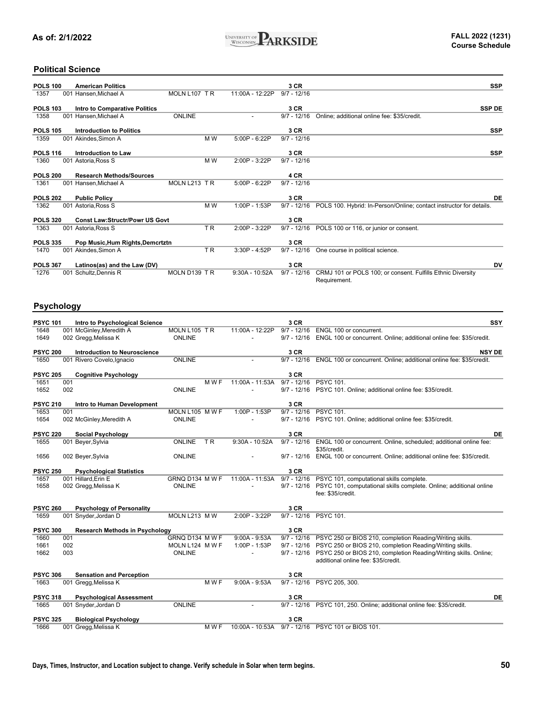

### **Political Science**

| <b>POLS 100</b> | <b>American Politics</b>              |               |                |                 | 3 CR          | <b>SSP</b>                                                                  |
|-----------------|---------------------------------------|---------------|----------------|-----------------|---------------|-----------------------------------------------------------------------------|
| 1357            | 001 Hansen, Michael A                 | MOLN L107 TR  |                | 11:00A - 12:22P | $9/7 - 12/16$ |                                                                             |
| <b>POLS 103</b> | Intro to Comparative Politics         |               |                |                 | 3 CR          | <b>SSP DE</b>                                                               |
| 1358            | 001 Hansen.Michael A                  | <b>ONLINE</b> |                |                 | $9/7 - 12/16$ | Online; additional online fee: \$35/credit.                                 |
| <b>POLS 105</b> | <b>Introduction to Politics</b>       |               |                |                 | 3 CR          | <b>SSP</b>                                                                  |
| 1359            | 001 Akindes, Simon A                  |               | M W            | $5:00P - 6:22P$ | $9/7 - 12/16$ |                                                                             |
| <b>POLS 116</b> | Introduction to Law                   |               |                |                 | 3 CR          | <b>SSP</b>                                                                  |
| 1360            | 001 Astoria, Ross S                   |               | M W            | 2:00P - 3:22P   | $9/7 - 12/16$ |                                                                             |
| <b>POLS 200</b> | <b>Research Methods/Sources</b>       |               |                |                 | 4 CR          |                                                                             |
| 1361            | 001 Hansen, Michael A                 | MOLN L213 TR  |                | 5:00P - 6:22P   | $9/7 - 12/16$ |                                                                             |
| <b>POLS 202</b> | <b>Public Policy</b>                  |               |                |                 | 3 CR          | DE                                                                          |
| 1362            | 001 Astoria, Ross S                   |               | M W            | 1:00P - 1:53P   | $9/7 - 12/16$ | POLS 100. Hybrid: In-Person/Online; contact instructor for details.         |
| <b>POLS 320</b> | <b>Const Law:Structr/Powr US Govt</b> |               |                |                 | 3 CR          |                                                                             |
| 1363            | 001 Astoria, Ross S                   |               | TR             | 2:00P - 3:22P   | $9/7 - 12/16$ | POLS 100 or 116, or junior or consent.                                      |
| <b>POLS 335</b> | Pop Music, Hum Rights, Demcrtztn      |               |                |                 | 3 CR          |                                                                             |
| 1470            | 001 Akindes, Simon A                  |               | T <sub>R</sub> | 3:30P - 4:52P   | $9/7 - 12/16$ | One course in political science.                                            |
| <b>POLS 367</b> | Latinos(as) and the Law (DV)          |               |                |                 | 3 CR          | DV                                                                          |
| 1276            | 001 Schultz, Dennis R                 | MOLN D139 TR  |                | 9:30A - 10:52A  | $9/7 - 12/16$ | CRMJ 101 or POLS 100; or consent. Fulfills Ethnic Diversity<br>Requirement. |

#### **Psychology**

| <b>PSYC 101</b> |     | Intro to Psychological Science        |                     |                  | 3 CR          | SSY                                                                  |
|-----------------|-----|---------------------------------------|---------------------|------------------|---------------|----------------------------------------------------------------------|
| 1648            |     | 001 McGinley, Meredith A              | MOLN L105 TR        | 11:00A - 12:22P  | $9/7 - 12/16$ | ENGL 100 or concurrent.                                              |
| 1649            |     | 002 Gregg, Melissa K                  | <b>ONLINE</b>       |                  | $9/7 - 12/16$ | ENGL 100 or concurrent. Online; additional online fee: \$35/credit.  |
| <b>PSYC 200</b> |     | <b>Introduction to Neuroscience</b>   |                     |                  | 3 CR          | <b>NSY DE</b>                                                        |
| 1650            |     | 001 Rivero Covelo, Ignacio            | <b>ONLINE</b>       |                  | $9/7 - 12/16$ | ENGL 100 or concurrent. Online; additional online fee: \$35/credit.  |
|                 |     |                                       |                     |                  |               |                                                                      |
| <b>PSYC 205</b> |     | <b>Cognitive Psychology</b>           |                     |                  | 3 CR          |                                                                      |
| 1651            | 001 |                                       | M W F               | 11:00A - 11:53A  | $9/7 - 12/16$ | <b>PSYC 101.</b>                                                     |
| 1652            | 002 |                                       | <b>ONLINE</b>       |                  | $9/7 - 12/16$ | PSYC 101. Online; additional online fee: \$35/credit.                |
| <b>PSYC 210</b> |     | Intro to Human Development            |                     |                  | 3 CR          |                                                                      |
| 1653            | 001 |                                       | MOLN L105 M W F     | 1:00P - 1:53P    | $9/7 - 12/16$ | <b>PSYC 101.</b>                                                     |
| 1654            |     | 002 McGinley, Meredith A              | <b>ONLINE</b>       |                  | $9/7 - 12/16$ | PSYC 101. Online; additional online fee: \$35/credit.                |
| <b>PSYC 220</b> |     | <b>Social Psychology</b>              |                     |                  | 3 CR          | DE                                                                   |
| 1655            |     | 001 Beyer, Sylvia                     | <b>ONLINE</b><br>TR | $9:30A - 10:52A$ | $9/7 - 12/16$ | ENGL 100 or concurrent. Online, scheduled; additional online fee:    |
|                 |     |                                       |                     |                  |               | \$35/credit.                                                         |
| 1656            |     | 002 Beyer, Sylvia                     | <b>ONLINE</b>       |                  | $9/7 - 12/16$ | ENGL 100 or concurrent. Online; additional online fee: \$35/credit.  |
| <b>PSYC 250</b> |     | <b>Psychological Statistics</b>       |                     |                  | 3 CR          |                                                                      |
| 1657            |     | 001 Hillard, Erin E                   | GRNQ D134 MWF       | 11:00A - 11:53A  | $9/7 - 12/16$ | PSYC 101, computational skills complete.                             |
| 1658            |     | 002 Gregg, Melissa K                  | ONLINE              |                  | $9/7 - 12/16$ | PSYC 101, computational skills complete. Online; additional online   |
|                 |     |                                       |                     |                  |               | fee: \$35/credit.                                                    |
|                 |     |                                       |                     |                  |               |                                                                      |
| <b>PSYC 260</b> |     | <b>Psychology of Personality</b>      |                     |                  | 3 CR          |                                                                      |
| 1659            |     | 001 Snyder, Jordan D                  | MOLN L213 M W       | $2:00P - 3:22P$  | $9/7 - 12/16$ | <b>PSYC 101.</b>                                                     |
| <b>PSYC 300</b> |     | <b>Research Methods in Psychology</b> |                     |                  | 3 CR          |                                                                      |
| 1660            | 001 |                                       | GRNQ D134 M W F     | $9:00A - 9:53A$  | $9/7 - 12/16$ | PSYC 250 or BIOS 210, completion Reading/Writing skills.             |
| 1661            | 002 |                                       | MOLN L124 M W F     | 1:00P - 1:53P    |               | 9/7 - 12/16 PSYC 250 or BIOS 210, completion Reading/Writing skills. |
| 1662            | 003 |                                       | ONLINE              | $\overline{a}$   | $9/7 - 12/16$ | PSYC 250 or BIOS 210, completion Reading/Writing skills. Online;     |
|                 |     |                                       |                     |                  |               | additional online fee: \$35/credit.                                  |
| <b>PSYC 306</b> |     | <b>Sensation and Perception</b>       |                     |                  | 3 CR          |                                                                      |
| 1663            |     | 001 Gregg, Melissa K                  | MWF                 | $9:00A - 9:53A$  | $9/7 - 12/16$ | PSYC 205, 300.                                                       |
|                 |     |                                       |                     |                  |               |                                                                      |
| <b>PSYC 318</b> |     | <b>Psychological Assessment</b>       |                     |                  | 3 CR          | DE                                                                   |
| 1665            |     | 001 Snyder, Jordan D                  | <b>ONLINE</b>       |                  | $9/7 - 12/16$ | PSYC 101, 250. Online; additional online fee: \$35/credit.           |
| <b>PSYC 325</b> |     | <b>Biological Psychology</b>          |                     |                  | 3 CR          |                                                                      |
| 1666            |     | 001 Gregg, Melissa K                  | M W F               | 10:00A - 10:53A  | $9/7 - 12/16$ | PSYC 101 or BIOS 101.                                                |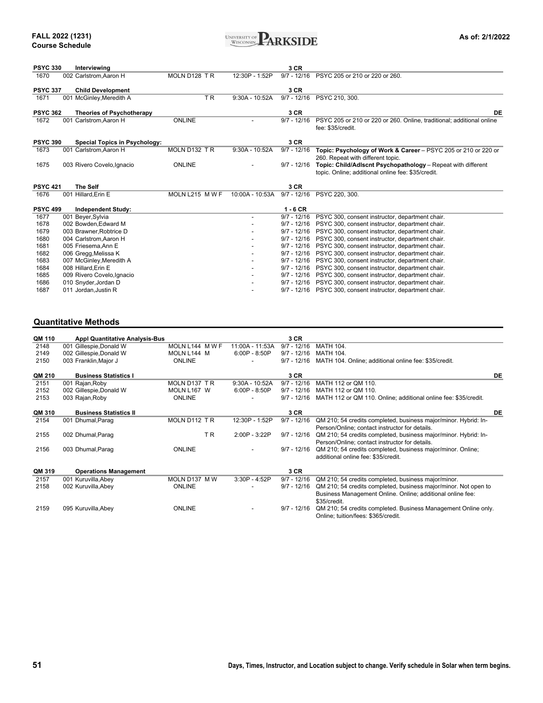

| <b>PSYC 330</b> | Interviewing                                   |                 |                  | 3 CR          |                                                                                                    |
|-----------------|------------------------------------------------|-----------------|------------------|---------------|----------------------------------------------------------------------------------------------------|
| 1670            | 002 Carlstrom, Aaron H                         | MOLN D128 TR    | 12:30P - 1:52P   | $9/7 - 12/16$ | PSYC 205 or 210 or 220 or 260.                                                                     |
| <b>PSYC 337</b> | <b>Child Development</b>                       |                 |                  | 3 CR          |                                                                                                    |
| 1671            | 001 McGinley, Meredith A                       | T <sub>R</sub>  | $9:30A - 10:52A$ | $9/7 - 12/16$ | PSYC 210, 300.                                                                                     |
| <b>PSYC 362</b> | <b>Theories of Psychotherapy</b>               |                 |                  | 3 CR          | DE                                                                                                 |
| 1672            | 001 Carlstrom.Aaron H                          | <b>ONLINE</b>   |                  | $9/7 - 12/16$ | PSYC 205 or 210 or 220 or 260. Online, traditional: additional online                              |
|                 |                                                |                 |                  |               | fee: \$35/credit.                                                                                  |
|                 |                                                |                 |                  |               |                                                                                                    |
| <b>PSYC 390</b> | <b>Special Topics in Psychology:</b>           |                 |                  | 3 CR          |                                                                                                    |
| 1673            | 001 Carlstrom, Aaron H                         | MOLN D132 TR    | $9:30A - 10:52A$ | $9/7 - 12/16$ | Topic: Psychology of Work & Career - PSYC 205 or 210 or 220 or                                     |
|                 |                                                |                 |                  |               | 260. Repeat with different topic.                                                                  |
| 1675            | 003 Rivero Covelo, Ignacio                     | <b>ONLINE</b>   |                  | $9/7 - 12/16$ | Topic: Child/Adlscnt Psychopathology - Repeat with different                                       |
|                 |                                                |                 |                  |               | topic. Online; additional online fee: \$35/credit.                                                 |
|                 |                                                |                 |                  |               |                                                                                                    |
|                 |                                                |                 |                  |               |                                                                                                    |
| <b>PSYC 421</b> | <b>The Self</b>                                |                 |                  | 3 CR          |                                                                                                    |
| 1676            | 001 Hillard, Erin E                            | MOLN L215 M W F | 10:00A - 10:53A  | $9/7 - 12/16$ | PSYC 220, 300.                                                                                     |
| <b>PSYC 499</b> |                                                |                 |                  | $1 - 6$ CR    |                                                                                                    |
| 1677            | <b>Independent Study:</b><br>001 Beyer, Sylvia |                 |                  | $9/7 - 12/16$ | PSYC 300, consent instructor, department chair.                                                    |
| 1678            | 002 Bowden, Edward M                           |                 |                  | $9/7 - 12/16$ | PSYC 300, consent instructor, department chair.                                                    |
| 1679            | 003 Brawner. Robtrice D                        |                 |                  | $9/7 - 12/16$ | PSYC 300, consent instructor, department chair.                                                    |
| 1680            | 004 Carlstrom, Aaron H                         |                 |                  | $9/7 - 12/16$ |                                                                                                    |
| 1681            | 005 Friesema, Ann E                            |                 |                  | $9/7 - 12/16$ | PSYC 300, consent instructor, department chair.<br>PSYC 300, consent instructor, department chair. |
| 1682            | 006 Gregg, Melissa K                           |                 |                  | $9/7 - 12/16$ | PSYC 300, consent instructor, department chair.                                                    |
| 1683            | 007 McGinley, Meredith A                       |                 |                  | $9/7 - 12/16$ | PSYC 300, consent instructor, department chair.                                                    |
| 1684            | 008 Hillard, Erin E                            |                 |                  | $9/7 - 12/16$ | PSYC 300, consent instructor, department chair.                                                    |
| 1685            | 009 Rivero Covelo, Ignacio                     |                 |                  | $9/7 - 12/16$ | PSYC 300, consent instructor, department chair.                                                    |
| 1686            | 010 Snyder, Jordan D                           |                 |                  | $9/7 - 12/16$ | PSYC 300, consent instructor, department chair.                                                    |

### **Quantitative Methods**

| QM 110 |                                       |               |                  | 3 CR          |                                                                 |    |
|--------|---------------------------------------|---------------|------------------|---------------|-----------------------------------------------------------------|----|
|        | <b>Appl Quantitative Analysis-Bus</b> |               | 11:00A - 11:53A  | $9/7 - 12/16$ | <b>MATH 104.</b>                                                |    |
| 2148   | 001 Gillespie, Donald W               | MOLN L144 MWF |                  |               |                                                                 |    |
| 2149   | 002 Gillespie, Donald W               | MOLN L144 M   | $6:00P - 8:50P$  | $9/7 - 12/16$ | <b>MATH 104.</b>                                                |    |
| 2150   | 003 Franklin, Major J                 | <b>ONLINE</b> |                  | $9/7 - 12/16$ | MATH 104. Online; additional online fee: \$35/credit.           |    |
| QM 210 | <b>Business Statistics I</b>          |               |                  | 3 CR          |                                                                 | DE |
| 2151   | 001 Rajan, Roby                       | MOLN D137 TR  | $9:30A - 10:52A$ | $9/7 - 12/16$ | MATH 112 or OM 110.                                             |    |
| 2152   | 002 Gillespie, Donald W               | MOLN L167 W   | $6:00P - 8:50P$  | $9/7 - 12/16$ | MATH 112 or QM 110.                                             |    |
| 2153   | 003 Rajan, Roby                       | <b>ONLINE</b> |                  | $9/7 - 12/16$ | MATH 112 or QM 110. Online; additional online fee: \$35/credit. |    |
| QM 310 | <b>Business Statistics II</b>         |               |                  | 3 CR          |                                                                 | DE |
| 2154   | 001 Dhumal, Parag                     | MOLN D112 TR  | 12:30P - 1:52P   | $9/7 - 12/16$ | QM 210; 54 credits completed, business major/minor. Hybrid: In- |    |
|        |                                       |               |                  |               | Person/Online; contact instructor for details.                  |    |
| 2155   | 002 Dhumal, Parag                     | T R           | 2:00P - 3:22P    | $9/7 - 12/16$ | QM 210; 54 credits completed, business major/minor. Hybrid: In- |    |
|        |                                       |               |                  |               | Person/Online; contact instructor for details.                  |    |
| 2156   | 003 Dhumal, Parag                     | <b>ONLINE</b> |                  | $9/7 - 12/16$ | QM 210; 54 credits completed, business major/minor. Online;     |    |
|        |                                       |               |                  |               | additional online fee: \$35/credit.                             |    |
| QM 319 | <b>Operations Management</b>          |               |                  | 3 CR          |                                                                 |    |
| 2157   | 001 Kuruvilla, Abey                   | MOLN D137 M W | 3:30P - 4:52P    | $9/7 - 12/16$ | QM 210; 54 credits completed, business major/minor.             |    |
| 2158   | 002 Kuruvilla, Abey                   | <b>ONLINE</b> |                  | $9/7 - 12/16$ | QM 210; 54 credits completed, business major/minor. Not open to |    |
|        |                                       |               |                  |               | Business Management Online. Online; additional online fee:      |    |
|        |                                       |               |                  |               | \$35/credit.                                                    |    |
| 2159   | 095 Kuruvilla, Abey                   | <b>ONLINE</b> |                  | $9/7 - 12/16$ | QM 210; 54 credits completed. Business Management Online only.  |    |
|        |                                       |               |                  |               | Online; tuition/fees: \$365/credit.                             |    |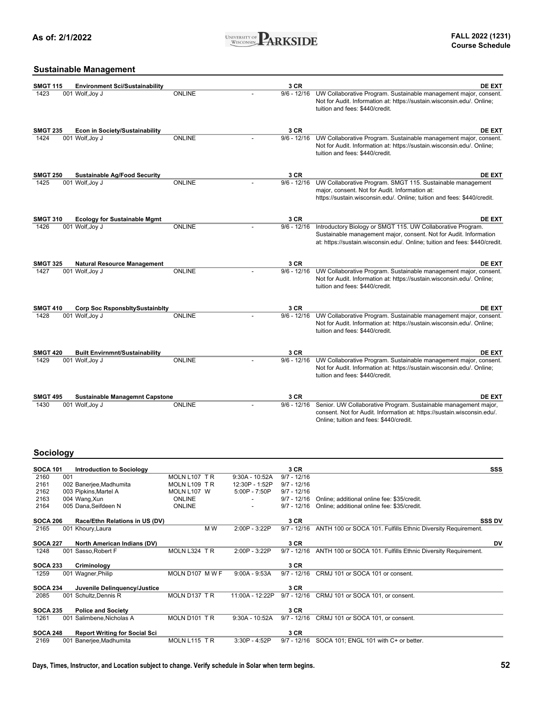

### **Sustainable Management**

| <b>SMGT 115</b>         |     | <b>Environment Sci/Sustainability</b>                    |                                |                                    | 3 CR                           | <b>DE EXT</b>                                                                                                                                                                                                   |
|-------------------------|-----|----------------------------------------------------------|--------------------------------|------------------------------------|--------------------------------|-----------------------------------------------------------------------------------------------------------------------------------------------------------------------------------------------------------------|
| 1423                    |     | 001 Wolf, Joy J                                          | <b>ONLINE</b>                  |                                    | $9/6 - 12/16$                  | UW Collaborative Program. Sustainable management major, consent.<br>Not for Audit. Information at: https://sustain.wisconsin.edu/. Online;<br>tuition and fees: \$440/credit.                                   |
| <b>SMGT 235</b>         |     | <b>Econ in Society/Sustainability</b>                    |                                |                                    | 3 CR                           | <b>DE EXT</b>                                                                                                                                                                                                   |
| 1424                    |     | 001 Wolf, Joy J                                          | <b>ONLINE</b>                  |                                    | $9/6 - 12/16$                  | UW Collaborative Program. Sustainable management major, consent.<br>Not for Audit. Information at: https://sustain.wisconsin.edu/. Online;<br>tuition and fees: \$440/credit.                                   |
| <b>SMGT 250</b>         |     | <b>Sustainable Ag/Food Security</b>                      |                                |                                    | 3 CR                           | <b>DE EXT</b>                                                                                                                                                                                                   |
| 1425                    |     | 001 Wolf, Joy J                                          | <b>ONLINE</b>                  |                                    | $9/6 - 12/16$                  | UW Collaborative Program. SMGT 115. Sustainable management<br>major, consent. Not for Audit. Information at:<br>https://sustain.wisconsin.edu/. Online; tuition and fees: \$440/credit.                         |
| <b>SMGT 310</b>         |     | <b>Ecology for Sustainable Mgmt</b>                      |                                |                                    | 3 CR                           | <b>DE EXT</b>                                                                                                                                                                                                   |
| 1426                    |     | 001 Wolf, Joy J                                          | <b>ONLINE</b>                  |                                    | $9/6 - 12/16$                  | Introductory Biology or SMGT 115. UW Collaborative Program.<br>Sustainable management major, consent. Not for Audit. Information<br>at: https://sustain.wisconsin.edu/. Online; tuition and fees: \$440/credit. |
| <b>SMGT 325</b>         |     | <b>Natural Resource Management</b>                       |                                |                                    | 3 CR                           | <b>DE EXT</b>                                                                                                                                                                                                   |
| 1427                    |     | 001 Wolf, Joy J                                          | <b>ONLINE</b>                  |                                    | $9/6 - 12/16$                  | UW Collaborative Program. Sustainable management major, consent.<br>Not for Audit. Information at: https://sustain.wisconsin.edu/. Online;<br>tuition and fees: \$440/credit.                                   |
| <b>SMGT 410</b>         |     | <b>Corp Soc RsponsbitySustainbity</b>                    |                                |                                    | 3 CR                           | <b>DE EXT</b>                                                                                                                                                                                                   |
| 1428                    |     | 001 Wolf, Joy J                                          | <b>ONLINE</b>                  |                                    | $9/6 - 12/16$                  | UW Collaborative Program. Sustainable management major, consent.<br>Not for Audit. Information at: https://sustain.wisconsin.edu/. Online;<br>tuition and fees: \$440/credit.                                   |
| <b>SMGT 420</b>         |     | <b>Built Envirnmnt/Sustainability</b>                    |                                |                                    | 3 CR                           | <b>DE EXT</b>                                                                                                                                                                                                   |
| 1429                    |     | 001 Wolf, Joy J                                          | <b>ONLINE</b>                  |                                    | $9/6 - 12/16$                  | UW Collaborative Program. Sustainable management major, consent.<br>Not for Audit. Information at: https://sustain.wisconsin.edu/. Online;<br>tuition and fees: \$440/credit.                                   |
|                         |     |                                                          |                                |                                    |                                |                                                                                                                                                                                                                 |
| <b>SMGT 495</b><br>1430 |     | <b>Sustainable Managemnt Capstone</b><br>001 Wolf, Joy J | <b>ONLINE</b>                  |                                    | 3 CR<br>$9/6 - 12/16$          | <b>DE EXT</b><br>Senior. UW Collaborative Program. Sustainable management major,<br>consent. Not for Audit. Information at: https://sustain.wisconsin.edu/.<br>Online; tuition and fees: \$440/credit.          |
| Sociology               |     |                                                          |                                |                                    |                                |                                                                                                                                                                                                                 |
| SOCA 101                |     | <b>Introduction to Sociology</b>                         |                                |                                    | 3 CR                           | SSS                                                                                                                                                                                                             |
| 2160<br>2161            | 001 | 002 Banerjee, Madhumita                                  | MOLN L107 TR<br>MOLN L109 TR   | $9:30A - 10:52A$<br>12:30P - 1:52P | $9/7 - 12/16$<br>$9/7 - 12/16$ |                                                                                                                                                                                                                 |
| 2162                    |     | 003 Pipkins, Martel A                                    | MOLN L107 W                    | 5:00P - 7:50P                      | $9/7 - 12/16$                  |                                                                                                                                                                                                                 |
| 2163<br>2164            |     | 004 Wang, Xun<br>005 Dana, Seifdeen N                    | <b>ONLINE</b><br><b>ONLINE</b> |                                    | $9/7 - 12/16$<br>$9/7 - 12/16$ | Online; additional online fee: \$35/credit.<br>Online; additional online fee: \$35/credit.                                                                                                                      |
| <b>SOCA 206</b>         |     | Race/Ethn Relations in US (DV)                           |                                |                                    | 3 CR                           | <b>SSS DV</b>                                                                                                                                                                                                   |
| 2165                    |     | 001 Khoury, Laura                                        | M W                            | 2:00P - 3:22P                      | $9/7 - 12/16$                  | ANTH 100 or SOCA 101. Fulfills Ethnic Diversity Requirement.                                                                                                                                                    |
| <b>SOCA 227</b>         |     | North American Indians (DV)                              |                                |                                    | 3 CR                           | DV                                                                                                                                                                                                              |
| 1248                    |     | 001 Sasso, Robert F                                      | MOLN L324 TR                   | 2:00P - 3:22P                      |                                | 9/7 - 12/16 ANTH 100 or SOCA 101. Fulfills Ethnic Diversity Requirement.                                                                                                                                        |
| <b>SOCA 233</b>         |     | Criminology                                              |                                |                                    | 3 CR                           |                                                                                                                                                                                                                 |
| 1259                    |     | 001 Wagner, Philip                                       | MOLN D107 M W F                | $9:00A - 9:53A$                    |                                | 9/7 - 12/16 CRMJ 101 or SOCA 101 or consent.                                                                                                                                                                    |
| <b>SOCA 234</b><br>2085 |     | Juvenile Delinquency/Justice<br>001 Schultz, Dennis R    | MOLN D137 TR                   | 11:00A - 12:22P                    | 3 CR                           | 9/7 - 12/16 CRMJ 101 or SOCA 101, or consent.                                                                                                                                                                   |
| <b>SOCA 235</b>         |     | <b>Police and Society</b>                                |                                |                                    | 3 CR                           |                                                                                                                                                                                                                 |

**SOCA 248 Report Writing for Social Sci**

1261 001 Salimbene,Nicholas A MOLN D101 T R 9:30A - 10:52A 9/7 - 12/16 CRMJ 101 or SOCA 101, or consent.

2169 001 Banerjee,Madhumita MOLN L115 T R 3:30P - 4:52P 9/7 - 12/16 SOCA 101; ENGL 101 with C+ or better.

**3 CR**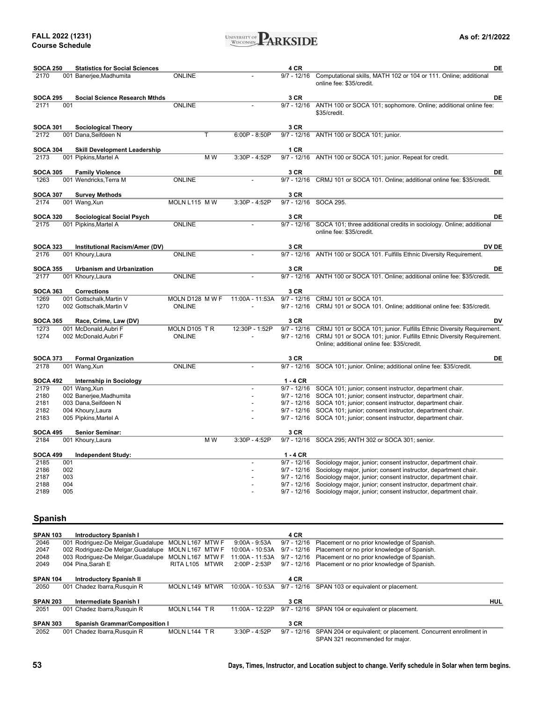

| <b>SOCA 250</b>         |            | <b>Statistics for Social Sciences</b>  |                 |                          | 4 CR                           | DE                                                                                                                               |
|-------------------------|------------|----------------------------------------|-----------------|--------------------------|--------------------------------|----------------------------------------------------------------------------------------------------------------------------------|
| 2170                    |            | 001 Banerjee, Madhumita                | <b>ONLINE</b>   |                          | $9/7 - 12/16$                  | Computational skills, MATH 102 or 104 or 111. Online; additional<br>online fee: \$35/credit.                                     |
| <b>SOCA 295</b>         |            | <b>Social Science Research Mthds</b>   |                 |                          | 3 CR                           | DE                                                                                                                               |
| 2171                    | 001        |                                        | <b>ONLINE</b>   |                          |                                | 9/7 - 12/16 ANTH 100 or SOCA 101; sophomore. Online; additional online fee:<br>\$35/credit.                                      |
| <b>SOCA 301</b>         |            | <b>Sociological Theory</b>             |                 |                          | 3 CR                           |                                                                                                                                  |
| 2172                    |            | 001 Dana, Seifdeen N                   | Τ               | $6:00P - 8:50P$          |                                | 9/7 - 12/16 ANTH 100 or SOCA 101; junior.                                                                                        |
| <b>SOCA 304</b>         |            | <b>Skill Development Leadership</b>    |                 |                          | 1 CR                           |                                                                                                                                  |
| 2173                    |            | 001 Pipkins, Martel A                  | M W             | 3:30P - 4:52P            |                                | 9/7 - 12/16 ANTH 100 or SOCA 101; junior. Repeat for credit.                                                                     |
| <b>SOCA 305</b>         |            | <b>Family Violence</b>                 |                 |                          | 3 CR                           | <b>DE</b>                                                                                                                        |
| 1263                    |            | 001 Wendricks, Terra M                 | <b>ONLINE</b>   |                          |                                | 9/7 - 12/16 CRMJ 101 or SOCA 101. Online; additional online fee: \$35/credit.                                                    |
|                         |            |                                        |                 |                          |                                |                                                                                                                                  |
| <b>SOCA 307</b><br>2174 |            | <b>Survey Methods</b><br>001 Wang, Xun | MOLN L115 M W   | 3:30P - 4:52P            | 3 CR                           | 9/7 - 12/16 SOCA 295.                                                                                                            |
|                         |            |                                        |                 |                          |                                |                                                                                                                                  |
| <b>SOCA 320</b>         |            | <b>Sociological Social Psych</b>       |                 |                          | 3 CR                           | DE                                                                                                                               |
| 2175                    |            | 001 Pipkins, Martel A                  | <b>ONLINE</b>   |                          | $9/7 - 12/16$                  | SOCA 101; three additional credits in sociology. Online; additional<br>online fee: \$35/credit.                                  |
| <b>SOCA 323</b>         |            | Institutional Racism/Amer (DV)         |                 |                          | 3 CR                           | DV DE                                                                                                                            |
| 2176                    |            | 001 Khoury, Laura                      | <b>ONLINE</b>   |                          | $9/7 - 12/16$                  | ANTH 100 or SOCA 101. Fulfills Ethnic Diversity Requirement.                                                                     |
| <b>SOCA 355</b>         |            | <b>Urbanism and Urbanization</b>       |                 |                          | 3 CR                           | DE                                                                                                                               |
| 2177                    |            | 001 Khoury, Laura                      | ONLINE          |                          | $9/7 - 12/16$                  | ANTH 100 or SOCA 101. Online; additional online fee: \$35/credit.                                                                |
| <b>SOCA 363</b>         |            | <b>Corrections</b>                     |                 |                          | 3 CR                           |                                                                                                                                  |
| 1269                    |            | 001 Gottschalk, Martin V               | MOLN D128 M W F | 11:00A - 11:53A          | $9/7 - 12/16$                  | CRMJ 101 or SOCA 101.                                                                                                            |
| 1270                    |            | 002 Gottschalk, Martin V               | <b>ONLINE</b>   |                          | $9/7 - 12/16$                  | CRMJ 101 or SOCA 101. Online; additional online fee: \$35/credit.                                                                |
| <b>SOCA 365</b>         |            | Race, Crime, Law (DV)                  |                 |                          | 3 CR                           | DV                                                                                                                               |
| 1273                    |            | 001 McDonald, Aubri F                  | MOLN D105 TR    | 12:30P - 1:52P           | $9/7 - 12/16$                  | CRMJ 101 or SOCA 101; junior. Fulfills Ethnic Diversity Requirement.                                                             |
| 1274                    |            | 002 McDonald, Aubri F                  | ONLINE          |                          | $9/7 - 12/16$                  | CRMJ 101 or SOCA 101; junior. Fulfills Ethnic Diversity Requirement.<br>Online; additional online fee: \$35/credit.              |
| <b>SOCA 373</b>         |            | <b>Formal Organization</b>             |                 |                          | 3 CR                           | DE                                                                                                                               |
| 2178                    |            | 001 Wang, Xun                          | <b>ONLINE</b>   |                          |                                | 9/7 - 12/16 SOCA 101; junior. Online; additional online fee: \$35/credit.                                                        |
| <b>SOCA 492</b>         |            | <b>Internship in Sociology</b>         |                 |                          | $1 - 4$ CR                     |                                                                                                                                  |
| 2179                    |            | 001 Wang, Xun                          |                 | $\overline{\phantom{a}}$ |                                | 9/7 - 12/16 SOCA 101; junior; consent instructor, department chair.                                                              |
| 2180                    |            | 002 Banerjee, Madhumita                |                 | $\overline{a}$           | $9/7 - 12/16$                  | SOCA 101; junior; consent instructor, department chair.                                                                          |
| 2181                    |            | 003 Dana, Seifdeen N                   |                 |                          |                                | 9/7 - 12/16 SOCA 101; junior; consent instructor, department chair.                                                              |
| 2182                    |            | 004 Khoury, Laura                      |                 |                          | $9/7 - 12/16$                  | SOCA 101; junior; consent instructor, department chair.                                                                          |
| 2183                    |            | 005 Pipkins, Martel A                  |                 |                          |                                | 9/7 - 12/16 SOCA 101; junior; consent instructor, department chair.                                                              |
| <b>SOCA 495</b>         |            | <b>Senior Seminar:</b>                 |                 |                          | 3 CR                           |                                                                                                                                  |
| 2184                    |            | 001 Khoury, Laura                      | M W             | 3:30P - 4:52P            |                                | 9/7 - 12/16 SOCA 295; ANTH 302 or SOCA 301; senior.                                                                              |
| <b>SOCA 499</b>         |            | <b>Independent Study:</b>              |                 |                          | $1 - 4$ CR                     |                                                                                                                                  |
| 2185                    | 001        |                                        |                 |                          | $9/7 - 12/16$                  | Sociology major, junior; consent instructor, department chair.                                                                   |
| 2186                    | 002        |                                        |                 |                          | $9/7 - 12/16$                  | Sociology major, junior; consent instructor, department chair.                                                                   |
| 2187<br>2188            | 003<br>004 |                                        |                 |                          | $9/7 - 12/16$<br>$9/7 - 12/16$ | Sociology major, junior; consent instructor, department chair.                                                                   |
| 2189                    | 005        |                                        |                 |                          | $9/7 - 12/16$                  | Sociology major, junior; consent instructor, department chair.<br>Sociology major, junior; consent instructor, department chair. |
|                         |            |                                        |                 |                          |                                |                                                                                                                                  |

### **Spanish**

| <b>SPAN 103</b> | <b>Introductory Spanish I</b>        |                  |       |                   | 4 CR          |                                                                |     |
|-----------------|--------------------------------------|------------------|-------|-------------------|---------------|----------------------------------------------------------------|-----|
| 2046            | 001 Rodriguez-De Melgar, Guadalupe   | MOLN L167        | MTW F | $9:00A - 9:53A$   | $9/7 - 12/16$ | Placement or no prior knowledge of Spanish.                    |     |
| 2047            | 002 Rodriguez-De Melgar, Guadalupe   | MOLN L167 MTW F  |       | 10:00A - 10:53A   | $9/7 - 12/16$ | Placement or no prior knowledge of Spanish.                    |     |
| 2048            | 003 Rodriguez-De Melgar, Guadalupe   | MOLN L167 MTW F  |       | 11:00A - 11:53A   | $9/7 - 12/16$ | Placement or no prior knowledge of Spanish.                    |     |
| 2049            | 004 Pina.Sarah E                     | <b>RITA L105</b> | MTWR  | 2:00P - 2:53P     |               | 9/7 - 12/16 Placement or no prior knowledge of Spanish.        |     |
|                 |                                      |                  |       |                   |               |                                                                |     |
| <b>SPAN 104</b> | <b>Introductory Spanish II</b>       |                  |       |                   | 4 CR          |                                                                |     |
| 2050            | 001 Chadez Ibarra, Rusquin R         | MOLN L149 MTWR   |       | $10:00A - 10:53A$ | $9/7 - 12/16$ | SPAN 103 or equivalent or placement.                           |     |
|                 |                                      |                  |       |                   |               |                                                                |     |
| <b>SPAN 203</b> | Intermediate Spanish I               |                  |       |                   | 3 CR          |                                                                | HUL |
| 2051            | 001 Chadez Ibarra, Rusquin R         | MOLN L144 TR     |       | 11:00A - 12:22P   | $9/7 - 12/16$ | SPAN 104 or equivalent or placement.                           |     |
|                 |                                      |                  |       |                   |               |                                                                |     |
| <b>SPAN 303</b> | <b>Spanish Grammar/Composition I</b> |                  |       |                   | 3 CR          |                                                                |     |
| 2052            | 001 Chadez Ibarra, Rusquin R         | MOLN L144 TR     |       | $3:30P - 4:52P$   | $9/7 - 12/16$ | SPAN 204 or equivalent; or placement. Concurrent enrollment in |     |
|                 |                                      |                  |       |                   |               | SPAN 321 recommended for major.                                |     |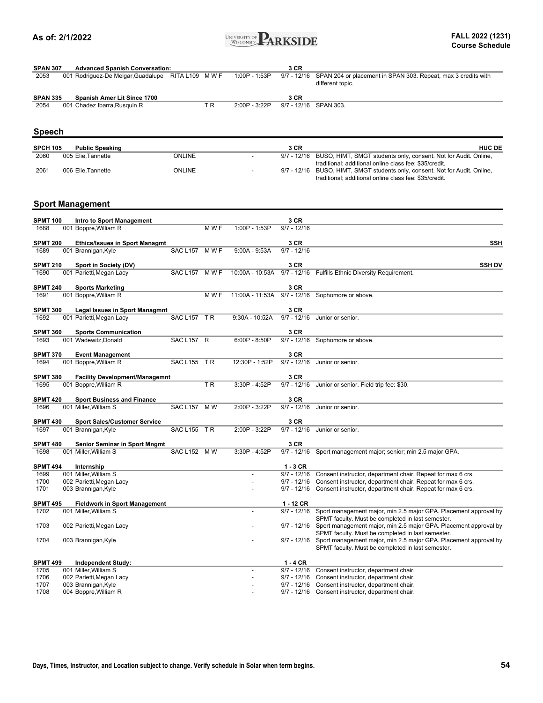

| <b>SPAN 307</b> | <b>Advanced Spanish Conversation:</b> |               |                 | 3 CR |                                                                                               |
|-----------------|---------------------------------------|---------------|-----------------|------|-----------------------------------------------------------------------------------------------|
| 2053            | 001 Rodriguez-De Melgar,Guadalupe     | RITA L109 MWF | $1:00P - 1:53P$ |      | 9/7 - 12/16 SPAN 204 or placement in SPAN 303. Repeat, max 3 credits with<br>different topic. |
| <b>SPAN 335</b> | <b>Spanish Amer Lit Since 1700</b>    |               |                 | 3 CR |                                                                                               |

2054 001 Chadez Ibarra,Rusquin R T R 2:00P - 3:22P 9/7 - 12/16 SPAN 303.

### **Speech**

| <b>SPCH 105</b> | <b>Public Speaking</b> |        | 3 CR | <b>HUC DE</b>                                                               |
|-----------------|------------------------|--------|------|-----------------------------------------------------------------------------|
| 2060            | 005 Elie.Tannette      | ONLINE |      | 9/7 - 12/16 BUSO, HIMT, SMGT students only, consent. Not for Audit. Online, |
|                 |                        |        |      | traditional; additional online class fee: \$35/credit.                      |
| 2061            | 006 Elie.Tannette      | ONLINE |      | 9/7 - 12/16 BUSO, HIMT, SMGT students only, consent. Not for Audit. Online, |
|                 |                        |        |      | traditional: additional online class fee: \$35/credit.                      |

#### **Sport Management**

| <b>SPMT 100</b>         | Intro to Sport Management                                     |                |       |                  | 3 CR                  |                                                                    |
|-------------------------|---------------------------------------------------------------|----------------|-------|------------------|-----------------------|--------------------------------------------------------------------|
| 1688                    | 001 Boppre, William R                                         |                | M W F | 1:00P - 1:53P    | $9/7 - 12/16$         |                                                                    |
| <b>SPMT 200</b>         |                                                               |                |       |                  | 3 CR                  | <b>SSH</b>                                                         |
| 1689                    | <b>Ethics/Issues in Sport Managmt</b><br>001 Brannigan, Kyle  | SAC L157 M W F |       | $9:00A - 9:53A$  | $9/7 - 12/16$         |                                                                    |
|                         |                                                               |                |       |                  |                       |                                                                    |
| <b>SPMT 210</b>         | Sport in Society (DV)                                         |                |       |                  | 3 CR                  | <b>SSH DV</b>                                                      |
| 1690                    | 001 Parietti, Megan Lacy                                      | SAC L157 M W F |       |                  |                       | 10:00A - 10:53A 9/7 - 12/16 Fulfills Ethnic Diversity Requirement. |
|                         |                                                               |                |       |                  |                       |                                                                    |
| <b>SPMT 240</b>         | <b>Sports Marketing</b>                                       |                |       |                  | 3 CR                  |                                                                    |
| 1691                    | 001 Boppre, William R                                         |                | M W F | 11:00A - 11:53A  |                       | 9/7 - 12/16 Sophomore or above.                                    |
| <b>SPMT 300</b>         | <b>Legal Issues in Sport Managmnt</b>                         |                |       |                  | 3 CR                  |                                                                    |
| 1692                    | 001 Parietti, Megan Lacy                                      | SAC L157 TR    |       | $9:30A - 10:52A$ | $9/7 - 12/16$         | Junior or senior.                                                  |
|                         |                                                               |                |       |                  |                       |                                                                    |
| <b>SPMT 360</b>         | <b>Sports Communication</b>                                   |                |       |                  | 3 CR                  |                                                                    |
| 1693                    | 001 Wadewitz.Donald                                           | SAC L157 R     |       | $6:00P - 8:50P$  | $9/7 - 12/16$         | Sophomore or above.                                                |
| <b>SPMT 370</b>         | <b>Event Management</b>                                       |                |       |                  | 3 CR                  |                                                                    |
| 1694                    | 001 Boppre, William R                                         | SAC L155 TR    |       | 12:30P - 1:52P   | $9/7 - 12/16$         | Junior or senior.                                                  |
|                         |                                                               |                |       |                  |                       |                                                                    |
| <b>SPMT 380</b>         | <b>Facility Development/Managemnt</b>                         |                |       |                  | 3 CR                  |                                                                    |
| 1695                    | 001 Boppre, William R                                         |                | T R   | 3:30P - 4:52P    | $9/7 - 12/16$         | Junior or senior. Field trip fee: \$30.                            |
| <b>SPMT 420</b>         | <b>Sport Business and Finance</b>                             |                |       |                  | 3 CR                  |                                                                    |
| 1696                    | 001 Miller, William S                                         | SAC L157 M W   |       | 2:00P - 3:22P    | $9/7 - 12/16$         | Junior or senior.                                                  |
|                         |                                                               |                |       |                  |                       |                                                                    |
| <b>SPMT 430</b>         | <b>Sport Sales/Customer Service</b>                           |                |       |                  | 3 CR                  |                                                                    |
| 1697                    | 001 Brannigan, Kyle                                           | SAC L155 TR    |       | 2:00P - 3:22P    | $9/7 - 12/16$         | Junior or senior.                                                  |
|                         |                                                               |                |       |                  |                       |                                                                    |
| <b>SPMT 480</b><br>1698 | <b>Senior Seminar in Sport Mngmt</b><br>001 Miller, William S | SAC L152 M W   |       | 3:30P - 4:52P    | 3 CR<br>$9/7 - 12/16$ | Sport management major; senior; min 2.5 major GPA.                 |
|                         |                                                               |                |       |                  |                       |                                                                    |
| <b>SPMT 494</b>         | Internship                                                    |                |       |                  | $1 - 3$ CR            |                                                                    |
| 1699                    | 001 Miller, William S                                         |                |       |                  | $9/7 - 12/16$         | Consent instructor, department chair. Repeat for max 6 crs.        |
| 1700                    | 002 Parietti, Megan Lacy                                      |                |       |                  | $9/7 - 12/16$         | Consent instructor, department chair. Repeat for max 6 crs.        |
| 1701                    | 003 Brannigan, Kyle                                           |                |       |                  | $9/7 - 12/16$         | Consent instructor, department chair. Repeat for max 6 crs.        |
|                         |                                                               |                |       |                  | $1 - 12$ CR           |                                                                    |
| <b>SPMT 495</b><br>1702 | <b>Fieldwork in Sport Management</b><br>001 Miller, William S |                |       |                  | $9/7 - 12/16$         | Sport management major, min 2.5 major GPA. Placement approval by   |
|                         |                                                               |                |       |                  |                       | SPMT faculty. Must be completed in last semester.                  |
| 1703                    | 002 Parietti, Megan Lacy                                      |                |       |                  | $9/7 - 12/16$         | Sport management major, min 2.5 major GPA. Placement approval by   |
|                         |                                                               |                |       |                  |                       | SPMT faculty. Must be completed in last semester.                  |
| 1704                    | 003 Brannigan, Kyle                                           |                |       |                  | $9/7 - 12/16$         | Sport management major, min 2.5 major GPA. Placement approval by   |
|                         |                                                               |                |       |                  |                       | SPMT faculty. Must be completed in last semester.                  |
| <b>SPMT 499</b>         | <b>Independent Study:</b>                                     |                |       |                  | $1 - 4$ CR            |                                                                    |
| 1705                    | 001 Miller. William S                                         |                |       | $\overline{a}$   | $9/7 - 12/16$         | Consent instructor, department chair.                              |
| 1706                    | 002 Parietti, Megan Lacy                                      |                |       |                  | $9/7 - 12/16$         | Consent instructor, department chair.                              |
| 1707                    | 003 Brannigan, Kyle                                           |                |       |                  | $9/7 - 12/16$         | Consent instructor, department chair.                              |
| 1708                    | 004 Boppre, William R                                         |                |       |                  | $9/7 - 12/16$         | Consent instructor, department chair.                              |
|                         |                                                               |                |       |                  |                       |                                                                    |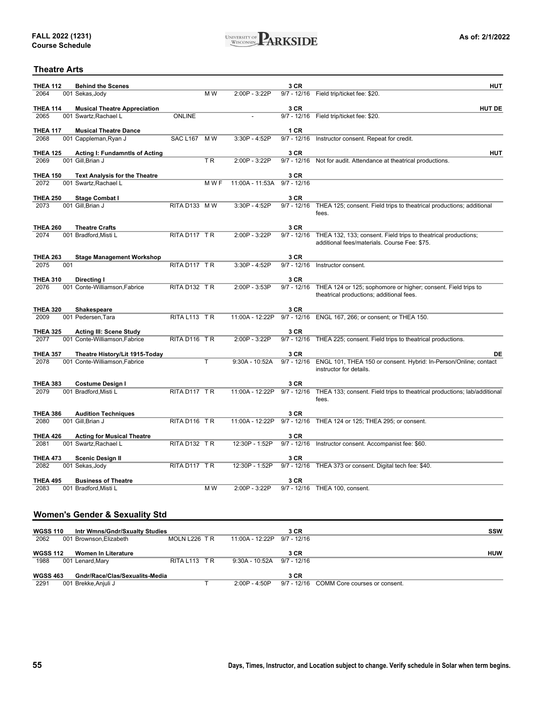

#### **Theatre Arts**

| <b>THEA 112</b>         |     | <b>Behind the Scenes</b>                                        |                 |       |                 | 3 CR                  | <b>HUT</b>                                                                                                     |
|-------------------------|-----|-----------------------------------------------------------------|-----------------|-------|-----------------|-----------------------|----------------------------------------------------------------------------------------------------------------|
| 2064                    |     | 001 Sekas, Jody                                                 |                 | M W   | 2:00P - 3:22P   |                       | 9/7 - 12/16 Field trip/ticket fee: \$20.                                                                       |
| <b>THEA 114</b>         |     | <b>Musical Theatre Appreciation</b>                             |                 |       |                 | 3 CR                  | <b>HUT DE</b>                                                                                                  |
| 2065                    |     | 001 Swartz, Rachael L                                           | <b>ONLINE</b>   |       |                 |                       | 9/7 - 12/16  Field trip/ticket fee: \$20.                                                                      |
| <b>THEA 117</b>         |     | <b>Musical Theatre Dance</b>                                    |                 |       |                 | 1 CR                  |                                                                                                                |
| 2068                    |     | 001 Cappleman, Ryan J                                           | <b>SAC L167</b> | M W   | 3:30P - 4:52P   |                       | 9/7 - 12/16 Instructor consent. Repeat for credit.                                                             |
| <b>THEA 125</b>         |     | <b>Acting I: Fundamntls of Acting</b>                           |                 |       |                 | 3 CR                  | <b>HUT</b>                                                                                                     |
| 2069                    |     | 001 Gill, Brian J                                               |                 | TR    | 2:00P - 3:22P   |                       | 9/7 - 12/16 Not for audit. Attendance at theatrical productions.                                               |
| <b>THEA 150</b>         |     | <b>Text Analysis for the Theatre</b>                            |                 |       |                 | 3 CR                  |                                                                                                                |
| 2072                    |     | 001 Swartz, Rachael L                                           |                 | M W F | 11:00A - 11:53A | 9/7 - 12/16           |                                                                                                                |
| <b>THEA 250</b>         |     | <b>Stage Combat I</b>                                           |                 |       |                 | 3 CR                  |                                                                                                                |
| 2073                    |     | 001 Gill, Brian J                                               | RITA D133 MW    |       | 3:30P - 4:52P   | $9/7 - 12/16$         | THEA 125; consent. Field trips to theatrical productions; additional                                           |
|                         |     |                                                                 |                 |       |                 |                       | fees.                                                                                                          |
| <b>THEA 260</b>         |     | <b>Theatre Crafts</b>                                           |                 |       |                 | 3 CR                  |                                                                                                                |
| 2074                    |     | 001 Bradford, Misti L                                           | RITA D117 TR    |       | 2:00P - 3:22P   | $9/7 - 12/16$         | THEA 132, 133; consent. Field trips to theatrical productions;<br>additional fees/materials. Course Fee: \$75. |
|                         |     |                                                                 |                 |       |                 |                       |                                                                                                                |
| <b>THEA 263</b><br>2075 | 001 | <b>Stage Management Workshop</b>                                | RITA D117 TR    |       | $3:30P - 4:52P$ | 3 CR<br>$9/7 - 12/16$ | Instructor consent.                                                                                            |
|                         |     |                                                                 |                 |       |                 |                       |                                                                                                                |
| <b>THEA 310</b>         |     | Directing I                                                     |                 |       |                 | 3 CR                  |                                                                                                                |
| 2076                    |     | 001 Conte-Williamson.Fabrice                                    | RITA D132 TR    |       | 2:00P - 3:53P   | $9/7 - 12/16$         | THEA 124 or 125; sophomore or higher; consent. Field trips to<br>theatrical productions; additional fees.      |
|                         |     |                                                                 |                 |       |                 |                       |                                                                                                                |
| <b>THEA 320</b><br>2009 |     | <b>Shakespeare</b><br>001 Pedersen, Tara                        | RITA L113 TR    |       | 11:00A - 12:22P | 3 CR<br>$9/7 - 12/16$ | ENGL 167, 266; or consent; or THEA 150.                                                                        |
|                         |     |                                                                 |                 |       |                 |                       |                                                                                                                |
| <b>THEA 325</b><br>2077 |     | <b>Acting III: Scene Study</b><br>001 Conte-Williamson, Fabrice | RITA D116 TR    |       | 2:00P - 3:22P   | 3 CR                  | 9/7 - 12/16 THEA 225; consent. Field trips to theatrical productions.                                          |
|                         |     |                                                                 |                 |       |                 |                       |                                                                                                                |
| <b>THEA 357</b><br>2078 |     | Theatre History/Lit 1915-Today                                  |                 | Τ     | 9:30A - 10:52A  | 3 CR<br>$9/7 - 12/16$ | DE<br>ENGL 101, THEA 150 or consent. Hybrid: In-Person/Online; contact                                         |
|                         |     | 001 Conte-Williamson, Fabrice                                   |                 |       |                 |                       | instructor for details.                                                                                        |
| <b>THEA 383</b>         |     |                                                                 |                 |       |                 | 3 CR                  |                                                                                                                |
| 2079                    |     | Costume Design I<br>001 Bradford, Misti L                       | RITA D117 TR    |       | 11:00A - 12:22P | $9/7 - 12/16$         | THEA 133; consent. Field trips to theatrical productions; lab/additional                                       |
|                         |     |                                                                 |                 |       |                 |                       | fees.                                                                                                          |
| <b>THEA 386</b>         |     | <b>Audition Techniques</b>                                      |                 |       |                 | 3 CR                  |                                                                                                                |
| 2080                    |     | 001 Gill.Brian J                                                | RITA D116 TR    |       | 11:00A - 12:22P |                       | 9/7 - 12/16 THEA 124 or 125; THEA 295; or consent.                                                             |
| <b>THEA 426</b>         |     | <b>Acting for Musical Theatre</b>                               |                 |       |                 | 3 CR                  |                                                                                                                |
| 2081                    |     | 001 Swartz, Rachael L                                           | RITA D132 TR    |       | 12:30P - 1:52P  | $9/7 - 12/16$         | Instructor consent. Accompanist fee: \$60.                                                                     |
| <b>THEA 473</b>         |     | <b>Scenic Design II</b>                                         |                 |       |                 | 3 CR                  |                                                                                                                |
| 2082                    |     | 001 Sekas, Jody                                                 | RITA D117 TR    |       | 12:30P - 1:52P  |                       | 9/7 - 12/16 THEA 373 or consent. Digital tech fee: \$40.                                                       |
| <b>THEA 495</b>         |     |                                                                 |                 |       |                 |                       |                                                                                                                |
| 2083                    |     | <b>Business of Theatre</b><br>001 Bradford, Misti L             |                 | M W   | 2:00P - 3:22P   | 3 CR                  | 9/7 - 12/16 THEA 100, consent.                                                                                 |
|                         |     |                                                                 |                 |       |                 |                       |                                                                                                                |
|                         |     |                                                                 |                 |       |                 |                       |                                                                                                                |
|                         |     | <b>Women's Gender &amp; Sexuality Std</b>                       |                 |       |                 |                       |                                                                                                                |
| <b>WGSS 110</b>         |     | Intr Wmns/Gndr/Sxualty Studies                                  |                 |       |                 | 3 CR                  | SSW                                                                                                            |
| 2062                    |     | 001 Brownson, Elizabeth                                         | MOLN L226 TR    |       | 11:00A - 12:22P | $9/7 - 12/16$         |                                                                                                                |
| <b>WGSS 112</b>         |     | <b>Women In Literature</b>                                      |                 |       |                 | 3 CR                  | <b>HUW</b>                                                                                                     |
| 1988                    |     | 001 Lenard, Mary                                                | RITA L113 TR    |       | 9:30A - 10:52A  | $9/7 - 12/16$         |                                                                                                                |

**3 CR** 2291 001 Brekke,Anjuli J T 2:00P - 4:50P 9/7 - 12/16 COMM Core courses or consent. **WGSS 463 Gndr/Race/Clas/Sexualits-Media**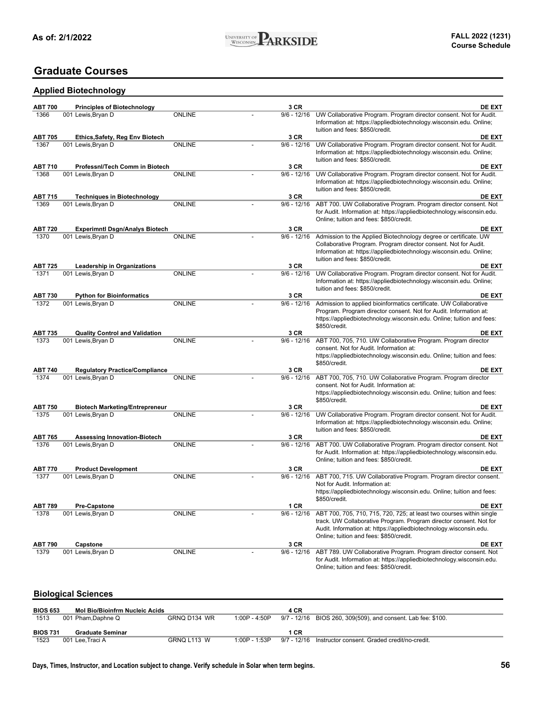### **Graduate Courses**

### **Applied Biotechnology**

| <b>ABT 700</b><br>1366 | <b>Principles of Biotechnology</b><br>001 Lewis, Bryan D | <b>ONLINE</b> | 3 CR<br>$9/6 - 12/16$ | <b>DE EXT</b><br>UW Collaborative Program. Program director consent. Not for Audit.                                                        |
|------------------------|----------------------------------------------------------|---------------|-----------------------|--------------------------------------------------------------------------------------------------------------------------------------------|
|                        |                                                          |               |                       | Information at: https://appliedbiotechnology.wisconsin.edu. Online;                                                                        |
|                        |                                                          |               |                       | tuition and fees: \$850/credit.                                                                                                            |
| <b>ABT 705</b>         | Ethics, Safety, Reg Env Biotech                          |               | 3 CR                  | <b>DE EXT</b>                                                                                                                              |
| 1367                   | 001 Lewis, Bryan D                                       | <b>ONLINE</b> | $9/6 - 12/16$         | UW Collaborative Program. Program director consent. Not for Audit.                                                                         |
|                        |                                                          |               |                       | Information at: https://appliedbiotechnology.wisconsin.edu. Online;                                                                        |
|                        |                                                          |               |                       | tuition and fees: \$850/credit.                                                                                                            |
| <b>ABT 710</b><br>1368 | Professnl/Tech Comm in Biotech<br>001 Lewis, Bryan D     | <b>ONLINE</b> | 3 CR<br>$9/6 - 12/16$ | <b>DE EXT</b><br>UW Collaborative Program. Program director consent. Not for Audit.                                                        |
|                        |                                                          |               |                       | Information at: https://appliedbiotechnology.wisconsin.edu. Online;                                                                        |
|                        |                                                          |               |                       | tuition and fees: \$850/credit.                                                                                                            |
| <b>ABT 715</b>         | <b>Techniques in Biotechnology</b>                       |               | 3 CR                  | <b>DE EXT</b>                                                                                                                              |
| 1369                   | 001 Lewis, Bryan D                                       | <b>ONLINE</b> | $9/6 - 12/16$         | ABT 700. UW Collaborative Program. Program director consent. Not                                                                           |
|                        |                                                          |               |                       | for Audit. Information at: https://appliedbiotechnology.wisconsin.edu.                                                                     |
|                        |                                                          |               |                       | Online; tuition and fees: \$850/credit.                                                                                                    |
| <b>ABT 720</b>         | <b>Experimntl Dsgn/Analys Biotech</b>                    |               | 3 CR                  | <b>DE EXT</b>                                                                                                                              |
| 1370                   | 001 Lewis, Bryan D                                       | <b>ONLINE</b> | $9/6 - 12/16$         | Admission to the Applied Biotechnology degree or certificate. UW                                                                           |
|                        |                                                          |               |                       | Collaborative Program. Program director consent. Not for Audit.                                                                            |
|                        |                                                          |               |                       | Information at: https://appliedbiotechnology.wisconsin.edu. Online;<br>tuition and fees: \$850/credit.                                     |
| <b>ABT 725</b>         | <b>Leadership in Organizations</b>                       |               | 3 CR                  | <b>DE EXT</b>                                                                                                                              |
| 1371                   | 001 Lewis, Bryan D                                       | <b>ONLINE</b> | $9/6 - 12/16$         | UW Collaborative Program. Program director consent. Not for Audit.                                                                         |
|                        |                                                          |               |                       | Information at: https://appliedbiotechnology.wisconsin.edu. Online;                                                                        |
|                        |                                                          |               |                       | tuition and fees: \$850/credit.                                                                                                            |
| <b>ABT 730</b>         | <b>Python for Bioinformatics</b>                         |               | 3 CR                  | DE EXT                                                                                                                                     |
| 1372                   | 001 Lewis, Bryan D                                       | <b>ONLINE</b> | $9/6 - 12/16$         | Admission to applied bioinformatics certificate. UW Collaborative                                                                          |
|                        |                                                          |               |                       | Program. Program director consent. Not for Audit. Information at:                                                                          |
|                        |                                                          |               |                       | https://appliedbiotechnology.wisconsin.edu. Online; tuition and fees:<br>\$850/credit.                                                     |
| <b>ABT 735</b>         | <b>Quality Control and Validation</b>                    |               | 3 CR                  | <b>DE EXT</b>                                                                                                                              |
| 1373                   | 001 Lewis, Bryan D                                       | <b>ONLINE</b> | $9/6 - 12/16$         | ABT 700, 705, 710. UW Collaborative Program. Program director                                                                              |
|                        |                                                          |               |                       | consent. Not for Audit. Information at:                                                                                                    |
|                        |                                                          |               |                       | https://appliedbiotechnology.wisconsin.edu. Online; tuition and fees:                                                                      |
|                        |                                                          |               |                       | \$850/credit.                                                                                                                              |
| <b>ABT 740</b>         | <b>Regulatory Practice/Compliance</b>                    |               | 3 CR                  | <b>DE EXT</b>                                                                                                                              |
| 1374                   | 001 Lewis, Bryan D                                       | <b>ONLINE</b> | $9/6 - 12/16$         | ABT 700, 705, 710. UW Collaborative Program. Program director<br>consent. Not for Audit. Information at:                                   |
|                        |                                                          |               |                       | https://appliedbiotechnology.wisconsin.edu. Online; tuition and fees:                                                                      |
|                        |                                                          |               |                       | \$850/credit.                                                                                                                              |
| <b>ABT 750</b>         | <b>Biotech Marketing/Entrepreneur</b>                    |               | 3 CR                  | <b>DE EXT</b>                                                                                                                              |
| 1375                   | 001 Lewis, Bryan D                                       | <b>ONLINE</b> | $9/6 - 12/16$         | UW Collaborative Program. Program director consent. Not for Audit.                                                                         |
|                        |                                                          |               |                       | Information at: https://appliedbiotechnology.wisconsin.edu. Online;                                                                        |
|                        |                                                          |               |                       | tuition and fees: \$850/credit.                                                                                                            |
| <b>ABT 765</b>         | <b>Assessing Innovation-Biotech</b>                      |               | 3 CR                  | <b>DE EXT</b>                                                                                                                              |
| 1376                   | 001 Lewis, Bryan D                                       | <b>ONLINE</b> | $9/6 - 12/16$         | ABT 700. UW Collaborative Program. Program director consent. Not<br>for Audit. Information at: https://appliedbiotechnology.wisconsin.edu. |
|                        |                                                          |               |                       | Online; tuition and fees: \$850/credit.                                                                                                    |
| <b>ABT 770</b>         | <b>Product Development</b>                               |               | 3 CR                  | <b>DE EXT</b>                                                                                                                              |
| 1377                   | 001 Lewis, Bryan D                                       | <b>ONLINE</b> | $9/6 - 12/16$         | ABT 700, 715. UW Collaborative Program. Program director consent.                                                                          |
|                        |                                                          |               |                       | Not for Audit. Information at:                                                                                                             |
|                        |                                                          |               |                       | https://appliedbiotechnology.wisconsin.edu. Online; tuition and fees:                                                                      |
|                        |                                                          |               |                       | \$850/credit.                                                                                                                              |
| <b>ABT 789</b>         | <b>Pre-Capstone</b>                                      |               | 1 CR                  | <b>DE EXT</b>                                                                                                                              |
| 1378                   | 001 Lewis, Bryan D                                       | <b>ONLINE</b> | $9/6 - 12/16$         | ABT 700, 705, 710, 715, 720, 725; at least two courses within single                                                                       |
|                        |                                                          |               |                       | track. UW Collaborative Program. Program director consent. Not for<br>Audit. Information at: https://appliedbiotechnology.wisconsin.edu.   |
|                        |                                                          |               |                       | Online; tuition and fees: \$850/credit.                                                                                                    |
| <b>ABT 790</b>         | Capstone                                                 |               | 3 CR                  | <b>DE EXT</b>                                                                                                                              |
| 1379                   | 001 Lewis, Bryan D                                       | <b>ONLINE</b> | $9/6 - 12/16$         | ABT 789. UW Collaborative Program. Program director consent. Not                                                                           |
|                        |                                                          |               |                       | for Audit. Information at: https://appliedbiotechnology.wisconsin.edu.                                                                     |
|                        |                                                          |               |                       | Online; tuition and fees: \$850/credit.                                                                                                    |

### **Biological Sciences**

| <b>BIOS 653</b> | <b>Mol Bio/Bioinfrm Nucleic Acids</b> |              |                 | 4 CR |                                                              |
|-----------------|---------------------------------------|--------------|-----------------|------|--------------------------------------------------------------|
| 1513            | 001 Pham,Daphne Q                     | GRNQ D134 WR | 1:00P - 4:50P   |      | 9/7 - 12/16 BIOS 260, 309(509), and consent. Lab fee: \$100. |
|                 |                                       |              |                 |      |                                                              |
| <b>BIOS 731</b> | Graduate Seminar                      |              |                 | 1 CR |                                                              |
| 1523            | 001 Lee.Traci A                       | GRNQ L113 W  | $1:00P - 1:53P$ |      | 9/7 - 12/16 Instructor consent. Graded credit/no-credit.     |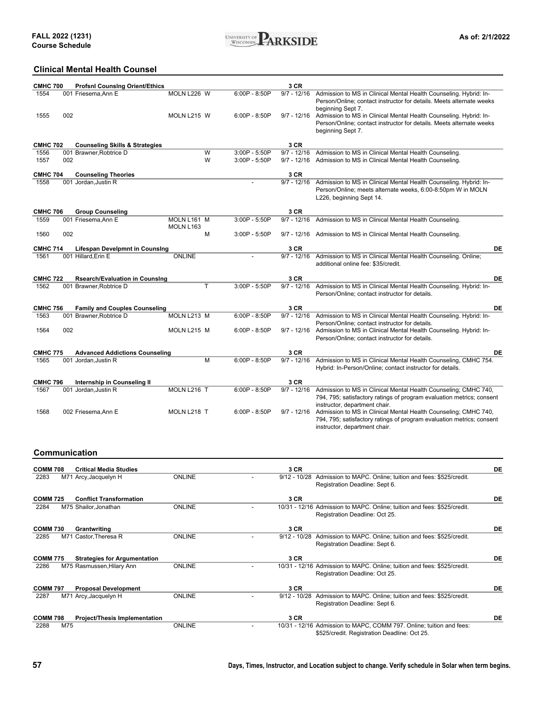

### **Clinical Mental Health Counsel**

| <b>CMHC 700</b> | <b>Profsni Counsing Orient/Ethics</b>     |                          |                 | 3 CR          |                                                                                                                                                                           |
|-----------------|-------------------------------------------|--------------------------|-----------------|---------------|---------------------------------------------------------------------------------------------------------------------------------------------------------------------------|
| 1554            | 001 Friesema, Ann E                       | MOLN L226 W              | $6:00P - 8:50P$ | $9/7 - 12/16$ | Admission to MS in Clinical Mental Health Counseling. Hybrid: In-<br>Person/Online; contact instructor for details. Meets alternate weeks<br>beginning Sept 7.            |
| 1555            | 002                                       | MOLN L215 W              | $6:00P - 8:50P$ | $9/7 - 12/16$ | Admission to MS in Clinical Mental Health Counseling. Hybrid: In-<br>Person/Online; contact instructor for details. Meets alternate weeks<br>beginning Sept 7.            |
| <b>CMHC 702</b> | <b>Counseling Skills &amp; Strategies</b> |                          |                 | 3 CR          |                                                                                                                                                                           |
| 1556            | 001 Brawner.Robtrice D                    | W                        | 3:00P - 5:50P   | $9/7 - 12/16$ | Admission to MS in Clinical Mental Health Counseling.                                                                                                                     |
| 1557            | 002                                       | W                        | 3:00P - 5:50P   | $9/7 - 12/16$ | Admission to MS in Clinical Mental Health Counseling.                                                                                                                     |
| <b>CMHC 704</b> | <b>Counseling Theories</b>                |                          |                 | 3 CR          |                                                                                                                                                                           |
| 1558            | 001 Jordan. Justin R                      |                          |                 | $9/7 - 12/16$ | Admission to MS in Clinical Mental Health Counseling. Hybrid: In-<br>Person/Online; meets alternate weeks, 6:00-8:50pm W in MOLN<br>L226, beginning Sept 14.              |
| <b>CMHC 706</b> | <b>Group Counseling</b>                   |                          |                 | 3 CR          |                                                                                                                                                                           |
| 1559            | 001 Friesema, Ann E                       | MOLN L161 M<br>MOLN L163 | 3:00P - 5:50P   | $9/7 - 12/16$ | Admission to MS in Clinical Mental Health Counseling.                                                                                                                     |
| 1560            | 002                                       | м                        | 3:00P - 5:50P   | $9/7 - 12/16$ | Admission to MS in Clinical Mental Health Counseling.                                                                                                                     |
| <b>CMHC 714</b> | <b>Lifespan Develpmnt in Counsing</b>     |                          |                 | 3 CR          | <b>DE</b>                                                                                                                                                                 |
| 1561            | 001 Hillard, Erin E                       | <b>ONLINE</b>            |                 | $9/7 - 12/16$ | Admission to MS in Clinical Mental Health Counseling. Online;<br>additional online fee: \$35/credit.                                                                      |
| <b>CMHC 722</b> | <b>Rsearch/Evaluation in Counsing</b>     |                          |                 | 3 CR          | DE                                                                                                                                                                        |
| 1562            | 001 Brawner, Robtrice D                   | т                        | 3:00P - 5:50P   | $9/7 - 12/16$ | Admission to MS in Clinical Mental Health Counseling. Hybrid: In-<br>Person/Online; contact instructor for details.                                                       |
| <b>CMHC 756</b> | <b>Family and Couples Counseling</b>      |                          |                 | 3 CR          | <b>DE</b>                                                                                                                                                                 |
| 1563            | 001 Brawner, Robtrice D                   | MOLN L213 M              | $6:00P - 8:50P$ | $9/7 - 12/16$ | Admission to MS in Clinical Mental Health Counseling. Hybrid: In-<br>Person/Online; contact instructor for details.                                                       |
| 1564            | 002                                       | MOLN L215 M              | $6:00P - 8:50P$ |               | 9/7 - 12/16 Admission to MS in Clinical Mental Health Counseling. Hybrid: In-<br>Person/Online; contact instructor for details.                                           |
| <b>CMHC 775</b> | <b>Advanced Addictions Counseling</b>     |                          |                 | 3 CR          | <b>DE</b>                                                                                                                                                                 |
| 1565            | 001 Jordan, Justin R                      | M                        | $6:00P - 8:50P$ | $9/7 - 12/16$ | Admission to MS in Clinical Mental Health Counseling, CMHC 754.<br>Hybrid: In-Person/Online; contact instructor for details.                                              |
| <b>CMHC 796</b> | Internship in Counseling II               |                          |                 | 3 CR          |                                                                                                                                                                           |
| 1567            | 001 Jordan, Justin R                      | MOLN L216 T              | $6:00P - 8:50P$ | $9/7 - 12/16$ | Admission to MS in Clinical Mental Health Counseling; CMHC 740,<br>794, 795; satisfactory ratings of program evaluation metrics; consent<br>instructor, department chair. |
| 1568            | 002 Friesema, Ann E                       | MOLN L218 T              | $6:00P - 8:50P$ | $9/7 - 12/16$ | Admission to MS in Clinical Mental Health Counseling; CMHC 740,<br>794, 795; satisfactory ratings of program evaluation metrics; consent<br>instructor, department chair. |

### **Communication**

| <b>COMM 708</b> |     | <b>Critical Media Studies</b>        |               | 3 CR           |                                                                                                                      | DE |
|-----------------|-----|--------------------------------------|---------------|----------------|----------------------------------------------------------------------------------------------------------------------|----|
| 2283            |     | M71 Arcy, Jacquelyn H                | <b>ONLINE</b> | $9/12 - 10/28$ | Admission to MAPC. Online; tuition and fees: \$525/credit.<br>Registration Deadline: Sept 6.                         |    |
| <b>COMM 725</b> |     | <b>Conflict Transformation</b>       |               | 3 CR           |                                                                                                                      | DE |
| 2284            |     | M75 Shailor, Jonathan                | <b>ONLINE</b> |                | 10/31 - 12/16 Admission to MAPC. Online; tuition and fees: \$525/credit.<br>Registration Deadline: Oct 25.           |    |
| <b>COMM 730</b> |     | Grantwriting                         |               | 3 CR           |                                                                                                                      | DE |
| 2285            |     | M71 Castor, Theresa R                | <b>ONLINE</b> | $9/12 - 10/28$ | Admission to MAPC. Online; tuition and fees: \$525/credit.<br>Registration Deadline: Sept 6.                         |    |
| <b>COMM 775</b> |     | <b>Strategies for Argumentation</b>  |               | 3 CR           |                                                                                                                      | DE |
| 2286            |     | M75 Rasmussen, Hilary Ann            | <b>ONLINE</b> |                | 10/31 - 12/16 Admission to MAPC. Online; tuition and fees: \$525/credit.<br>Registration Deadline: Oct 25.           |    |
| <b>COMM 797</b> |     | <b>Proposal Development</b>          |               | 3 CR           |                                                                                                                      | DE |
| 2287            |     | M71 Arcy, Jacquelyn H                | <b>ONLINE</b> | $9/12 - 10/28$ | Admission to MAPC. Online; tuition and fees: \$525/credit.<br>Registration Deadline: Sept 6.                         |    |
| <b>COMM 798</b> |     | <b>Project/Thesis Implementation</b> |               | 3 CR           |                                                                                                                      | DE |
| 2288            | M75 |                                      | <b>ONLINE</b> |                | 10/31 - 12/16 Admission to MAPC, COMM 797. Online; tuition and fees:<br>\$525/credit. Registration Deadline: Oct 25. |    |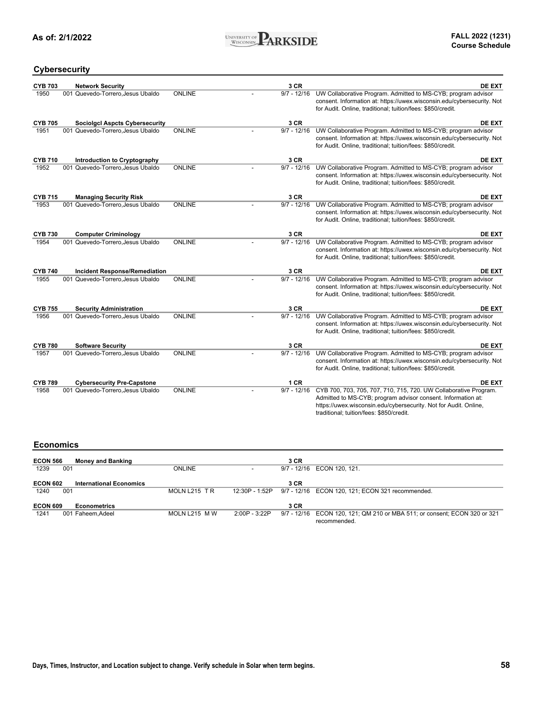

### **Cybersecurity**

| <b>CYB 703</b> | <b>Network Security</b>               |               | 3 CR          | <b>DE EXT</b>                                                                                                                                                                                                                                    |
|----------------|---------------------------------------|---------------|---------------|--------------------------------------------------------------------------------------------------------------------------------------------------------------------------------------------------------------------------------------------------|
| 1950           | 001 Quevedo-Torrero, Jesus Ubaldo     | ONLINE        | $9/7 - 12/16$ | UW Collaborative Program. Admitted to MS-CYB; program advisor<br>consent. Information at: https://uwex.wisconsin.edu/cybersecurity. Not<br>for Audit. Online, traditional; tuition/fees: \$850/credit.                                           |
| <b>CYB 705</b> | <b>Sociolgcl Aspcts Cybersecurity</b> |               | 3 CR          | DE EXT                                                                                                                                                                                                                                           |
| 1951           | 001 Quevedo-Torrero.Jesus Ubaldo      | <b>ONLINE</b> | $9/7 - 12/16$ | UW Collaborative Program. Admitted to MS-CYB; program advisor<br>consent. Information at: https://uwex.wisconsin.edu/cybersecurity. Not<br>for Audit. Online, traditional; tuition/fees: \$850/credit.                                           |
| <b>CYB 710</b> | <b>Introduction to Cryptography</b>   |               | 3 CR          | <b>DE EXT</b>                                                                                                                                                                                                                                    |
| 1952           | 001 Quevedo-Torrero.Jesus Ubaldo      | ONLINE        | $9/7 - 12/16$ | UW Collaborative Program. Admitted to MS-CYB; program advisor<br>consent. Information at: https://uwex.wisconsin.edu/cybersecurity. Not<br>for Audit. Online, traditional; tuition/fees: \$850/credit.                                           |
| <b>CYB 715</b> | <b>Managing Security Risk</b>         |               | 3 CR          | <b>DE EXT</b>                                                                                                                                                                                                                                    |
| 1953           | 001 Quevedo-Torrero, Jesus Ubaldo     | ONLINE        | $9/7 - 12/16$ | UW Collaborative Program. Admitted to MS-CYB; program advisor<br>consent. Information at: https://uwex.wisconsin.edu/cybersecurity. Not<br>for Audit. Online, traditional; tuition/fees: \$850/credit.                                           |
| <b>CYB 730</b> | <b>Computer Criminology</b>           |               | 3 CR          | DE EXT                                                                                                                                                                                                                                           |
| 1954           | 001 Quevedo-Torrero.Jesus Ubaldo      | ONLINE        | $9/7 - 12/16$ | UW Collaborative Program. Admitted to MS-CYB; program advisor<br>consent. Information at: https://uwex.wisconsin.edu/cybersecurity. Not<br>for Audit. Online, traditional; tuition/fees: \$850/credit.                                           |
| <b>CYB 740</b> | <b>Incident Response/Remediation</b>  |               | 3 CR          | DE EXT                                                                                                                                                                                                                                           |
| 1955           | 001 Quevedo-Torrero, Jesus Ubaldo     | ONLINE        | $9/7 - 12/16$ | UW Collaborative Program. Admitted to MS-CYB; program advisor<br>consent. Information at: https://uwex.wisconsin.edu/cybersecurity. Not<br>for Audit. Online, traditional; tuition/fees: \$850/credit.                                           |
| <b>CYB 755</b> | <b>Security Administration</b>        |               | 3 CR          | <b>DE EXT</b>                                                                                                                                                                                                                                    |
| 1956           | 001 Quevedo-Torrero, Jesus Ubaldo     | ONLINE        | $9/7 - 12/16$ | UW Collaborative Program. Admitted to MS-CYB; program advisor<br>consent. Information at: https://uwex.wisconsin.edu/cybersecurity. Not<br>for Audit. Online, traditional; tuition/fees: \$850/credit.                                           |
| <b>CYB 780</b> | <b>Software Security</b>              |               | 3 CR          | <b>DE EXT</b>                                                                                                                                                                                                                                    |
| 1957           | 001 Quevedo-Torrero, Jesus Ubaldo     | <b>ONLINE</b> | $9/7 - 12/16$ | UW Collaborative Program. Admitted to MS-CYB; program advisor<br>consent. Information at: https://uwex.wisconsin.edu/cybersecurity. Not<br>for Audit. Online, traditional; tuition/fees: \$850/credit.                                           |
| <b>CYB 789</b> | <b>Cybersecurity Pre-Capstone</b>     |               | 1CR           | <b>DE EXT</b>                                                                                                                                                                                                                                    |
| 1958           | 001 Quevedo-Torrero, Jesus Ubaldo     | ONLINE        | $9/7 - 12/16$ | CYB 700, 703, 705, 707, 710, 715, 720. UW Collaborative Program.<br>Admitted to MS-CYB; program advisor consent. Information at:<br>https://uwex.wisconsin.edu/cybersecurity. Not for Audit. Online,<br>traditional; tuition/fees: \$850/credit. |

#### **Economics**

| <b>ECON 566</b> | <b>Money and Banking</b>       |               |                | 3 CR |                                                                           |
|-----------------|--------------------------------|---------------|----------------|------|---------------------------------------------------------------------------|
| 1239            | 001                            | <b>ONLINE</b> |                |      | 9/7 - 12/16 ECON 120, 121.                                                |
|                 |                                |               |                |      |                                                                           |
| <b>ECON 602</b> | <b>International Economics</b> |               |                | 3 CR |                                                                           |
| 1240            | 001                            | MOLN L215 TR  | 12:30P - 1:52P |      | 9/7 - 12/16 ECON 120, 121; ECON 321 recommended.                          |
|                 |                                |               |                |      |                                                                           |
| <b>ECON 609</b> | <b>Econometrics</b>            |               |                | 3 CR |                                                                           |
| 1241            | 001 Faheem.Adeel               | MOLN L215 M W | 2:00P - 3:22P  |      | 9/7 - 12/16 ECON 120, 121; QM 210 or MBA 511; or consent; ECON 320 or 321 |
|                 |                                |               |                |      | recommended.                                                              |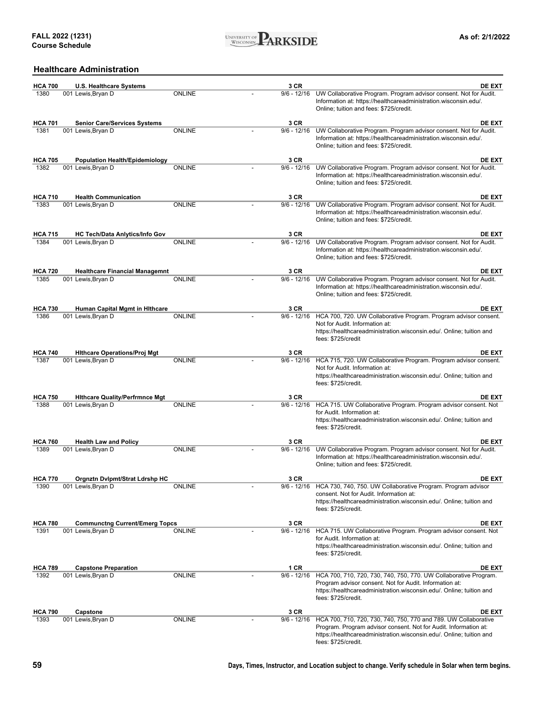

### **Healthcare Administration**

| <b>HCA 700</b> | <b>U.S. Healthcare Systems</b>        |               | 3 CR          | <b>DE EXT</b>                                                                                                                                                                                                                      |
|----------------|---------------------------------------|---------------|---------------|------------------------------------------------------------------------------------------------------------------------------------------------------------------------------------------------------------------------------------|
| 1380           | 001 Lewis, Bryan D                    | <b>ONLINE</b> | $9/6 - 12/16$ | UW Collaborative Program. Program advisor consent. Not for Audit.<br>Information at: https://healthcareadministration.wisconsin.edu/.<br>Online; tuition and fees: \$725/credit.                                                   |
| <b>HCA 701</b> | <b>Senior Care/Services Systems</b>   |               | 3 CR          | <b>DE EXT</b>                                                                                                                                                                                                                      |
| 1381           | 001 Lewis, Bryan D                    | <b>ONLINE</b> | $9/6 - 12/16$ | UW Collaborative Program. Program advisor consent. Not for Audit.<br>Information at: https://healthcareadministration.wisconsin.edu/.<br>Online; tuition and fees: \$725/credit.                                                   |
| <b>HCA 705</b> | <b>Population Health/Epidemiology</b> |               | 3 CR          | DE EXT                                                                                                                                                                                                                             |
| 1382           | 001 Lewis, Bryan D                    | <b>ONLINE</b> | $9/6 - 12/16$ | UW Collaborative Program. Program advisor consent. Not for Audit.<br>Information at: https://healthcareadministration.wisconsin.edu/.<br>Online; tuition and fees: \$725/credit.                                                   |
| <b>HCA 710</b> | <b>Health Communication</b>           |               | 3 CR          | <b>DE EXT</b>                                                                                                                                                                                                                      |
| 1383           | 001 Lewis, Bryan D                    | <b>ONLINE</b> | $9/6 - 12/16$ | UW Collaborative Program. Program advisor consent. Not for Audit.<br>Information at: https://healthcareadministration.wisconsin.edu/.<br>Online; tuition and fees: \$725/credit.                                                   |
| <b>HCA 715</b> | <b>HC Tech/Data Anlytics/Info Gov</b> |               | 3 CR          | DE EXT                                                                                                                                                                                                                             |
| 1384           | 001 Lewis, Bryan D                    | <b>ONLINE</b> | $9/6 - 12/16$ | UW Collaborative Program. Program advisor consent. Not for Audit.<br>Information at: https://healthcareadministration.wisconsin.edu/.<br>Online; tuition and fees: \$725/credit.                                                   |
| <b>HCA 720</b> | <b>Healthcare Financial Managemnt</b> |               | 3 CR          | <b>DE EXT</b>                                                                                                                                                                                                                      |
| 1385           | 001 Lewis, Bryan D                    | <b>ONLINE</b> | $9/6 - 12/16$ | UW Collaborative Program. Program advisor consent. Not for Audit.<br>Information at: https://healthcareadministration.wisconsin.edu/.<br>Online; tuition and fees: \$725/credit.                                                   |
| <b>HCA 730</b> | <b>Human Capital Mgmt in Hithcare</b> |               | 3 CR          | <b>DE EXT</b>                                                                                                                                                                                                                      |
| 1386           | 001 Lewis, Bryan D                    | <b>ONLINE</b> | $9/6 - 12/16$ | HCA 700, 720. UW Collaborative Program. Program advisor consent.<br>Not for Audit. Information at:<br>https://healthcareadministration.wisconsin.edu/. Online; tuition and<br>fees: \$725/credit                                   |
| <b>HCA 740</b> | <b>Hithcare Operations/Proj Mgt</b>   |               | 3 CR          | DE EXT                                                                                                                                                                                                                             |
| 1387           | 001 Lewis, Bryan D                    | <b>ONLINE</b> | $9/6 - 12/16$ | HCA 715, 720. UW Collaborative Program. Program advisor consent.<br>Not for Audit. Information at:<br>https://healthcareadministration.wisconsin.edu/. Online; tuition and<br>fees: \$725/credit.                                  |
| <b>HCA 750</b> | <b>Hithcare Quality/Perfrmnce Mgt</b> |               | 3 CR          | <b>DE EXT</b>                                                                                                                                                                                                                      |
| 1388           | 001 Lewis, Bryan D                    | <b>ONLINE</b> | $9/6 - 12/16$ | HCA 715. UW Collaborative Program. Program advisor consent. Not<br>for Audit. Information at:<br>https://healthcareadministration.wisconsin.edu/. Online; tuition and<br>fees: \$725/credit.                                       |
| <b>HCA 760</b> | <b>Health Law and Policy</b>          |               | 3 CR          | <b>DE EXT</b>                                                                                                                                                                                                                      |
| 1389           | 001 Lewis, Bryan D                    | <b>ONLINE</b> | $9/6 - 12/16$ | UW Collaborative Program. Program advisor consent. Not for Audit.<br>Information at: https://healthcareadministration.wisconsin.edu/.<br>Online; tuition and fees: \$725/credit.                                                   |
| <b>HCA 770</b> | Orgnztn Dvlpmt/Strat Ldrshp HC        |               | 3 CR          | DE EXT                                                                                                                                                                                                                             |
| 1390           | 001 Lewis, Bryan D                    | ONLINE        | $9/6 - 12/16$ | HCA 730, 740, 750. UW Collaborative Program. Program advisor<br>consent. Not for Audit. Information at:<br>https://healthcareadministration.wisconsin.edu/. Online; tuition and<br>fees: \$725/credit.                             |
| <b>HCA 780</b> | <b>Communctng Current/Emerg Topcs</b> |               | 3 CR          | <b>DE EXT</b>                                                                                                                                                                                                                      |
| 1391           | 001 Lewis, Bryan D                    | <b>ONLINE</b> | $9/6 - 12/16$ | HCA 715. UW Collaborative Program. Program advisor consent. Not<br>for Audit. Information at:<br>https://healthcareadministration.wisconsin.edu/. Online; tuition and<br>fees: \$725/credit.                                       |
| <b>HCA 789</b> | <b>Capstone Preparation</b>           |               | 1 CR          | <b>DE EXT</b>                                                                                                                                                                                                                      |
| 1392           | 001 Lewis, Bryan D                    | ONLINE        | $9/6 - 12/16$ | HCA 700, 710, 720, 730, 740, 750, 770. UW Collaborative Program.<br>Program advisor consent. Not for Audit. Information at:<br>https://healthcareadministration.wisconsin.edu/. Online; tuition and<br>fees: \$725/credit.         |
| <b>HCA 790</b> | Capstone                              |               | 3 CR          | DE EXT                                                                                                                                                                                                                             |
| 1393           | 001 Lewis, Bryan D                    | <b>ONLINE</b> | $9/6 - 12/16$ | HCA 700, 710, 720, 730, 740, 750, 770 and 789. UW Collaborative<br>Program. Program advisor consent. Not for Audit. Information at:<br>https://healthcareadministration.wisconsin.edu/. Online; tuition and<br>fees: \$725/credit. |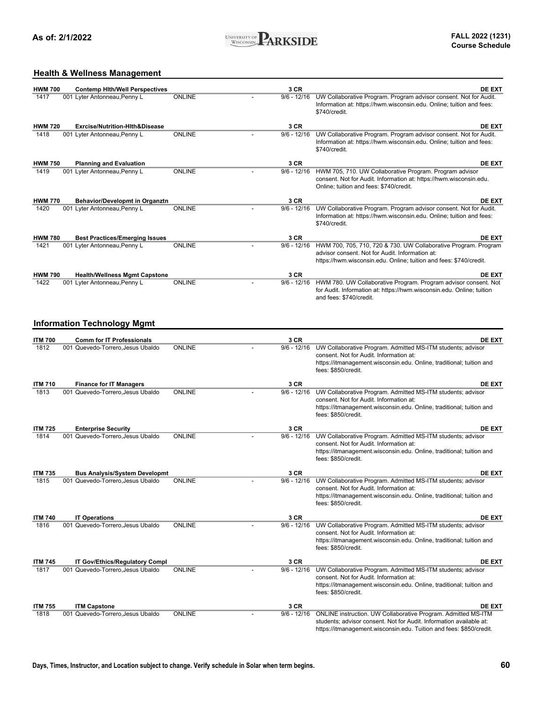

### **Health & Wellness Management**

| <b>HWM 700</b> | <b>Contemp Hith/Well Perspectives</b>     |               | 3 CR          | <b>DE EXT</b>                                                                                                                                                                                               |
|----------------|-------------------------------------------|---------------|---------------|-------------------------------------------------------------------------------------------------------------------------------------------------------------------------------------------------------------|
| 1417           | 001 Lyter Antonneau, Penny L              | <b>ONLINE</b> | $9/6 - 12/16$ | UW Collaborative Program. Program advisor consent. Not for Audit.<br>Information at: https://hwm.wisconsin.edu. Online; tuition and fees:<br>\$740/credit.                                                  |
| <b>HWM 720</b> | <b>Exrcise/Nutrition-Hith&amp;Disease</b> |               | 3 CR          | <b>DE EXT</b>                                                                                                                                                                                               |
| 1418           | 001 Lyter Antonneau, Penny L              | <b>ONLINE</b> | $9/6 - 12/16$ | UW Collaborative Program. Program advisor consent. Not for Audit.<br>Information at: https://hwm.wisconsin.edu. Online; tuition and fees:<br>\$740/credit.                                                  |
| <b>HWM 750</b> | <b>Planning and Evaluation</b>            |               | 3 CR          | <b>DE EXT</b>                                                                                                                                                                                               |
| 1419           | 001 Lyter Antonneau, Penny L              | <b>ONLINE</b> | $9/6 - 12/16$ | HWM 705, 710. UW Collaborative Program. Program advisor<br>consent. Not for Audit. Information at: https://hwm.wisconsin.edu.<br>Online; tuition and fees: \$740/credit.                                    |
| <b>HWM 770</b> | <b>Behavior/Developmt in Organztn</b>     |               | 3 CR          | <b>DE EXT</b>                                                                                                                                                                                               |
| 1420           | 001 Lyter Antonneau, Penny L              | <b>ONLINE</b> | $9/6 - 12/16$ | UW Collaborative Program. Program advisor consent. Not for Audit.<br>Information at: https://hwm.wisconsin.edu. Online; tuition and fees:<br>\$740/credit.                                                  |
| <b>HWM 780</b> | <b>Best Practices/Emerging Issues</b>     |               | 3 CR          | <b>DE EXT</b>                                                                                                                                                                                               |
| 1421           | 001 Lyter Antonneau, Penny L              | <b>ONLINE</b> | $9/6 - 12/16$ | HWM 700, 705, 710, 720 & 730. UW Collaborative Program. Program<br>advisor consent. Not for Audit. Information at:<br>https://hwm.wisconsin.edu. Online; tuition and fees: \$740/credit.                    |
| <b>HWM 790</b> | <b>Health/Wellness Mgmt Capstone</b>      |               | 3 CR          | <b>DE EXT</b>                                                                                                                                                                                               |
| 1422           | 001 Lyter Antonneau, Penny L              | <b>ONLINE</b> | $9/6 - 12/16$ | HWM 780. UW Collaborative Program. Program advisor consent. Not<br>for Audit. Information at: https://hwm.wisconsin.edu. Online; tuition<br>and fees: \$740/credit.                                         |
|                | <b>Information Technology Mgmt</b>        |               |               |                                                                                                                                                                                                             |
| <b>ITM 700</b> | <b>Comm for IT Professionals</b>          |               | 3 CR          | <b>DE EXT</b>                                                                                                                                                                                               |
| 1812           | 001 Quevedo-Torrero, Jesus Ubaldo         | <b>ONLINE</b> | $9/6 - 12/16$ | UW Collaborative Program. Admitted MS-ITM students; advisor<br>consent. Not for Audit. Information at:<br>https://itmanagement.wisconsin.edu. Online, traditional; tuition and<br>fees: \$850/credit.       |
| <b>ITM 710</b> | <b>Finance for IT Managers</b>            |               | 3 CR          | <b>DE EXT</b>                                                                                                                                                                                               |
| 1813           | 001 Quevedo-Torrero, Jesus Ubaldo         | <b>ONLINE</b> | $9/6 - 12/16$ | UW Collaborative Program. Admitted MS-ITM students; advisor<br>consent. Not for Audit. Information at:<br>https://itmanagement.wisconsin.edu. Online, traditional; tuition and<br>fees: \$850/credit.       |
| <b>ITM 725</b> | <b>Enterprise Security</b>                |               | 3 CR          | <b>DE EXT</b>                                                                                                                                                                                               |
| 1814           | 001 Quevedo-Torrero, Jesus Ubaldo         | <b>ONLINE</b> | $9/6 - 12/16$ | UW Collaborative Program. Admitted MS-ITM students; advisor<br>consent. Not for Audit. Information at:<br>https://itmanagement.wisconsin.edu. Online, traditional; tuition and<br>fees: \$850/credit.       |
| <b>ITM 735</b> | Bus Analysis/System Developmt             |               | 3 CR          | <b>DE EXT</b>                                                                                                                                                                                               |
| 1815           | 001 Quevedo-Torrero, Jesus Ubaldo         | ONLINE        | $9/6 - 12/16$ | UW Collaborative Program. Admitted MS-ITM students; advisor<br>consent. Not for Audit. Information at:<br>https://itmanagement.wisconsin.edu. Online, traditional; tuition and<br>fees: \$850/credit.       |
| <b>ITM 740</b> | <b>IT Operations</b>                      |               | 3 CR          | <b>DE EXT</b>                                                                                                                                                                                               |
| 1816           | 001 Quevedo-Torrero, Jesus Ubaldo         | <b>ONLINE</b> | $9/6 - 12/16$ | UW Collaborative Program. Admitted MS-ITM students; advisor<br>consent. Not for Audit. Information at:<br>https://itmanagement.wisconsin.edu. Online, traditional; tuition and<br>fees: \$850/credit.       |
| <b>ITM 745</b> | <b>IT Gov/Ethics/Regulatory Compl</b>     |               | 3 CR          | <b>DE EXT</b>                                                                                                                                                                                               |
| 1817           | 001 Quevedo-Torrero, Jesus Ubaldo         | ONLINE        | $9/6 - 12/16$ | UW Collaborative Program. Admitted MS-ITM students; advisor<br>consent. Not for Audit. Information at:<br>https://itmanagement.wisconsin.edu. Online, traditional; tuition and<br>fees: \$850/credit.       |
| <b>ITM 755</b> | <b>ITM Capstone</b>                       |               | 3 CR          | <b>DE EXT</b>                                                                                                                                                                                               |
| 1818           | 001 Quevedo-Torrero, Jesus Ubaldo         | <b>ONLINE</b> | $9/6 - 12/16$ | ONLINE instruction. UW Collaborative Program. Admitted MS-ITM<br>students; advisor consent. Not for Audit. Information available at:<br>https://itmanagement.wisconsin.edu. Tuition and fees: \$850/credit. |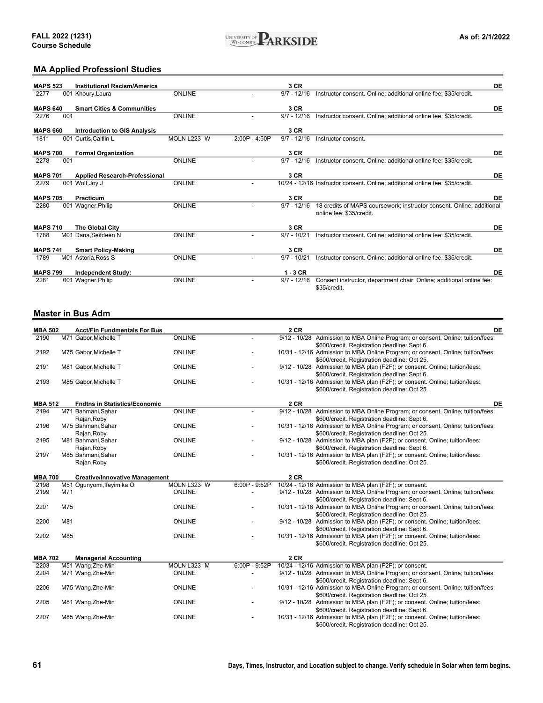

### **MA Applied Professionl Studies**

| <b>MAPS 523</b> |     | <b>Institutional Racism/America</b>   |               |                 | 3 CR          |                                                                                                   | DE |
|-----------------|-----|---------------------------------------|---------------|-----------------|---------------|---------------------------------------------------------------------------------------------------|----|
| 2277            |     | 001 Khoury, Laura                     | <b>ONLINE</b> |                 | $9/7 - 12/16$ | Instructor consent. Online; additional online fee: \$35/credit.                                   |    |
|                 |     |                                       |               |                 |               |                                                                                                   |    |
| <b>MAPS 640</b> |     | <b>Smart Cities &amp; Communities</b> |               |                 | 3 CR          |                                                                                                   | DE |
| 2276            | 001 |                                       | <b>ONLINE</b> |                 | $9/7 - 12/16$ | Instructor consent. Online; additional online fee: \$35/credit.                                   |    |
| <b>MAPS 660</b> |     | <b>Introduction to GIS Analysis</b>   |               |                 | 3 CR          |                                                                                                   |    |
| 1811            |     | 001 Curtis, Caitlin L                 | MOLN L223 W   | $2:00P - 4:50P$ | $9/7 - 12/16$ | Instructor consent.                                                                               |    |
| <b>MAPS 700</b> |     | <b>Formal Organization</b>            |               |                 | 3 CR          |                                                                                                   | DE |
| 2278            | 001 |                                       | <b>ONLINE</b> |                 | $9/7 - 12/16$ |                                                                                                   |    |
|                 |     |                                       |               |                 |               | Instructor consent. Online; additional online fee: \$35/credit.                                   |    |
| <b>MAPS 701</b> |     | <b>Applied Research-Professional</b>  |               |                 | 3 CR          |                                                                                                   | DE |
| 2279            |     | 001 Wolf, Joy J                       | <b>ONLINE</b> |                 |               | 10/24 - 12/16 Instructor consent. Online; additional online fee: \$35/credit.                     |    |
| <b>MAPS 705</b> |     | Practicum                             |               |                 | 3 CR          |                                                                                                   | DE |
|                 |     |                                       |               |                 |               |                                                                                                   |    |
| 2280            |     | 001 Wagner, Philip                    | <b>ONLINE</b> |                 | $9/7 - 12/16$ | 18 credits of MAPS coursework; instructor consent. Online; additional<br>online fee: \$35/credit. |    |
| <b>MAPS 710</b> |     | The Global City                       |               |                 | 3 CR          |                                                                                                   | DE |
| 1788            |     | M01 Dana.Seifdeen N                   | <b>ONLINE</b> |                 | $9/7 - 10/21$ |                                                                                                   |    |
|                 |     |                                       |               |                 |               | Instructor consent. Online; additional online fee: \$35/credit.                                   |    |
| <b>MAPS 741</b> |     | <b>Smart Policy-Making</b>            |               |                 | 3 CR          |                                                                                                   | DE |
| 1789            |     | M01 Astoria, Ross S                   | <b>ONLINE</b> |                 | $9/7 - 10/21$ | Instructor consent. Online; additional online fee: \$35/credit.                                   |    |
| <b>MAPS 799</b> |     | <b>Independent Study:</b>             |               |                 | $1 - 3$ CR    |                                                                                                   | DE |
| 2281            |     | 001 Wagner, Philip                    | <b>ONLINE</b> |                 | $9/7 - 12/16$ | Consent instructor, department chair. Online; additional online fee:                              |    |
|                 |     |                                       |               |                 |               | \$35/credit.                                                                                      |    |

#### **Master in Bus Adm**

| <b>MBA 502</b> | <b>Acct/Fin Fundmentals For Bus</b>   |               |                          | <b>2 CR</b> | <b>DE</b>                                                                        |
|----------------|---------------------------------------|---------------|--------------------------|-------------|----------------------------------------------------------------------------------|
| 2190           | M71 Gabor, Michelle T                 | <b>ONLINE</b> |                          |             | 9/12 - 10/28 Admission to MBA Online Program; or consent. Online; tuition/fees:  |
|                |                                       |               |                          |             | \$600/credit. Registration deadline: Sept 6.                                     |
| 2192           | M75 Gabor, Michelle T                 | <b>ONLINE</b> |                          |             | 10/31 - 12/16 Admission to MBA Online Program; or consent. Online; tuition/fees: |
|                |                                       |               |                          |             | \$600/credit. Registration deadline: Oct 25.                                     |
| 2191           | M81 Gabor, Michelle T                 | <b>ONLINE</b> |                          |             | 9/12 - 10/28 Admission to MBA plan (F2F); or consent. Online; tuition/fees:      |
|                |                                       |               |                          |             | \$600/credit. Registration deadline: Sept 6.                                     |
| 2193           | M85 Gabor, Michelle T                 | <b>ONLINE</b> |                          |             | 10/31 - 12/16 Admission to MBA plan (F2F); or consent. Online; tuition/fees:     |
|                |                                       |               |                          |             | \$600/credit. Registration deadline: Oct 25.                                     |
| <b>MBA 512</b> | <b>Fndtns in Statistics/Economic</b>  |               |                          | 2 CR        | DE                                                                               |
| 2194           | M71 Bahmani, Sahar                    | ONLINE        |                          |             | 9/12 - 10/28 Admission to MBA Online Program; or consent. Online; tuition/fees:  |
|                | Rajan, Roby                           |               |                          |             | \$600/credit. Registration deadline: Sept 6.                                     |
| 2196           | M75 Bahmani, Sahar                    | <b>ONLINE</b> |                          |             | 10/31 - 12/16 Admission to MBA Online Program; or consent. Online; tuition/fees: |
|                | Rajan, Roby                           |               |                          |             | \$600/credit. Registration deadline: Oct 25.                                     |
| 2195           | M81 Bahmani, Sahar                    | <b>ONLINE</b> |                          |             | 9/12 - 10/28 Admission to MBA plan (F2F); or consent. Online; tuition/fees:      |
|                | Rajan, Roby                           |               |                          |             | \$600/credit. Registration deadline: Sept 6.                                     |
| 2197           | M85 Bahmani, Sahar                    | <b>ONLINE</b> |                          |             | 10/31 - 12/16 Admission to MBA plan (F2F); or consent. Online; tuition/fees:     |
|                | Rajan, Roby                           |               |                          |             | \$600/credit. Registration deadline: Oct 25.                                     |
|                |                                       |               |                          |             |                                                                                  |
| <b>MBA 700</b> | <b>Creative/Innovative Management</b> |               |                          | 2 CR        |                                                                                  |
| 2198           | M51 Ogunyomi, Ifeyimika O             | MOLN L323 W   | 6:00P - 9:52P            |             | 10/24 - 12/16 Admission to MBA plan (F2F); or consent.                           |
| 2199           | M71                                   | ONLINE        | $\overline{\phantom{a}}$ |             | 9/12 - 10/28 Admission to MBA Online Program; or consent. Online; tuition/fees:  |
|                |                                       |               |                          |             | \$600/credit. Registration deadline: Sept 6.                                     |
| 2201           | M75                                   | <b>ONLINE</b> | $\overline{\phantom{a}}$ |             | 10/31 - 12/16 Admission to MBA Online Program; or consent. Online; tuition/fees: |
|                |                                       |               |                          |             | \$600/credit. Registration deadline: Oct 25.                                     |
| 2200           | M81                                   | <b>ONLINE</b> |                          |             | 9/12 - 10/28 Admission to MBA plan (F2F); or consent. Online; tuition/fees:      |
|                |                                       |               |                          |             | \$600/credit. Registration deadline: Sept 6.                                     |
| 2202           | M85                                   | ONLINE        |                          |             | 10/31 - 12/16 Admission to MBA plan (F2F); or consent. Online; tuition/fees:     |
|                |                                       |               |                          |             | \$600/credit. Registration deadline: Oct 25.                                     |
| <b>MBA 702</b> | <b>Managerial Accounting</b>          |               |                          | 2 CR        |                                                                                  |
| 2203           | M51 Wang, Zhe-Min                     | MOLN L323 M   | $6:00P - 9:52P$          |             | 10/24 - 12/16 Admission to MBA plan (F2F); or consent.                           |
| 2204           | M71 Wang, Zhe-Min                     | ONLINE        | $\overline{\phantom{a}}$ |             | 9/12 - 10/28 Admission to MBA Online Program; or consent. Online; tuition/fees:  |
|                |                                       |               |                          |             | \$600/credit. Registration deadline: Sept 6.                                     |
| 2206           | M75 Wang, Zhe-Min                     | ONLINE        |                          |             | 10/31 - 12/16 Admission to MBA Online Program; or consent. Online; tuition/fees: |
|                |                                       |               |                          |             | \$600/credit. Registration deadline: Oct 25.                                     |
| 2205           | M81 Wang, Zhe-Min                     | ONLINE        | $\overline{\phantom{0}}$ |             | 9/12 - 10/28 Admission to MBA plan (F2F); or consent. Online; tuition/fees:      |
|                |                                       |               |                          |             | \$600/credit. Registration deadline: Sept 6.                                     |
| 2207           | M85 Wang, Zhe-Min                     | ONLINE        |                          |             | 10/31 - 12/16 Admission to MBA plan (F2F); or consent. Online; tuition/fees:     |
|                |                                       |               |                          |             | \$600/credit. Registration deadline: Oct 25.                                     |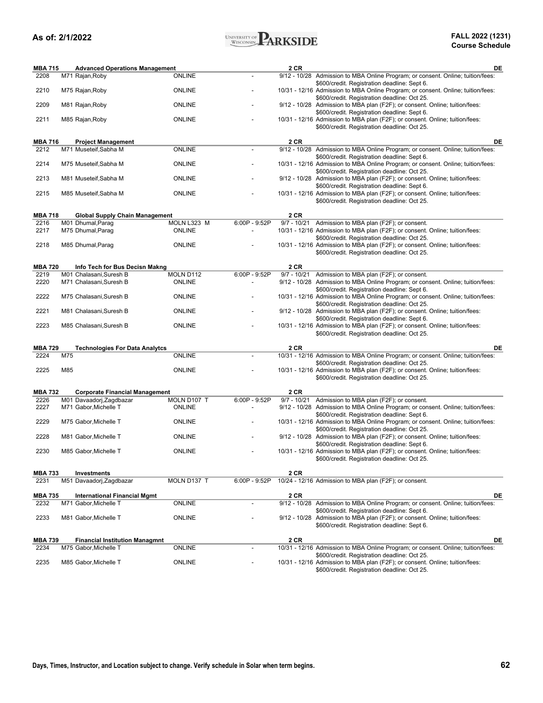

| <b>MBA 715</b>         |     | <b>Advanced Operations Management</b>                             |               |                          | 2 CR | DE                                                                                                                                                                               |
|------------------------|-----|-------------------------------------------------------------------|---------------|--------------------------|------|----------------------------------------------------------------------------------------------------------------------------------------------------------------------------------|
| 2208                   |     | M71 Rajan, Roby                                                   | <b>ONLINE</b> |                          |      | 9/12 - 10/28 Admission to MBA Online Program; or consent. Online; tuition/fees:                                                                                                  |
| 2210                   |     | M75 Rajan, Roby                                                   | ONLINE        |                          |      | \$600/credit. Registration deadline: Sept 6.<br>10/31 - 12/16 Admission to MBA Online Program; or consent. Online; tuition/fees:<br>\$600/credit. Registration deadline: Oct 25. |
| 2209                   |     | M81 Rajan, Roby                                                   | <b>ONLINE</b> |                          |      | 9/12 - 10/28 Admission to MBA plan (F2F); or consent. Online; tuition/fees:<br>\$600/credit. Registration deadline: Sept 6.                                                      |
| 2211                   |     | M85 Rajan, Roby                                                   | <b>ONLINE</b> |                          |      | 10/31 - 12/16 Admission to MBA plan (F2F); or consent. Online; tuition/fees:<br>\$600/credit. Registration deadline: Oct 25.                                                     |
| <b>MBA 716</b>         |     | <b>Project Management</b>                                         |               |                          | 2 CR | DE                                                                                                                                                                               |
| 2212                   |     | M71 Museteif, Sabha M                                             | ONLINE        |                          |      | 9/12 - 10/28 Admission to MBA Online Program; or consent. Online; tuition/fees:                                                                                                  |
| 2214                   |     | M75 Museteif, Sabha M                                             | <b>ONLINE</b> |                          |      | \$600/credit. Registration deadline: Sept 6.<br>10/31 - 12/16 Admission to MBA Online Program; or consent. Online; tuition/fees:                                                 |
| 2213                   |     | M81 Museteif, Sabha M                                             | <b>ONLINE</b> |                          |      | \$600/credit. Registration deadline: Oct 25.<br>9/12 - 10/28 Admission to MBA plan (F2F); or consent. Online; tuition/fees:<br>\$600/credit. Registration deadline: Sept 6.      |
| 2215                   |     | M85 Museteif, Sabha M                                             | <b>ONLINE</b> |                          |      | 10/31 - 12/16 Admission to MBA plan (F2F); or consent. Online; tuition/fees:<br>\$600/credit. Registration deadline: Oct 25.                                                     |
| <b>MBA 718</b>         |     | <b>Global Supply Chain Management</b>                             |               |                          | 2 CR |                                                                                                                                                                                  |
| 2216                   |     | M01 Dhumal, Parag                                                 | MOLN L323 M   | 6:00P - 9:52P            |      | 9/7 - 10/21 Admission to MBA plan (F2F); or consent.                                                                                                                             |
| 2217                   |     | M75 Dhumal, Parag                                                 | <b>ONLINE</b> | $\overline{\phantom{0}}$ |      | 10/31 - 12/16 Admission to MBA plan (F2F); or consent. Online; tuition/fees:<br>\$600/credit. Registration deadline: Oct 25.                                                     |
| 2218                   |     | M85 Dhumal, Parag                                                 | <b>ONLINE</b> | $\overline{\phantom{a}}$ |      | 10/31 - 12/16 Admission to MBA plan (F2F); or consent. Online; tuition/fees:<br>\$600/credit. Registration deadline: Oct 25.                                                     |
| <b>MBA 720</b>         |     | Info Tech for Bus Decisn Makng                                    |               |                          | 2 CR |                                                                                                                                                                                  |
| 2219                   |     | M01 Chalasani, Suresh B                                           | MOLN D112     | 6:00P - 9:52P            |      | 9/7 - 10/21 Admission to MBA plan (F2F); or consent.                                                                                                                             |
| 2220                   |     | M71 Chalasani, Suresh B                                           | <b>ONLINE</b> | $\overline{\phantom{0}}$ |      | 9/12 - 10/28 Admission to MBA Online Program; or consent. Online; tuition/fees:<br>\$600/credit. Registration deadline: Sept 6.                                                  |
| 2222                   |     | M75 Chalasani, Suresh B                                           | <b>ONLINE</b> |                          |      | 10/31 - 12/16 Admission to MBA Online Program; or consent. Online; tuition/fees:<br>\$600/credit. Registration deadline: Oct 25.                                                 |
| 2221                   |     | M81 Chalasani, Suresh B                                           | <b>ONLINE</b> |                          |      | 9/12 - 10/28 Admission to MBA plan (F2F); or consent. Online; tuition/fees:<br>\$600/credit. Registration deadline: Sept 6.                                                      |
| 2223                   |     | M85 Chalasani, Suresh B                                           | <b>ONLINE</b> |                          |      | 10/31 - 12/16 Admission to MBA plan (F2F); or consent. Online; tuition/fees:<br>\$600/credit. Registration deadline: Oct 25.                                                     |
| <b>MBA 729</b>         |     | <b>Technologies For Data Analytcs</b>                             |               |                          | 2 CR | DE                                                                                                                                                                               |
| 2224                   | M75 |                                                                   | <b>ONLINE</b> |                          |      | 10/31 - 12/16 Admission to MBA Online Program; or consent. Online; tuition/fees:                                                                                                 |
| 2225                   | M85 |                                                                   | <b>ONLINE</b> |                          |      | \$600/credit. Registration deadline: Oct 25.<br>10/31 - 12/16 Admission to MBA plan (F2F); or consent. Online; tuition/fees:<br>\$600/credit. Registration deadline: Oct 25.     |
|                        |     |                                                                   |               |                          |      |                                                                                                                                                                                  |
| <b>MBA 732</b><br>2226 |     | <b>Corporate Financial Management</b><br>M01 Davaadorj, Zagdbazar | MOLN D107 T   | 6:00P - 9:52P            | 2 CR | 9/7 - 10/21 Admission to MBA plan (F2F); or consent.                                                                                                                             |
| 2227                   |     | M71 Gabor, Michelle T                                             | <b>ONLINE</b> |                          |      | 9/12 - 10/28 Admission to MBA Online Program; or consent. Online; tuition/fees:<br>\$600/credit. Registration deadline: Sept 6.                                                  |
| 2229                   |     | M75 Gabor, Michelle T                                             | <b>ONLINE</b> |                          |      | 10/31 - 12/16 Admission to MBA Online Program; or consent. Online; tuition/fees:<br>\$600/credit. Registration deadline: Oct 25.                                                 |
| 2228                   |     | M81 Gabor, Michelle T                                             | <b>ONLINE</b> |                          |      | 9/12 - 10/28 Admission to MBA plan (F2F); or consent. Online; tuition/fees:<br>\$600/credit. Registration deadline: Sept 6.                                                      |
| 2230                   |     | M85 Gabor, Michelle T                                             | <b>ONLINE</b> |                          |      | 10/31 - 12/16 Admission to MBA plan (F2F); or consent. Online; tuition/fees:<br>\$600/credit. Registration deadline: Oct 25.                                                     |
| <b>MBA 733</b>         |     | Investments                                                       |               |                          | 2 CR |                                                                                                                                                                                  |
| 2231                   |     | M51 Davaadorj, Zagdbazar                                          | MOLN D137 T   | 6:00P - 9:52P            |      | 10/24 - 12/16 Admission to MBA plan (F2F); or consent.                                                                                                                           |
| MBA 735                |     | <b>International Financial Mgmt</b>                               |               |                          | 2 CR | DE                                                                                                                                                                               |
| 2232                   |     | M71 Gabor, Michelle T                                             | ONLINE        |                          |      | 9/12 - 10/28 Admission to MBA Online Program; or consent. Online; tuition/fees:                                                                                                  |
| 2233                   |     | M81 Gabor, Michelle T                                             | <b>ONLINE</b> |                          |      | \$600/credit. Registration deadline: Sept 6.<br>9/12 - 10/28 Admission to MBA plan (F2F); or consent. Online; tuition/fees:<br>\$600/credit. Registration deadline: Sept 6.      |
| MBA 739                |     | <b>Financial Institution Managmnt</b>                             |               |                          | 2 CR | DE                                                                                                                                                                               |
| 2234                   |     | M75 Gabor, Michelle T                                             | <b>ONLINE</b> |                          |      | 10/31 - 12/16 Admission to MBA Online Program; or consent. Online; tuition/fees:                                                                                                 |
| 2235                   |     | M85 Gabor, Michelle T                                             | ONLINE        |                          |      | \$600/credit. Registration deadline: Oct 25.<br>10/31 - 12/16 Admission to MBA plan (F2F); or consent. Online; tuition/fees:                                                     |
|                        |     |                                                                   |               |                          |      | \$600/credit. Registration deadline: Oct 25.                                                                                                                                     |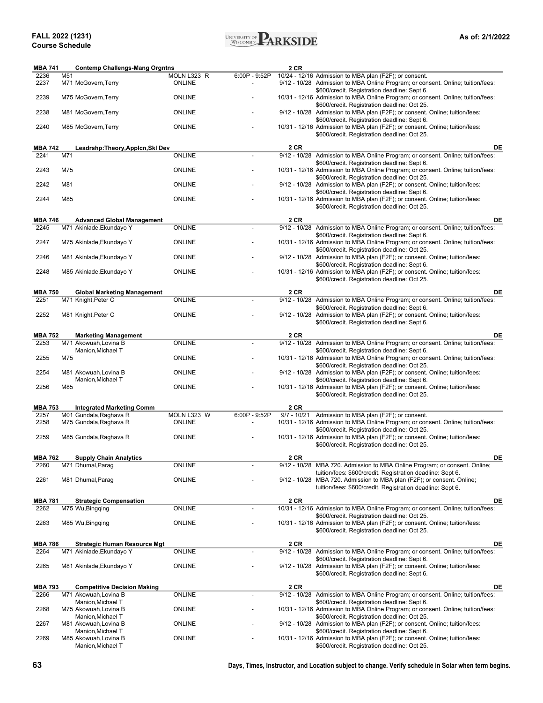

| <b>MBA 741</b>         |     | <b>Contemp Challengs-Mang Orgntns</b>                         |                                |                          | 2 CR |                                                                                                                                                                                                    |
|------------------------|-----|---------------------------------------------------------------|--------------------------------|--------------------------|------|----------------------------------------------------------------------------------------------------------------------------------------------------------------------------------------------------|
| 2236                   | M51 |                                                               | MOLN L323 R                    | 6:00P - 9:52P            |      | 10/24 - 12/16 Admission to MBA plan (F2F); or consent.                                                                                                                                             |
| 2237                   |     | M71 McGovern, Terry                                           | <b>ONLINE</b>                  |                          |      | 9/12 - 10/28 Admission to MBA Online Program; or consent. Online; tuition/fees:                                                                                                                    |
| 2239                   |     | M75 McGovern, Terry                                           | <b>ONLINE</b>                  |                          |      | \$600/credit. Registration deadline: Sept 6.<br>10/31 - 12/16 Admission to MBA Online Program; or consent. Online; tuition/fees:                                                                   |
| 2238                   |     | M81 McGovern, Terry                                           | <b>ONLINE</b>                  |                          |      | \$600/credit. Registration deadline: Oct 25.<br>9/12 - 10/28 Admission to MBA plan (F2F); or consent. Online; tuition/fees:                                                                        |
| 2240                   |     | M85 McGovern, Terry                                           | <b>ONLINE</b>                  |                          |      | \$600/credit. Registration deadline: Sept 6.<br>10/31 - 12/16 Admission to MBA plan (F2F); or consent. Online; tuition/fees:<br>\$600/credit. Registration deadline: Oct 25.                       |
| <b>MBA 742</b>         |     | Leadrshp:Theory,Applcn,Skl Dev                                |                                |                          | 2 CR | DE                                                                                                                                                                                                 |
| 2241                   | M71 |                                                               | <b>ONLINE</b>                  |                          |      | 9/12 - 10/28 Admission to MBA Online Program; or consent. Online; tuition/fees:                                                                                                                    |
|                        |     |                                                               |                                |                          |      | \$600/credit. Registration deadline: Sept 6.                                                                                                                                                       |
| 2243                   | M75 |                                                               | <b>ONLINE</b>                  |                          |      | 10/31 - 12/16 Admission to MBA Online Program; or consent. Online; tuition/fees:<br>\$600/credit. Registration deadline: Oct 25.                                                                   |
| 2242                   | M81 |                                                               | <b>ONLINE</b>                  |                          |      | 9/12 - 10/28 Admission to MBA plan (F2F); or consent. Online; tuition/fees:<br>\$600/credit. Registration deadline: Sept 6.                                                                        |
| 2244                   | M85 |                                                               | <b>ONLINE</b>                  |                          |      | 10/31 - 12/16 Admission to MBA plan (F2F); or consent. Online; tuition/fees:<br>\$600/credit. Registration deadline: Oct 25.                                                                       |
|                        |     |                                                               |                                |                          |      |                                                                                                                                                                                                    |
| <b>MBA 746</b><br>2245 |     | <b>Advanced Global Management</b><br>M71 Akinlade, Ekundayo Y | <b>ONLINE</b>                  |                          | 2 CR | DE<br>9/12 - 10/28 Admission to MBA Online Program; or consent. Online; tuition/fees:                                                                                                              |
| 2247                   |     | M75 Akinlade, Ekundayo Y                                      | <b>ONLINE</b>                  |                          |      | \$600/credit. Registration deadline: Sept 6.<br>10/31 - 12/16 Admission to MBA Online Program; or consent. Online; tuition/fees:                                                                   |
|                        |     |                                                               |                                |                          |      | \$600/credit. Registration deadline: Oct 25.                                                                                                                                                       |
| 2246                   |     | M81 Akinlade, Ekundayo Y                                      | <b>ONLINE</b>                  |                          |      | 9/12 - 10/28 Admission to MBA plan (F2F); or consent. Online; tuition/fees:<br>\$600/credit. Registration deadline: Sept 6.                                                                        |
| 2248                   |     | M85 Akinlade, Ekundayo Y                                      | <b>ONLINE</b>                  |                          |      | 10/31 - 12/16 Admission to MBA plan (F2F); or consent. Online; tuition/fees:<br>\$600/credit. Registration deadline: Oct 25.                                                                       |
| <b>MBA 750</b>         |     | <b>Global Marketing Management</b>                            |                                |                          | 2 CR | DE                                                                                                                                                                                                 |
| 2251                   |     | M71 Knight, Peter C                                           | <b>ONLINE</b>                  |                          |      | 9/12 - 10/28 Admission to MBA Online Program; or consent. Online; tuition/fees:                                                                                                                    |
| 2252                   |     | M81 Knight, Peter C                                           | <b>ONLINE</b>                  |                          |      | \$600/credit. Registration deadline: Sept 6.<br>9/12 - 10/28 Admission to MBA plan (F2F); or consent. Online; tuition/fees:<br>\$600/credit. Registration deadline: Sept 6.                        |
|                        |     |                                                               |                                |                          |      |                                                                                                                                                                                                    |
| <b>MBA 752</b>         |     | <b>Marketing Management</b>                                   |                                |                          | 2 CR | DE                                                                                                                                                                                                 |
| 2253                   |     | M71 Akowuah, Lovina B<br>Manion, Michael T                    | <b>ONLINE</b>                  |                          |      | 9/12 - 10/28 Admission to MBA Online Program; or consent. Online; tuition/fees:<br>\$600/credit. Registration deadline: Sept 6.                                                                    |
| 2255                   | M75 |                                                               | <b>ONLINE</b>                  |                          |      | 10/31 - 12/16 Admission to MBA Online Program; or consent. Online; tuition/fees:<br>\$600/credit. Registration deadline: Oct 25.                                                                   |
| 2254                   |     | M81 Akowuah, Lovina B                                         | <b>ONLINE</b>                  |                          |      | 9/12 - 10/28 Admission to MBA plan (F2F); or consent. Online; tuition/fees:                                                                                                                        |
| 2256                   | M85 | Manion,Michael T                                              | <b>ONLINE</b>                  |                          |      | \$600/credit. Registration deadline: Sept 6.<br>10/31 - 12/16 Admission to MBA plan (F2F); or consent. Online; tuition/fees:                                                                       |
|                        |     |                                                               |                                |                          |      | \$600/credit. Registration deadline: Oct 25.                                                                                                                                                       |
| <b>MBA 753</b><br>2257 |     | <b>Integrated Marketing Comm</b><br>M01 Gundala, Raghava R    | MOLN L323 W                    | 6:00P - 9:52P            | 2 CR | 9/7 - 10/21 Admission to MBA plan (F2F); or consent.                                                                                                                                               |
| 2258                   |     | M75 Gundala, Raghava R                                        | <b>ONLINE</b>                  | $\overline{\phantom{a}}$ |      | 10/31 - 12/16 Admission to MBA Online Program; or consent. Online; tuition/fees:                                                                                                                   |
| 2259                   |     | M85 Gundala, Raghava R                                        | <b>ONLINE</b>                  |                          |      | \$600/credit. Registration deadline: Oct 25.<br>10/31 - 12/16 Admission to MBA plan (F2F); or consent. Online; tuition/fees:<br>\$600/credit. Registration deadline: Oct 25.                       |
|                        |     |                                                               |                                |                          |      |                                                                                                                                                                                                    |
| <b>MBA 762</b>         |     | <b>Supply Chain Analytics</b>                                 |                                |                          | 2 CR | DE<br>9/12 - 10/28 MBA 720. Admission to MBA Online Program; or consent. Online;                                                                                                                   |
| 2260<br>2261           |     | M71 Dhumal, Parag<br>M81 Dhumal, Parag                        | <b>ONLINE</b><br><b>ONLINE</b> |                          |      | tuition/fees: \$600/credit. Registration deadline: Sept 6.<br>9/12 - 10/28 MBA 720. Admission to MBA plan (F2F); or consent. Online;<br>tuition/fees: \$600/credit. Registration deadline: Sept 6. |
|                        |     |                                                               |                                |                          |      |                                                                                                                                                                                                    |
| <b>MBA 781</b><br>2262 |     | <b>Strategic Compensation</b><br>M75 Wu, Bingqing             | <b>ONLINE</b>                  |                          | 2 CR | DE<br>10/31 - 12/16 Admission to MBA Online Program; or consent. Online; tuition/fees:                                                                                                             |
|                        |     |                                                               |                                |                          |      | \$600/credit. Registration deadline: Oct 25.                                                                                                                                                       |
| 2263                   |     | M85 Wu, Bingqing                                              | <b>ONLINE</b>                  |                          |      | 10/31 - 12/16 Admission to MBA plan (F2F); or consent. Online; tuition/fees:<br>\$600/credit. Registration deadline: Oct 25.                                                                       |
| <b>MBA 786</b>         |     | Strategic Human Resource Mgt                                  |                                |                          | 2 CR | DE                                                                                                                                                                                                 |
| 2264                   |     | M71 Akinlade, Ekundayo Y                                      | ONLINE                         |                          |      | 9/12 - 10/28 Admission to MBA Online Program; or consent. Online; tuition/fees:                                                                                                                    |
| 2265                   |     | M81 Akinlade, Ekundayo Y                                      | <b>ONLINE</b>                  |                          |      | \$600/credit. Registration deadline: Sept 6.<br>9/12 - 10/28 Admission to MBA plan (F2F); or consent. Online; tuition/fees:<br>\$600/credit. Registration deadline: Sept 6.                        |
|                        |     |                                                               |                                |                          |      |                                                                                                                                                                                                    |
| <b>MBA 793</b><br>2266 |     | <b>Competitive Decision Making</b><br>M71 Akowuah, Lovina B   | ONLINE                         |                          | 2 CR | DE<br>9/12 - 10/28 Admission to MBA Online Program; or consent. Online; tuition/fees:                                                                                                              |
|                        |     | Manion,Michael T                                              |                                |                          |      | \$600/credit. Registration deadline: Sept 6.                                                                                                                                                       |
| 2268                   |     | M75 Akowuah, Lovina B<br>Manion,Michael T                     | ONLINE                         |                          |      | 10/31 - 12/16 Admission to MBA Online Program; or consent. Online; tuition/fees:<br>\$600/credit. Registration deadline: Oct 25.                                                                   |
| 2267                   |     | M81 Akowuah,Lovina B                                          | <b>ONLINE</b>                  |                          |      | 9/12 - 10/28 Admission to MBA plan (F2F); or consent. Online; tuition/fees:                                                                                                                        |
| 2269                   |     | Manion,Michael T<br>M85 Akowuah,Lovina B                      | <b>ONLINE</b>                  |                          |      | \$600/credit. Registration deadline: Sept 6.<br>10/31 - 12/16 Admission to MBA plan (F2F); or consent. Online; tuition/fees:                                                                       |
|                        |     | Manion, Michael T                                             |                                |                          |      | \$600/credit. Registration deadline: Oct 25.                                                                                                                                                       |

**63 Days, Times, Instructor, and Location subject to change. Verify schedule in Solar when term begins.**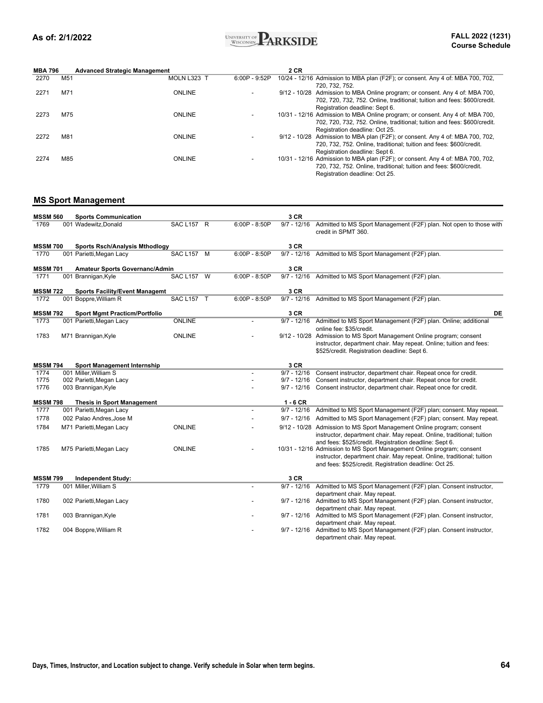

| <b>MBA 796</b> |                 | <b>Advanced Strategic Management</b> |                 | 2 CR                                                                            |
|----------------|-----------------|--------------------------------------|-----------------|---------------------------------------------------------------------------------|
| 2270           | M <sub>51</sub> | MOLN L323 T                          | $6:00P - 9:52P$ | 10/24 - 12/16 Admission to MBA plan (F2F); or consent. Any 4 of: MBA 700, 702,  |
|                |                 |                                      |                 | 720, 732, 752.                                                                  |
| 2271           | M71             | <b>ONLINE</b>                        |                 | 9/12 - 10/28 Admission to MBA Online program; or consent. Any 4 of: MBA 700,    |
|                |                 |                                      |                 | 702, 720, 732, 752. Online, traditional; tuition and fees: \$600/credit.        |
|                |                 |                                      |                 | Registration deadline: Sept 6.                                                  |
| 2273           | M75             | <b>ONLINE</b>                        |                 | 10/31 - 12/16 Admission to MBA Online program; or consent. Any 4 of: MBA 700,   |
|                |                 |                                      |                 | 702, 720, 732, 752, Online, traditional: tuition and fees: \$600/credit.        |
|                |                 |                                      |                 | Registration deadline: Oct 25.                                                  |
| 2272           | M81             | <b>ONLINE</b>                        |                 | $9/12$ - 10/28 Admission to MBA plan (F2F); or consent. Any 4 of: MBA 700, 702, |
|                |                 |                                      |                 | 720, 732, 752. Online, traditional; tuition and fees: \$600/credit.             |
|                |                 |                                      |                 | Registration deadline: Sept 6.                                                  |
| 2274           | M85             | <b>ONLINE</b>                        |                 | 10/31 - 12/16 Admission to MBA plan (F2F); or consent. Any 4 of: MBA 700, 702,  |
|                |                 |                                      |                 | 720, 732, 752, Online, traditional: tuition and fees: \$600/credit.             |
|                |                 |                                      |                 | Registration deadline: Oct 25.                                                  |

### **MS Sport Management**

| <b>MSSM 560</b>         | <b>Sports Communication</b>                                 |                   |                 | 3 CR          |                                                                                                                                                                                                            |
|-------------------------|-------------------------------------------------------------|-------------------|-----------------|---------------|------------------------------------------------------------------------------------------------------------------------------------------------------------------------------------------------------------|
| 1769                    | 001 Wadewitz, Donald                                        | SAC L157 R        | $6:00P - 8:50P$ | $9/7 - 12/16$ | Admitted to MS Sport Management (F2F) plan. Not open to those with<br>credit in SPMT 360.                                                                                                                  |
| <b>MSSM 700</b>         | <b>Sports Rsch/Analysis Mthodlogy</b>                       |                   |                 | 3 CR          |                                                                                                                                                                                                            |
| 1770                    | 001 Parietti, Megan Lacy                                    | SAC L157 M        | $6:00P - 8:50P$ | $9/7 - 12/16$ | Admitted to MS Sport Management (F2F) plan.                                                                                                                                                                |
| <b>MSSM 701</b>         | Amateur Sports Governanc/Admin                              |                   |                 | 3 CR          |                                                                                                                                                                                                            |
| 1771                    | 001 Brannigan, Kyle                                         | <b>SAC L157 W</b> | $6:00P - 8:50P$ | $9/7 - 12/16$ | Admitted to MS Sport Management (F2F) plan.                                                                                                                                                                |
| <b>MSSM 722</b>         | <b>Sports Facility/Event Managemt</b>                       |                   |                 | 3 CR          |                                                                                                                                                                                                            |
| 1772                    | 001 Boppre, William R                                       | SAC L157 T        | $6:00P - 8:50P$ | $9/7 - 12/16$ | Admitted to MS Sport Management (F2F) plan.                                                                                                                                                                |
| <b>MSSM 792</b>         | <b>Sport Mgmt Practicm/Portfolio</b>                        |                   |                 | 3 CR          | DE                                                                                                                                                                                                         |
| 1773                    | 001 Parietti, Megan Lacy                                    | ONLINE            |                 | $9/7 - 12/16$ | Admitted to MS Sport Management (F2F) plan. Online; additional<br>online fee: \$35/credit.                                                                                                                 |
| 1783                    | M71 Brannigan, Kyle                                         | ONLINE            |                 |               | 9/12 - 10/28 Admission to MS Sport Management Online program; consent<br>instructor, department chair. May repeat. Online; tuition and fees:<br>\$525/credit. Registration deadline: Sept 6.               |
|                         |                                                             |                   |                 | 3 CR          |                                                                                                                                                                                                            |
| <b>MSSM 794</b><br>1774 | <b>Sport Management Internship</b><br>001 Miller, William S |                   |                 | $9/7 - 12/16$ | Consent instructor, department chair. Repeat once for credit.                                                                                                                                              |
| 1775                    | 002 Parietti, Megan Lacy                                    |                   |                 | $9/7 - 12/16$ | Consent instructor, department chair. Repeat once for credit.                                                                                                                                              |
| 1776                    | 003 Brannigan, Kyle                                         |                   |                 | $9/7 - 12/16$ | Consent instructor, department chair. Repeat once for credit.                                                                                                                                              |
| <b>MSSM 798</b>         | <b>Thesis in Sport Management</b>                           |                   |                 | $1 - 6$ CR    |                                                                                                                                                                                                            |
| 1777                    | 001 Parietti, Megan Lacy                                    |                   |                 | $9/7 - 12/16$ | Admitted to MS Sport Management (F2F) plan; consent. May repeat.                                                                                                                                           |
| 1778                    | 002 Palao Andres, Jose M                                    |                   |                 | $9/7 - 12/16$ | Admitted to MS Sport Management (F2F) plan; consent. May repeat.                                                                                                                                           |
| 1784                    | M71 Parietti, Megan Lacy                                    | ONLINE            |                 |               | 9/12 - 10/28 Admission to MS Sport Management Online program; consent<br>instructor, department chair. May repeat. Online, traditional; tuition<br>and fees: \$525/credit. Registration deadline: Sept 6.  |
| 1785                    | M75 Parietti, Megan Lacy                                    | ONLINE            |                 |               | 10/31 - 12/16 Admission to MS Sport Management Online program; consent<br>instructor, department chair. May repeat. Online, traditional; tuition<br>and fees: \$525/credit. Registration deadline: Oct 25. |
| <b>MSSM 799</b>         | <b>Independent Study:</b>                                   |                   |                 | 3 CR          |                                                                                                                                                                                                            |
| 1779                    | 001 Miller, William S                                       |                   |                 | $9/7 - 12/16$ | Admitted to MS Sport Management (F2F) plan. Consent instructor,                                                                                                                                            |
| 1780                    | 002 Parietti, Megan Lacy                                    |                   |                 | $9/7 - 12/16$ | department chair. May repeat.<br>Admitted to MS Sport Management (F2F) plan. Consent instructor,                                                                                                           |
| 1781                    | 003 Brannigan, Kyle                                         |                   |                 | $9/7 - 12/16$ | department chair. May repeat.<br>Admitted to MS Sport Management (F2F) plan. Consent instructor,<br>department chair. May repeat.                                                                          |
| 1782                    | 004 Boppre, William R                                       |                   |                 | $9/7 - 12/16$ | Admitted to MS Sport Management (F2F) plan. Consent instructor,<br>department chair. May repeat.                                                                                                           |